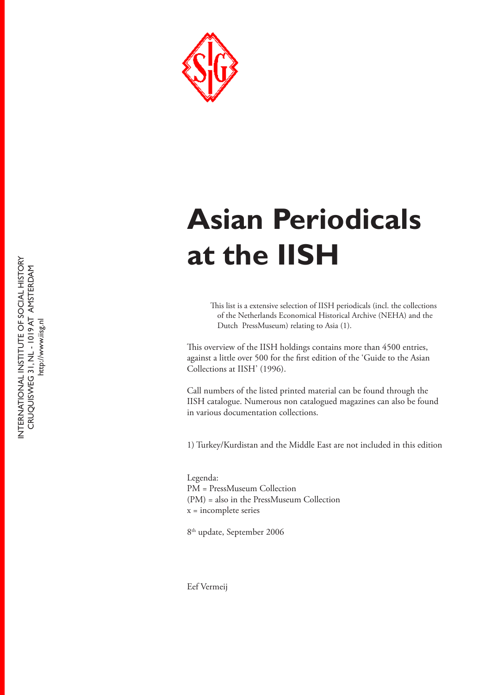

# **Asian Periodicals at the IISH**

This list is a extensive selection of IISH periodicals (incl. the collections of the Netherlands Economical Historical Archive (NEHA) and the Dutch PressMuseum) relating to Asia (1).

This overview of the IISH holdings contains more than 4500 entries, against a little over 500 for the first edition of the 'Guide to the Asian Collections at IISH' (1996).

Call numbers of the listed printed material can be found through the IISH catalogue. Numerous non catalogued magazines can also be found in various documentation collections.

1) Turkey/Kurdistan and the Middle East are not included in this edition

Legenda: PM = PressMuseum Collection (PM) = also in the PressMuseum Collection x = incomplete series

8th update, September 2006

http://www.iisg.nl

http://www.iisg.nl

Eef Vermeij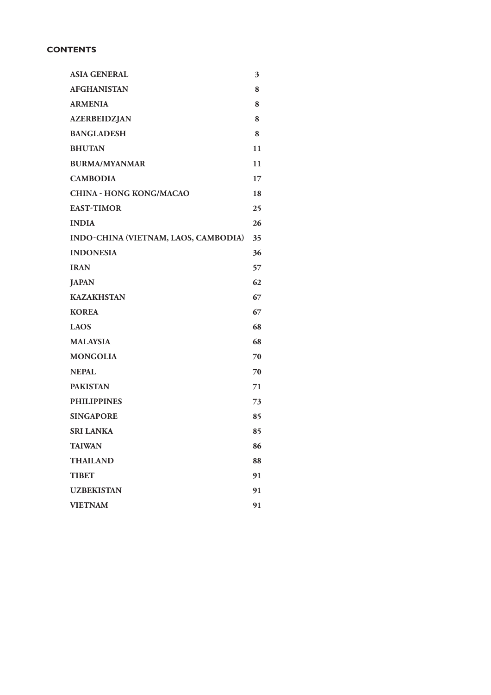# **Contents**

| <b>ASIA GENERAL</b>                  | 3  |
|--------------------------------------|----|
| <b>AFGHANISTAN</b>                   | 8  |
| <b>ARMENIA</b>                       | 8  |
| <b>AZERBEIDZJAN</b>                  | 8  |
| <b>BANGLADESH</b>                    | 8  |
| <b>BHUTAN</b>                        | 11 |
| <b>BURMA/MYANMAR</b>                 | 11 |
| <b>CAMBODIA</b>                      | 17 |
| <b>CHINA - HONG KONG/MACAO</b>       | 18 |
| <b>EAST-TIMOR</b>                    | 25 |
| <b>INDIA</b>                         | 26 |
| INDO-CHINA (VIETNAM, LAOS, CAMBODIA) | 35 |
| <b>INDONESIA</b>                     | 36 |
| <b>IRAN</b>                          | 57 |
| <b>JAPAN</b>                         | 62 |
| <b>KAZAKHSTAN</b>                    | 67 |
| <b>KOREA</b>                         | 67 |
| <b>LAOS</b>                          | 68 |
| <b>MALAYSIA</b>                      | 68 |
| <b>MONGOLIA</b>                      | 70 |
| <b>NEPAL</b>                         | 70 |
| <b>PAKISTAN</b>                      | 71 |
| <b>PHILIPPINES</b>                   | 73 |
| <b>SINGAPORE</b>                     | 85 |
| <b>SRI LANKA</b>                     | 85 |
| <b>TAIWAN</b>                        | 86 |
| <b>THAILAND</b>                      | 88 |
| <b>TIBET</b>                         | 91 |
| <b>UZBEKISTAN</b>                    | 91 |
| <b>VIETNAM</b>                       | 91 |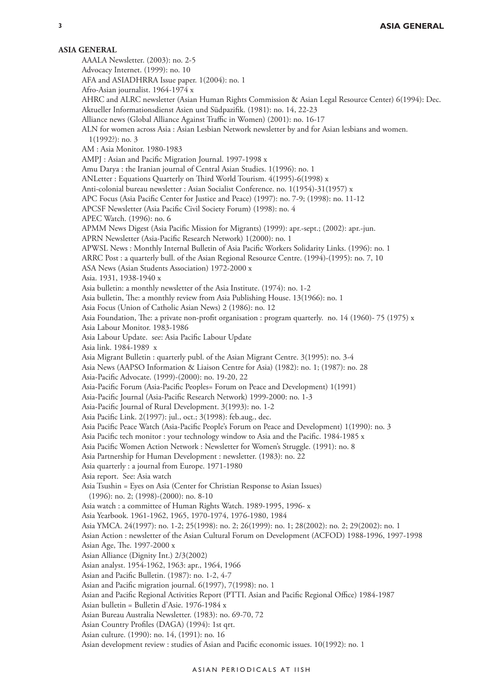# **Asia general**

AAALA Newsletter. (2003): no. 2-5 Advocacy Internet. (1999): no. 10 AFA and ASIADHRRA Issue paper. 1(2004): no. 1 Afro-Asian journalist. 1964-1974 x AHRC and ALRC newsletter (Asian Human Rights Commission & Asian Legal Resource Center) 6(1994): Dec. Aktueller Informationsdienst Asien und Südpazifik. (1981): no. 14, 22-23 Alliance news (Global Alliance Against Traffic in Women) (2001): no. 16-17 ALN for women across Asia : Asian Lesbian Network newsletter by and for Asian lesbians and women. 1(1992?): no. 3 AM : Asia Monitor. 1980-1983 AMPJ : Asian and Pacific Migration Journal. 1997-1998 x Amu Darya : the Iranian journal of Central Asian Studies. 1(1996): no. 1 ANLetter : Equations Quarterly on Third World Tourism. 4(1995)-6(1998) x Anti-colonial bureau newsletter : Asian Socialist Conference. no. 1(1954)-31(1957) x APC Focus (Asia Pacific Center for Justice and Peace) (1997): no. 7-9; (1998): no. 11-12 APCSF Newsletter (Asia Pacific Civil Society Forum) (1998): no. 4 APEC Watch. (1996): no. 6 APMM News Digest (Asia Pacific Mission for Migrants) (1999): apr.-sept.; (2002): apr.-jun. APRN Newsletter (Asia-Pacific Research Network) 1(2000): no. 1 APWSL News : Monthly Internal Bulletin of Asia Pacific Workers Solidarity Links. (1996): no. 1 ARRC Post : a quarterly bull. of the Asian Regional Resource Centre. (1994)-(1995): no. 7, 10 ASA News (Asian Students Association) 1972-2000 x Asia. 1931, 1938-1940 x Asia bulletin: a monthly newsletter of the Asia Institute. (1974): no. 1-2 Asia bulletin, The: a monthly review from Asia Publishing House. 13(1966): no. 1 Asia Focus (Union of Catholic Asian News) 2 (1986): no. 12 Asia Foundation, The: a private non-profit organisation : program quarterly. no. 14 (1960)- 75 (1975) x Asia Labour Monitor. 1983-1986 Asia Labour Update. see: Asia Pacific Labour Update Asia link. 1984-1989 x Asia Migrant Bulletin : quarterly publ. of the Asian Migrant Centre. 3(1995): no. 3-4 Asia News (AAPSO Information & Liaison Centre for Asia) (1982): no. 1; (1987): no. 28 Asia-Pacific Advocate. (1999)-(2000): no. 19-20, 22 Asia-Pacific Forum (Asia-Pacific Peoples= Forum on Peace and Development) 1(1991) Asia-Pacific Journal (Asia-Pacific Research Network) 1999-2000: no. 1-3 Asia-Pacific Journal of Rural Development. 3(1993): no. 1-2 Asia Pacific Link. 2(1997): jul., oct.; 3(1998): feb.aug., dec. Asia Pacific Peace Watch (Asia-Pacific People's Forum on Peace and Development) 1(1990): no. 3 Asia Pacific tech monitor : your technology window to Asia and the Pacific. 1984-1985 x Asia Pacific Women Action Network : Newsletter for Women's Struggle. (1991): no. 8 Asia Partnership for Human Development : newsletter. (1983): no. 22 Asia quarterly : a journal from Europe. 1971-1980 Asia report. See: Asia watch Asia Tsushin = Eyes on Asia (Center for Christian Response to Asian Issues) (1996): no. 2; (1998)-(2000): no. 8-10 Asia watch : a committee of Human Rights Watch. 1989-1995, 1996- x Asia Yearbook. 1961-1962, 1965, 1970-1974, 1976-1980, 1984 Asia YMCA. 24(1997): no. 1-2; 25(1998): no. 2; 26(1999): no. 1; 28(2002): no. 2; 29(2002): no. 1 Asian Action : newsletter of the Asian Cultural Forum on Development (ACFOD) 1988-1996, 1997-1998 Asian Age, The. 1997-2000 x Asian Alliance (Dignity Int.) 2/3(2002) Asian analyst. 1954-1962, 1963: apr., 1964, 1966 Asian and Pacific Bulletin. (1987): no. 1-2, 4-7 Asian and Pacific migration journal. 6(1997), 7(1998): no. 1 Asian and Pacific Regional Activities Report (PTTI. Asian and Pacific Regional Office) 1984-1987 Asian bulletin = Bulletin d'Asie. 1976-1984 x Asian Bureau Australia Newsletter. (1983): no. 69-70, 72 Asian Country Profiles (DAGA) (1994): 1st qrt. Asian culture. (1990): no. 14, (1991): no. 16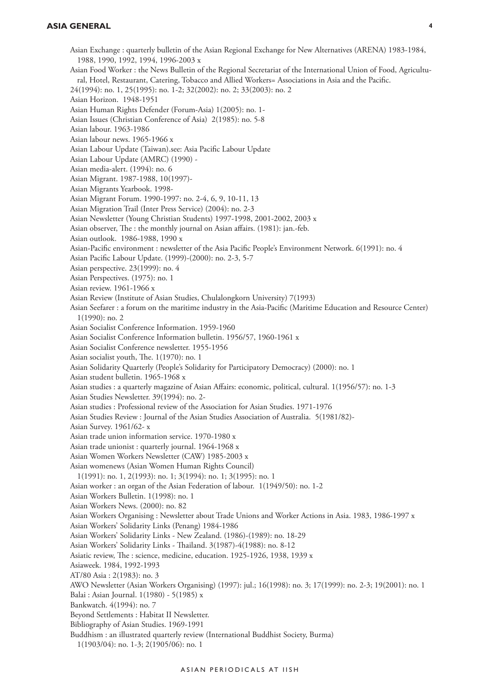Asian Exchange : quarterly bulletin of the Asian Regional Exchange for New Alternatives (ARENA) 1983-1984, 1988, 1990, 1992, 1994, 1996-2003 x Asian Food Worker : the News Bulletin of the Regional Secretariat of the International Union of Food, Agricultural, Hotel, Restaurant, Catering, Tobacco and Allied Workers= Associations in Asia and the Pacific. 24(1994): no. 1, 25(1995): no. 1-2; 32(2002): no. 2; 33(2003): no. 2 Asian Horizon. 1948-1951 Asian Human Rights Defender (Forum-Asia) 1(2005): no. 1- Asian Issues (Christian Conference of Asia) 2(1985): no. 5-8 Asian labour. 1963-1986 Asian labour news. 1965-1966 x Asian Labour Update (Taiwan).see: Asia Pacific Labour Update Asian Labour Update (AMRC) (1990) - Asian media-alert. (1994): no. 6 Asian Migrant. 1987-1988, 10(1997)- Asian Migrants Yearbook. 1998- Asian Migrant Forum. 1990-1997: no. 2-4, 6, 9, 10-11, 13 Asian Migration Trail (Inter Press Service) (2004): no. 2-3 Asian Newsletter (Young Christian Students) 1997-1998, 2001-2002, 2003 x Asian observer, The : the monthly journal on Asian affairs. (1981): jan.-feb. Asian outlook. 1986-1988, 1990 x Asian-Pacific environment : newsletter of the Asia Pacific People's Environment Network. 6(1991): no. 4 Asian Pacific Labour Update. (1999)-(2000): no. 2-3, 5-7 Asian perspective. 23(1999): no. 4 Asian Perspectives. (1975): no. 1 Asian review. 1961-1966 x Asian Review (Institute of Asian Studies, Chulalongkorn University) 7(1993) Asian Seefarer : a forum on the maritime industry in the Asia-Pacific (Maritime Education and Resource Center) 1(1990): no. 2 Asian Socialist Conference Information. 1959-1960 Asian Socialist Conference Information bulletin. 1956/57, 1960-1961 x Asian Socialist Conference newsletter. 1955-1956 Asian socialist youth, The. 1(1970): no. 1 Asian Solidarity Quarterly (People's Solidarity for Participatory Democracy) (2000): no. 1 Asian student bulletin. 1965-1968 x Asian studies : a quarterly magazine of Asian Affairs: economic, political, cultural. 1(1956/57): no. 1-3 Asian Studies Newsletter. 39(1994): no. 2- Asian studies : Professional review of the Association for Asian Studies. 1971-1976 Asian Studies Review : Journal of the Asian Studies Association of Australia. 5(1981/82)- Asian Survey. 1961/62- x Asian trade union information service. 1970-1980 x Asian trade unionist : quarterly journal. 1964-1968 x Asian Women Workers Newsletter (CAW) 1985-2003 x Asian womenews (Asian Women Human Rights Council) 1(1991): no. 1, 2(1993): no. 1; 3(1994): no. 1; 3(1995): no. 1 Asian worker : an organ of the Asian Federation of labour. 1(1949/50): no. 1-2 Asian Workers Bulletin. 1(1998): no. 1 Asian Workers News. (2000): no. 82 Asian Workers Organising : Newsletter about Trade Unions and Worker Actions in Asia. 1983, 1986-1997 x Asian Workers' Solidarity Links (Penang) 1984-1986 Asian Workers' Solidarity Links - New Zealand. (1986)-(1989): no. 18-29 Asian Workers' Solidarity Links - Thailand. 3(1987)-4(1988): no. 8-12 Asiatic review, The : science, medicine, education. 1925-1926, 1938, 1939 x Asiaweek. 1984, 1992-1993 AT/80 Asia : 2(1983): no. 3 AWO Newsletter (Asian Workers Organising) (1997): jul.; 16(1998): no. 3; 17(1999): no. 2-3; 19(2001): no. 1 Balai : Asian Journal. 1(1980) - 5(1985) x Bankwatch. 4(1994): no. 7 Beyond Settlements : Habitat II Newsletter. Bibliography of Asian Studies. 1969-1991 Buddhism : an illustrated quarterly review (International Buddhist Society, Burma) 1(1903/04): no. 1-3; 2(1905/06): no. 1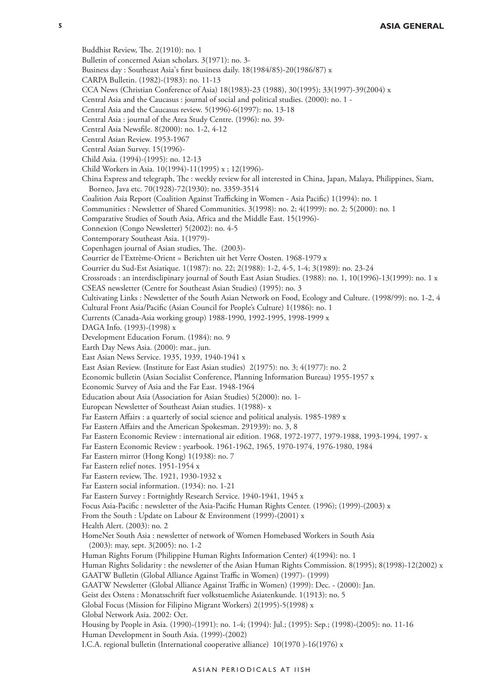#### **ASIA GENERAL**

- Buddhist Review, The. 2(1910): no. 1
- Bulletin of concerned Asian scholars. 3(1971): no. 3-
- Business day : Southeast Asia's first business daily. 18(1984/85)-20(1986/87) x
- CARPA Bulletin. (1982)-(1983): no. 11-13

CCA News (Christian Conference of Asia) 18(1983)-23 (1988), 30(1995); 33(1997)-39(2004) x

Central Asia and the Caucasus : journal of social and political studies. (2000): no. 1 -

Central Asia and the Caucasus review. 5(1996)-6(1997): no. 13-18

Central Asia : journal of the Area Study Centre. (1996): no. 39-

Central Asia Newsfile. 8(2000): no. 1-2, 4-12

Central Asian Review. 1953-1967

- Central Asian Survey. 15(1996)-
- Child Asia. (1994)-(1995): no. 12-13
- Child Workers in Asia. 10(1994)-11(1995) x ; 12(1996)-
- China Express and telegraph, The : weekly review for all interested in China, Japan, Malaya, Philippines, Siam, Borneo, Java etc. 70(1928)-72(1930): no. 3359-3514

Coalition Asia Report (Coalition Against Trafficking in Women - Asia Pacific) 1(1994): no. 1

Communities : Newsletter of Shared Communities. 3(1998): no. 2; 4(1999): no. 2; 5(2000): no. 1

Comparative Studies of South Asia, Africa and the Middle East. 15(1996)-

Connexion (Congo Newsletter) 5(2002): no. 4-5

Contemporary Southeast Asia. 1(1979)-

Copenhagen journal of Asian studies, The. (2003)-

Courrier de l'Extrème-Orient = Berichten uit het Verre Oosten. 1968-1979 x

Courrier du Sud-Est Asiatique. 1(1987): no. 22; 2(1988): 1-2, 4-5, 1-4; 3(1989): no. 23-24

Crossroads : an interdisclipinary journal of South East Asian Studies. (1988): no. 1, 10(1996)-13(1999): no. 1 x

CSEAS newsletter (Centre for Southeast Asian Studies) (1995): no. 3

Cultivating Links : Newsletter of the South Asian Network on Food, Ecology and Culture. (1998/99): no. 1-2, 4

Cultural Front Asia/Pacific (Asian Council for People's Culture) 1(1986): no. 1

Currents (Canada-Asia working group) 1988-1990, 1992-1995, 1998-1999 x

DAGA Info. (1993)-(1998) x

Development Education Forum. (1984): no. 9

Earth Day News Asia. (2000): mar., jun.

East Asian News Service. 1935, 1939, 1940-1941 x

East Asian Review. (Institute for East Asian studies) 2(1975): no. 3; 4(1977): no. 2

Economic bulletin (Asian Socialist Conference, Planning Information Bureau) 1955-1957 x

Economic Survey of Asia and the Far East. 1948-1964

Education about Asia (Association for Asian Studies) 5(2000): no. 1-

European Newsletter of Southeast Asian studies. 1(1988)- x

Far Eastern Affairs : a quarterly of social science and political analysis. 1985-1989 x

Far Eastern Affairs and the American Spokesman. 291939): no. 3, 8

Far Eastern Economic Review : international air edition. 1968, 1972-1977, 1979-1988, 1993-1994, 1997- x

- Far Eastern Economic Review : yearbook. 1961-1962, 1965, 1970-1974, 1976-1980, 1984
- Far Eastern mirror (Hong Kong) 1(1938): no. 7

Far Eastern relief notes. 1951-1954 x

Far Eastern review, The. 1921, 1930-1932 x

Far Eastern social information. (1934): no. 1-21

Far Eastern Survey : Fortnightly Research Service. 1940-1941, 1945 x

Focus Asia-Pacific : newsletter of the Asia-Pacific Human Rights Center. (1996); (1999)-(2003) x

From the South : Update on Labour & Environment (1999)-(2001) x

Health Alert. (2003): no. 2

HomeNet South Asia : newsletter of network of Women Homebased Workers in South Asia (2003): may, sept. 3(2005): no. 1-2

Human Rights Forum (Philippine Human Rights Information Center) 4(1994): no. 1

Human Rights Solidarity : the newsletter of the Asian Human Rights Commission. 8(1995); 8(1998)-12(2002) x GAATW Bulletin (Global Alliance Against Traffic in Women) (1997)- (1999)

GAATW Newsletter (Global Alliance Against Traffic in Women) (1999): Dec. - (2000): Jan.

- Geist des Ostens : Monatsschrift fuer volkstuemliche Asiatenkunde. 1(1913): no. 5
- 
- Global Focus (Mission for Filipino Migrant Workers) 2(1995)-5(1998) x

Global Network Asia. 2002: Oct.

Housing by People in Asia. (1990)-(1991): no. 1-4; (1994): Jul.; (1995): Sep.; (1998)-(2005): no. 11-16

Human Development in South Asia. (1999)-(2002)

I.C.A. regional bulletin (International cooperative alliance) 10(1970 )-16(1976) x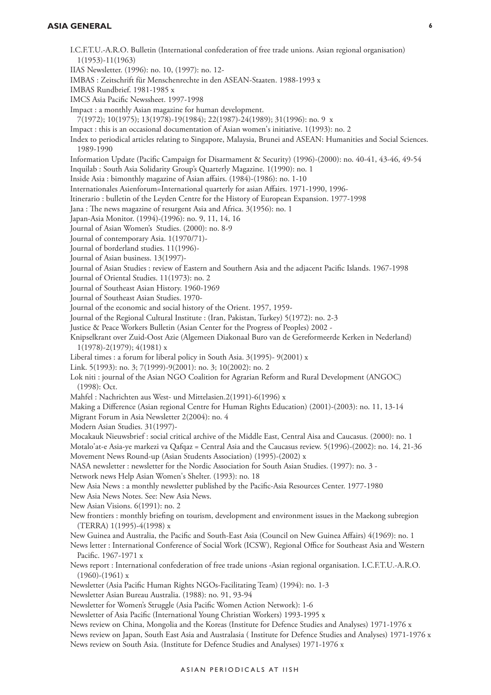| I.C.F.T.U.-A.R.O. Bulletin (International confederation of free trade unions. Asian regional organisation)                                                                                                                                                                                        |
|---------------------------------------------------------------------------------------------------------------------------------------------------------------------------------------------------------------------------------------------------------------------------------------------------|
| $1(1953)-11(1963)$                                                                                                                                                                                                                                                                                |
| IIAS Newsletter. (1996): no. 10, (1997): no. 12-                                                                                                                                                                                                                                                  |
| IMBAS : Zeitschrift für Menschenrechte in den ASEAN-Staaten. 1988-1993 x                                                                                                                                                                                                                          |
| IMBAS Rundbrief. 1981-1985 x                                                                                                                                                                                                                                                                      |
| IMCS Asia Pacific Newssheet. 1997-1998                                                                                                                                                                                                                                                            |
| Impact : a monthly Asian magazine for human development.                                                                                                                                                                                                                                          |
| 7(1972); 10(1975); 13(1978)-19(1984); 22(1987)-24(1989); 31(1996): no. 9 x                                                                                                                                                                                                                        |
| Impact : this is an occasional documentation of Asian women's initiative. 1(1993): no. 2<br>Index to periodical articles relating to Singapore, Malaysia, Brunei and ASEAN: Humanities and Social Sciences.<br>1989-1990                                                                          |
| Information Update (Pacific Campaign for Disarmament & Security) (1996)-(2000): no. 40-41, 43-46, 49-54<br>Inquilab : South Asia Solidarity Group's Quarterly Magazine. 1(1990): no. 1                                                                                                            |
| Inside Asia: bimonthly magazine of Asian affairs. (1984)-(1986): no. 1-10                                                                                                                                                                                                                         |
| Internationales Asienforum=International quarterly for asian Affairs. 1971-1990, 1996-                                                                                                                                                                                                            |
| Itinerario : bulletin of the Leyden Centre for the History of European Expansion. 1977-1998                                                                                                                                                                                                       |
| Jana : The news magazine of resurgent Asia and Africa. 3(1956): no. 1                                                                                                                                                                                                                             |
| Japan-Asia Monitor. (1994)-(1996): no. 9, 11, 14, 16                                                                                                                                                                                                                                              |
| Journal of Asian Women's Studies. (2000): no. 8-9                                                                                                                                                                                                                                                 |
| Journal of contemporary Asia. 1(1970/71)-                                                                                                                                                                                                                                                         |
| Journal of borderland studies. 11(1996)-                                                                                                                                                                                                                                                          |
| Journal of Asian business. 13(1997)-                                                                                                                                                                                                                                                              |
| Journal of Asian Studies : review of Eastern and Southern Asia and the adjacent Pacific Islands. 1967-1998                                                                                                                                                                                        |
| Journal of Oriental Studies. 11(1973): no. 2                                                                                                                                                                                                                                                      |
| Journal of Southeast Asian History. 1960-1969                                                                                                                                                                                                                                                     |
| Journal of Southeast Asian Studies. 1970-                                                                                                                                                                                                                                                         |
| Journal of the economic and social history of the Orient. 1957, 1959-                                                                                                                                                                                                                             |
| Journal of the Regional Cultural Institute : (Iran, Pakistan, Turkey) 5(1972): no. 2-3                                                                                                                                                                                                            |
| Justice & Peace Workers Bulletin (Asian Center for the Progress of Peoples) 2002 -                                                                                                                                                                                                                |
| Knipselkrant over Zuid-Oost Azie (Algemeen Diakonaal Buro van de Gereformeerde Kerken in Nederland)<br>$1(1978) - 2(1979)$ ; 4(1981) x                                                                                                                                                            |
| Liberal times : a forum for liberal policy in South Asia. 3(1995)-9(2001) x                                                                                                                                                                                                                       |
| Link. 5(1993): no. 3; 7(1999)-9(2001): no. 3; 10(2002): no. 2                                                                                                                                                                                                                                     |
| Lok niti : journal of the Asian NGO Coalition for Agrarian Reform and Rural Development (ANGOC)<br>(1998): Oct.                                                                                                                                                                                   |
| Mahfel: Nachrichten aus West- und Mittelasien.2(1991)-6(1996) x                                                                                                                                                                                                                                   |
| Making a Difference (Asian regional Centre for Human Rights Education) (2001)-(2003): no. 11, 13-14                                                                                                                                                                                               |
| Migrant Forum in Asia Newsletter 2(2004): no. 4                                                                                                                                                                                                                                                   |
| Modern Asian Studies. 31(1997)-                                                                                                                                                                                                                                                                   |
| Mocakauk Nieuwsbrief : social critical archive of the Middle East, Central Aisa and Caucasus. (2000): no. 1<br>Motalo'at-e Asia-ye markezi va Qafqaz = Central Asia and the Caucasus review. 5(1996)-(2002): no. 14, 21-36<br>Movement News Round-up (Asian Students Association) (1995)-(2002) x |
| NASA newsletter : newsletter for the Nordic Association for South Asian Studies. (1997): no. 3 -                                                                                                                                                                                                  |
| Network news Help Asian Women's Shelter. (1993): no. 18                                                                                                                                                                                                                                           |
| New Asia News : a monthly newsletter published by the Pacific-Asia Resources Center. 1977-1980<br>New Asia News Notes. See: New Asia News.                                                                                                                                                        |
| New Asian Visions. 6(1991): no. 2                                                                                                                                                                                                                                                                 |
| New frontiers : monthly briefing on tourism, development and environment issues in the Maekong subregion<br>(TERRA) 1(1995)-4(1998) x                                                                                                                                                             |
| New Guinea and Australia, the Pacific and South-East Asia (Council on New Guinea Affairs) 4(1969): no. 1                                                                                                                                                                                          |
| News letter : International Conference of Social Work (ICSW), Regional Office for Southeast Asia and Western<br>Pacific. 1967-1971 x                                                                                                                                                              |
| News report : International confederation of free trade unions -Asian regional organisation. I.C.F.T.U.-A.R.O.<br>$(1960)$ - $(1961)$ x                                                                                                                                                           |
| Newsletter (Asia Pacific Human Rights NGOs-Facilitating Team) (1994): no. 1-3                                                                                                                                                                                                                     |
| Newsletter Asian Bureau Australia. (1988): no. 91, 93-94                                                                                                                                                                                                                                          |
| Newsletter for Women's Struggle (Asia Pacific Women Action Network): 1-6                                                                                                                                                                                                                          |
| Newsletter of Asia Pacific (International Young Christian Workers) 1993-1995 x                                                                                                                                                                                                                    |
| News review on China, Mongolia and the Koreas (Institute for Defence Studies and Analyses) 1971-1976 x                                                                                                                                                                                            |
| News review on Japan, South East Asia and Australasia (Institute for Defence Studies and Analyses) 1971-1976 x                                                                                                                                                                                    |

News review on South Asia. (Institute for Defence Studies and Analyses) 1971-1976 x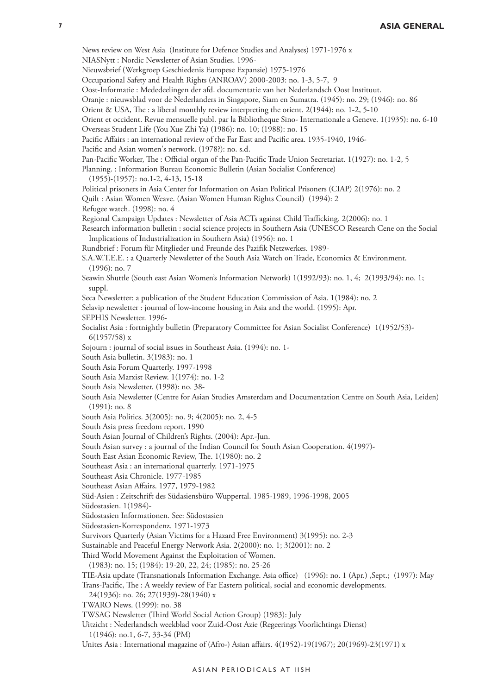News review on West Asia (Institute for Defence Studies and Analyses) 1971-1976 x NIASNytt : Nordic Newsletter of Asian Studies. 1996- Nieuwsbrief (Werkgroep Geschiedenis Europese Expansie) 1975-1976 Occupational Safety and Health Rights (ANROAV) 2000-2003: no. 1-3, 5-7, 9 Oost-Informatie : Mededeelingen der afd. documentatie van het Nederlandsch Oost Instituut. Oranje : nieuwsblad voor de Nederlanders in Singapore, Siam en Sumatra. (1945): no. 29; (1946): no. 86 Orient & USA, The : a liberal monthly review interpreting the orient. 2(1944): no. 1-2, 5-10 Orient et occident. Revue mensuelle publ. par la Bibliotheque Sino- Internationale a Geneve. 1(1935): no. 6-10 Overseas Student Life (You Xue Zhi Ya) (1986): no. 10; (1988): no. 15 Pacific Affairs : an international review of the Far East and Pacific area. 1935-1940, 1946- Pacific and Asian women's network. (1978?): no. s.d. Pan-Pacific Worker, The : Official organ of the Pan-Pacific Trade Union Secretariat. 1(1927): no. 1-2, 5 Planning. : Information Bureau Economic Bulletin (Asian Socialist Conference) (1955)-(1957): no.1-2, 4-13, 15-18 Political prisoners in Asia Center for Information on Asian Political Prisoners (CIAP) 2(1976): no. 2 Quilt : Asian Women Weave. (Asian Women Human Rights Council) (1994): 2 Refugee watch. (1998): no. 4 Regional Campaign Updates : Newsletter of Asia ACTs against Child Trafficking. 2(2006): no. 1 Research information bulletin : social science projects in Southern Asia (UNESCO Research Cene on the Social Implications of Industrialization in Southern Asia) (1956): no. 1 Rundbrief : Forum für Mitglieder und Freunde des Pazifik Netzwerkes. 1989- S.A.W.T.E.E. : a Quarterly Newsletter of the South Asia Watch on Trade, Economics & Environment. (1996): no. 7 Seawin Shuttle (South east Asian Women's Information Network) 1(1992/93): no. 1, 4; 2(1993/94): no. 1; suppl. Seca Newsletter: a publication of the Student Education Commission of Asia. 1(1984): no. 2 Selavip newsletter : journal of low-income housing in Asia and the world. (1995): Apr. SEPHIS Newsletter. 1996- Socialist Asia : fortnightly bulletin (Preparatory Committee for Asian Socialist Conference) 1(1952/53)- 6(1957/58) x Sojourn : journal of social issues in Southeast Asia. (1994): no. 1- South Asia bulletin. 3(1983): no. 1 South Asia Forum Quarterly. 1997-1998 South Asia Marxist Review. 1(1974): no. 1-2 South Asia Newsletter. (1998): no. 38- South Asia Newsletter (Centre for Asian Studies Amsterdam and Documentation Centre on South Asia, Leiden) (1991): no. 8 South Asia Politics. 3(2005): no. 9; 4(2005): no. 2, 4-5 South Asia press freedom report. 1990 South Asian Journal of Children's Rights. (2004): Apr.-Jun. South Asian survey : a journal of the Indian Council for South Asian Cooperation. 4(1997)- South East Asian Economic Review, The. 1(1980): no. 2 Southeast Asia : an international quarterly. 1971-1975 Southeast Asia Chronicle. 1977-1985 Southeast Asian Affairs. 1977, 1979-1982 Süd-Asien : Zeitschrift des Südasiensbüro Wuppertal. 1985-1989, 1996-1998, 2005 Südostasien. 1(1984)- Südostasien Informationen. See: Südostasien Südostasien-Korrespondenz. 1971-1973 Survivors Quarterly (Asian Victims for a Hazard Free Environment) 3(1995): no. 2-3 Sustainable and Peaceful Energy Network Asia. 2(2000): no. 1; 3(2001): no. 2 Third World Movement Against the Exploitation of Women. (1983): no. 15; (1984): 19-20, 22, 24; (1985): no. 25-26 TIE-Asia update (Transnationals Information Exchange. Asia office) (1996): no. 1 (Apr.) ,Sept.; (1997): May Trans-Pacific, The : A weekly review of Far Eastern political, social and economic developments. 24(1936): no. 26; 27(1939)-28(1940) x TWARO News. (1999): no. 38 TWSAG Newsletter (Third World Social Action Group) (1983): July Uitzicht : Nederlandsch weekblad voor Zuid-Oost Azie (Regeerings Voorlichtings Dienst) 1(1946): no.1, 6-7, 33-34 (PM) Unites Asia : International magazine of (Afro-) Asian affairs. 4(1952)-19(1967); 20(1969)-23(1971) x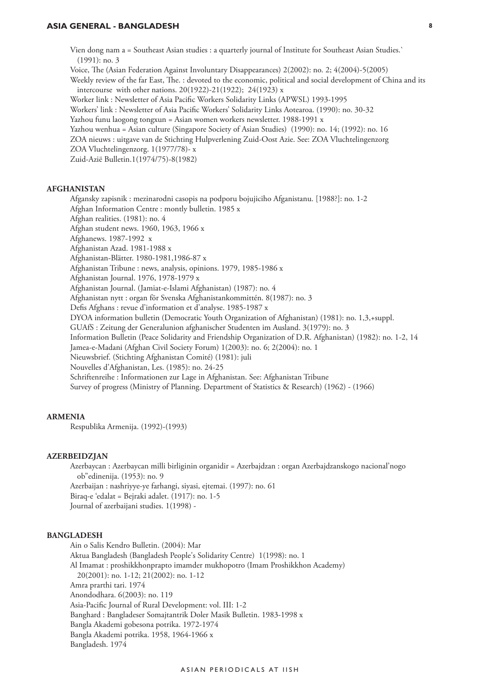Vien dong nam a = Southeast Asian studies : a quarterly journal of Institute for Southeast Asian Studies.` (1991): no. 3 Voice, The (Asian Federation Against Involuntary Disappearances) 2(2002): no. 2; 4(2004)-5(2005) Weekly review of the far East, The. : devoted to the economic, political and social development of China and its intercourse with other nations. 20(1922)-21(1922); 24(1923) x Worker link : Newsletter of Asia Pacific Workers Solidarity Links (APWSL) 1993-1995 Workers' link : Newsletter of Asia Pacific Workers' Solidarity Links Aotearoa. (1990): no. 30-32 Yazhou funu laogong tongxun = Asian women workers newsletter. 1988-1991 x Yazhou wenhua = Asian culture (Singapore Society of Asian Studies) (1990): no. 14; (1992): no. 16 ZOA nieuws : uitgave van de Stichting Hulpverlening Zuid-Oost Azie. See: ZOA Vluchtelingenzorg ZOA Vluchtelingenzorg. 1(1977/78)- x Zuid-Azië Bulletin.1(1974/75)-8(1982)

## <span id="page-7-0"></span>**Afghanistan**

Afgansky zapisnik : mezinarodni casopis na podporu bojujiciho Afganistanu. [1988?]: no. 1-2 Afghan Information Centre : montly bulletin. 1985 x Afghan realities. (1981): no. 4 Afghan student news. 1960, 1963, 1966 x Afghanews. 1987-1992 x Afghanistan Azad. 1981-1988 x Afghanistan-Blätter. 1980-1981,1986-87 x Afghanistan Tribune : news, analysis, opinions. 1979, 1985-1986 x Afghanistan Journal. 1976, 1978-1979 x Afghanistan Journal. (Jamiat-e-Islami Afghanistan) (1987): no. 4 Afghanistan nytt : organ för Svenska Afghanistankommittén. 8(1987): no. 3 Defis Afghans : revue d'information et d'analyse. 1985-1987 x DYOA information bulletin (Democratic Youth Organization of Afghanistan) (1981): no. 1,3,+suppl. GUAfS : Zeitung der Generalunion afghanischer Studenten im Ausland. 3(1979): no. 3 Information Bulletin (Peace Solidarity and Friendship Organization of D.R. Afghanistan) (1982): no. 1-2, 14 Jamea-e-Madani (Afghan Civil Society Forum) 1(2003): no. 6; 2(2004): no. 1 Nieuwsbrief. (Stichting Afghanistan Comité) (1981): juli Nouvelles d'Afghanistan, Les. (1985): no. 24-25 Schriftenreihe : Informationen zur Lage in Afghanistan. See: Afghanistan Tribune Survey of progress (Ministry of Planning. Department of Statistics & Research) (1962) - (1966)

#### <span id="page-7-1"></span>**Armenia**

Respublika Armenija. (1992)-(1993)

## **Azerbeidzjan**

Azerbaycan : Azerbaycan milli birliginin organidir = Azerbajdzan : organ Azerbajdzanskogo nacional'nogo ob"edinenija. (1953): no. 9 Azerbaijan : nashriyye-ye farhangi, siyasi, ejtemai. (1997): no. 61 Biraq-e 'edalat = Bejraki adalet. (1917): no. 1-5 Journal of azerbaijani studies. 1(1998) -

#### <span id="page-7-2"></span>**Bangladesh**

Ain o Salis Kendro Bulletin. (2004): Mar Aktua Bangladesh (Bangladesh People's Solidarity Centre) 1(1998): no. 1 Al Imamat : proshikkhonprapto imamder mukhopotro (Imam Proshikkhon Academy) 20(2001): no. 1-12; 21(2002): no. 1-12 Amra prarthi tari. 1974 Anondodhara. 6(2003): no. 119 Asia-Pacific Journal of Rural Development: vol. III: 1-2 Banghard : Bangladeser Somajtantrik Doler Masik Bulletin. 1983-1998 x Bangla Akademi gobesona potrika. 1972-1974 Bangla Akademi potrika. 1958, 1964-1966 x Bangladesh. 1974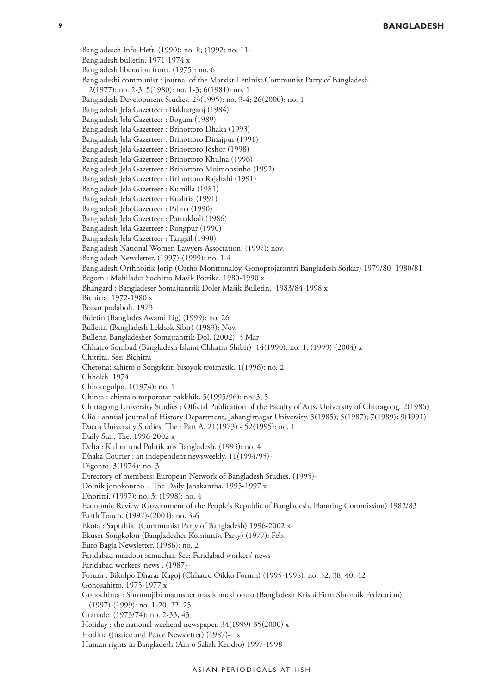Bangladesch Info-Heft. (1990): no. 8; (1992: no. 11-

Bangladesh bulletin. 1971-1974 x Bangladesh liberation front. (1975): no. 6 Bangladeshi communist : journal of the Marxist-Leninist Communist Party of Bangladesh. 2(1977): no. 2-3; 5(1980): no. 1-3; 6(1981): no. 1 Bangladesh Development Studies. 23(1995): no. 3-4; 26(2000): no. 1 Bangladesh Jela Gazetteer : Bakharganj (1984) Bangladesh Jela Gazetteer : Bogura (1989) Bangladesh Jela Gazetteer : Brihottoro Dhaka (1993) Bangladesh Jela Gazetteer : Brihottoro Dinajpur (1991) Bangladesh Jela Gazetteer : Brihottoro Joshor (1998) Bangladesh Jela Gazetteer : Brihottoro Khulna (1996) Bangladesh Jela Gazetteer : Brihottoro Moimonsinho (1992) Bangladesh Jela Gazetteer : Brihottoro Rajshahi (1991) Bangladesh Jela Gazetteer : Kumilla (1981) Bangladesh Jela Gazetteer : Kushtia (1991) Bangladesh Jela Gazetteer : Pabna (1990) Bangladesh Jela Gazetteer : Potuakhali (1986) Bangladesh Jela Gazetteer : Rongpur (1990) Bangladesh Jela Gazetteer : Tangail (1990) Bangladesh National Women Lawyers Association. (1997): nov. Bangladesh Newsletter. (1997)-(1999): no. 1-4 Bangladesh Orthnoitik Jorip (Ortho Montronaloy, Gonoprojatontri Bangladesh Sorkar) 1979/80; 1980/81 Begom : Mohilader Sochitro Masik Potrika. 1980-1990 x Bhangard : Bangladeser Somajtantrik Doler Masik Bulletin. 1983/84-1998 x Bichitra. 1972-1980 x Borsar podaboli. 1973 Buletin (Banglades Awami Lig) (1999): no. 26 Bulletin (Bangladesh Lekhok Sibir) (1983): Nov. Bulletin Bangladesher Somajtantrik Dol. (2002): 5 Mar Chhatro Sombad (Bangladesh Islami Chhatro Shibir) 14(1990): no. 1; (1999)-(2004) x Chitrita. See: Bichitra Chetona: sahitto o Songskriti bisoyok troimasik. 1(1996): no. 2 Chhokh. 1974 Chhotogolpo. 1(1974): no. 1 Chinta : chinta o totporotar pakkhik. 5(1995/96): no. 3, 5 Chittagong University Studies : Official Publication of the Faculty of Arts, University of Chittagong. 2(1986) Clio : annual journal of History Department, Jahangirnagar University. 3(1985); 5(1987); 7(1989); 9(1991) Dacca University Studies, The : Part A. 21(1973) - 52(1995): no. 1 Daily Star, The. 1996-2002 x Delta : Kultur und Politik aus Bangladesh. (1993): no. 4 Dhaka Courier : an independent newsweekly. 11(1994/95)- Digonto. 3(1974): no. 3 Directory of members: European Network of Bangladesh Studies. (1995)- Doinik jonokontho = The Daily Janakantha. 1995-1997 x Dhoritri. (1997): no. 3; (1998): no. 4 Economic Review (Government of the People's Republic of Bangladesh. Planning Commission) 1982/83 Earth Touch. (1997)-(2001): no. 3-6 Ekota : Saptahik (Communist Party of Bangladesh) 1996-2002 x Ekuser Songkolon (Bangladesher Komiunist Party) (1977): Feb. Euro Bagla Newsletter. (1986): no. 2 Faridabad mazdoor samachar. See: Faridabad workers' news Faridabad workers' news . (1987)- Forum : Bikolpo Dharar Kagoj (Chhatro Oikko Forum) (1995-1998): no. 32, 38, 40, 42 Gonosahitto. 1975-1977 x Gonochinta : Shromojibi manusher masik mukhootro (Bangladesh Krishi Firm Shromik Federation) (1997)-(1999): no. 1-20, 22, 25 Granade. (1973/74): no. 2-33, 43 Holiday : the national weekend newspaper. 34(1999)-35(2000) x Hotline (Justice and Peace Newsletter) (1987)- x Human rights in Bangladesh (Ain o Salish Kendro) 1997-1998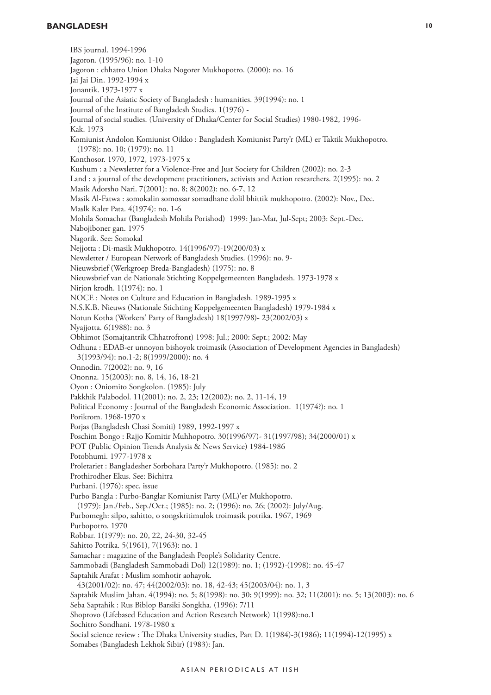## **BANGLADESH 10**

IBS journal. 1994-1996 Jagoron. (1995/96): no. 1-10 Jagoron : chhatro Union Dhaka Nogorer Mukhopotro. (2000): no. 16 Jai Jai Din. 1992-1994 x Jonantik. 1973-1977 x Journal of the Asiatic Society of Bangladesh : humanities. 39(1994): no. 1 Journal of the Institute of Bangladesh Studies. 1(1976) - Journal of social studies. (University of Dhaka/Center for Social Studies) 1980-1982, 1996- Kak. 1973 Komiunist Andolon Komiunist Oikko : Bangladesh Komiunist Party'r (ML) er Taktik Mukhopotro. (1978): no. 10; (1979): no. 11 Konthosor. 1970, 1972, 1973-1975 x Kushum : a Newsletter for a Violence-Free and Just Society for Children (2002): no. 2-3 Land : a journal of the development practitioners, activists and Action researchers. 2(1995): no. 2 Masik Adorsho Nari. 7(2001): no. 8; 8(2002): no. 6-7, 12 Masik Al-Fatwa : somokalin somossar somadhane dolil bhittik mukhopotro. (2002): Nov., Dec. Maslk Kaler Pata. 4(1974): no. 1-6 Mohila Somachar (Bangladesh Mohila Porishod) 1999: Jan-Mar, Jul-Sept; 2003: Sept.-Dec. Nabojiboner gan. 1975 Nagorik. See: Somokal Nejjotta : Di-masik Mukhopotro. 14(1996/97)-19(200/03) x Newsletter / European Network of Bangladesh Studies. (1996): no. 9- Nieuwsbrief (Werkgroep Breda-Bangladesh) (1975): no. 8 Nieuwsbrief van de Nationale Stichting Koppelgemeenten Bangladesh. 1973-1978 x Nirjon krodh. 1(1974): no. 1 NOCE : Notes on Culture and Education in Bangladesh. 1989-1995 x N.S.K.B. Nieuws (Nationale Stichting Koppelgemeenten Bangladesh) 1979-1984 x Notun Kotha (Workers' Party of Bangladesh) 18(1997/98)- 23(2002/03) x Nyajjotta. 6(1988): no. 3 Obhimot (Somajtantrik Chhatrofront) 1998: Jul.; 2000: Sept.; 2002: May Odhuna : EDAB-er unnoyon bishoyok troimasik (Association of Development Agencies in Bangladesh) 3(1993/94): no.1-2; 8(1999/2000): no. 4 Onnodin. 7(2002): no. 9, 16 Ononna. 15(2003): no. 8, 14, 16, 18-21 Oyon : Oniomito Songkolon. (1985): July Pakkhik Palabodol. 11(2001): no. 2, 23; 12(2002): no. 2, 11-14, 19 Political Economy : Journal of the Bangladesh Economic Association. 1(1974?): no. 1 Porikrom. 1968-1970 x Porjas (Bangladesh Chasi Somiti) 1989, 1992-1997 x Poschim Bongo : Rajjo Komitir Muhhopotro. 30(1996/97)- 31(1997/98); 34(2000/01) x POT (Public Opinion Trends Analysis & News Service) 1984-1986 Potobhumi. 1977-1978 x Proletariet : Bangladesher Sorbohara Party'r Mukhopotro. (1985): no. 2 Prothirodher Ekus. See: Bichitra Purbani. (1976): spec. issue Purbo Bangla : Purbo-Banglar Komiunist Party (ML)'er Mukhopotro. (1979): Jan./Feb., Sep./Oct.; (1985): no. 2; (1996): no. 26; (2002): July/Aug. Purbomegh: silpo, sahitto, o songskritimulok troimasik potrika. 1967, 1969 Purbopotro. 1970 Robbar. 1(1979): no. 20, 22, 24-30, 32-45 Sahitto Potrika. 5(1961), 7(1963): no. 1 Samachar : magazine of the Bangladesh People's Solidarity Centre. Sammobadi (Bangladesh Sammobadi Dol) 12(1989): no. 1; (1992)-(1998): no. 45-47 Saptahik Arafat : Muslim somhotir aohayok. 43(2001/02): no. 47; 44(2002/03): no. 18, 42-43; 45(2003/04): no. 1, 3 Saptahik Muslim Jahan. 4(1994): no. 5; 8(1998): no. 30; 9(1999): no. 32; 11(2001): no. 5; 13(2003): no. 6 Seba Saptahik : Rus Biblop Barsiki Songkha. (1996): 7/11 Shoprovo (Lifebased Education and Action Research Network) 1(1998):no.1 Sochitro Sondhani. 1978-1980 x Social science review : The Dhaka University studies, Part D. 1(1984)-3(1986); 11(1994)-12(1995) x Somabes (Bangladesh Lekhok Sibir) (1983): Jan.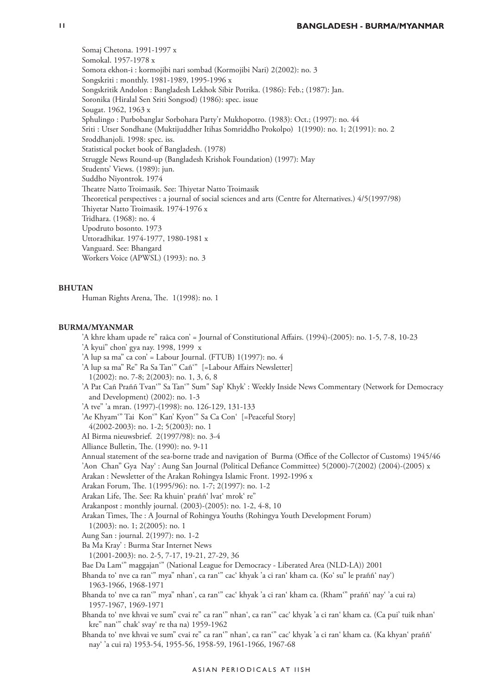Somaj Chetona. 1991-1997 x Somokal. 1957-1978 x Somota ekhon-i : kormojibi nari sombad (Kormojibi Nari) 2(2002): no. 3 Songskriti : monthly. 1981-1989, 1995-1996 x Songskritik Andolon : Bangladesh Lekhok Sibir Potrika. (1986): Feb.; (1987): Jan. Soronika (Hiralal Sen Sriti Songsod) (1986): spec. issue Sougat. 1962, 1963 x Sphulingo : Purbobanglar Sorbohara Party'r Mukhopotro. (1983): Oct.; (1997): no. 44 Sriti : Utser Sondhane (Muktijuddher Itihas Somriddho Prokolpo) 1(1990): no. 1; 2(1991): no. 2 Sroddhanjoli. 1998: spec. iss. Statistical pocket book of Bangladesh. (1978) Struggle News Round-up (Bangladesh Krishok Foundation) (1997): May Students' Views. (1989): jun. Suddho Niyontrok. 1974 Theatre Natto Troimasik. See: Thiyetar Natto Troimasik Theoretical perspectives : a journal of social sciences and arts (Centre for Alternatives.) 4/5(1997/98) Thiyetar Natto Troimasik. 1974-1976 x Tridhara. (1968): no. 4 Upodruto bosonto. 1973 Uttoradhikar. 1974-1977, 1980-1981 x Vanguard. See: Bhangard Workers Voice (APWSL) (1993): no. 3

### <span id="page-10-0"></span>**Bhutan**

Human Rights Arena, The. 1(1998): no. 1

#### <span id="page-10-1"></span>**Burma/Myanmar**

'A khre kham upade re" raāca con' = Journal of Constitutional Affairs. (1994)-(2005): no. 1-5, 7-8, 10-23 'A kyui" chon' gya nay. 1998, 1999 x

'A lup sa ma" ca con' = Labour Journal. (FTUB) 1(1997): no. 4

'A lup sa ma" Re" Ra Sa Tan<sup>o"</sup> Cañ<sup>o"</sup> [=Labour Affairs Newsletter] 1(2002): no. 7-8; 2(2003): no. 1, 3, 6, 8

'A Pat Cañ Praññ Tvan'" Sa Tan'" Sum" Sap' Khyk' : Weekly Inside News Commentary (Network for Democracy and Development) (2002): no. 1-3

'A tve" 'a mran. (1997)-(1998): no. 126-129, 131-133

'Ae Khyam'" Tai Kon'" Kan' Kyon'" Sa Ca Con' [=Peaceful Story]

4(2002-2003): no. 1-2; 5(2003): no. 1

- AI Birma nieuwsbrief. 2(1997/98): no. 3-4
- Alliance Bulletin, The. (1990): no. 9-11

Annual statement of the sea-borne trade and navigation of Burma (Office of the Collector of Customs) 1945/46 'Aon Chan" Gya Nay' : Aung San Journal (Political Defiance Committee) 5(2000)-7(2002) (2004)-(2005) x

Arakan : Newsletter of the Arakan Rohingya Islamic Front. 1992-1996 x

Arakan Forum, The. 1(1995/96): no. 1-7; 2(1997): no. 1-2

Arakan Life, The. See: Ra khuin' praññ' lvat' mrok' re"

Arakanpost : monthly journal. (2003)-(2005): no. 1-2, 4-8, 10

Arakan Times, The : A Journal of Rohingya Youths (Rohingya Youth Development Forum)

1(2003): no. 1; 2(2005): no. 1

Aung San : journal. 2(1997): no. 1-2

Ba Ma Kray' : Burma Star Internet News

1(2001-2003): no. 2-5, 7-17, 19-21, 27-29, 36

Bae Da Lam'" maggajan'" (National League for Democracy - Liberated Area (NLD-LA)) 2001

Bhanda to' nve ca ran'" mya" nhan', ca ran'" cac' khyak 'a ci ran' kham ca. (Ko' su" le praññ' nay') 1963-1966, 1968-1971

Bhanda to' nve ca ran'" mya" nhan', ca ran'" cac' khyak 'a ci ran' kham ca. (Rham'" praññ' nay' 'a cui ra) 1957-1967, 1969-1971

Bhanda to' nve khvai ve sum" cvai re" ca ran'" nhan', ca ran'" cac' khyak 'a ci ran' kham ca. (Ca pui' tuik nhan' kre" nan'" chak' svay' re tha na) 1959-1962

Bhanda to' nve khvai ve sum" cvai re" ca ran'" nhan', ca ran'" cac' khyak 'a ci ran' kham ca. (Ka khyan' praññ' nay' 'a cui ra) 1953-54, 1955-56, 1958-59, 1961-1966, 1967-68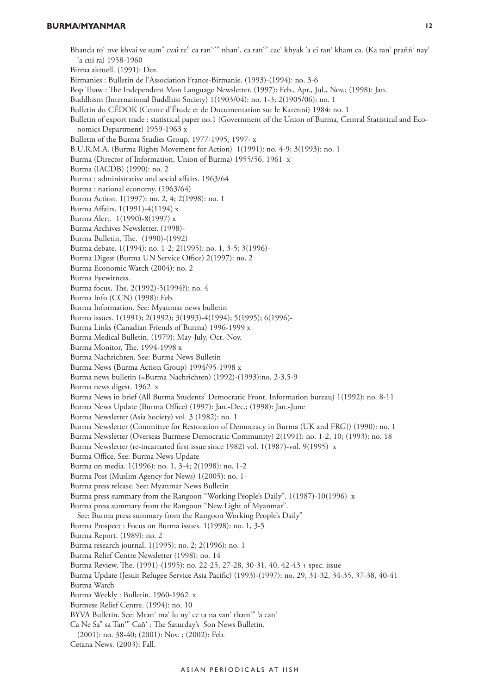Bhanda to' nve khvai ve sum" cvai re" ca ran'"" nhan', ca ran'" cac' khyak 'a ci ran' kham ca. (Ka ran' praññ' nay' 'a cui ra) 1958-1960 Birma aktuell. (1991): Dez. Birmanies : Bulletin de l'Association France-Birmanie. (1993)-(1994): no. 3-6 Bop Thaw : The Independent Mon Language Newsletter. (1997): Feb., Apr., Jul., Nov.; (1998): Jan. Buddhism (International Buddhist Society) 1(1903/04): no. 1-3; 2(1905/06): no. 1 Bulletin du CÉDOK (Centre d'Étude et de Documentation sur le Karenni) 1984: no. 1 Bulletin of export trade : statistical paper no.1 (Government of the Union of Burma, Central Statistical and Economics Department) 1959-1963 x Bulletin of the Burma Studies Group. 1977-1995, 1997- x B.U.R.M.A. (Burma Rights Movement for Action) 1(1991): no. 4-9; 3(1993): no. 1 Burma (Director of Information, Union of Burma) 1955/56, 1961 x Burma (IACDB) (1990): no. 2 Burma : administrative and social affairs. 1963/64 Burma : national economy. (1963/64) Burma Action. 1(1997): no. 2, 4; 2(1998): no. 1 Burma Affairs. 1(1991)-4(1194) x Burma Alert. 1(1990)-8(1997) x Burma Archives Newsletter. (1998)- Burma Bulletin, The. (1990)-(1992) Burma debate. 1(1994): no. 1-2; 2(1995): no. 1, 3-5; 3(1996)- Burma Digest (Burma UN Service Office) 2(1997): no. 2 Burma Economic Watch (2004): no. 2 Burma Eyewitness. Burma focus, The. 2(1992)-5(1994?): no. 4 Burma Info (CCN) (1998): Feb. Burma Information. See: Myanmar news bulletin Burma issues. 1(1991); 2(1992); 3(1993)-4(1994); 5(1995); 6(1996)- Burma Links (Canadian Friends of Burma) 1996-1999 x Burma Medical Bulletin. (1979): May-July, Oct.-Nov. Burma Monitor, The. 1994-1998 x Burma Nachrichten. See: Burma News Bulletin Burma News (Burma Action Group) 1994/95-1998 x Burma news bulletin (=Burma Nachrichten) (1992)-(1993):no. 2-3,5-9 Burma news digest. 1962 x Burma News in brief (All Burma Students' Democratic Front. Information bureau) 1(1992): no. 8-11 Burma News Update (Burma Office) (1997): Jan.-Dec.; (1998): Jan.-June Burma Newsletter (Asia Society) vol. 3 (1982): no. 1 Burma Newsletter (Committee for Restoration of Democracy in Burma (UK and FRG)) (1990): no. 1 Burma Newsletter (Overseas Burmese Democratic Community) 2(1991): no. 1-2, 10; (1993): no. 18 Burma Newsletter (re-incarnated first issue since 1982) vol. 1(1987)-vol. 9(1995) x Burma Office. See: Burma News Update Burma on media. 1(1996): no. 1, 3-4; 2(1998): no. 1-2 Burma Post (Muslim Agency for News) 1(2005): no. 1- Burma press release. See: Myanmar News Bulletin Burma press summary from the Rangoon "Working People's Daily". 1(1987)-10(1996) x Burma press summary from the Rangoon "New Light of Myanmar". See: Burma press summary from the Rangoon Working People's Daily" Burma Prospect : Focus on Burma issues. 1(1998): no. 1, 3-5 Burma Report. (1989): no. 2 Burma research journal. 1(1995): no. 2; 2(1996): no. 1 Burma Relief Centre Newsletter (1998): no. 14 Burma Review, The. (1991)-(1995): no. 22-25, 27-28, 30-31, 40, 42-43 + spec. issue Burma Update (Jesuit Refugee Service Asia Pacific) (1993)-(1997): no. 29, 31-32, 34-35, 37-38, 40-41 Burma Watch Burma Weekly : Bulletin. 1960-1962 x Burmese Relief Centre. (1994): no. 10 BYVA Bulletin. See: Mran' ma' lu ny' ce ta na van' tham'" 'a can' Ca Ne Sa" sa Tan'" Cañ' : The Saturday's Son News Bulletin. (2001): no. 38-40; (2001): Nov. ; (2002): Feb. Cetana News. (2003): Fall.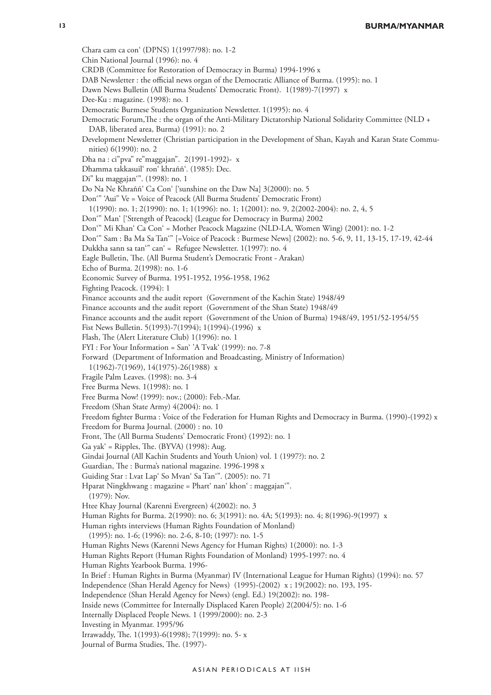- Chara cam ca con' (DPNS) 1(1997/98): no. 1-2
- Chin National Journal (1996): no. 4
- CRDB (Committee for Restoration of Democracy in Burma) 1994-1996 x
- DAB Newsletter : the official news organ of the Democratic Alliance of Burma. (1995): no. 1
- Dawn News Bulletin (All Burma Students' Democratic Front). 1(1989)-7(1997) x
- Dee-Ku : magazine. (1998): no. 1
- Democratic Burmese Students Organization Newsletter. 1(1995): no. 4
- Democratic Forum,The : the organ of the Anti-Military Dictatorship National Solidarity Committee (NLD + DAB, liberated area, Burma) (1991): no. 2
- Development Newsletter (Christian participation in the Development of Shan, Kayah and Karan State Communities) 6(1990): no. 2
- Dha na : ci"pva" re"maggajan". 2(1991-1992)- x
- Dhamma takkasuil' ron' khraññ'. (1985): Dec.
- Di" ku maggajan'". (1998): no. 1
- Do Na Ne Khraññ' Ca Con' ['sunshine on the Daw Na] 3(2000): no. 5
- Don'" 'Aui" Ve = Voice of Peacock (All Burma Students' Democratic Front)
- 1(1990): no. 1; 2(1990): no. 1; 1(1996): no. 1; 1(2001): no. 9, 2(2002-2004): no. 2, 4, 5
- Don'" Man' ['Strength of Peacock] (League for Democracy in Burma) 2002
- Don'" Mi Khan' Ca Con' = Mother Peacock Magazine (NLD-LA, Women Wing) (2001): no. 1-2
- Don'" Sam : Ba Ma Sa Tan'" [=Voice of Peacock : Burmese News] (2002): no. 5-6, 9, 11, 13-15, 17-19, 42-44
- Dukkha sann sa tan'" can' = Refugee Newsletter. 1(1997): no. 4
- Eagle Bulletin, The. (All Burma Student's Democratic Front Arakan)
- Echo of Burma. 2(1998): no. 1-6
- Economic Survey of Burma. 1951-1952, 1956-1958, 1962
- Fighting Peacock. (1994): 1
- Finance accounts and the audit report (Government of the Kachin State) 1948/49
- Finance accounts and the audit report (Government of the Shan State) 1948/49
- Finance accounts and the audit report (Government of the Union of Burma) 1948/49, 1951/52-1954/55
- Fist News Bulletin. 5(1993)-7(1994); 1(1994)-(1996) x
- Flash, The (Alert Literature Club) 1(1996): no. 1
- FYI : For Your Information = San' 'A Tvak' (1999): no. 7-8

Forward (Department of Information and Broadcasting, Ministry of Information)

- 1(1962)-7(1969), 14(1975)-26(1988) x
- Fragile Palm Leaves. (1998): no. 3-4
- Free Burma News. 1(1998): no. 1
- Free Burma Now! (1999): nov.; (2000): Feb.-Mar.
- Freedom (Shan State Army) 4(2004): no. 1

Freedom fighter Burma : Voice of the Federation for Human Rights and Democracy in Burma. (1990)-(1992) x

- Freedom for Burma Journal. (2000) : no. 10
- Front, The (All Burma Students' Democratic Front) (1992): no. 1
- $Ga yak' = Ripples$ , The. (BYVA) (1998): Aug.
- Gindai Journal (All Kachin Students and Youth Union) vol. 1 (1997?): no. 2
- Guardian, The : Burma's national magazine. 1996-1998 x
- Guiding Star : Lvat Lap' So Mvan' Sa Tan'". (2005): no. 71
- Hparat Ningkhwang : magazine = Phart' nan' khon' : maggajan'". (1979): Nov.
- Htee Khay Journal (Karenni Evergreen) 4(2002): no. 3
- Human Rights for Burma. 2(1990): no. 6; 3(1991): no. 4A; 5(1993): no. 4; 8(1996)-9(1997) x
- Human rights interviews (Human Rights Foundation of Monland)
- (1995): no. 1-6; (1996): no. 2-6, 8-10; (1997): no. 1-5
- Human Rights News (Karenni News Agency for Human Rights) 1(2000): no. 1-3
- Human Rights Report (Human Rights Foundation of Monland) 1995-1997: no. 4
- Human Rights Yearbook Burma. 1996-
- In Brief : Human Rights in Burma (Myanmar) IV (International League for Human Rights) (1994): no. 57
- Independence (Shan Herald Agency for News) (1995)-(2002) x ; 19(2002): no. 193, 195-
- Independence (Shan Herald Agency for News) (engl. Ed.) 19(2002): no. 198-
- Inside news (Committee for Internally Displaced Karen People) 2(2004/5): no. 1-6
- Internally Displaced People News. 1 (1999/2000): no. 2-3
- Investing in Myanmar. 1995/96
- Irrawaddy, The. 1(1993)-6(1998); 7(1999): no. 5- x
- Journal of Burma Studies, The. (1997)-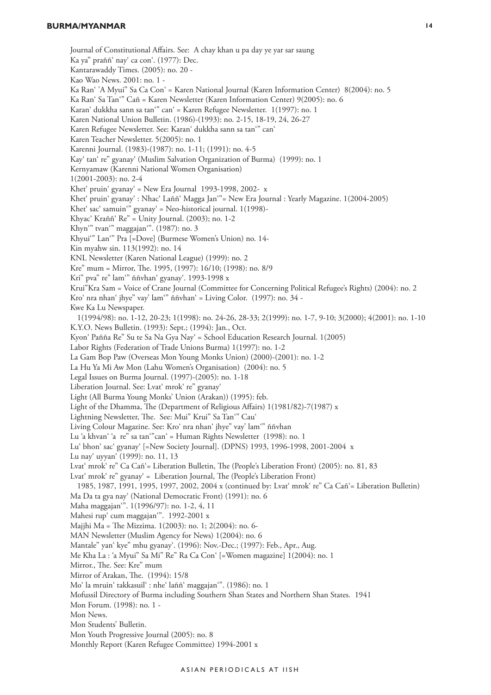Journal of Constitutional Affairs. See: A chay khan u pa day ye yar sar saung Ka ya" praññ' nay' ca con'. (1977): Dec. Kantarawaddy Times. (2005): no. 20 - Kao Wao News. 2001: no. 1 - Ka Ran' 'A Myui" Sa Ca Con' = Karen National Journal (Karen Information Center) 8(2004): no. 5 Ka Ran' Sa Tan'" Cañ = Karen Newsletter (Karen Information Center) 9(2005): no. 6 Karan' dukkha sann sa tan'" can' = Karen Refugee Newsletter. 1(1997): no. 1 Karen National Union Bulletin. (1986)-(1993): no. 2-15, 18-19, 24, 26-27 Karen Refugee Newsletter. See: Karan' dukkha sann sa tan'" can' Karen Teacher Newsletter. 5(2005): no. 1 Karenni Journal. (1983)-(1987): no. 1-11; (1991): no. 4-5 Kay' tan' re" gyanay' (Muslim Salvation Organization of Burma) (1999): no. 1 Kernyamaw (Karenni National Women Organisation) 1(2001-2003): no. 2-4 Khet' pruin' gyanay' = New Era Journal 1993-1998, 2002- x Khet' pruin' gyanay' : Nhac' Laññ' Magga Jan'"= New Era Journal : Yearly Magazine. 1(2004-2005) Khet' sac' samuin'" gyanay' = Neo-historical journal. 1(1998)- Khyac' Kraññ' Re" = Unity Journal. (2003); no. 1-2 Khyn'" tvan'" maggajan'". (1987): no. 3 Khyui'" Lan'" Pra [=Dove] (Burmese Women's Union) no. 14- Kin myahw sin. 113(1992): no. 14 KNL Newsletter (Karen National League) (1999): no. 2 Kre" mum = Mirror, The. 1995, (1997): 16/10; (1998): no. 8/9 Kri" pva" re" lam'" ññvhan' gyanay'. 1993-1998 x Krui"Kra Sam = Voice of Crane Journal (Committee for Concerning Political Refugee's Rights) (2004): no. 2 Kro' nra nhan' jhye" vay' lam'" ññvhan' = Living Color. (1997): no. 34 - Kwe Ka Lu Newspaper. 1(1994/98): no. 1-12, 20-23; 1(1998): no. 24-26, 28-33; 2(1999): no. 1-7, 9-10; 3(2000); 4(2001): no. 1-10 K.Y.O. News Bulletin. (1993): Sept.; (1994): Jan., Oct. Kyon' Pañña Re" Su te Sa Na Gya Nay' = School Education Research Journal. 1(2005) Labor Rights (Federation of Trade Unions Burma) 1(1997): no. 1-2 La Gam Bop Paw (Overseas Mon Young Monks Union) (2000)-(2001): no. 1-2 La Hu Ya Mi Aw Mon (Lahu Women's Organisation) (2004): no. 5 Legal Issues on Burma Journal. (1997)-(2005): no. 1-18 Liberation Journal. See: Lvat' mrok' re" gyanay' Light (All Burma Young Monks' Union (Arakan)) (1995): feb. Light of the Dhamma, The (Department of Religious Affairs) 1(1981/82)-7(1987) x Lightning Newsletter, The. See: Mui" Krui" Sa Tan'" Cau' Living Colour Magazine. See: Kro' nra nhan' jhye" vay' lam'" ññvhan Lu 'a khvan' 'a re" sa tan'"can' = Human Rights Newsletter (1998): no. 1 Lu' bhon' sac' gyanay' [=New Society Journal]. (DPNS) 1993, 1996-1998, 2001-2004 x Lu nay' uyyan' (1999): no. 11, 13 Lvat' mrok' re" Ca Cañ'= Liberation Bulletin, The (People's Liberation Front) (2005): no. 81, 83 Lvat' mrok' re" gyanay' = Liberation Journal, The (People's Liberation Front) 1985, 1987, 1991, 1995, 1997, 2002, 2004 x (continued by: Lvat' mrok' re" Ca Cañ'= Liberation Bulletin) Ma Da ta gya nay' (National Democratic Front) (1991): no. 6 Maha maggajan'". 1(1996/97): no. 1-2, 4, 11 Mahesi rup' cum maggajan'". 1992-2001 x Majjhi Ma = The Mizzima. 1(2003): no. 1; 2(2004): no. 6- MAN Newsletter (Muslim Agency for News) 1(2004): no. 6 Mantale" yan' kye" mhu gyanay'. (1996): Nov.-Dec.; (1997): Feb., Apr., Aug. Me Kha La : 'a Myui" Sa Mi" Re" Ra Ca Con' [=Women magazine] 1(2004): no. 1 Mirror., The. See: Kre" mum Mirror of Arakan, The. (1994): 15/8 Mo' la mruin' takkasuil' : nhe' laññ' maggajan'". (1986): no. 1 Mofussil Directory of Burma including Southern Shan States and Northern Shan States. 1941 Mon Forum. (1998): no. 1 - Mon News. Mon Students' Bulletin. Mon Youth Progressive Journal (2005): no. 8 Monthly Report (Karen Refugee Committee) 1994-2001 x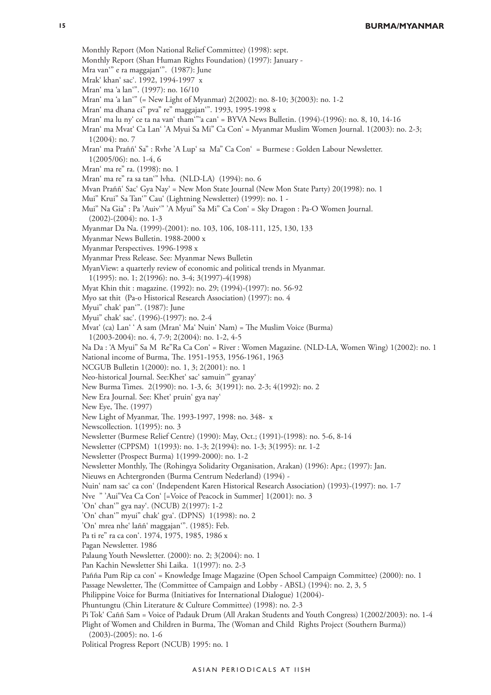Monthly Report (Mon National Relief Committee) (1998): sept.

- Monthly Report (Shan Human Rights Foundation) (1997): January -
- Mra van'" e ra maggajan'". (1987): June
- Mrak' khan' sac'. 1992, 1994-1997 x
- Mran' ma 'a lan'". (1997): no. 16/10
- Mran' ma 'a lan'" (= New Light of Myanmar) 2(2002): no. 8-10; 3(2003): no. 1-2
- Mran' ma dhana ci" pva" re" maggajan'". 1993, 1995-1998 x
- Mran' ma lu ny' ce ta na van' tham'"'a can' = BYVA News Bulletin. (1994)-(1996): no. 8, 10, 14-16
- Mran' ma Mvat' Ca Lan' 'A Myui Sa Mi" Ca Con' = Myanmar Muslim Women Journal. 1(2003): no. 2-3; 1(2004): no. 7
- Mran' ma Praññ' Sa" : Rvhe 'A Lup' sa Ma" Ca Con' = Burmese : Golden Labour Newsletter. 1(2005/06): no. 1-4, 6
- Mran' ma re" ra. (1998): no. 1
- Mran' ma re" ra sa tan'" lvha. (NLD-LA) (1994): no. 6
- Mvan Praññ' Sac' Gya Nay' = New Mon State Journal (New Mon State Party) 20(1998): no. 1
- Mui" Krui" Sa Tan'" Cau' (Lightning Newsletter) (1999): no. 1 -
- Mui" Na Gia" : Pa 'Auiv'" 'A Myui" Sa Mi" Ca Con' = Sky Dragon : Pa-O Women Journal. (2002)-(2004): no. 1-3
- Myanmar Da Na. (1999)-(2001): no. 103, 106, 108-111, 125, 130, 133
- Myanmar News Bulletin. 1988-2000 x
- Myanmar Perspectives. 1996-1998 x
- Myanmar Press Release. See: Myanmar News Bulletin
- MyanView: a quarterly review of economic and political trends in Myanmar.
- 1(1995): no. 1; 2(1996): no. 3-4; 3(1997)-4(1998)
- Myat Khin thit : magazine. (1992): no. 29; (1994)-(1997): no. 56-92
- Myo sat thit (Pa-o Historical Research Association) (1997): no. 4
- Myui" chak' pan'". (1987): June
- Myui" chak' sac'. (1996)-(1997): no. 2-4
- Mvat' (ca) Lan' ' A sam (Mran' Ma' Nuin' Nam) = The Muslim Voice (Burma) 1(2003-2004): no. 4, 7-9; 2(2004): no. 1-2, 4-5
- Na Da : 'A Myui" Sa M Re"Ra Ca Con' = River : Women Magazine. (NLD-LA, Women Wing) 1(2002): no. 1
- National income of Burma, The. 1951-1953, 1956-1961, 1963
- NCGUB Bulletin 1(2000): no. 1, 3; 2(2001): no. 1
- Neo-historical Journal. See:Khet' sac' samuin'" gyanay'
- New Burma Times. 2(1990): no. 1-3, 6; 3(1991): no. 2-3; 4(1992): no. 2
- New Era Journal. See: Khet' pruin' gya nay'
- New Eye, The. (1997)
- New Light of Myanmar, The. 1993-1997, 1998: no. 348- x
- Newscollection. 1(1995): no. 3
- Newsletter (Burmese Relief Centre) (1990): May, Oct.; (1991)-(1998): no. 5-6, 8-14
- Newsletter (CPPSM) 1(1993): no. 1-3; 2(1994): no. 1-3; 3(1995): nr. 1-2
- Newsletter (Prospect Burma) 1(1999-2000): no. 1-2
- Newsletter Monthly, The (Rohingya Solidarity Organisation, Arakan) (1996): Apr.; (1997): Jan.
- Nieuws en Achtergronden (Burma Centrum Nederland) (1994) -
- Nuin' nam sac' ca con' (Independent Karen Historical Research Association) (1993)-(1997): no. 1-7
- Nve " 'Aui"Vea Ca Con' [=Voice of Peacock in Summer] 1(2001): no. 3
- 'On' chan'" gya nay'. (NCUB) 2(1997): 1-2
- 'On' chan'" myui" chak' gya'. (DPNS) 1(1998): no. 2
- 'On' mrea nhe' laññ' maggajan'". (1985): Feb.
- Pa ti re" ra ca con'. 1974, 1975, 1985, 1986 x
- Pagan Newsletter. 1986
- Palaung Youth Newsletter. (2000): no. 2; 3(2004): no. 1
- Pan Kachin Newsletter Shi Laika. 1(1997): no. 2-3
- Pañña Pum Rip ca con' = Knowledge Image Magazine (Open School Campaign Committee) (2000): no. 1
- Passage Newsletter, The (Committee of Campaign and Lobby ABSL) (1994): no. 2, 3, 5
- Philippine Voice for Burma (Initiatives for International Dialogue) 1(2004)-
- Phuntungtu (Chin Literature & Culture Committee) (1998): no. 2-3
- Pi Tok' Caññ Sam = Voice of Padauk Drum (All Arakan Students and Youth Congress) 1(2002/2003): no. 1-4 Plight of Women and Children in Burma, The (Woman and Child Rights Project (Southern Burma))
- (2003)-(2005): no. 1-6
- Political Progress Report (NCUB) 1995: no. 1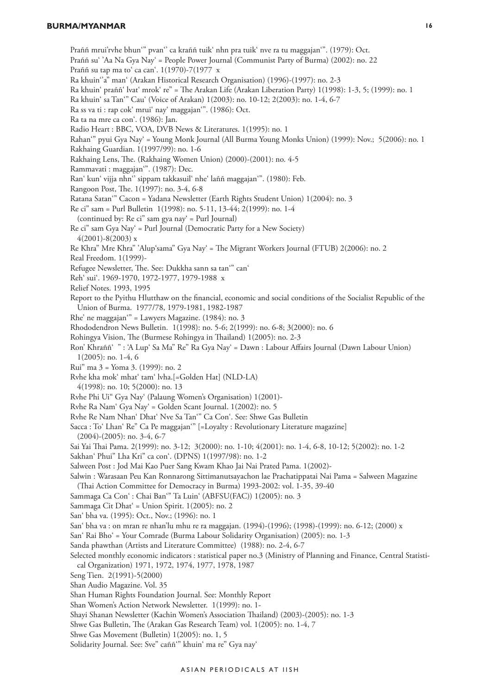Praññ mrui'rvhe bhun'" pvan'' ca kraññ tuik' nhn pra tuik' nve ra tu maggajan'". (1979): Oct.

- Praññ su' 'Aa Na Gya Nay' = People Power Journal (Communist Party of Burma) (2002): no. 22
- Praññ su tap ma to' ca can'. 1(1970)-7(1977 x
- Ra khuin''a" man' (Arakan Historical Research Organisation) (1996)-(1997): no. 2-3
- Ra khuin' praññ' lvat' mrok' re" = The Arakan Life (Arakan Liberation Party) 1(1998): 1-3, 5; (1999): no. 1
- Ra khuin' sa Tan'" Cau' (Voice of Arakan) 1(2003): no. 10-12; 2(2003): no. 1-4, 6-7
- Ra ss va ti : rap cok' mrui' nay' maggajan'". (1986): Oct.
- Ra ta na mre ca con'. (1986): Jan.
- Radio Heart : BBC, VOA, DVB News & Literatures. 1(1995): no. 1
- Rahan'" pyui Gya Nay' = Young Monk Journal (All Burma Young Monks Union) (1999): Nov.; 5(2006): no. 1 Rakhaing Guardian. 1(1997/99): no. 1-6
- Rakhaing Lens, The. (Rakhaing Women Union) (2000)-(2001): no. 4-5
- Rammavati : maggajan'". (1987): Dec.
- Ran' kun' vijja nhn'' sippam takkasuil' nhe' laññ maggajan'". (1980): Feb.
- Rangoon Post, The. 1(1997): no. 3-4, 6-8
- Ratana Satan'" Cacon = Yadana Newsletter (Earth Rights Student Union) 1(2004): no. 3
- Re ci" sam = Purl Bulletin 1(1998): no. 5-11, 13-44; 2(1999): no. 1-4
- (continued by: Re ci" sam gya nay' = Purl Journal)
- Re ci" sam Gya Nay' = Purl Journal (Democratic Party for a New Society) 4(2001)-8(2003) x
- Re Khra" Mre Khra" 'Alup'sama" Gya Nay' = The Migrant Workers Journal (FTUB) 2(2006): no. 2
- Real Freedom. 1(1999)-
- Refugee Newsletter, The. See: Dukkha sann sa tan'" can'
- Reh' sui'. 1969-1970, 1972-1977, 1979-1988 x
- Relief Notes. 1993, 1995
- Report to the Pyithu Hlutthaw on the financial, economic and social conditions of the Socialist Republic of the Union of Burma. 1977/78, 1979-1981, 1982-1987
- Rhe' ne maggajan'" = Lawyers Magazine. (1984): no. 3
- Rhododendron News Bulletin. 1(1998): no. 5-6; 2(1999): no. 6-8; 3(2000): no. 6
- Rohingya Vision, The (Burmese Rohingya in Thailand) 1(2005): no. 2-3
- Ron' Khraññ' " : 'A Lup' Sa Ma" Re" Ra Gya Nay' = Dawn : Labour Affairs Journal (Dawn Labour Union) 1(2005): no. 1-4, 6
- Rui" ma 3 = Yoma 3. (1999): no. 2
- Rvhe kha mok' mhat' tam' lvha.[=Golden Hat] (NLD-LA)
- 4(1998): no. 10; 5(2000): no. 13
- Rvhe Phi Ui" Gya Nay' (Palaung Women's Organisation) 1(2001)-
- Rvhe Ra Nam' Gya Nay' = Golden Scant Journal. 1(2002): no. 5
- Rvhe Re Nam Nhan' Dhat' Nve Sa Tan'" Ca Con'. See: Shwe Gas Bulletin
- Sacca : To' Lhan' Re" Ca Pe maggajan'" [=Loyalty : Revolutionary Literature magazine] (2004)-(2005): no. 3-4, 6-7
- Sai Yai Thai Pama. 2(1999): no. 3-12; 3(2000): no. 1-10; 4(2001): no. 1-4, 6-8, 10-12; 5(2002): no. 1-2
- Sakhan' Phui" Lha Kri" ca con'. (DPNS) 1(1997/98): no. 1-2
- Salween Post : Jod Mai Kao Puer Sang Kwam Khao Jai Nai Prated Pama. 1(2002)-
- Salwin : Warasaan Peu Kan Ronnarong Sittimanutsayachon lae Prachatippatai Nai Pama = Salween Magazine (Thai Action Committee for Democracy in Burma) 1993-2002: vol. 1-35, 39-40
- Sammaga Ca Con' : Chai Ban'" Ta Luin' (ABFSU(FAC)) 1(2005): no. 3
- Sammaga Cit Dhat' = Union Spirit. 1(2005): no. 2
- San' bha va. (1995): Oct., Nov.; (1996): no. 1
- San' bha va : on mran re nhan'lu mhu re ra maggajan. (1994)-(1996); (1998)-(1999): no. 6-12; (2000) x
- San' Rai Bho' = Your Comrade (Burma Labour Solidarity Organisation) (2005): no. 1-3
- Sanda phawthan (Artists and Literature Committee) (1988): no. 2-4, 6-7
- Selected monthly economic indicators : statistical paper no.3 (Ministry of Planning and Finance, Central Statistical Organization) 1971, 1972, 1974, 1977, 1978, 1987
- Seng Tien. 2(1991)-5(2000)
- Shan Audio Magazine. Vol. 35
- Shan Human Rights Foundation Journal. See: Monthly Report
- Shan Women's Action Network Newsletter. 1(1999): no. 1-
- Shayi Shanan Newsletter (Kachin Women's Association Thailand) (2003)-(2005): no. 1-3
- Shwe Gas Bulletin, The (Arakan Gas Research Team) vol. 1(2005): no. 1-4, 7
- Shwe Gas Movement (Bulletin) 1(2005): no. 1, 5
- Solidarity Journal. See: Sve" caññ'" khuin' ma re" Gya nay'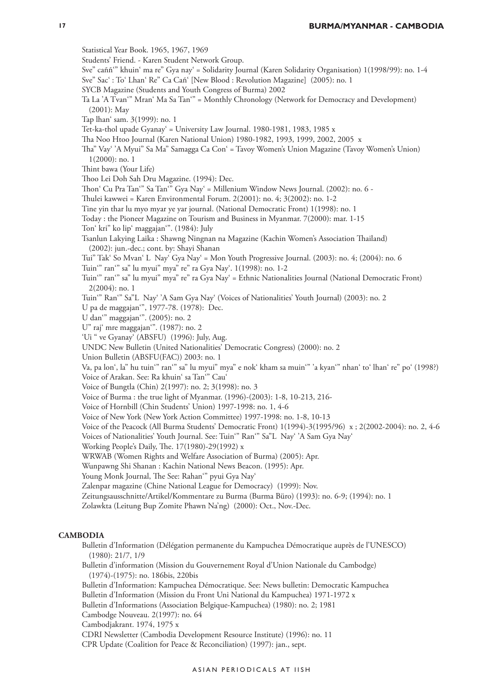- Statistical Year Book. 1965, 1967, 1969
- Students' Friend. Karen Student Network Group.

Sve" caññ'" khuin' ma re" Gya nay' = Solidarity Journal (Karen Solidarity Organisation) 1(1998/99): no. 1-4 Sve" Sac' : To' Lhan' Re" Ca Cañ' [New Blood : Revolution Magazine] (2005): no. 1

- SYCB Magazine (Students and Youth Congress of Burma) 2002
- Ta La 'A Tvan'" Mran' Ma Sa Tan'" = Monthly Chronology (Network for Democracy and Development) (2001): May
- Tap lhan' sam. 3(1999): no. 1
- Tet-ka-thol upade Gyanay' = University Law Journal. 1980-1981, 1983, 1985 x
- Tha Noo Htoo Journal (Karen National Union) 1980-1982, 1993, 1999, 2002, 2005 x
- Tha" Vay' 'A Myui" Sa Ma" Samagga Ca Con' = Tavoy Women's Union Magazine (Tavoy Women's Union)  $1(2000)$ : no. 1
- Thint bawa (Your Life)
- Thoo Lei Doh Sah Dru Magazine. (1994): Dec.
- Thon' Cu Pra Tan'" Sa Tan'" Gya Nay' = Millenium Window News Journal. (2002): no. 6 -

Thulei kawwei = Karen Environmental Forum. 2(2001): no. 4; 3(2002): no. 1-2

Tine yin thar lu myo myar ye yar journal. (National Democratic Front) 1(1998): no. 1

Today : the Pioneer Magazine on Tourism and Business in Myanmar. 7(2000): mar. 1-15

Ton' kri" ko lip' maggajan'". (1984): July

Tsanlun Lakying Laika : Shawng Ningnan na Magazine (Kachin Women's Association Thailand) (2002): jun.-dec.; cont. by: Shayi Shanan

Tui" Tak' So Mvan' L Nay' Gya Nay' = Mon Youth Progressive Journal. (2003): no. 4; (2004): no. 6 Tuin'" ran'" sa" lu myui" mya" re" ra Gya Nay'. 1(1998): no. 1-2

- Tuin'" ran'" sa" lu myui" mya" re" ra Gya Nay' = Ethnic Nationalities Journal (National Democratic Front)  $2(2004)$ : no. 1
- Tuin'" Ran'" Sa"L Nay' 'A Sam Gya Nay' (Voices of Nationalities' Youth Journal) (2003): no. 2

U pa de maggajan'", 1977-78. (1978): Dec.

- U dan'" maggajan'". (2005): no. 2
- U" raj' mre maggajan'". (1987): no. 2
- 'Ui " ve Gyanay' (ABSFU) (1996): July, Aug.
- UNDC New Bulletin (United Nationalities' Democratic Congress) (2000): no. 2
- Union Bulletin (ABSFU(FAC)) 2003: no. 1

Va, pa lon', la" hu tuin'" ran'" sa" lu myui" mya" e nok' kham sa muin'" 'a kyan'" nhan' to' lhan' re" po' (1998?) Voice of Arakan. See: Ra khuin' sa Tan'" Cau'

Voice of Bungtla (Chin) 2(1997): no. 2; 3(1998): no. 3

- Voice of Burma : the true light of Myanmar. (1996)-(2003): 1-8, 10-213, 216-
- Voice of Hornbill (Chin Students' Union) 1997-1998: no. 1, 4-6

Voice of New York (New York Action Committee) 1997-1998: no. 1-8, 10-13

Voice of the Peacock (All Burma Students' Democratic Front) 1(1994)-3(1995/96) x ; 2(2002-2004): no. 2, 4-6

Voices of Nationalities' Youth Journal. See: Tuin'" Ran'" Sa"L Nay' 'A Sam Gya Nay'

Working People's Daily, The. 17(1980)-29(1992) x

WRWAB (Women Rights and Welfare Association of Burma) (2005): Apr.

Wunpawng Shi Shanan : Kachin National News Beacon. (1995): Apr.

Young Monk Journal, The See: Rahan'" pyui Gya Nay'

Zalenpar magazine (Chine National League for Democracy) (1999): Nov.

Zeitungsausschnitte/Artikel/Kommentare zu Burma (Burma Büro) (1993): no. 6-9; (1994): no. 1

Zolawkta (Leitung Bup Zomite Phawn Na'ng) (2000): Oct., Nov.-Dec.

### <span id="page-16-0"></span>**Cambodia**

Bulletin d'Information (Délégation permanente du Kampuchea Démocratique auprès de l'UNESCO) (1980): 21/7, 1/9

Bulletin d'information (Mission du Gouvernement Royal d'Union Nationale du Cambodge) (1974)-(1975): no. 186bis, 220bis

Bulletin d'Information: Kampuchea Démocratique. See: News bulletin: Democratic Kampuchea

Bulletin d'Information (Mission du Front Uni National du Kampuchea) 1971-1972 x

Bulletin d'Informations (Association Belgique-Kampuchea) (1980): no. 2; 1981

Cambodge Nouveau. 2(1997): no. 64

Cambodjakrant. 1974, 1975 x

CDRI Newsletter (Cambodia Development Resource Institute) (1996): no. 11

CPR Update (Coalition for Peace & Reconciliation) (1997): jan., sept.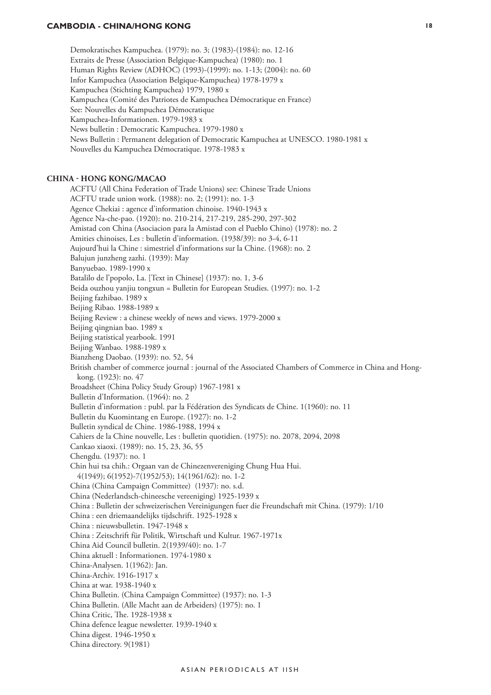## **CAMBODIA - China/HONG KONG 18**

Demokratisches Kampuchea. (1979): no. 3; (1983)-(1984): no. 12-16 Extraits de Presse (Association Belgique-Kampuchea) (1980): no. 1 Human Rights Review (ADHOC) (1993)-(1999): no. 1-13; (2004): no. 60 Infor Kampuchea (Association Belgique-Kampuchea) 1978-1979 x Kampuchea (Stichting Kampuchea) 1979, 1980 x Kampuchea (Comité des Patriotes de Kampuchea Démocratique en France) See: Nouvelles du Kampuchea Démocratique Kampuchea-Informationen. 1979-1983 x News bulletin : Democratic Kampuchea. 1979-1980 x News Bulletin : Permanent delegation of Democratic Kampuchea at UNESCO. 1980-1981 x Nouvelles du Kampuchea Démocratique. 1978-1983 x

## <span id="page-17-0"></span>**China - Hong Kong/macao**

ACFTU (All China Federation of Trade Unions) see: Chinese Trade Unions ACFTU trade union work. (1988): no. 2; (1991): no. 1-3 Agence Chekiai : agence d'information chinoise. 1940-1943 x Agence Na-che-pao. (1920): no. 210-214, 217-219, 285-290, 297-302 Amistad con China (Asociacion para la Amistad con el Pueblo Chino) (1978): no. 2 Amities chinoises, Les : bulletin d'information. (1938/39): no 3-4, 6-11 Aujourd'hui la Chine : simestriel d'informations sur la Chine. (1968): no. 2 Balujun junzheng zazhi. (1939): May Banyuebao. 1989-1990 x Batalilo de l'popolo, La. [Text in Chinese] (1937): no. 1, 3-6 Beida ouzhou yanjiu tongxun = Bulletin for European Studies. (1997): no. 1-2 Beijing fazhibao. 1989 x Beijing Ribao. 1988-1989 x Beijing Review : a chinese weekly of news and views. 1979-2000 x Beijing qingnian bao. 1989 x Beijing statistical yearbook. 1991 Beijing Wanbao. 1988-1989 x Bianzheng Daobao. (1939): no. 52, 54 British chamber of commerce journal : journal of the Associated Chambers of Commerce in China and Hongkong. (1923): no. 47 Broadsheet (China Policy Study Group) 1967-1981 x Bulletin d'Information. (1964): no. 2 Bulletin d'information : publ. par la Fédération des Syndicats de Chine. 1(1960): no. 11 Bulletin du Kuomintang en Europe. (1927): no. 1-2 Bulletin syndical de Chine. 1986-1988, 1994 x Cahiers de la Chine nouvelle, Les : bulletin quotidien. (1975): no. 2078, 2094, 2098 Cankao xiaoxi. (1989): no. 15, 23, 36, 55 Chengdu. (1937): no. 1 Chin hui tsa chih.: Orgaan van de Chinezenvereniging Chung Hua Hui. 4(1949); 6(1952)-7(1952/53); 14(1961/62): no. 1-2 China (China Campaign Committee) (1937): no. s.d. China (Nederlandsch-chineesche vereeniging) 1925-1939 x China : Bulletin der schweizerischen Vereinigungen fuer die Freundschaft mit China. (1979): 1/10 China : een driemaandelijks tijdschrift. 1925-1928 x China : nieuwsbulletin. 1947-1948 x China : Zeitschrift für Politik, Wirtschaft und Kultur. 1967-1971x China Aid Council bulletin. 2(1939/40): no. 1-7 China aktuell : Informationen. 1974-1980 x China-Analysen. 1(1962): Jan. China-Archiv. 1916-1917 x China at war. 1938-1940 x China Bulletin. (China Campaign Committee) (1937): no. 1-3 China Bulletin. (Alle Macht aan de Arbeiders) (1975): no. 1 China Critic, The. 1928-1938 x China defence league newsletter. 1939-1940 x China digest. 1946-1950 x China directory. 9(1981)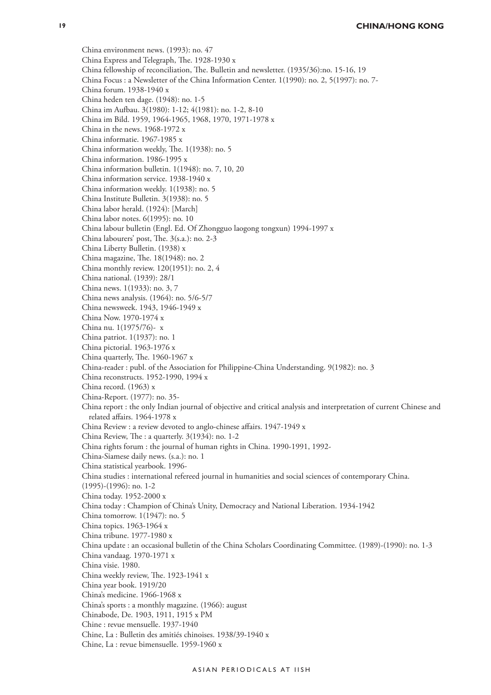China environment news. (1993): no. 47 China Express and Telegraph, The. 1928-1930 x China fellowship of reconciliation, The. Bulletin and newsletter. (1935/36):no. 15-16, 19 China Focus : a Newsletter of the China Information Center. 1(1990): no. 2, 5(1997): no. 7- China forum. 1938-1940 x China heden ten dage. (1948): no. 1-5 China im Aufbau. 3(1980): 1-12; 4(1981): no. 1-2, 8-10 China im Bild. 1959, 1964-1965, 1968, 1970, 1971-1978 x China in the news. 1968-1972 x China informatie. 1967-1985 x China information weekly, The. 1(1938): no. 5 China information. 1986-1995 x China information bulletin. 1(1948): no. 7, 10, 20 China information service. 1938-1940 x China information weekly. 1(1938): no. 5 China Institute Bulletin. 3(1938): no. 5 China labor herald. (1924): [March] China labor notes. 6(1995): no. 10 China labour bulletin (Engl. Ed. Of Zhongguo laogong tongxun) 1994-1997 x China labourers' post, The. 3(s.a.): no. 2-3 China Liberty Bulletin. (1938) x China magazine, The. 18(1948): no. 2 China monthly review. 120(1951): no. 2, 4 China national. (1939): 28/1 China news. 1(1933): no. 3, 7 China news analysis. (1964): no. 5/6-5/7 China newsweek. 1943, 1946-1949 x China Now. 1970-1974 x China nu. 1(1975/76)- x China patriot. 1(1937): no. 1 China pictorial. 1963-1976 x China quarterly, The. 1960-1967 x China-reader : publ. of the Association for Philippine-China Understanding. 9(1982): no. 3 China reconstructs. 1952-1990, 1994 x China record. (1963) x China-Report. (1977): no. 35- China report : the only Indian journal of objective and critical analysis and interpretation of current Chinese and related affairs. 1964-1978 x China Review : a review devoted to anglo-chinese affairs. 1947-1949 x China Review, The : a quarterly. 3(1934): no. 1-2 China rights forum : the journal of human rights in China. 1990-1991, 1992- China-Siamese daily news. (s.a.): no. 1 China statistical yearbook. 1996- China studies : international refereed journal in humanities and social sciences of contemporary China. (1995)-(1996): no. 1-2 China today. 1952-2000 x China today : Champion of China's Unity, Democracy and National Liberation. 1934-1942 China tomorrow. 1(1947): no. 5 China topics. 1963-1964 x China tribune. 1977-1980 x China update : an occasional bulletin of the China Scholars Coordinating Committee. (1989)-(1990): no. 1-3 China vandaag. 1970-1971 x China visie. 1980. China weekly review, The. 1923-1941 x China year book. 1919/20 China's medicine. 1966-1968 x China's sports : a monthly magazine. (1966): august Chinabode, De. 1903, 1911, 1915 x PM Chine : revue mensuelle. 1937-1940 Chine, La : Bulletin des amitiés chinoises. 1938/39-1940 x Chine, La : revue bimensuelle. 1959-1960 x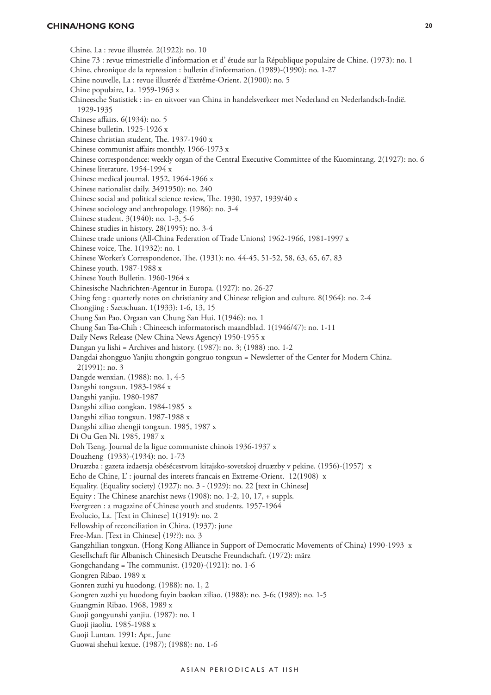Chine, La : revue illustrée. 2(1922): no. 10 Chine 73 : revue trimestrielle d'information et d' étude sur la République populaire de Chine. (1973): no. 1 Chine, chronique de la repression : bulletin d'information. (1989)-(1990): no. 1-27 Chine nouvelle, La : revue illustrée d'Extrême-Orient. 2(1900): no. 5 Chine populaire, La. 1959-1963 x Chineesche Statistiek : in- en uitvoer van China in handelsverkeer met Nederland en Nederlandsch-Indië. 1929-1935 Chinese affairs. 6(1934): no. 5 Chinese bulletin. 1925-1926 x Chinese christian student, The. 1937-1940 x Chinese communist affairs monthly. 1966-1973 x Chinese correspondence: weekly organ of the Central Executive Committee of the Kuomintang. 2(1927): no. 6 Chinese literature. 1954-1994 x Chinese medical journal. 1952, 1964-1966 x Chinese nationalist daily. 3491950): no. 240 Chinese social and political science review, The. 1930, 1937, 1939/40 x Chinese sociology and anthropology. (1986): no. 3-4 Chinese student. 3(1940): no. 1-3, 5-6 Chinese studies in history. 28(1995): no. 3-4 Chinese trade unions (All-China Federation of Trade Unions) 1962-1966, 1981-1997 x Chinese voice, The. 1(1932): no. 1 Chinese Worker's Correspondence, The. (1931): no. 44-45, 51-52, 58, 63, 65, 67, 83 Chinese youth. 1987-1988 x Chinese Youth Bulletin. 1960-1964 x Chinesische Nachrichten-Agentur in Europa. (1927): no. 26-27 Ching feng : quarterly notes on christianity and Chinese religion and culture. 8(1964): no. 2-4 Chongjing : Szetschuan. 1(1933): 1-6, 13, 15 Chung San Pao. Orgaan van Chung San Hui. 1(1946): no. 1 Chung San Tsa-Chih : Chineesch informatorisch maandblad. 1(1946/47): no. 1-11 Daily News Release (New China News Agency) 1950-1955 x Dangan yu lishi = Archives and history. (1987): no. 3; (1988) :no. 1-2 Dangdai zhongguo Yanjiu zhongxin gongzuo tongxun = Newsletter of the Center for Modern China. 2(1991): no. 3 Dangde wenxian. (1988): no. 1, 4-5 Dangshi tongxun. 1983-1984 x Dangshi yanjiu. 1980-1987 Dangshi ziliao congkan. 1984-1985 x Dangshi ziliao tongxun. 1987-1988 x Dangshi ziliao zhengji tongxun. 1985, 1987 x Di Ou Gen Ni. 1985, 1987 x Doh Tseng. Journal de la ligue communiste chinois 1936-1937 x Douzheng (1933)-(1934): no. 1-73 Druæzba : gazeta izdaetsja obésécestvom kitajsko-sovetskoj druæzby v pekine. (1956)-(1957) x Echo de Chine, L' : journal des interets francais en Extreme-Orient. 12(1908) x Equality. (Equality society) (1927): no. 3 - (1929): no. 22 [text in Chinese] Equity : The Chinese anarchist news (1908): no. 1-2, 10, 17, + suppls. Evergreen : a magazine of Chinese youth and students. 1957-1964 Evolucio, La. [Text in Chinese] 1(1919): no. 2 Fellowship of reconciliation in China. (1937): june Free-Man. [Text in Chinese] (19??): no. 3 Gangzhilian tongxun. (Hong Kong Alliance in Support of Democratic Movements of China) 1990-1993 x Gesellschaft für Albanisch Chinesisch Deutsche Freundschaft. (1972): märz Gongchandang = The communist. (1920)-(1921): no. 1-6 Gongren Ribao. 1989 x Gonren zuzhi yu huodong. (1988): no. 1, 2 Gongren zuzhi yu huodong fuyin baokan ziliao. (1988): no. 3-6; (1989): no. 1-5 Guangmin Ribao. 1968, 1989 x

Guoji gongyunshi yanjiu. (1987): no. 1

Guoji jiaoliu. 1985-1988 x

Guoji Luntan. 1991: Apr., June

Guowai shehui kexue. (1987); (1988): no. 1-6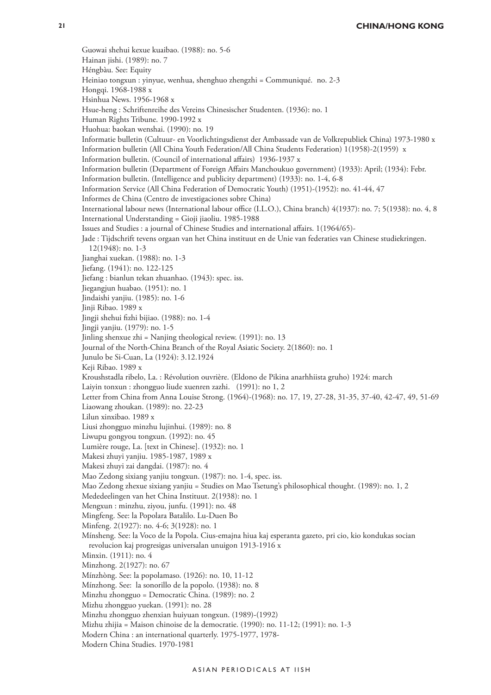Guowai shehui kexue kuaibao. (1988): no. 5-6 Hainan jishi. (1989): no. 7 Héngbàu. See: Equity Heiniao tongxun : yinyue, wenhua, shenghuo zhengzhi = Communiqué. no. 2-3 Hongqi. 1968-1988 x Hsinhua News. 1956-1968 x Hsue-heng : Schriftenreihe des Vereins Chinesischer Studenten. (1936): no. 1 Human Rights Tribune. 1990-1992 x Huohua: baokan wenshai. (1990): no. 19 Informatie bulletin (Cultuur- en Voorlichtingsdienst der Ambassade van de Volkrepubliek China) 1973-1980 x Information bulletin (All China Youth Federation/All China Students Federation) 1(1958)-2(1959) x Information bulletin. (Council of international affairs) 1936-1937 x Information bulletin (Department of Foreign Affairs Manchoukuo government) (1933): April; (1934): Febr. Information bulletin. (Intelligence and publicity department) (1933): no. 1-4, 6-8 Information Service (All China Federation of Democratic Youth) (1951)-(1952): no. 41-44, 47 Informes de China (Centro de investigaciones sobre China) International labour news (International labour office (I.L.O.), China branch) 4(1937): no. 7; 5(1938): no. 4, 8 International Understanding = Gioji jiaoliu. 1985-1988 Issues and Studies : a journal of Chinese Studies and international affairs. 1(1964/65)- Jade : Tijdschrift tevens orgaan van het China instituut en de Unie van federaties van Chinese studiekringen. 12(1948): no. 1-3 Jianghai xuekan. (1988): no. 1-3 Jiefang. (1941): no. 122-125 Jiefang : bianlun tekan zhuanhao. (1943): spec. iss. Jiegangjun huabao. (1951): no. 1 Jindaishi yanjiu. (1985): no. 1-6 Jinji Ribao. 1989 x Jingji shehui fizhi bijiao. (1988): no. 1-4 Jingji yanjiu. (1979): no. 1-5 Jinling shenxue zhi = Nanjing theological review. (1991): no. 13 Journal of the North-China Branch of the Royal Asiatic Society. 2(1860): no. 1 Junulo be Si-Cuan, La (1924): 3.12.1924 Keji Ribao. 1989 x Kroushstadla ribelo, La. : Révolution ouvrière. (Eldono de Pikina anarhhiista gruho) 1924: march Laiyin tonxun : zhongguo liude xuenren zazhi. (1991): no 1, 2 Letter from China from Anna Louise Strong. (1964)-(1968): no. 17, 19, 27-28, 31-35, 37-40, 42-47, 49, 51-69 Liaowang zhoukan. (1989): no. 22-23 Lilun xinxibao. 1989 x Liusi zhongguo minzhu lujinhui. (1989): no. 8 Liwupu gongyou tongxun. (1992): no. 45 Lumière rouge, La. [text in Chinese]. (1932): no. 1 Makesi zhuyi yanjiu. 1985-1987, 1989 x Makesi zhuyi zai dangdai. (1987): no. 4 Mao Zedong sixiang yanjiu tongxun. (1987): no. 1-4, spec. iss. Mao Zedong zhexue sixiang yanjiu = Studies on Mao Tsetung's philosophical thought. (1989): no. 1, 2 Mededeelingen van het China Instituut. 2(1938): no. 1 Mengxun : minzhu, ziyou, junfu. (1991): no. 48 Mingfeng. See: la Popolara Batalilo. Lu-Duen Bo Minfeng. 2(1927): no. 4-6; 3(1928): no. 1 Mínsheng. See: la Voco de la Popola. Cius-emajna hiua kaj esperanta gazeto, pri cio, kio kondukas socian revolucion kaj progresigas universalan unuigon 1913-1916 x Minxin. (1911): no. 4 Minzhong. 2(1927): no. 67 Mínzhòng. See: la popolamaso. (1926): no. 10, 11-12 Mínzhong. See: la sonorillo de la popolo. (1938): no. 8 Minzhu zhongguo = Democratic China. (1989): no. 2 Mizhu zhongguo yuekan. (1991): no. 28 Minzhu zhongguo zhenxian huiyuan tongxun. (1989)-(1992) Mizhu zhijia = Maison chinoise de la democratie. (1990): no. 11-12; (1991): no. 1-3 Modern China : an international quarterly. 1975-1977, 1978- Modern China Studies. 1970-1981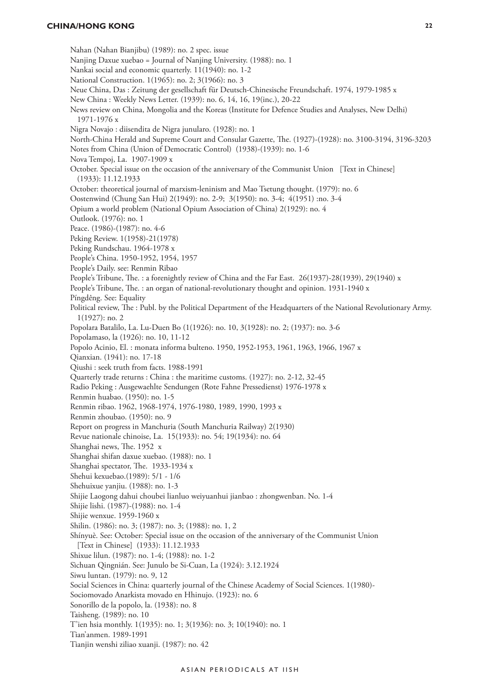Nahan (Nahan Bianjibu) (1989): no. 2 spec. issue Nanjing Daxue xuebao = Journal of Nanjing University. (1988): no. 1 Nankai social and economic quarterly. 11(1940): no. 1-2 National Construction. 1(1965): no. 2; 3(1966): no. 3 Neue China, Das : Zeitung der gesellschaft für Deutsch-Chinesische Freundschaft. 1974, 1979-1985 x New China : Weekly News Letter. (1939): no. 6, 14, 16, 19(inc.), 20-22 News review on China, Mongolia and the Koreas (Institute for Defence Studies and Analyses, New Delhi) 1971-1976 x Nigra Novajo : diisendita de Nigra junularo. (1928): no. 1 North-China Herald and Supreme Court and Consular Gazette, The. (1927)-(1928): no. 3100-3194, 3196-3203 Notes from China (Union of Democratic Control) (1938)-(1939): no. 1-6 Nova Tempoj, La. 1907-1909 x October. Special issue on the occasion of the anniversary of the Communist Union [Text in Chinese] (1933): 11.12.1933 October: theoretical journal of marxism-leninism and Mao Tsetung thought. (1979): no. 6 Oostenwind (Chung San Hui) 2(1949): no. 2-9; 3(1950): no. 3-4; 4(1951) :no. 3-4 Opium a world problem (National Opium Association of China) 2(1929): no. 4 Outlook. (1976): no. 1 Peace. (1986)-(1987): no. 4-6 Peking Review. 1(1958)-21(1978) Peking Rundschau. 1964-1978 x People's China. 1950-1952, 1954, 1957 People's Daily. see: Renmin Ribao People's Tribune, The. : a forenightly review of China and the Far East. 26(1937)-28(1939), 29(1940) x People's Tribune, The. : an organ of national-revolutionary thought and opinion. 1931-1940 x Píngdêng. See: Equality Political review, The : Publ. by the Political Department of the Headquarters of the National Revolutionary Army. 1(1927): no. 2 Popolara Batalilo, La. Lu-Duen Bo (1(1926): no. 10, 3(1928): no. 2; (1937): no. 3-6 Popolamaso, la (1926): no. 10, 11-12 Popolo Acinio, El. : monata informa bulteno. 1950, 1952-1953, 1961, 1963, 1966, 1967 x Qianxian. (1941): no. 17-18 Qiushi : seek truth from facts. 1988-1991 Quarterly trade returns : China : the maritime customs. (1927): no. 2-12, 32-45 Radio Peking : Ausgewaehlte Sendungen (Rote Fahne Pressedienst) 1976-1978 x Renmin huabao. (1950): no. 1-5 Renmin ribao. 1962, 1968-1974, 1976-1980, 1989, 1990, 1993 x Renmin zhoubao. (1950): no. 9 Report on progress in Manchuria (South Manchuria Railway) 2(1930) Revue nationale chinoise, La. 15(1933): no. 54; 19(1934): no. 64 Shanghai news, The. 1952 x Shanghai shifan daxue xuebao. (1988): no. 1 Shanghai spectator, The. 1933-1934 x Shehui kexuebao.(1989): 5/1 - 1/6 Shehuixue yanjiu. (1988): no. 1-3 Shijie Laogong dahui choubei lianluo weiyuanhui jianbao : zhongwenban. No. 1-4 Shijie lishi. (1987)-(1988): no. 1-4 Shijie wenxue. 1959-1960 x Shilin. (1986): no. 3; (1987): no. 3; (1988): no. 1, 2 Shínyuè. See: October: Special issue on the occasion of the anniversary of the Communist Union [Text in Chinese] (1933): 11.12.1933 Shixue lilun. (1987): no. 1-4; (1988): no. 1-2 Sìchuan Qingnián. See: Junulo be Si-Cuan, La (1924): 3.12.1924 Siwu luntan. (1979): no. 9, 12 Social Sciences in China: quarterly journal of the Chinese Academy of Social Sciences. 1(1980)- Sociomovado Anarkista movado en Hhinujo. (1923): no. 6 Sonorillo de la popolo, la. (1938): no. 8 Taisheng. (1989): no. 10 T'ien hsia monthly. 1(1935): no. 1; 3(1936): no. 3; 10(1940): no. 1 Tian'anmen. 1989-1991 Tianjin wenshi ziliao xuanji. (1987): no. 42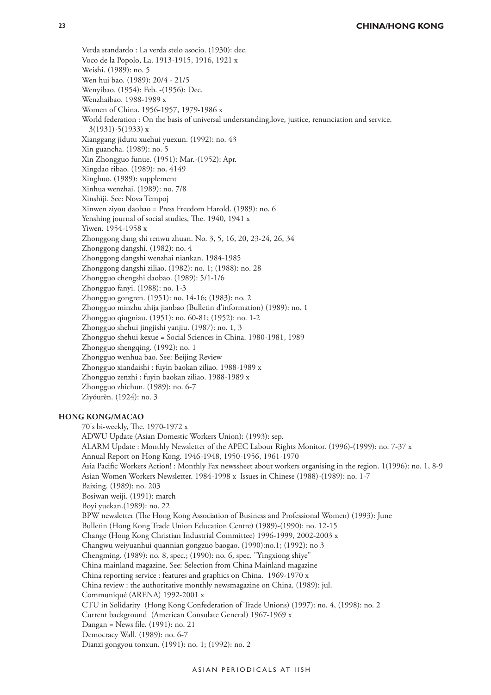Verda standardo : La verda stelo asocio. (1930): dec. Voco de la Popolo, La. 1913-1915, 1916, 1921 x Weishi. (1989): no. 5 Wen hui bao. (1989): 20/4 - 21/5 Wenyibao. (1954): Feb. -(1956): Dec. Wenzhaibao. 1988-1989 x Women of China. 1956-1957, 1979-1986 x World federation : On the basis of universal understanding,love, justice, renunciation and service. 3(1931)-5(1933) x Xianggang jidutu xuehui yuexun. (1992): no. 43 Xin guancha. (1989): no. 5 Xin Zhongguo funue. (1951): Mar.-(1952): Apr. Xingdao ribao. (1989): no. 4149 Xinghuo. (1989): supplement Xinhua wenzhai. (1989): no. 7/8 Xinshìjì. See: Nova Tempoj Xinwen ziyou daobao = Press Freedom Harold. (1989): no. 6 Yenshing journal of social studies, The. 1940, 1941 x Yiwen. 1954-1958 x Zhonggong dang shi renwu zhuan. No. 3, 5, 16, 20, 23-24, 26, 34 Zhonggong dangshi. (1982): no. 4 Zhonggong dangshi wenzhai niankan. 1984-1985 Zhonggong dangshi ziliao. (1982): no. 1; (1988): no. 28 Zhongguo chengshi daobao. (1989): 5/1-1/6 Zhongguo fanyi. (1988): no. 1-3 Zhongguo gongren. (1951): no. 14-16; (1983): no. 2 Zhongguo minzhu zhija jianbao (Bulletin d'information) (1989): no. 1 Zhongguo qiugniau. (1951): no. 60-81; (1952): no. 1-2 Zhongguo shehui jingjishi yanjiu. (1987): no. 1, 3 Zhongguo shehui kexue = Social Sciences in China. 1980-1981, 1989 Zhongguo shengqing. (1992): no. 1 Zhongguo wenhua bao. See: Beijing Review Zhongguo xiandaishi : fuyin baokan ziliao. 1988-1989 x Zhongguo zenzhi : fuyin baokan ziliao. 1988-1989 x Zhongguo zhichun. (1989): no. 6-7 Zìyóurèn. (1924): no. 3

# <span id="page-22-0"></span>**Hong Kong/Macao**

70's bi-weekly, The. 1970-1972 x ADWU Update (Asian Domestic Workers Union): (1993): sep. ALARM Update : Monthly Newsletter of the APEC Labour Rights Monitor. (1996)-(1999): no. 7-37 x Annual Report on Hong Kong. 1946-1948, 1950-1956, 1961-1970 Asia Pacific Workers Action! : Monthly Fax newssheet about workers organising in the region. 1(1996): no. 1, 8-9 Asian Women Workers Newsletter. 1984-1998 x Issues in Chinese (1988)-(1989): no. 1-7 Baixing. (1989): no. 203 Bosiwan weiji. (1991): march Boyi yuekan.(1989): no. 22 BPW newsletter (The Hong Kong Association of Business and Professional Women) (1993): June Bulletin (Hong Kong Trade Union Education Centre) (1989)-(1990): no. 12-15 Change (Hong Kong Christian Industrial Committee) 1996-1999, 2002-2003 x Changwu weiyuanhui quannian gongzuo baogao. (1990):no.1; (1992): no 3 Chengming. (1989): no. 8, spec.; (1990): no. 6, spec. "Yingxiong shiye" China mainland magazine. See: Selection from China Mainland magazine China reporting service : features and graphics on China. 1969-1970 x China review : the authoritative monthly newsmagazine on China. (1989): jul. Communiqué (ARENA) 1992-2001 x CTU in Solidarity (Hong Kong Confederation of Trade Unions) (1997): no. 4, (1998): no. 2 Current background (American Consulate General) 1967-1969 x Dangan = News file. (1991): no. 21 Democracy Wall. (1989): no. 6-7 Dianzi gongyou tonxun. (1991): no. 1; (1992): no. 2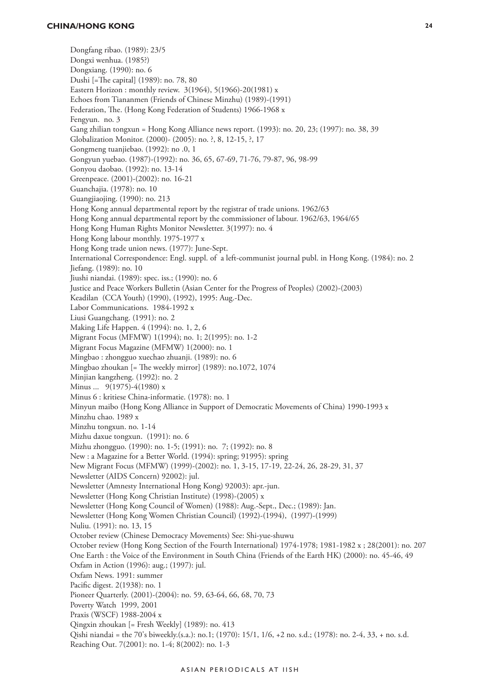Dongfang ribao. (1989): 23/5 Dongxi wenhua. (1985?) Dongxiang. (1990): no. 6 Dushi [=The capital] (1989): no. 78, 80 Eastern Horizon : monthly review. 3(1964), 5(1966)-20(1981) x Echoes from Tiananmen (Friends of Chinese Minzhu) (1989)-(1991) Federation, The. (Hong Kong Federation of Students) 1966-1968 x Fengyun. no. 3 Gang zhilian tongxun = Hong Kong Alliance news report. (1993): no. 20, 23; (1997): no. 38, 39 Globalization Monitor. (2000)- (2005): no. ?, 8, 12-15, ?, 17 Gongmeng tuanjiebao. (1992): no .0, 1 Gongyun yuebao. (1987)-(1992): no. 36, 65, 67-69, 71-76, 79-87, 96, 98-99 Gonyou daobao. (1992): no. 13-14 Greenpeace. (2001)-(2002): no. 16-21 Guanchajia. (1978): no. 10 Guangjiaojing. (1990): no. 213 Hong Kong annual departmental report by the registrar of trade unions. 1962/63 Hong Kong annual departmental report by the commissioner of labour. 1962/63, 1964/65 Hong Kong Human Rights Monitor Newsletter. 3(1997): no. 4 Hong Kong labour monthly. 1975-1977 x Hong Kong trade union news. (1977): June-Sept. International Correspondence: Engl. suppl. of a left-communist journal publ. in Hong Kong. (1984): no. 2 Jiefang. (1989): no. 10 Jiushi niandai. (1989): spec. iss.; (1990): no. 6 Justice and Peace Workers Bulletin (Asian Center for the Progress of Peoples) (2002)-(2003) Keadilan (CCA Youth) (1990), (1992), 1995: Aug.-Dec. Labor Communications. 1984-1992 x Liusi Guangchang. (1991): no. 2 Making Life Happen. 4 (1994): no. 1, 2, 6 Migrant Focus (MFMW) 1(1994); no. 1; 2(1995): no. 1-2 Migrant Focus Magazine (MFMW) 1(2000): no. 1 Mingbao : zhongguo xuechao zhuanji. (1989): no. 6 Mingbao zhoukan [= The weekly mirror] (1989): no.1072, 1074 Minjian kangzheng. (1992): no. 2 Minus ... 9(1975)-4(1980) x Minus 6 : kritiese China-informatie. (1978): no. 1 Minyun maibo (Hong Kong Alliance in Support of Democratic Movements of China) 1990-1993 x Minzhu chao. 1989 x Minzhu tongxun. no. 1-14 Mizhu daxue tongxun. (1991): no. 6 Mizhu zhongguo. (1990): no. 1-5; (1991): no. 7; (1992): no. 8 New : a Magazine for a Better World. (1994): spring; 91995): spring New Migrant Focus (MFMW) (1999)-(2002): no. 1, 3-15, 17-19, 22-24, 26, 28-29, 31, 37 Newsletter (AIDS Concern) 92002): jul. Newsletter (Amnesty International Hong Kong) 92003): apr.-jun. Newsletter (Hong Kong Christian Institute) (1998)-(2005) x Newsletter (Hong Kong Council of Women) (1988): Aug.-Sept., Dec.; (1989): Jan. Newsletter (Hong Kong Women Christian Council) (1992)-(1994), (1997)-(1999) Nuliu. (1991): no. 13, 15 October review (Chinese Democracy Movements) See: Shi-yue-shuwu October review (Hong Kong Section of the Fourth International) 1974-1978; 1981-1982 x ; 28(2001): no. 207 One Earth : the Voice of the Environment in South China (Friends of the Earth HK) (2000): no. 45-46, 49 Oxfam in Action (1996): aug.; (1997): jul. Oxfam News. 1991: summer Pacific digest. 2(1938): no. 1 Pioneer Quarterly. (2001)-(2004): no. 59, 63-64, 66, 68, 70, 73 Poverty Watch 1999, 2001 Praxis (WSCF) 1988-2004 x Qingxin zhoukan [= Fresh Weekly] (1989): no. 413 Qishi niandai = the 70's biweekly.(s.a.): no.1; (1970): 15/1, 1/6, +2 no. s.d.; (1978): no. 2-4, 33, + no. s.d. Reaching Out. 7(2001): no. 1-4; 8(2002): no. 1-3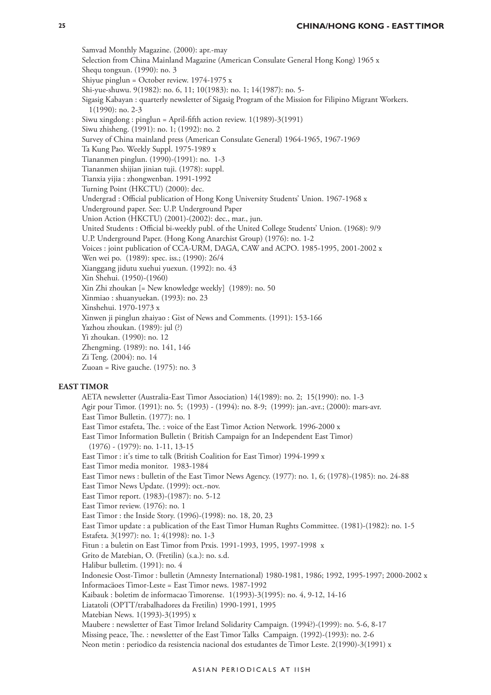Samvad Monthly Magazine. (2000): apr.-may

Selection from China Mainland Magazine (American Consulate General Hong Kong) 1965 x

Shequ tongxun. (1990): no. 3

- Shiyue pinglun = October review. 1974-1975 x
- Shi-yue-shuwu. 9(1982): no. 6, 11; 10(1983): no. 1; 14(1987): no. 5-

Sigasig Kabayan : quarterly newsletter of Sigasig Program of the Mission for Filipino Migrant Workers. 1(1990): no. 2-3

- Siwu xingdong : pinglun = April-fifth action review. 1(1989)-3(1991)
- Siwu zhisheng. (1991): no. 1; (1992): no. 2

Survey of China mainland press (American Consulate General) 1964-1965, 1967-1969

Ta Kung Pao. Weekly Suppl. 1975-1989 x

Tiananmen pinglun. (1990)-(1991): no. 1-3

Tiananmen shijian jinian tuji. (1978): suppl.

Tianxia yijia : zhongwenban. 1991-1992

Turning Point (HKCTU) (2000): dec.

Undergrad : Official publication of Hong Kong University Students' Union. 1967-1968 x

Underground paper. See: U.P. Underground Paper

Union Action (HKCTU) (2001)-(2002): dec., mar., jun.

United Students : Official bi-weekly publ. of the United College Students' Union. (1968): 9/9

U.P. Underground Paper. (Hong Kong Anarchist Group) (1976): no. 1-2

Voices : joint publication of CCA-URM, DAGA, CAW and ACPO. 1985-1995, 2001-2002 x

- Wen wei po. (1989): spec. iss.; (1990): 26/4
- Xianggang jidutu xuehui yuexun. (1992): no. 43

Xin Shehui. (1950)-(1960)

Xin Zhi zhoukan [= New knowledge weekly] (1989): no. 50

Xinmiao : shuanyuekan. (1993): no. 23

Xinshehui. 1970-1973 x

Xinwen ji pinglun zhaiyao : Gist of News and Comments. (1991): 153-166

Yazhou zhoukan. (1989): jul (?)

Yi zhoukan. (1990): no. 12

Zhengming. (1989): no. 141, 146

Zi Teng. (2004): no. 14

Zuoan = Rive gauche. (1975): no. 3

#### <span id="page-24-0"></span>**East Timor**

AETA newsletter (Australia-East Timor Association) 14(1989): no. 2; 15(1990): no. 1-3 Agir pour Timor. (1991): no. 5; (1993) - (1994): no. 8-9; (1999): jan.-avr.; (2000): mars-avr. East Timor Bulletin. (1977): no. 1 East Timor estafeta, The. : voice of the East Timor Action Network. 1996-2000 x East Timor Information Bulletin ( British Campaign for an Independent East Timor) (1976) - (1979): no. 1-11, 13-15 East Timor : it's time to talk (British Coalition for East Timor) 1994-1999 x East Timor media monitor. 1983-1984 East Timor news : bulletin of the East Timor News Agency. (1977): no. 1, 6; (1978)-(1985): no. 24-88 East Timor News Update. (1999): oct.-nov. East Timor report. (1983)-(1987): no. 5-12 East Timor review. (1976): no. 1 East Timor : the Inside Story. (1996)-(1998): no. 18, 20, 23 East Timor update : a publication of the East Timor Human Rughts Committee. (1981)-(1982): no. 1-5 Estafeta. 3(1997): no. 1; 4(1998): no. 1-3 Fitun : a buletin on East Timor from Prxis. 1991-1993, 1995, 1997-1998 x Grito de Matebian, O. (Fretilin) (s.a.): no. s.d. Halibur bulletim. (1991): no. 4 Indonesie Oost-Timor : bulletin (Amnesty International) 1980-1981, 1986; 1992, 1995-1997; 2000-2002 x Informacäoes Timor-Leste = East Timor news. 1987-1992 Kaibauk : boletim de informacao Timorense. 1(1993)-3(1995): no. 4, 9-12, 14-16 Liatatoli (OPTT/trabalhadores da Fretilin) 1990-1991, 1995 Matebian News. 1(1993)-3(1995) x Maubere : newsletter of East Timor Ireland Solidarity Campaign. (1994?)-(1999): no. 5-6, 8-17 Missing peace, The. : newsletter of the East Timor Talks Campaign. (1992)-(1993): no. 2-6 Neon metin : periodico da resistencia nacional dos estudantes de Timor Leste. 2(1990)-3(1991) x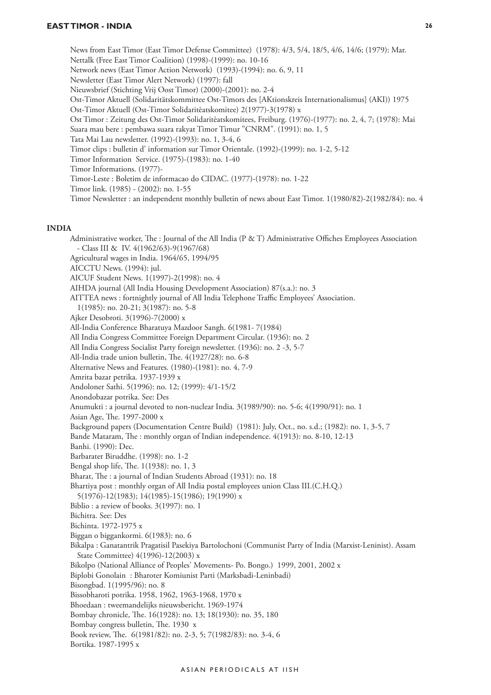News from East Timor (East Timor Defense Committee) (1978): 4/3, 5/4, 18/5, 4/6, 14/6; (1979): Mar. Nettalk (Free East Timor Coalition) (1998)-(1999): no. 10-16 Network news (East Timor Action Network) (1993)-(1994): no. 6, 9, 11 Newsletter (East Timor Alert Network) (1997): fall Nieuwsbrief (Stichting Vrij Oost Timor) (2000)-(2001): no. 2-4 Ost-Timor Aktuell (Solidaritätskommittee Ost-Timors des [AKtionskreis Internationalismus] (AKI)) 1975 Ost-Timor Aktuell (Ost-Timor Solidaritèatskomitee) 2(1977)-3(1978) x Ost Timor : Zeitung des Ost-Timor Solidaritèatskomitees, Freiburg. (1976)-(1977): no. 2, 4, 7; (1978): Mai Suara mau bere : pembawa suara rakyat Timor Timur "CNRM". (1991): no. 1, 5 Tata Mai Lau newsletter. (1992)-(1993): no. 1, 3-4, 6 Timor clips : bulletin d' information sur Timor Orientale. (1992)-(1999): no. 1-2, 5-12 Timor Information Service. (1975)-(1983): no. 1-40 Timor Informations. (1977)- Timor-Leste : Boletim de informacao do CIDAC. (1977)-(1978): no. 1-22 Timor link. (1985) - (2002): no. 1-55

Timor Newsletter : an independent monthly bulletin of news about East Timor. 1(1980/82)-2(1982/84): no. 4

Administrative worker, The : Journal of the All India (P & T) Administrative Offiches Employees Association

#### <span id="page-25-0"></span>**India**

- Class III & IV. 4(1962/63)-9(1967/68) Agricultural wages in India. 1964/65, 1994/95 AICCTU News. (1994): jul. AICUF Student News. 1(1997)-2(1998): no. 4 AIHDA journal (All India Housing Development Association) 87(s.a.): no. 3 AITTEA news : fortnightly journal of All India Telephone Traffic Employees' Association. 1(1985): no. 20-21; 3(1987): no. 5-8 Ajker Desobroti. 3(1996)-7(2000) x All-India Conference Bharatuya Mazdoor Sangh. 6(1981- 7(1984) All India Congress Committee Foreign Department Circular. (1936): no. 2 All India Congress Socialist Party foreign newsletter. (1936): no. 2 -3, 5-7 All-India trade union bulletin, The. 4(1927/28): no. 6-8 Alternative News and Features. (1980)-(1981): no. 4, 7-9 Amrita bazar petrika. 1937-1939 x Andoloner Sathi. 5(1996): no. 12; (1999): 4/1-15/2 Anondobazar potrika. See: Des Anumukti : a journal devoted to non-nuclear India. 3(1989/90): no. 5-6; 4(1990/91): no. 1 Asian Age, The. 1997-2000 x Background papers (Documentation Centre Build) (1981): July, Oct., no. s.d.; (1982): no. 1, 3-5, 7 Bande Mataram, The : monthly organ of Indian independence. 4(1913): no. 8-10, 12-13 Banhi. (1990): Dec.

Barbarater Biruddhe. (1998): no. 1-2

Bengal shop life, The. 1(1938): no. 1, 3

Bharat, The : a journal of Indian Students Abroad (1931): no. 18

Bhartiya post : monthly organ of All India postal employees union Class III.(C.H.Q.)

5(1976)-12(1983); 14(1985)-15(1986); 19(1990) x

Biblio : a review of books. 3(1997): no. 1

Bichitra. See: Des

Bichinta. 1972-1975 x

Biggan o biggankormi. 6(1983): no. 6

Bikalpa : Ganatantrik Pragatisil Pasekiya Bartolochoni (Communist Party of India (Marxist-Leninist). Assam State Committee) 4(1996)-12(2003) x

Bikolpo (National Alliance of Peoples' Movements- Po. Bongo.) 1999, 2001, 2002 x

Biplobi Gonolain : Bharoter Komiunist Parti (Marksbadi-Leninbadi)

Bisongbad. 1(1995/96): no. 8

Bissobharoti potrika. 1958, 1962, 1963-1968, 1970 x

Bhoedaan : tweemandelijks nieuwsbericht. 1969-1974

Bombay chronicle, The. 16(1928): no. 13; 18(1930): no. 35, 180

Bombay congress bulletin, The. 1930 x

Book review, The. 6(1981/82): no. 2-3, 5; 7(1982/83): no. 3-4, 6

Bortika. 1987-1995 x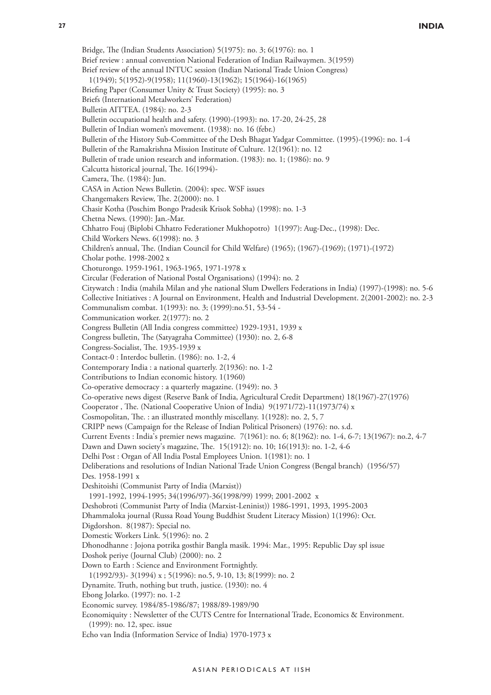Bridge, The (Indian Students Association) 5(1975): no. 3; 6(1976): no. 1 Brief review : annual convention National Federation of Indian Railwaymen. 3(1959) Brief review of the annual INTUC session (Indian National Trade Union Congress) 1(1949); 5(1952)-9(1958); 11(1960)-13(1962); 15(1964)-16(1965) Briefing Paper (Consumer Unity & Trust Society) (1995): no. 3 Briefs (International Metalworkers' Federation) Bulletin AITTEA. (1984): no. 2-3 Bulletin occupational health and safety. (1990)-(1993): no. 17-20, 24-25, 28 Bulletin of Indian women's movement. (1938): no. 16 (febr.) Bulletin of the History Sub-Committee of the Desh Bhagat Yadgar Committee. (1995)-(1996): no. 1-4 Bulletin of the Ramakrishna Mission Institute of Culture. 12(1961): no. 12 Bulletin of trade union research and information. (1983): no. 1; (1986): no. 9 Calcutta historical journal, The. 16(1994)- Camera, The. (1984): Jun. CASA in Action News Bulletin. (2004): spec. WSF issues Changemakers Review, The. 2(2000): no. 1 Chasir Kotha (Poschim Bongo Pradesik Krisok Sobha) (1998): no. 1-3 Chetna News. (1990): Jan.-Mar. Chhatro Fouj (Biplobi Chhatro Federationer Mukhopotro) 1(1997): Aug-Dec., (1998): Dec. Child Workers News. 6(1998): no. 3 Children's annual, The. (Indian Council for Child Welfare) (1965); (1967)-(1969); (1971)-(1972) Cholar pothe. 1998-2002 x Choturongo. 1959-1961, 1963-1965, 1971-1978 x Circular (Federation of National Postal Organisations) (1994): no. 2 Citywatch : India (mahila Milan and yhe national Slum Dwellers Federations in India) (1997)-(1998): no. 5-6 Collective Initiatives : A Journal on Environment, Health and Industrial Development. 2(2001-2002): no. 2-3 Communalism combat. 1(1993): no. 3; (1999):no.51, 53-54 - Communication worker. 2(1977): no. 2 Congress Bulletin (All India congress committee) 1929-1931, 1939 x Congress bulletin, The (Satyagraha Committee) (1930): no. 2, 6-8 Congress-Socialist, The. 1935-1939 x Contact-0 : Interdoc bulletin. (1986): no. 1-2, 4 Contemporary India : a national quarterly. 2(1936): no. 1-2 Contributions to Indian economic history. 1(1960) Co-operative democracy : a quarterly magazine. (1949): no. 3 Co-operative news digest (Reserve Bank of India, Agricultural Credit Department) 18(1967)-27(1976) Cooperator , The. (National Cooperative Union of India) 9(1971/72)-11(1973/74) x Cosmopolitan, The. : an illustrated monthly miscellany. 1(1928): no. 2, 5, 7 CRIPP news (Campaign for the Release of Indian Political Prisoners) (1976): no. s.d. Current Events : India's premier news magazine. 7(1961): no. 6; 8(1962): no. 1-4, 6-7; 13(1967): no.2, 4-7 Dawn and Dawn society's magazine, The. 15(1912): no. 10; 16(1913): no. 1-2, 4-6 Delhi Post : Organ of All India Postal Employees Union. 1(1981): no. 1 Deliberations and resolutions of Indian National Trade Union Congress (Bengal branch) (1956/57) Des. 1958-1991 x Deshitoishi (Communist Party of India (Marxist)) 1991-1992, 1994-1995; 34(1996/97)-36(1998/99) 1999; 2001-2002 x Deshobroti (Communist Party of India (Marxist-Leninist)) 1986-1991, 1993, 1995-2003 Dhammaloka journal (Russa Road Young Buddhist Student Literacy Mission) 1(1996): Oct. Digdorshon. 8(1987): Special no. Domestic Workers Link. 5(1996): no. 2 Dhonodhanne : Jojona potrika gosthir Bangla masik. 1994: Mar., 1995: Republic Day spl issue Doshok periye (Journal Club) (2000): no. 2 Down to Earth : Science and Environment Fortnightly. 1(1992/93)- 3(1994) x ; 5(1996): no.5, 9-10, 13; 8(1999): no. 2 Dynamite. Truth, nothing but truth, justice. (1930): no. 4 Ebong Jolarko. (1997): no. 1-2 Economic survey. 1984/85-1986/87; 1988/89-1989/90 Economiquity : Newsletter of the CUTS Centre for International Trade, Economics & Environment. (1999): no. 12, spec. issue Echo van India (Information Service of India) 1970-1973 x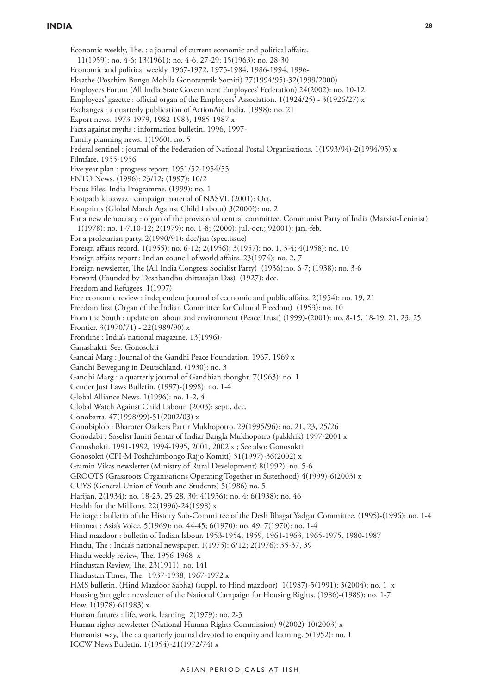Economic weekly, The. : a journal of current economic and political affairs. 11(1959): no. 4-6; 13(1961): no. 4-6, 27-29; 15(1963): no. 28-30 Economic and political weekly. 1967-1972, 1975-1984, 1986-1994, 1996- Eksathe (Poschim Bongo Mohila Gonotantrik Somiti) 27(1994/95)-32(1999/2000) Employees Forum (All India State Government Employees' Federation) 24(2002): no. 10-12 Employees' gazette : official organ of the Employees' Association. 1(1924/25) - 3(1926/27) x Exchanges : a quarterly publication of ActionAid India. (1998): no. 21 Export news. 1973-1979, 1982-1983, 1985-1987 x Facts against myths : information bulletin. 1996, 1997- Family planning news. 1(1960): no. 5 Federal sentinel : journal of the Federation of National Postal Organisations. 1(1993/94)-2(1994/95) x Filmfare. 1955-1956 Five year plan : progress report. 1951/52-1954/55 FNTO News. (1996): 23/12; (1997): 10/2 Focus Files. India Programme. (1999): no. 1 Footpath ki aawaz : campaign material of NASVI. (2001): Oct. Footprints (Global March Against Child Labour) 3(2000?): no. 2 For a new democracy : organ of the provisional central committee, Communist Party of India (Marxist-Leninist) 1(1978): no. 1-7,10-12; 2(1979): no. 1-8; (2000): jul.-oct.; 92001): jan.-feb. For a proletarian party. 2(1990/91): dec/jan (spec.issue) Foreign affairs record. 1(1955): no. 6-12; 2(1956); 3(1957): no. 1, 3-4; 4(1958): no. 10 Foreign affairs report : Indian council of world affairs. 23(1974): no. 2, 7 Foreign newsletter, The (All India Congress Socialist Party) (1936):no. 6-7; (1938): no. 3-6 Forward (Founded by Deshbandhu chittarajan Das) (1927): dec. Freedom and Refugees. 1(1997) Free economic review : independent journal of economic and public affairs. 2(1954): no. 19, 21 Freedom first (Organ of the Indian Committee for Cultural Freedom) (1953): no. 10 From the South : update on labour and environment (Peace Trust) (1999)-(2001): no. 8-15, 18-19, 21, 23, 25 Frontier. 3(1970/71) - 22(1989/90) x Frontline : India's national magazine. 13(1996)- Ganashakti. See: Gonosokti Gandai Marg : Journal of the Gandhi Peace Foundation. 1967, 1969 x Gandhi Bewegung in Deutschland. (1930): no. 3 Gandhi Marg : a quarterly journal of Gandhian thought. 7(1963): no. 1 Gender Just Laws Bulletin. (1997)-(1998): no. 1-4 Global Alliance News. 1(1996): no. 1-2, 4 Global Watch Against Child Labour. (2003): sept., dec. Gonobarta. 47(1998/99)-51(2002/03) x Gonobiplob : Bharoter Oarkers Partir Mukhopotro. 29(1995/96): no. 21, 23, 25/26 Gonodabi : Soselist Iuniti Sentar of Indiar Bangla Mukhopotro (pakkhik) 1997-2001 x Gonoshokti. 1991-1992, 1994-1995, 2001, 2002 x ; See also: Gonosokti Gonosokti (CPI-M Poshchimbongo Rajjo Komiti) 31(1997)-36(2002) x Gramin Vikas newsletter (Ministry of Rural Development) 8(1992): no. 5-6 GROOTS (Grassroots Organisations Operating Together in Sisterhood) 4(1999)-6(2003) x GUYS (General Union of Youth and Students) 5(1986) no. 5 Harijan. 2(1934): no. 18-23, 25-28, 30; 4(1936): no. 4; 6(1938): no. 46 Health for the Millions. 22(1996)-24(1998) x Heritage : bulletin of the History Sub-Committee of the Desh Bhagat Yadgar Committee. (1995)-(1996): no. 1-4 Himmat : Asia's Voice. 5(1969): no. 44-45; 6(1970): no. 49; 7(1970): no. 1-4 Hind mazdoor : bulletin of Indian labour. 1953-1954, 1959, 1961-1963, 1965-1975, 1980-1987 Hindu, The : India's national newspaper. 1(1975): 6/12; 2(1976): 35-37, 39 Hindu weekly review, The. 1956-1968 x Hindustan Review, The. 23(1911): no. 141 Hindustan Times, The. 1937-1938, 1967-1972 x HMS bulletin. (Hind Mazdoor Sabha) (suppl. to Hind mazdoor) 1(1987)-5(1991); 3(2004): no. 1 x Housing Struggle : newsletter of the National Campaign for Housing Rights. (1986)-(1989): no. 1-7 How. 1(1978)-6(1983) x Human futures : life, work, learning. 2(1979): no. 2-3 Human rights newsletter (National Human Rights Commission) 9(2002)-10(2003) x Humanist way, The : a quarterly journal devoted to enquiry and learning. 5(1952): no. 1 ICCW News Bulletin. 1(1954)-21(1972/74) x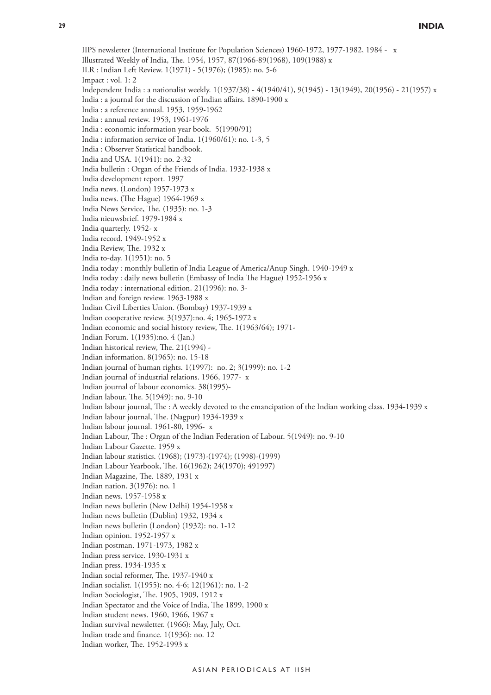IIPS newsletter (International Institute for Population Sciences) 1960-1972, 1977-1982, 1984 - x Illustrated Weekly of India, The. 1954, 1957, 87(1966-89(1968), 109(1988) x ILR : Indian Left Review. 1(1971) - 5(1976); (1985): no. 5-6 Impact : vol. 1: 2 Independent India : a nationalist weekly. 1(1937/38) - 4(1940/41), 9(1945) - 13(1949), 20(1956) - 21(1957) x India : a journal for the discussion of Indian affairs. 1890-1900 x India : a reference annual. 1953, 1959-1962 India : annual review. 1953, 1961-1976 India : economic information year book. 5(1990/91) India : information service of India. 1(1960/61): no. 1-3, 5 India : Observer Statistical handbook. India and USA. 1(1941): no. 2-32 India bulletin : Organ of the Friends of India. 1932-1938 x India development report. 1997 India news. (London) 1957-1973 x India news. (The Hague) 1964-1969 x India News Service, The. (1935): no. 1-3 India nieuwsbrief. 1979-1984 x India quarterly. 1952- x India record. 1949-1952 x India Review, The. 1932 x India to-day. 1(1951): no. 5 India today : monthly bulletin of India League of America/Anup Singh. 1940-1949 x India today : daily news bulletin (Embassy of India The Hague) 1952-1956 x India today : international edition. 21(1996): no. 3- Indian and foreign review. 1963-1988 x Indian Civil Liberties Union. (Bombay) 1937-1939 x Indian cooperative review. 3(1937):no. 4; 1965-1972 x Indian economic and social history review, The. 1(1963/64); 1971- Indian Forum. 1(1935):no. 4 (Jan.) Indian historical review, The. 21(1994) - Indian information. 8(1965): no. 15-18 Indian journal of human rights. 1(1997): no. 2; 3(1999): no. 1-2 Indian journal of industrial relations. 1966, 1977- x Indian journal of labour economics. 38(1995)- Indian labour, The. 5(1949): no. 9-10 Indian labour journal, The : A weekly devoted to the emancipation of the Indian working class. 1934-1939 x Indian labour journal, The. (Nagpur) 1934-1939 x Indian labour journal. 1961-80, 1996- x Indian Labour, The : Organ of the Indian Federation of Labour. 5(1949): no. 9-10 Indian Labour Gazette. 1959 x Indian labour statistics. (1968); (1973)-(1974); (1998)-(1999) Indian Labour Yearbook, The. 16(1962); 24(1970); 491997) Indian Magazine, The. 1889, 1931 x Indian nation. 3(1976): no. 1 Indian news. 1957-1958 x Indian news bulletin (New Delhi) 1954-1958 x Indian news bulletin (Dublin) 1932, 1934 x Indian news bulletin (London) (1932): no. 1-12 Indian opinion. 1952-1957 x Indian postman. 1971-1973, 1982 x Indian press service. 1930-1931 x Indian press. 1934-1935 x Indian social reformer, The. 1937-1940 x Indian socialist. 1(1955): no. 4-6; 12(1961): no. 1-2 Indian Sociologist, The. 1905, 1909, 1912 x Indian Spectator and the Voice of India, The 1899, 1900 x Indian student news. 1960, 1966, 1967 x Indian survival newsletter. (1966): May, July, Oct. Indian trade and finance. 1(1936): no. 12 Indian worker, The. 1952-1993 x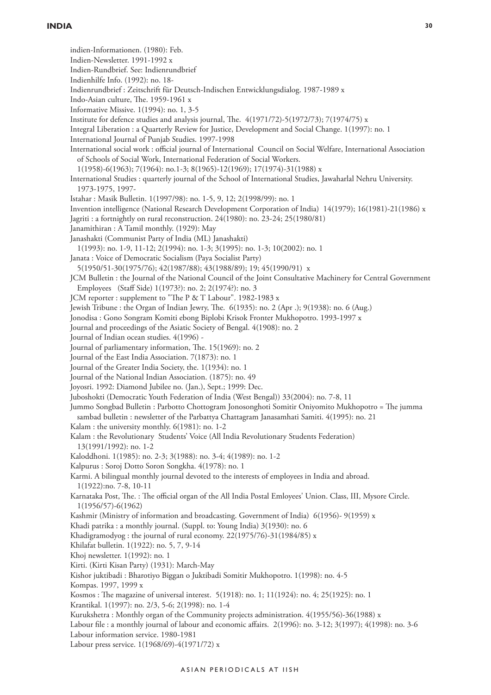## **INDIA 30**

indien-Informationen. (1980): Feb.

Indien-Newsletter. 1991-1992 x

Indien-Rundbrief. See: Indienrundbrief

Indienhilfe Info. (1992): no. 18-

Indienrundbrief : Zeitschrift für Deutsch-Indischen Entwicklungsdialog. 1987-1989 x

- Indo-Asian culture, The. 1959-1961 x
- Informative Missive. 1(1994): no. 1, 3-5
- Institute for defence studies and analysis journal, The. 4(1971/72)-5(1972/73); 7(1974/75) x
- Integral Liberation : a Quarterly Review for Justice, Development and Social Change. 1(1997): no. 1
- International Journal of Punjab Studies. 1997-1998
- International social work : official journal of International Council on Social Welfare, International Association of Schools of Social Work, International Federation of Social Workers.
- 1(1958)-6(1963); 7(1964): no.1-3; 8(1965)-12(1969); 17(1974)-31(1988) x
- International Studies : quarterly journal of the School of International Studies, Jawaharlal Nehru University. 1973-1975, 1997-
- Istahar : Masik Bulletin. 1(1997/98): no. 1-5, 9, 12; 2(1998/99): no. 1
- Invention intelligence (National Research Development Corporation of India) 14(1979); 16(1981)-21(1986) x
- Jagriti : a fortnightly on rural reconstruction. 24(1980): no. 23-24; 25(1980/81)
- Janamithiran : A Tamil monthly. (1929): May
- Janashakti (Communist Party of India (ML) Janashakti)
- 1(1993): no. 1-9, 11-12; 2(1994): no. 1-3; 3(1995): no. 1-3; 10(2002): no. 1
- Janata : Voice of Democratic Socialism (Paya Socialist Party)
- 5(1950/51-30(1975/76); 42(1987/88); 43(1988/89); 19; 45(1990/91) x
- JCM Bulletin : the Journal of the National Council of the Joint Consultative Machinery for Central Government Employees (Staff Side) 1(1973?): no. 2; 2(1974?): no. 3
- JCM reporter : supplement to "The P & T Labour". 1982-1983 x
- Jewish Tribune : the Organ of Indian Jewry, The. 6(1935): no. 2 (Apr .); 9(1938): no. 6 (Aug.)
- Jonodisa : Gono Songram Komiti ebong Biplobi Krisok Fronter Mukhopotro. 1993-1997 x
- Journal and proceedings of the Asiatic Society of Bengal. 4(1908): no. 2
- Journal of Indian ocean studies. 4(1996) -
- Journal of parliamentary information, The. 15(1969): no. 2
- Journal of the East India Association. 7(1873): no. 1
- Journal of the Greater India Society, the. 1(1934): no. 1
- Journal of the National Indian Association. (1875): no. 49
- Joyosri. 1992: Diamond Jubilee no. (Jan.), Sept.; 1999: Dec.
- Juboshokti (Democratic Youth Federation of India (West Bengal)) 33(2004): no. 7-8, 11
- Jummo Songbad Bulletin : Parbotto Chottogram Jonosonghoti Somitir Oniyomito Mukhopotro = The jumma sambad bulletin : newsletter of the Parbattya Chattagram Janasamhati Samiti. 4(1995): no. 21
- Kalam : the university monthly. 6(1981): no. 1-2
- Kalam : the Revolutionary Students' Voice (All India Revolutionary Students Federation) 13(1991/1992): no. 1-2
- Kaloddhoni. 1(1985): no. 2-3; 3(1988): no. 3-4; 4(1989): no. 1-2
- Kalpurus : Soroj Dotto Soron Songkha. 4(1978): no. 1
- Karmi. A bilingual monthly journal devoted to the interests of employees in India and abroad. 1(1922):no. 7-8, 10-11
- Karnataka Post, The. : The official organ of the All India Postal Emloyees' Union. Class, III, Mysore Circle. 1(1956/57)-6(1962)
- Kashmir (Ministry of information and broadcasting. Government of India) 6(1956)- 9(1959) x
- Khadi patrika : a monthly journal. (Suppl. to: Young India) 3(1930): no. 6
- Khadigramodyog : the journal of rural economy. 22(1975/76)-31(1984/85) x
- Khilafat bulletin. 1(1922): no. 5, 7, 9-14
- Khoj newsletter. 1(1992): no. 1
- Kirti. (Kirti Kisan Party) (1931): March-May
- Kishor juktibadi : Bharotiyo Biggan o Juktibadi Somitir Mukhopotro. 1(1998): no. 4-5
- Kompas. 1997, 1999 x
- Kosmos : The magazine of universal interest. 5(1918): no. 1; 11(1924): no. 4; 25(1925): no. 1
- Krantikal. 1(1997): no. 2/3, 5-6; 2(1998): no. 1-4
- Kurukshetra : Monthly organ of the Community projects administration. 4(1955/56)-36(1988) x
- Labour file : a monthly journal of labour and economic affairs. 2(1996): no. 3-12; 3(1997); 4(1998): no. 3-6 Labour information service. 1980-1981
- Labour press service. 1(1968/69)-4(1971/72) x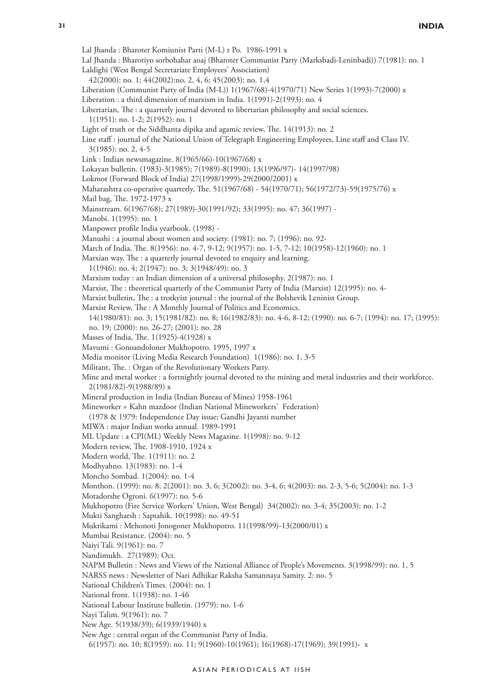Lal Jhanda : Bharoter Komiunist Parti (M-L) r Po. 1986-1991 x Lal Jhanda : Bharotiyo sorbohahar aoaj (Bharoter Communist Party (Marksbadi-Leninbadi)) 7(1981): no. 1 Laldighi (West Bengal Secretariate Employees' Association)  $42(2000)$ : no. 1;  $44(2002)$ :no. 2, 4, 6;  $45(2003)$ : no. 1,4 Liberation (Communist Party of India (M-L)) 1(1967/68)-4(1970/71) New Series 1(1993)-7(2000) x Liberation : a third dimension of marxism in India. 1(1991)-2(1993): no. 4 Libertarian, The : a quarterly journal devoted to libertarian philosophy and social sciences. 1(1951): no. 1-2; 2(1952): no. 1 Light of truth or the Siddhanta dipika and agamic review, The. 14(1913): no. 2 Line staff : journal of the National Union of Telegraph Engineering Employees, Line staff and Class IV. 3(1985): no. 2, 4-5 Link : Indian newsmagazine. 8(1965/66)-10(1967/68) x Lokayan bulletin. (1983)-3(1985); 7(1989)-8(1990); 13(1996/97)- 14(1997/98) Lokmot (Forward Block of India) 27(1998/1999)-29(2000/2001) x Maharashtra co-operative quarterly, The. 51(1967/68) - 54(1970/71); 56(1972/73)-59(1975/76) x Mail bag, The. 1972-1973 x Mainstream. 6(1967/68); 27(1989)-30(1991/92); 33(1995): no. 47; 36(1997) - Manobi. 1(1995): no. 1 Manpower profile India yearbook. (1998) - Manushi : a journal about women and society. (1981): no. 7; (1996): no. 92- March of India, The. 8(1956): no. 4-7, 9-12; 9(1957): no. 1-5, 7-12; 10(1958)-12(1960): no. 1 Marxian way, The : a quarterly journal devoted to enquiry and learning. 1(1946): no. 4; 2(1947): no. 3; 3(1948/49): no. 3 Marxism today : an Indian dimension of a universal philosophy. 2(1987): no. 1 Marxist, The : theoretical quarterly of the Communist Party of India (Marxist) 12(1995): no. 4- Marxist bulletin, The : a trotkyist journal : the journal of the Bolshevik Leninist Group. Marxist Review, The : A Monthly Journal of Politics and Economics. 14(1980/81): no. 3; 15(1981/82): no. 8; 16(1982/83): no. 4-6, 8-12; (1990): no. 6-7; (1994): no. 17; (1995): no. 19; (2000): no. 26-27; (2001): no. 28 Masses of India, The. 1(1925)-4(1928) x Mavumi : Gonoandoloner Mukhopotro. 1995, 1997 x Media monitor (Living Media Research Foundation) 1(1986): no. 1, 3-5 Militant, The. : Organ of the Revolutionary Workers Party. Mine and metal worker : a fortnightly journal devoted to the mining and metal industries and their workforce. 2(1981/82)-9(1988/89) x Mineral production in India (Indian Bureau of Mines) 1958-1961 Mineworker = Kahn mazdoor (Indian National Mineworkers' Federation) (1978 & 1979: Independence Day issue; Gandhi Jayanti number MIWA : major Indian works annual. 1989-1991 ML Update : a CPI(ML) Weekly News Magazine. 1(1998): no. 9-12 Modern review, The. 1908-1910, 1924 x Modern world, The. 1(1911): no. 2 Modhyahno. 13(1983): no. 1-4 Moncho Sombad. 1(2004): no. 1-4 Monthon. (1999): no. 8; 2(2001): no. 3, 6; 3(2002): no. 3-4, 6; 4(2003): no. 2-3, 5-6; 5(2004): no. 1-3 Motadorshe Ogroni. 6(1997): no. 5-6 Mukhopotro (Fire Service Workers' Union, West Bengal) 34(2002): no. 3-4; 35(2003): no. 1-2 Mukti Sangharsh : Saptahik. 10(1998): no. 49-51 Muktikami : Mehonoti Jonogoner Mukhopotro. 11(1998/99)-13(2000/01) x Mumbai Resistance. (2004): no. 5 Naiyi Tali. 9(1961): no. 7 Nandimukh. 27(1989): Oct. NAPM Bulletin : News and Views of the National Alliance of People's Movements. 3(1998/99): no. 1, 5 NARSS news : Newsletter of Nari Adhikar Raksha Samannaya Samity. 2: no. 5 National Children's Times. (2004): no. 1 National front. 1(1938): no. 1-46 National Labour Institute bulletin. (1979): no. 1-6 Nayi Talim. 9(1961): no. 7 New Age. 5(1938/39); 6(1939/1940) x New Age : central organ of the Communist Party of India. 6(1957): no. 10; 8(1959): no. 11; 9(1960)-10(1961); 16(1968)-17(1969); 39(1991)- x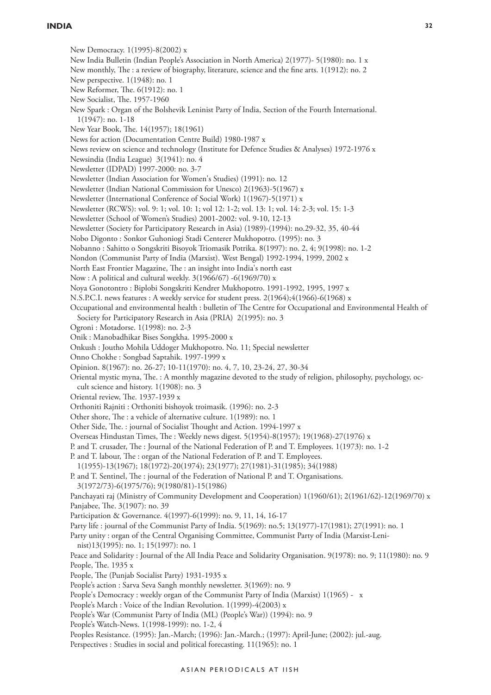## **india 32**

New Democracy. 1(1995)-8(2002) x New India Bulletin (Indian People's Association in North America) 2(1977)- 5(1980): no. 1 x New monthly, The : a review of biography, literature, science and the fine arts. 1(1912): no. 2 New perspective. 1(1948): no. 1 New Reformer, The. 6(1912): no. 1 New Socialist, The. 1957-1960 New Spark : Organ of the Bolshevik Leninist Party of India, Section of the Fourth International. 1(1947): no. 1-18 New Year Book, The. 14(1957); 18(1961) News for action (Documentation Centre Build) 1980-1987 x News review on science and technology (Institute for Defence Studies & Analyses) 1972-1976 x Newsindia (India League) 3(1941): no. 4 Newsletter (IDPAD) 1997-2000: no. 3-7 Newsletter (Indian Association for Women's Studies) (1991): no. 12 Newsletter (Indian National Commission for Unesco) 2(1963)-5(1967) x Newsletter (International Conference of Social Work) 1(1967)-5(1971) x Newsletter (RCWS): vol. 9: 1; vol. 10: 1; vol 12: 1-2; vol. 13: 1; vol. 14: 2-3; vol. 15: 1-3 Newsletter (School of Women's Studies) 2001-2002: vol. 9-10, 12-13 Newsletter (Society for Participatory Research in Asia) (1989)-(1994): no.29-32, 35, 40-44 Nobo Digonto : Sonkor Guhoniogi Stadi Centerer Mukhopotro. (1995): no. 3 Nobanno : Sahitto o Songskriti Bisoyok Triomasik Potrika. 8(1997): no. 2, 4; 9(1998): no. 1-2 Nondon (Communist Party of India (Marxist). West Bengal) 1992-1994, 1999, 2002 x North East Frontier Magazine, The : an insight into India's north east Now : A political and cultural weekly.  $3(1966/67)$  -6(1969/70) x Noya Gonotontro : Biplobi Songskriti Kendrer Mukhopotro. 1991-1992, 1995, 1997 x N.S.P.C.I. news features : A weekly service for student press. 2(1964);4(1966)-6(1968) x Occupational and environmental health : bulletin of The Centre for Occupational and Environmental Health of Society for Participatory Research in Asia (PRIA) 2(1995): no. 3 Ogroni : Motadorse. 1(1998): no. 2-3 Onik : Manobadhikar Bises Songkha. 1995-2000 x Onkush : Joutho Mohila Uddoger Mukhopotro. No. 11; Special newsletter Onno Chokhe : Songbad Saptahik. 1997-1999 x Opinion. 8(1967): no. 26-27; 10-11(1970): no. 4, 7, 10, 23-24, 27, 30-34 Oriental mystic myna, The. : A monthly magazine devoted to the study of religion, philosophy, psychology, occult science and history. 1(1908): no. 3 Oriental review, The. 1937-1939 x Orthoniti Rajniti : Orthoniti bishoyok troimasik. (1996): no. 2-3 Other shore, The : a vehicle of alternative culture. 1(1989): no. 1 Other Side, The. : journal of Socialist Thought and Action. 1994-1997 x Overseas Hindustan Times, The : Weekly news digest. 5(1954)-8(1957); 19(1968)-27(1976) x P. and T. crusader, The : Journal of the National Federation of P. and T. Employees. 1(1973): no. 1-2 P. and T. labour, The : organ of the National Federation of P. and T. Employees. 1(1955)-13(1967); 18(1972)-20(1974); 23(1977); 27(1981)-31(1985); 34(1988) P. and T. Sentinel, The : journal of the Federation of National P. and T. Organisations. 3(1972/73)-6(1975/76); 9(1980/81)-15(1986) Panchayati raj (Ministry of Community Development and Cooperation) 1(1960/61); 2(1961/62)-12(1969/70) x Panjabee, The. 3(1907): no. 39 Participation & Governance. 4(1997)-6(1999): no. 9, 11, 14, 16-17 Party life : journal of the Communist Party of India. 5(1969): no.5; 13(1977)-17(1981); 27(1991): no. 1 Party unity : organ of the Central Organising Committee, Communist Party of India (Marxist-Leninist)13(1995): no. 1; 15(1997): no. 1 Peace and Solidarity : Journal of the All India Peace and Solidarity Organisation. 9(1978): no. 9; 11(1980): no. 9 People, The. 1935 x People, The (Punjab Socialist Party) 1931-1935 x People's action : Sarva Seva Sangh monthly newsletter. 3(1969): no. 9 People's Democracy : weekly organ of the Communist Party of India (Marxist) 1(1965) - x People's March : Voice of the Indian Revolution. 1(1999)-4(2003) x People's War (Communist Party of India (ML) (People's War)) (1994): no. 9 People's Watch-News. 1(1998-1999): no. 1-2, 4 Peoples Resistance. (1995): Jan.-March; (1996): Jan.-March.; (1997): April-June; (2002): jul.-aug. Perspectives : Studies in social and political forecasting. 11(1965): no. 1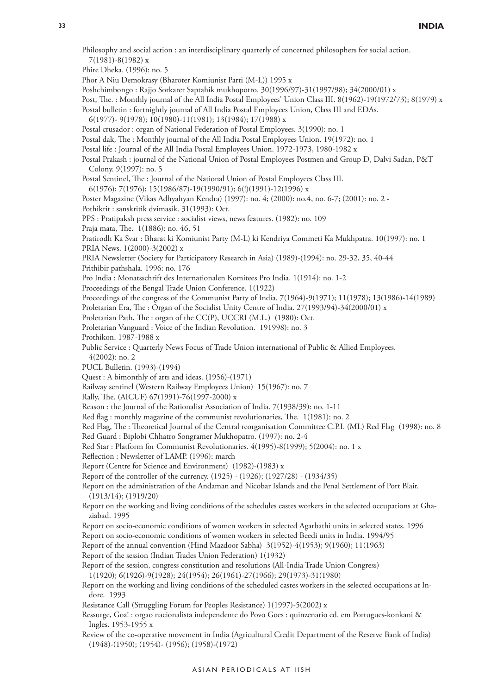Philosophy and social action : an interdisciplinary quarterly of concerned philosophers for social action. 7(1981)-8(1982) x Phire Dheka. (1996): no. 5 Phor A Niu Demokrasy (Bharoter Komiunist Parti (M-L)) 1995 x Poshchimbongo : Rajjo Sorkarer Saptahik mukhopotro. 30(1996/97)-31(1997/98); 34(2000/01) x Post, The. : Monthly journal of the All India Postal Employees' Union Class III. 8(1962)-19(1972/73); 8(1979) x Postal bulletin : fortnightly journal of All India Postal Employees Union, Class III and EDAs. 6(1977)- 9(1978); 10(1980)-11(1981); 13(1984); 17(1988) x Postal crusador : organ of National Federation of Postal Employees. 3(1990): no. 1 Postal dak, The : Monthly journal of the All India Postal Employees Union. 19(1972): no. 1 Postal life : Journal of the All India Postal Employees Union. 1972-1973, 1980-1982 x Postal Prakash : journal of the National Union of Postal Employees Postmen and Group D, Dalvi Sadan, P&T Colony. 9(1997): no. 5 Postal Sentinel, The : Journal of the National Union of Postal Employees Class III. 6(1976); 7(1976); 15(1986/87)-19(1990/91); 6(!)(1991)-12(1996) x Poster Magazine (Vikas Adhyahyan Kendra) (1997): no. 4; (2000): no.4, no. 6-7; (2001): no. 2 - Pothikrit : sanskritik dvimasik. 31(1993): Oct. PPS : Pratipaksh press service : socialist views, news features. (1982): no. 109 Praja mata, The. 1(1886): no. 46, 51 Pratirodh Ka Svar : Bharat ki Komiunist Party (M-L) ki Kendriya Commeti Ka Mukhpatra. 10(1997): no. 1 PRIA News. 1(2000)-3(2002) x PRIA Newsletter (Society for Participatory Research in Asia) (1989)-(1994): no. 29-32, 35, 40-44 Prithibir pathshala. 1996: no. 176 Pro India : Monatsschrift des Internationalen Komitees Pro India. 1(1914): no. 1-2 Proceedings of the Bengal Trade Union Conference. 1(1922) Proceedings of the congress of the Communist Party of India. 7(1964)-9(1971); 11(1978); 13(1986)-14(1989) Proletarian Era, The : Organ of the Socialist Unity Centre of India. 27(1993/94)-34(2000/01) x Proletarian Path, The : organ of the CC(P), UCCRI (M.L.) (1980): Oct. Proletarian Vanguard : Voice of the Indian Revolution. 191998): no. 3 Prothikon. 1987-1988 x Public Service : Quarterly News Focus of Trade Union international of Public & Allied Employees. 4(2002): no. 2 PUCL Bulletin. (1993)-(1994) Quest : A bimonthly of arts and ideas. (1956)-(1971) Railway sentinel (Western Railway Employees Union) 15(1967): no. 7 Rally, The. (AICUF) 67(1991)-76(1997-2000) x Reason : the Journal of the Rationalist Association of India. 7(1938/39): no. 1-11 Red flag : monthly magazine of the communist revolutionaries, The. 1(1981): no. 2 Red Flag, The : Theoretical Journal of the Central reorganisation Committee C.P.I. (ML) Red Flag (1998): no. 8 Red Guard : Biplobi Chhatro Songramer Mukhopatro. (1997): no. 2-4 Red Star : Platform for Communist Revolutionaries. 4(1995)-8(1999); 5(2004): no. 1 x Reflection : Newsletter of LAMP. (1996): march Report (Centre for Science and Environment) (1982)-(1983) x Report of the controller of the currency. (1925) - (1926); (1927/28) - (1934/35) Report on the administration of the Andaman and Nicobar Islands and the Penal Settlement of Port Blair. (1913/14); (1919/20) Report on the working and living conditions of the schedules castes workers in the selected occupations at Ghaziabad. 1995 Report on socio-economic conditions of women workers in selected Agarbathi units in selected states. 1996 Report on socio-economic conditions of women workers in selected Beedi units in India. 1994/95 Report of the annual convention (Hind Mazdoor Sabha) 3(1952)-4(1953); 9(1960); 11(1963) Report of the session (Indian Trades Union Federation) 1(1932) Report of the session, congress constitution and resolutions (All-India Trade Union Congress) 1(1920); 6(1926)-9(1928); 24(1954); 26(1961)-27(1966); 29(1973)-31(1980) Report on the working and living conditions of the scheduled castes workers in the selected occupations at Indore. 1993 Resistance Call (Struggling Forum for Peoples Resistance) 1(1997)-5(2002) x Ressurge, Goa! : orgao nacionalista independente do Povo Goes : quinzenario ed. em Portugues-konkani & Ingles. 1953-1955 x Review of the co-operative movement in India (Agricultural Credit Department of the Reserve Bank of India) (1948)-(1950); (1954)- (1956); (1958)-(1972)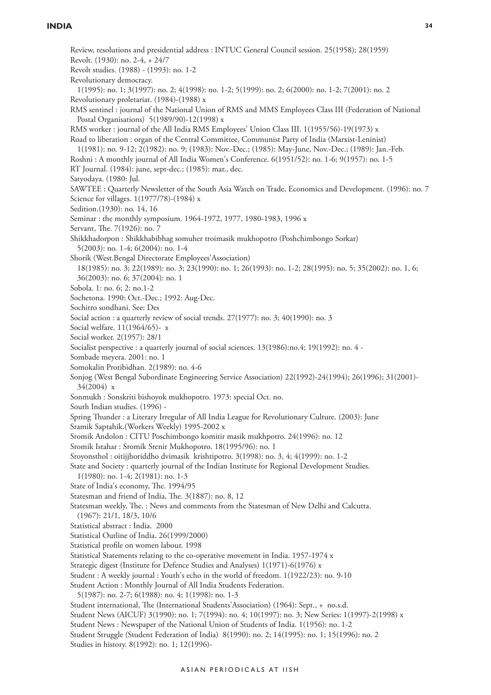## **IndIA 34**

Review, resolutions and presidential address : INTUC General Council session. 25(1958); 28(1959) Revolt. (1930): no. 2-4, + 24/7 Revolt studies. (1988) - (1993): no. 1-2 Revolutionary democracy. 1(1995): no. 1; 3(1997): no. 2; 4(1998): no. 1-2; 5(1999): no. 2; 6(2000): no. 1-2; 7(2001): no. 2 Revolutionary proletariat. (1984)-(1988) x RMS sentinel : journal of the National Union of RMS and MMS Employees Class III (Federation of National Postal Organisations) 5(1989/90)-12(1998) x RMS worker : journal of the All India RMS Employees' Union Class III. 1(1955/56)-19(1973) x Road to liberation : organ of the Central Committee, Communist Party of India (Marxist-Leninist) 1(1981): no. 9-12; 2(1982): no. 9; (1983): Nov.-Dec.; (1985): May-June, Nov.-Dec.; (1989): Jan.-Feb. Roshni : A monthly journal of All India Women's Conference. 6(1951/52): no. 1-6; 9(1957): no. 1-5 RT Journal. (1984): june, sept-dec.; (1985): mar., dec. Satyodaya. (1980: Jul. SAWTEE : Quarterly Newsletter of the South Asia Watch on Trade, Economics and Development. (1996): no. 7 Science for villages. 1(1977/78)-(1984) x Sedition.(1930): no. 14, 16 Seminar : the monthly symposium. 1964-1972, 1977, 1980-1983, 1996 x Servant, The. 7(1926): no. 7 Shikkhadorpon : Shikkhabibhag somuher troimasik mukhopotro (Poshchimbongo Sorkar) 5(2003): no. 1-4; 6(2004): no. 1-4 Shorik (West.Bengal Directorate Employees'Association) 18(1985): no. 3; 22(1989): no. 3; 23(1990): no. 1; 26(1993): no. 1-2; 28(1995): no. 5; 35(2002): no. 1, 6; 36(2003): no. 6; 37(2004): no. 1 Sobola. 1: no. 6; 2: no.1-2 Sochetona. 1990: Oct.-Dec.; 1992: Aug-Dec. Sochitro sondhani. See: Des Social action : a quarterly review of social trends. 27(1977): no. 3; 40(1990): no. 3 Social welfare. 11(1964/65)- x Social worker. 2(1957): 28/1 Socialist perspective : a quarterly journal of social sciences. 13(1986):no.4; 19(1992): no. 4 -Sombade meyera. 2001: no. 1 Somokalin Protibidhan. 2(1989): no. 4-6 Sonjog (West Bengal Subordinate Engineering Service Association) 22(1992)-24(1994); 26(1996); 31(2001)- 34(2004) x Sonmukh : Sonskriti bishoyok mukhopotro. 1973: special Oct. no. South Indian studies. (1996) - Spring Thunder : a Literary Irregular of All India League for Revolutionary Culture. (2003): June Sramik Saptahik.(Workers Weekly) 1995-2002 x Sromik Andolon : CITU Poschimbongo komitir masik mukhpotro. 24(1996): no. 12 Sromik Istahar : Sromik Srenir Mukhopotro. 18(1995/96): no. 1 Sroyonsthol : oitijjhoriddho dvimasik krishtipotro. 3(1998): no. 3, 4; 4(1999): no. 1-2 State and Society : quarterly journal of the Indian Institute for Regional Development Studies. 1(1980): no. 1-4; 2(1981): no. 1-3 State of India's economy, The. 1994/95 Statesman and friend of India, The. 3(1887): no. 8, 12 Statesman weekly, The. : News and comments from the Statesman of New Delhi and Calcutta. (1967): 21/1, 18/3, 10/6 Statistical abstract : India. 2000 Statistical Outline of India. 26(1999/2000) Statistical profile on women labour. 1998 Statistical Statements relating to the co-operative movement in India. 1957-1974 x Strategic digest (Institute for Defence Studies and Analyses) 1(1971)-6(1976) x Student : A weekly journal : Youth's echo in the world of freedom. 1(1922/23): no. 9-10 Student Action : Monthly Journal of All India Students Federation. 5(1987): no. 2-7; 6(1988): no. 4; 1(1998): no. 1-3 Student international, The (International Students'Association) (1964): Sept., + no.s.d. Student News (AICUF) 3(1990): no. 1; 7(1994): no. 4; 10(1997): no. 3; New Series: 1(1997)-2(1998) x Student News : Newspaper of the National Union of Students of India. 1(1956): no. 1-2 Student Struggle (Student Federation of India) 8(1990): no. 2; 14(1995): no. 1; 15(1996): no. 2 Studies in history. 8(1992): no. 1; 12(1996)-

#### ASIAN PERIODICALS AT IISH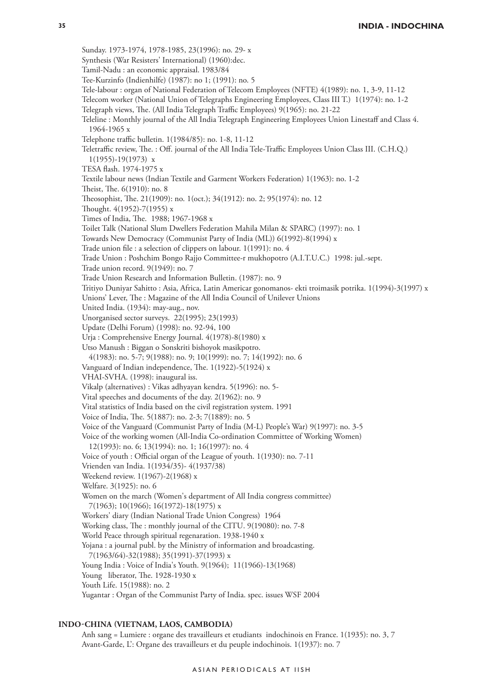Sunday. 1973-1974, 1978-1985, 23(1996): no. 29- x Synthesis (War Resisters' International) (1960):dec. Tamil-Nadu : an economic appraisal. 1983/84 Tee-Kurzinfo (Indienhilfe) (1987): no 1; (1991): no. 5 Tele-labour : organ of National Federation of Telecom Employees (NFTE) 4(1989): no. 1, 3-9, 11-12 Telecom worker (National Union of Telegraphs Engineering Employees, Class III T.) 1(1974): no. 1-2 Telegraph views, The. (All India Telegraph Traffic Employees) 9(1965): no. 21-22 Teleline : Monthly journal of the All India Telegraph Engineering Employees Union Linestaff and Class 4. 1964-1965 x Telephone traffic bulletin. 1(1984/85): no. 1-8, 11-12 Teletraffic review, The. : Off. journal of the All India Tele-Traffic Employees Union Class III. (C.H.Q.) 1(1955)-19(1973) x TESA flash. 1974-1975 x Textile labour news (Indian Textile and Garment Workers Federation) 1(1963): no. 1-2 Theist, The. 6(1910): no. 8 Theosophist, The. 21(1909): no. 1(oct.); 34(1912): no. 2; 95(1974): no. 12 Thought. 4(1952)-7(1955) x Times of India, The. 1988; 1967-1968 x Toilet Talk (National Slum Dwellers Federation Mahila Milan & SPARC) (1997): no. 1 Towards New Democracy (Communist Party of India (ML)) 6(1992)-8(1994) x Trade union file : a selection of clippers on labour. 1(1991): no. 4 Trade Union : Poshchim Bongo Rajjo Committee-r mukhopotro (A.I.T.U.C.) 1998: jul.-sept. Trade union record. 9(1949): no. 7 Trade Union Research and Information Bulletin. (1987): no. 9 Tritiyo Duniyar Sahitto : Asia, Africa, Latin Americar gonomanos- ekti troimasik potrika. 1(1994)-3(1997) x Unions' Lever, The : Magazine of the All India Council of Unilever Unions United India. (1934): may-aug., nov. Unorganised sector surveys. 22(1995); 23(1993) Update (Delhi Forum) (1998): no. 92-94, 100 Urja : Comprehensive Energy Journal. 4(1978)-8(1980) x Utso Manush : Biggan o Sonskriti bishoyok masikpotro. 4(1983): no. 5-7; 9(1988): no. 9; 10(1999): no. 7; 14(1992): no. 6 Vanguard of Indian independence, The. 1(1922)-5(1924) x VHAI-SVHA. (1998): inaugural iss. Vikalp (alternatives) : Vikas adhyayan kendra. 5(1996): no. 5- Vital speeches and documents of the day. 2(1962): no. 9 Vital statistics of India based on the civil registration system. 1991 Voice of India, The. 5(1887): no. 2-3; 7(1889): no. 5 Voice of the Vanguard (Communist Party of India (M-L) People's War) 9(1997): no. 3-5 Voice of the working women (All-India Co-ordination Committee of Working Women) 12(1993): no. 6; 13(1994): no. 1; 16(1997): no. 4 Voice of youth : Official organ of the League of youth. 1(1930): no. 7-11 Vrienden van India. 1(1934/35)- 4(1937/38) Weekend review. 1(1967)-2(1968) x Welfare. 3(1925): no. 6 Women on the march (Women's department of All India congress committee) 7(1963); 10(1966); 16(1972)-18(1975) x Workers' diary (Indian National Trade Union Congress) 1964 Working class, The : monthly journal of the CITU. 9(19080): no. 7-8 World Peace through spiritual regenaration. 1938-1940 x Yojana : a journal publ. by the Ministry of information and broadcasting. 7(1963/64)-32(1988); 35(1991)-37(1993) x Young India : Voice of India's Youth. 9(1964); 11(1966)-13(1968) Young liberator, The. 1928-1930 x Youth Life. 15(1988): no. 2 Yugantar : Organ of the Communist Party of India. spec. issues WSF 2004

# <span id="page-34-0"></span>**Indo-China (Vietnam, Laos, Cambodia)**

Anh sang = Lumiere : organe des travailleurs et etudiants indochinois en France. 1(1935): no. 3, 7 Avant-Garde, L': Organe des travailleurs et du peuple indochinois. 1(1937): no. 7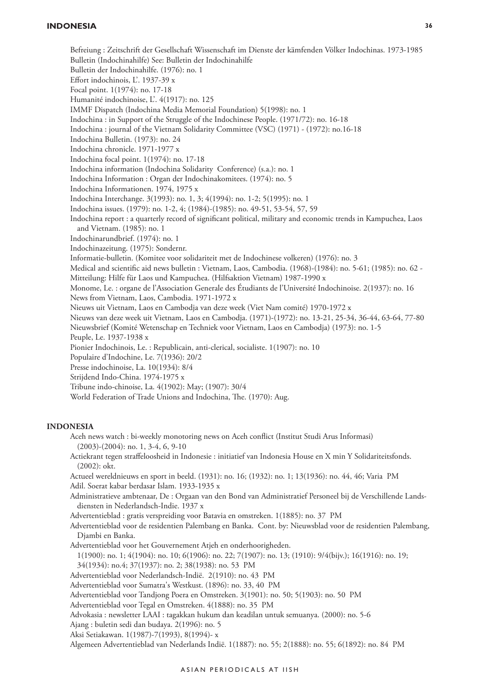#### **indonesia 36**

Befreiung : Zeitschrift der Gesellschaft Wissenschaft im Dienste der kämfenden Völker Indochinas. 1973-1985 Bulletin (Indochinahilfe) See: Bulletin der Indochinahilfe

Bulletin der Indochinahilfe. (1976): no. 1

- Effort indochinois, L'. 1937-39 x
- Focal point. 1(1974): no. 17-18
- Humanité indochinoise, L'. 4(1917): no. 125

IMMF Dispatch (Indochina Media Memorial Foundation) 5(1998): no. 1

Indochina : in Support of the Struggle of the Indochinese People. (1971/72): no. 16-18

Indochina : journal of the Vietnam Solidarity Committee (VSC) (1971) - (1972): no.16-18

- Indochina Bulletin. (1973): no. 24
- Indochina chronicle. 1971-1977 x
- Indochina focal point. 1(1974): no. 17-18

Indochina information (Indochina Solidarity Conference) (s.a.): no. 1

- Indochina Information : Organ der Indochinakomitees. (1974): no. 5
- Indochina Informationen. 1974, 1975 x
- Indochina Interchange. 3(1993): no. 1, 3; 4(1994): no. 1-2; 5(1995): no. 1
- Indochina issues. (1979): no. 1-2, 4; (1984)-(1985): no. 49-51, 53-54, 57, 59
- Indochina report : a quarterly record of significant political, military and economic trends in Kampuchea, Laos and Vietnam. (1985): no. 1
- Indochinarundbrief. (1974): no. 1
- Indochinazeitung. (1975): Sondernr.

Informatie-bulletin. (Komitee voor solidariteit met de Indochinese volkeren) (1976): no. 3

- Medical and scientific aid news bulletin : Vietnam, Laos, Cambodia. (1968)-(1984): no. 5-61; (1985): no. 62 -
- Mitteilung: Hilfe für Laos und Kampuchea. (Hilfsaktion Vietnam) 1987-1990 x

Monome, Le. : organe de l'Association Generale des Étudiants de l'Université Indochinoise. 2(1937): no. 16 News from Vietnam, Laos, Cambodia. 1971-1972 x

Nieuws uit Vietnam, Laos en Cambodja van deze week (Viet Nam comité) 1970-1972 x

Nieuws van deze week uit Vietnam, Laos en Cambodja. (1971)-(1972): no. 13-21, 25-34, 36-44, 63-64, 77-80

Nieuwsbrief (Komité Wetenschap en Techniek voor Vietnam, Laos en Cambodja) (1973): no. 1-5 Peuple, Le. 1937-1938 x

- Pionier Indochinois, Le. : Republicain, anti-clerical, socialiste. 1(1907): no. 10
- Populaire d'Indochine, Le. 7(1936): 20/2
- Presse indochinoise, La. 10(1934): 8/4
- Strijdend Indo-China. 1974-1975 x
- Tribune indo-chinoise, La. 4(1902): May; (1907): 30/4
- World Federation of Trade Unions and Indochina, The. (1970): Aug.

### <span id="page-35-0"></span>**Indonesia**

Aceh news watch : bi-weekly monotoring news on Aceh conflict (Institut Studi Arus Informasi) (2003)-(2004): no. 1, 3-4, 6, 9-10

Actiekrant tegen straffeloosheid in Indonesie : initiatief van Indonesia House en X min Y Solidariteitsfonds. (2002): okt.

Actueel wereldnieuws en sport in beeld. (1931): no. 16; (1932): no. 1; 13(1936): no. 44, 46; Varia PM Adil. Soerat kabar berdasar Islam. 1933-1935 x

- Administratieve ambtenaar, De : Orgaan van den Bond van Administratief Personeel bij de Verschillende Landsdiensten in Nederlandsch-Indie. 1937 x
- Advertentieblad : gratis verspreiding voor Batavia en omstreken. 1(1885): no. 37 PM
- Advertentieblad voor de residentien Palembang en Banka. Cont. by: Nieuwsblad voor de residentien Palembang, Djambi en Banka.
- Advertentieblad voor het Gouvernement Atjeh en onderhoorigheden.
- 1(1900): no. 1; 4(1904): no. 10; 6(1906): no. 22; 7(1907): no. 13; (1910): 9/4(bijv.); 16(1916): no. 19; 34(1934): no.4; 37(1937): no. 2; 38(1938): no. 53 PM

Advertentieblad voor Nederlandsch-Indië. 2(1910): no. 43 PM

Advertentieblad voor Sumatra's Westkust. (1896): no. 33, 40 PM

- Advertentieblad voor Tandjong Poera en Omstreken. 3(1901): no. 50; 5(1903): no. 50 PM
- Advertentieblad voor Tegal en Omstreken. 4(1888): no. 35 PM

Advokasia : newsletter LAAI : tagakkan hukum dan keadilan untuk semuanya. (2000): no. 5-6

Ajang : buletin sedi dan budaya. 2(1996): no. 5

Aksi Setiakawan. 1(1987)-7(1993), 8(1994)- x

Algemeen Advertentieblad van Nederlands Indië. 1(1887): no. 55; 2(1888): no. 55; 6(1892): no. 84 PM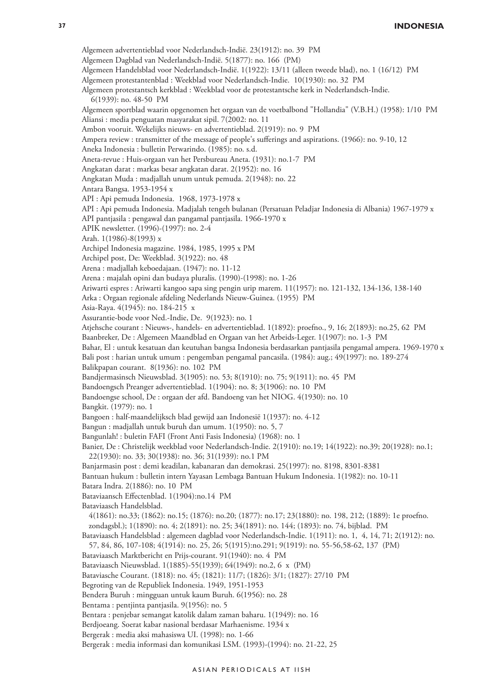Algemeen advertentieblad voor Nederlandsch-Indië. 23(1912): no. 39 PM Algemeen Dagblad van Nederlandsch-Indië. 5(1877): no. 166 (PM) Algemeen Handelsblad voor Nederlandsch-Indië. 1(1922): 13/11 (alleen tweede blad), no. 1 (16/12) PM Algemeen protestantenblad : Weekblad voor Nederlandsch-Indie. 10(1930): no. 32 PM Algemeen protestantsch kerkblad : Weekblad voor de protestantsche kerk in Nederlandsch-Indie. 6(1939): no. 48-50 PM Algemeen sportblad waarin opgenomen het orgaan van de voetbalbond "Hollandia" (V.B.H.) (1958): 1/10 PM Aliansi : media penguatan masyarakat sipil. 7(2002: no. 11 Ambon vooruit. Wekelijks nieuws- en advertentieblad. 2(1919): no. 9 PM Ampera review : transmitter of the message of people's sufferings and aspirations. (1966): no. 9-10, 12 Aneka Indonesia : bulletin Perwarindo. (1985): no. s.d. Aneta-revue : Huis-orgaan van het Persbureau Aneta. (1931): no.1-7 PM Angkatan darat : markas besar angkatan darat. 2(1952): no. 16 Angkatan Muda : madjallah unum untuk pemuda. 2(1948): no. 22 Antara Bangsa. 1953-1954 x API : Api pemuda Indonesia. 1968, 1973-1978 x API : Api pemuda Indonesia. Madjalah tengeh bulanan (Persatuan Peladjar Indonesia di Albania) 1967-1979 x API pantjasila : pengawal dan pangamal pantjasila. 1966-1970 x APIK newsletter. (1996)-(1997): no. 2-4 Arah. 1(1986)-8(1993) x Archipel Indonesia magazine. 1984, 1985, 1995 x PM Archipel post, De: Weekblad. 3(1922): no. 48 Arena : madjallah keboedajaan. (1947): no. 11-12 Arena : majalah opini dan budaya pluralis. (1990)-(1998): no. 1-26 Ariwarti espres : Ariwarti kangoo sapa sing pengin urip marem. 11(1957): no. 121-132, 134-136, 138-140 Arka : Orgaan regionale afdeling Nederlands Nieuw-Guinea. (1955) PM Asia-Raya. 4(1945): no. 184-215 x Assurantie-bode voor Ned.-Indie, De. 9(1923): no. 1 Atjehsche courant : Nieuws-, handels- en advertentieblad. 1(1892): proefno., 9, 16; 2(1893): no.25, 62 PM Baanbreker, De : Algemeen Maandblad en Orgaan van het Arbeids-Leger. 1(1907): no. 1-3 PM Bahar, El : untuk kesatuan dan keutuhan bangsa Indonesia berdasarkan pantjasila pengamal ampera. 1969-1970 x Bali post : harian untuk umum : pengemban pengamal pancasila. (1984): aug.; 49(1997): no. 189-274 Balikpapan courant. 8(1936): no. 102 PM Bandjermasinsch Nieuwsblad. 3(1905): no. 53; 8(1910): no. 75; 9(1911): no. 45 PM Bandoengsch Preanger advertentieblad. 1(1904): no. 8; 3(1906): no. 10 PM Bandoengse school, De : orgaan der afd. Bandoeng van het NIOG. 4(1930): no. 10 Bangkit. (1979): no. 1 Bangoen : half-maandelijksch blad gewijd aan Indonesië 1(1937): no. 4-12 Bangun : madjallah untuk buruh dan umum. 1(1950): no. 5, 7 Bangunlah! : buletin FAFI (Front Anti Fasis Indonesia) (1968): no. 1 Banier, De : Christelijk weekblad voor Nederlandsch-Indie. 2(1910): no.19; 14(1922): no.39; 20(1928): no.1; 22(1930): no. 33; 30(1938): no. 36; 31(1939): no.1 PM Banjarmasin post : demi keadilan, kabanaran dan demokrasi. 25(1997): no. 8198, 8301-8381 Bantuan hukum : bulletin intern Yayasan Lembaga Bantuan Hukum Indonesia. 1(1982): no. 10-11 Batara Indra. 2(1886): no. 10 PM Bataviaansch Effectenblad. 1(1904):no.14 PM Bataviaasch Handelsblad. 4(1861): no.33; (1862): no.15; (1876): no.20; (1877): no.17; 23(1880): no. 198, 212; (1889): 1e proefno. zondagsbl.); 1(1890): no. 4; 2(1891): no. 25; 34(1891): no. 144; (1893): no. 74, bijblad. PM Bataviaasch Handelsblad : algemeen dagblad voor Nederlandsch-Indie. 1(1911): no. 1, 4, 14, 71; 2(1912): no. 57, 84, 86, 107-108; 4(1914): no. 25, 26; 5(1915):no.291; 9(1919): no. 55-56,58-62, 137 (PM) Bataviaasch Marktbericht en Prijs-courant. 91(1940): no. 4 PM Bataviaasch Nieuwsblad. 1(1885)-55(1939); 64(1949): no.2, 6 x (PM) Bataviasche Courant. (1818): no. 45; (1821): 11/7; (1826): 3/1; (1827): 27/10 PM Begroting van de Republiek Indonesia. 1949, 1951-1953 Bendera Buruh : mingguan untuk kaum Buruh. 6(1956): no. 28 Bentama : pentjinta pantjasila. 9(1956): no. 5 Bentara : penjebar semangat katolik dalam zaman baharu. 1(1949): no. 16 Berdjoeang. Soerat kabar nasional berdasar Marhaenisme. 1934 x Bergerak : media aksi mahasiswa UI. (1998): no. 1-66 Bergerak : media informasi dan komunikasi LSM. (1993)-(1994): no. 21-22, 25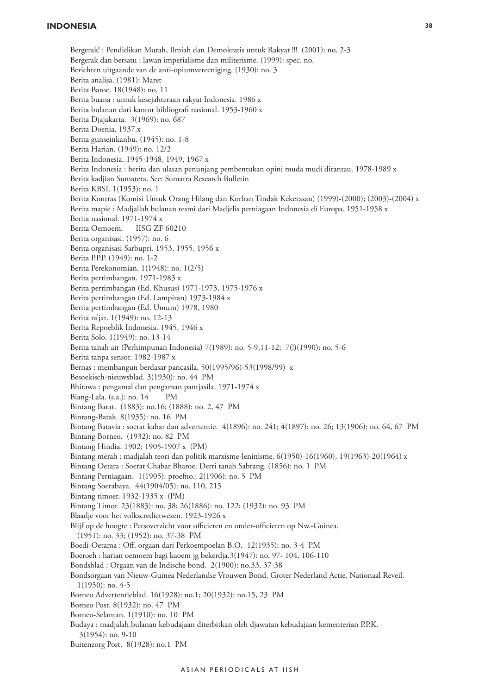Bergerak! : Pendidikan Murah, Ilmiah dan Demokratis untuk Rakyat !!! (2001): no. 2-3 Bergerak dan bersatu : lawan imperialisme dan militerisme. (1999): spec. no. Berichten uitgaande van de anti-opiumvereeniging. (1930): no. 3 Berita analisa. (1981): Maret Berita Baroe. 18(1948): no. 11 Berita buana : untuk kesejahteraan rakyat Indonesia. 1986 x Berita bulanan dari kantor bibliografi nasional. 1953-1960 x Berita Djajakarta. 3(1969): no. 687 Berita Doenia. 1937.x Berita gunseinkanbu. (1945): no. 1-8 Berita Harian. (1949): no. 12/2 Berita Indonesia. 1945-1948, 1949, 1967 x Berita Indonesia : berita dan ulasan penunjang pembentukan opini muda mudi dirantau. 1978-1989 x Berita kadjian Sumatera. See: Sumatra Research Bulletin Berita KBSI. 1(1953): no. 1 Berita Kontras (Komisi Untuk Orang Hilang dan Korban Tindak Kekerasan) (1999)-(2000); (2003)-(2004) x Berita mapie : Madjallah bulanan resmi dari Madjelis perniagaan Indonesia di Europa. 1951-1958 x Berita nasional. 1971-1974 x<br>Berita Oemoem. IISG ZF 60210 Berita Oemoem. Berita organisasi. (1957): no. 6 Berita organisasi Sarbupri. 1953, 1955, 1956 x Berita P.P.P. (1949): no. 1-2 Berita Perekonomian. 1(1948): no. 1(2/5) Berita pertimbangan. 1971-1983 x Berita pertimbangan (Ed. Khusus) 1971-1973, 1975-1976 x Berita pertimbangan (Ed. Lampiran) 1973-1984 x Berita pertimbangan (Ed. Umum) 1978, 1980 Berita ra'jat. 1(1949): no. 12-13 Berita Repoeblik Indonesia. 1945, 1946 x Berita Solo. 1(1949): no. 13-14 Berita tanah air (Perhimpunan Indonesia) 7(1989): no. 5-9,11-12; 7(!)(1990): no. 5-6 Berita tanpa sensor. 1982-1987 x Bernas : membangun berdasar pancasila. 50(1995/96)-53(1998/99) x Besoekisch-nieuwsblad. 3(1930): no. 44 PM Bhirawa : pengamal dan pengaman pantjasila. 1971-1974 x Biang-Lala. (s.a.): no. 14 PM Bintang Barat. (1883): no.16; (1888): no. 2, 47 PM Bintang-Batak. 8(1935): no. 16 PM Bintang Batavia : soerat kabar dan advertentie. 4(1896): no. 241; 4(1897): no. 26; 13(1906): no. 64, 67 PM Bintang Borneo. (1932): no. 82 PM Bintang Hindia. 1902; 1905-1907 x (PM) Bintang merah : madjalah teori dan politik marxisme-leninisme. 6(1950)-16(1960), 19(1963)-20(1964) x Bintang Oetara : Soerat Chabar Bharoe. Derri tanah Sabrang. (1856): no. 1 PM Bintang Perniagaan. 1(1905): proefno.; 2(1906): no. 5 PM Bintang Soerabaya. 44(1904/05): no. 110, 215 Bintang timoer. 1932-1935 x (PM) Bintang Timor. 23(1883): no. 38; 26(1886): no. 122; (1932): no. 93 PM Blaadje voor het volkscredietwezen. 1923-1926 x Blijf op de hoogte : Persoverzicht voor officieren en onder-officieren op Nw.-Guinea. (1951): no. 33; (1952): no. 37-38 PM Boedi-Oetama : Off. orgaan dari Perkoempoelan B.O. 12(1935): no. 3-4 PM Boeroeh : harian oemoem bagi kaoem jg bekerdja.3(1947): no. 97- 104, 106-110 Bondsblad : Orgaan van de Indische bond. 2(1900): no.33, 37-38 Bondsorgaan van Nieuw-Guinea Nederlandse Vrouwen Bond, Groter Nederland Actie, Nationaal Reveil. 1(1950): no. 4-5 Borneo Advertentieblad. 16(1928): no.1; 20(1932): no.15, 23 PM Borneo Post. 8(1932): no. 47 PM Borneo-Selantan. 1(1910): no. 10 PM Budaya : madjalah bulanan kebudajaan diterbitkan oleh djawatan kebudajaan kementerian P.P.K. 3(1954): no. 9-10

Buitenzorg Post. 8(1928): no.1 PM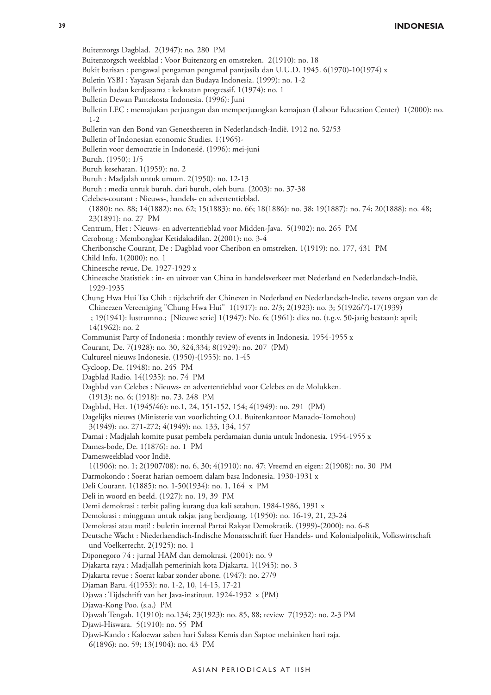- Buitenzorgsch weekblad : Voor Buitenzorg en omstreken. 2(1910): no. 18
- Bukit barisan : pengawal pengaman pengamal pantjasila dan U.U.D. 1945. 6(1970)-10(1974) x
- Buletin YSBI : Yayasan Sejarah dan Budaya Indonesia. (1999): no. 1-2
- Bulletin badan kerdjasama : keknatan progressif. 1(1974): no. 1
- Bulletin Dewan Pantekosta Indonesia. (1996): Juni
- Bulletin LEC : memajukan perjuangan dan memperjuangkan kemajuan (Labour Education Center) 1(2000): no.  $1 - 2$
- Bulletin van den Bond van Geneesheeren in Nederlandsch-Indië. 1912 no. 52/53
- Bulletin of Indonesian economic Studies. 1(1965)-
- Bulletin voor democratie in Indonesië. (1996): mei-juni
- Buruh. (1950): 1/5
- Buruh kesehatan. 1(1959): no. 2
- Buruh : Madjalah untuk umum. 2(1950): no. 12-13
- Buruh : media untuk buruh, dari buruh, oleh buru. (2003): no. 37-38
- Celebes-courant : Nieuws-, handels- en advertentieblad.
- (1880): no. 88; 14(1882): no. 62; 15(1883): no. 66; 18(1886): no. 38; 19(1887): no. 74; 20(1888): no. 48; 23(1891): no. 27 PM
- Centrum, Het : Nieuws- en advertentieblad voor Midden-Java. 5(1902): no. 265 PM
- Cerobong : Membongkar Ketidakadilan. 2(2001): no. 3-4
- Cheribonsche Courant, De : Dagblad voor Cheribon en omstreken. 1(1919): no. 177, 431 PM
- Child Info. 1(2000): no. 1
- Chineesche revue, De. 1927-1929 x
- Chineesche Statistiek : in- en uitvoer van China in handelsverkeer met Nederland en Nederlandsch-Indië, 1929-1935
- Chung Hwa Hui Tsa Chih : tijdschrift der Chinezen in Nederland en Nederlandsch-Indie, tevens orgaan van de Chineezen Vereeniging "Chung Hwa Hui" 1(1917): no. 2/3; 2(1923): no. 3; 5(1926/7)-17(1939) ; 19(1941): lustrumno.; [Nieuwe serie] 1(1947): No. 6; (1961): dies no. (t.g.v. 50-jarig bestaan): april;
	- 14(1962): no. 2
- Communist Party of Indonesia : monthly review of events in Indonesia. 1954-1955 x
- Courant, De. 7(1928): no. 30, 324,334; 8(1929): no. 207 (PM)
- Cultureel nieuws Indonesie. (1950)-(1955): no. 1-45
- Cycloop, De. (1948): no. 245 PM
- Dagblad Radio. 14(1935): no. 74 PM
- Dagblad van Celebes : Nieuws- en advertentieblad voor Celebes en de Molukken. (1913): no. 6; (1918): no. 73, 248 PM
- Dagblad, Het. 1(1945/46): no.1, 24, 151-152, 154; 4(1949): no. 291 (PM)
- Dagelijks nieuws (Ministerie van voorlichting O.I. Buitenkantoor Manado-Tomohou) 3(1949): no. 271-272; 4(1949): no. 133, 134, 157
- Damai : Madjalah komite pusat pembela perdamaian dunia untuk Indonesia. 1954-1955 x
- Dames-bode, De. 1(1876): no. 1 PM
- Damesweekblad voor Indië.
- 1(1906): no. 1; 2(1907/08): no. 6, 30; 4(1910): no. 47; Vreemd en eigen: 2(1908): no. 30 PM
- Darmokondo : Soerat harian oemoem dalam basa Indonesia. 1930-1931 x
- Deli Courant. 1(1885): no. 1-50(1934): no. 1, 164 x PM
- Deli in woord en beeld. (1927): no. 19, 39 PM
- Demi demokrasi : terbit paling kurang dua kali setahun. 1984-1986, 1991 x
- Demokrasi : mingguan untuk rakjat jang berdjoang. 1(1950): no. 16-19, 21, 23-24
- Demokrasi atau mati! : buletin internal Partai Rakyat Demokratik. (1999)-(2000): no. 6-8
- Deutsche Wacht : Niederlaendisch-Indische Monatsschrift fuer Handels- und Kolonialpolitik, Volkswirtschaft und Voelkerrecht. 2(1925): no. 1
- Diponegoro 74 : jurnal HAM dan demokrasi. (2001): no. 9
- Djakarta raya : Madjallah pemeriniah kota Djakarta. 1(1945): no. 3
- Djakarta revue : Soerat kabar zonder abone. (1947): no. 27/9
- Djaman Baru. 4(1953): no. 1-2, 10, 14-15, 17-21
- Djawa : Tijdschrift van het Java-instituut. 1924-1932 x (PM)
- Djawa-Kong Poo. (s.a.) PM
- Djawah Tengah. 1(1910): no.134; 23(1923): no. 85, 88; review 7(1932): no. 2-3 PM
- Djawi-Hiswara. 5(1910): no. 55 PM
- Djawi-Kando : Kaloewar saben hari Salasa Kemis dan Saptoe melainken hari raja.
- 6(1896): no. 59; 13(1904): no. 43 PM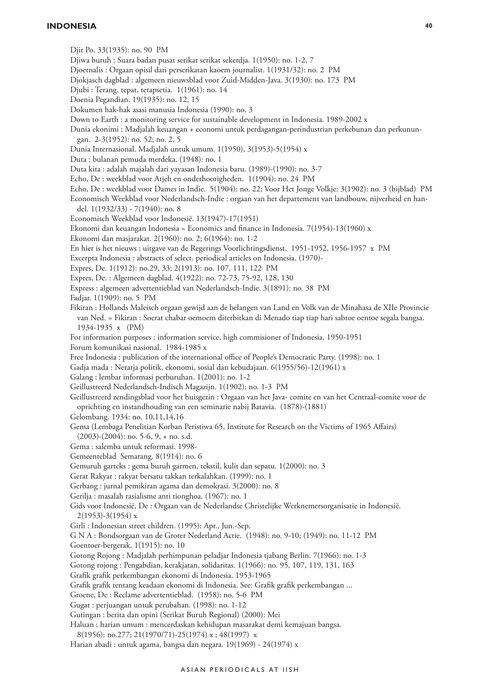Djit Po. 33(1935): no. 90 PM Djiwa buruh : Suara badan pusat serikat serikat sekerdja. 1(1950): no. 1-2, 7 Djoernalis : Orgaan opisil dari perserikatan kaoem journalist. 1(1931/32): no. 2 PM Djokjasch dagblad : algemeen nieuwsblad voor Zuid-Midden-Java. 3(1930): no. 173 PM Djubi : Terang, tepat, tetapsetia. 1(1961): no. 14 Doenia Pegandian. 19(1935): no. 12, 15 Dokumen hak-hak asasi manusia Indonesia (1990): no. 3 Down to Earth : a monitoring service for sustainable development in Indonesia. 1989-2002 x Dunia ekonimi : Madjalah keuangan + economi untuk perdagangan-perindustrian perkebunan dan perkunungan. 2-3(1952): no. 52; no. 2, 5 Dunia Internasional. Madjalah untuk umum. 1(1950), 3(1953)-5(1954) x Duta : bulanan pemuda merdeka. (1948): no. 1 Duta kita : adalah majalah dari yayasan Indonesia baru. (1989)-(1990): no. 3-7 Echo, De : weekblad voor Atjeh en onderhoorigheden. 1(1904): no. 24 PM Echo, De : weekblad voor Dames in Indie. 5(1904): no. 22; Voor Het Jonge Volkje: 3(1902): no. 3 (bijblad) PM Economisch Weekblad voor Nederlandsch-Indie : orgaan van het departement van landbouw, nijverheid en handel. 1(1932/33) - 7(1940): no. 8 Economisch Weekblad voor Indonesië. 13(1947)-17(1951) Ekonomi dan keuangan Indonesia = Economics and finance in Indonesia. 7(1954)-13(1960) x Ekonomi dan masjarakat. 2(1960): no. 2; 6(1964): no. 1-2 En hier is het nieuws : uitgave van de Regerings Voorlichtingsdienst. 1951-1952, 1956-1957 x PM Excerpta Indonesia : abstracts of select. periodical articles on Indonesia. (1970)- Expres, De. 1(1912): no.29, 33; 2(1913): no. 107, 111, 122 PM Expres, De. : Algemeen dagblad. 4(1922): no. 72-73, 75-92, 128, 130 Express : algemeen advertentieblad van Nederlandsch-Indie. 3(1891): no. 38 PM Fadjar. 1(1909): no. 5 PM Fikiran : Hollands Maleisch orgaan gewijd aan de belangen van Land en Volk van de Minahasa de XIIe Provincie van Ned. = Fikiran : Soerat chabar oemoem diterbitkan di Menado tiap tiap hari sabtoe oentoe segala bangsa. 1934-1935 x (PM) For information purposes : information service, high commisioner of Indonesia. 1950-1951 Forum komunikasi nasional. 1984-1985 x Free Indonesia : publication of the international office of People's Democratic Party. (1998): no. 1 Gadja mada : Neratja politik, ekonomi, sosial dan kebudajaan. 6(1955/56)-12(1961) x Galang : lembar informasi perburuhan. 1(2001): no. 1-2 Geillustreerd Nederlandsch-Indisch Magazijn. 1(1902): no. 1-3 PM Geillustreerd zendingsblad voor het huisgezin : Orgaan van het Java- comite en van het Centraal-comite voor de oprichting en instandhouding van een seminarie nabij Batavia. (1878)-(1881) Gelombang. 1934: no. 10,11,14,16 Gema (Lembaga Penelitian Korban Peristiwa 65, Institute for Research on the Victims of 1965 Affairs) (2003)-(2004): no. 5-6, 9, + no. s.d. Gema : salemba untuk reformasi. 1998- Gemeenteblad Semarang. 8(1914): no. 6 Gemuruh garteks : gema buruh garmen, tekstil, kulit dan sepatu. 1(2000): no. 3 Gerat Rakyat : rakyat bersatu takkan terkalahkan. (1999): no. 1 Gerbang : jurnal pemikiran agama dan demokrasi. 3(2000): no. 8 Gerilja : masalah rasialisme anti tionghoa. (1967): no. 1 Gids voor Indonesië, De : Orgaan van de Nederlandse Christelijke Werknemersorganisatie in Indonesië. 2(1953)-3(1954) x Girli : Indonesian street children. (1995): Apr., Jun.-Sep. G N A : Bondsorgaan van de Groter Nederland Actie. (1948): no. 9-10; (1949): no. 11-12 PM Goentoer-bergerak. 1(1915): no. 10 Gotong Rojong : Madjalah perhimpunan peladjar Indonesia tjabang Berlin. 7(1966): no. 1-3 Gotong rojong : Pengabdian, kerakjatan, solidaritas. 1(1966): no. 95, 107, 119, 131, 163 Grafik grafik perkembangan ekonomi di Indonesia. 1953-1965 Grafik grafik tentang keadaan ekonomi di Indonesia. See: Grafik grafik perkembangan ... Groene, De : Reclame advertentieblad. (1958): no. 5-6 PM Gugat : perjuangan untuk perubahan. (1998): no. 1-12 Gutingan : berita dan opini (Serikat Buruh Regional) (2000): Mei Haluan : harian umum : mencerdaskan kehidupan masarakat demi kemajuan bangsa. 8(1956): no.277; 21(1970/71)-25(1974) x ; 48(1997) x

Harian abadi : untuk agama, bangsa dan negara. 19(1969) - 24(1974) x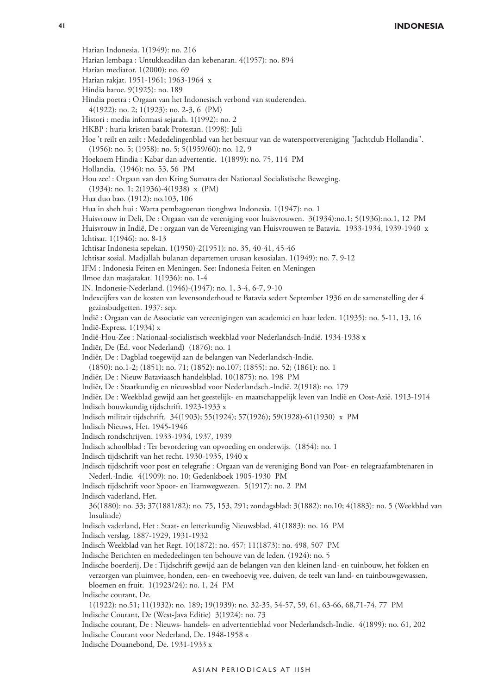- Harian lembaga : Untukkeadilan dan kebenaran. 4(1957): no. 894
- Harian mediator. 1(2000): no. 69
- Harian rakjat. 1951-1961; 1963-1964 x
- Hindia baroe. 9(1925): no. 189
- Hindia poetra : Orgaan van het Indonesisch verbond van studerenden.
- 4(1922): no. 2; 1(1923): no. 2-3, 6 (PM)
- Histori : media informasi sejarah. 1(1992): no. 2
- HKBP : huria kristen batak Protestan. (1998): Juli
- Hoe 't reilt en zeilt : Mededelingenblad van het bestuur van de watersportvereniging "Jachtclub Hollandia". (1956): no. 5; (1958): no. 5; 5(1959/60): no. 12, 9
- Hoekoem Hindia : Kabar dan advertentie. 1(1899): no. 75, 114 PM
- Hollandia. (1946): no. 53, 56 PM
- Hou zee! : Orgaan van den Kring Sumatra der Nationaal Socialistische Beweging.
- (1934): no. 1; 2(1936)-4(1938) x (PM)
- Hua duo bao. (1912): no.103, 106
- Hua in sheh hui : Warta pembagoenan tionghwa Indonesia. 1(1947): no. 1
- Huisvrouw in Deli, De : Orgaan van de vereniging voor huisvrouwen. 3(1934):no.1; 5(1936):no.1, 12 PM
- Huisvrouw in Indië, De : orgaan van de Vereeniging van Huisvrouwen te Batavia. 1933-1934, 1939-1940 x Ichtisar. 1(1946): no. 8-13
- Ichtisar Indonesia sepekan. 1(1950)-2(1951): no. 35, 40-41, 45-46
- Ichtisar sosial. Madjallah bulanan departemen urusan kesosialan. 1(1949): no. 7, 9-12
- IFM : Indonesia Feiten en Meningen. See: Indonesia Feiten en Meningen
- Ilmoe dan masjarakat. 1(1936): no. 1-4
- IN. Indonesie-Nederland. (1946)-(1947): no. 1, 3-4, 6-7, 9-10
- Indexcijfers van de kosten van levensonderhoud te Batavia sedert September 1936 en de samenstelling der 4 gezinsbudgetten. 1937: sep.
- Indië : Orgaan van de Associatie van vereenigingen van academici en haar leden. 1(1935): no. 5-11, 13, 16 Indië-Express. 1(1934) x
- Indië-Hou-Zee : Nationaal-socialistisch weekblad voor Nederlandsch-Indië. 1934-1938 x
- Indiër, De (Ed. voor Nederland) (1876): no. 1
- Indiër, De : Dagblad toegewijd aan de belangen van Nederlandsch-Indie.
- (1850): no.1-2; (1851): no. 71; (1852): no.107; (1855): no. 52; (1861): no. 1
- Indiër, De : Nieuw Bataviaasch handelsblad. 10(1875): no. 198 PM
- Indiër, De : Staatkundig en nieuwsblad voor Nederlandsch.-Indië. 2(1918): no. 179
- Indiër, De : Weekblad gewijd aan het geestelijk- en maatschappelijk leven van Indië en Oost-Azië. 1913-1914 Indisch bouwkundig tijdschrift. 1923-1933 x
- Indisch militair tijdschrift. 34(1903); 55(1924); 57(1926); 59(1928)-61(1930) x PM
- Indisch Nieuws, Het. 1945-1946
- Indisch rondschrijven. 1933-1934, 1937, 1939
- Indisch schoolblad : Ter bevordering van opvoeding en onderwijs. (1854): no. 1
- Indisch tijdschrift van het recht. 1930-1935, 1940 x
- Indisch tijdschrift voor post en telegrafie : Orgaan van de vereniging Bond van Post- en telegraafambtenaren in Nederl.-Indie. 4(1909): no. 10; Gedenkboek 1905-1930 PM
- Indisch tijdschrift voor Spoor- en Tramwegwezen. 5(1917): no. 2 PM
- Indisch vaderland, Het.
- 36(1880): no. 33; 37(1881/82): no. 75, 153, 291; zondagsblad: 3(1882): no.10; 4(1883): no. 5 (Weekblad van Insulinde)
- Indisch vaderland, Het : Staat- en letterkundig Nieuwsblad. 41(1883): no. 16 PM
- Indisch verslag. 1887-1929, 1931-1932
- Indisch Weekblad van het Regt. 10(1872): no. 457; 11(1873): no. 498, 507 PM
- Indische Berichten en mededeelingen ten behouve van de leden. (1924): no. 5
- Indische boerderij, De : Tijdschrift gewijd aan de belangen van den kleinen land- en tuinbouw, het fokken en verzorgen van pluimvee, honden, een- en tweehoevig vee, duiven, de teelt van land- en tuinbouwgewassen, bloemen en fruit. 1(1923/24): no. 1, 24 PM
- Indische courant, De.
- 1(1922): no.51; 11(1932): no. 189; 19(1939): no. 32-35, 54-57, 59, 61, 63-66, 68,71-74, 77 PM Indische Courant, De (West-Java Editie) 3(1924): no. 73
- Indische courant, De : Nieuws- handels- en advertentieblad voor Nederlandsch-Indie. 4(1899): no. 61, 202 Indische Courant voor Nederland, De. 1948-1958 x
- Indische Douanebond, De. 1931-1933 x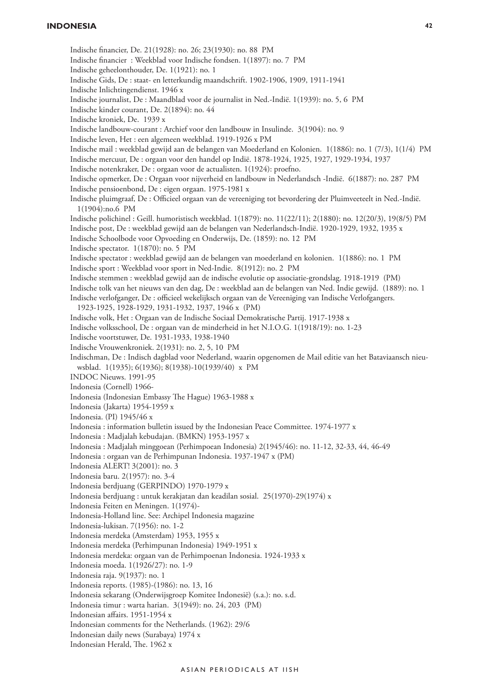Indische financier, De. 21(1928): no. 26; 23(1930): no. 88 PM Indische financier : Weekblad voor Indische fondsen. 1(1897): no. 7 PM Indische geheelonthouder, De. 1(1921): no. 1 Indische Gids, De : staat- en letterkundig maandschrift. 1902-1906, 1909, 1911-1941 Indische Inlichtingendienst. 1946 x Indische journalist, De : Maandblad voor de journalist in Ned.-Indië. 1(1939): no. 5, 6 PM Indische kinder courant, De. 2(1894): no. 44 Indische kroniek, De. 1939 x Indische landbouw-courant : Archief voor den landbouw in Insulinde. 3(1904): no. 9 Indische leven, Het : een algemeen weekblad. 1919-1926 x PM Indische mail : weekblad gewijd aan de belangen van Moederland en Kolonien. 1(1886): no. 1 (7/3), 1(1/4) PM Indische mercuur, De : orgaan voor den handel op Indië. 1878-1924, 1925, 1927, 1929-1934, 1937 Indische notenkraker, De : orgaan voor de actualisten. 1(1924): proefno. Indische opmerker, De : Orgaan voor nijverheid en landbouw in Nederlandsch -Indië. 6(1887): no. 287 PM Indische pensioenbond, De : eigen orgaan. 1975-1981 x Indische pluimgraaf, De : Officieel orgaan van de vereeniging tot bevordering der Pluimveeteelt in Ned.-Indië. 1(1904):no.6 PM Indische polichinel : Geill. humoristisch weekblad. 1(1879): no. 11(22/11); 2(1880): no. 12(20/3), 19(8/5) PM Indische post, De : weekblad gewijd aan de belangen van Nederlandsch-Indië. 1920-1929, 1932, 1935 x Indische Schoolbode voor Opvoeding en Onderwijs, De. (1859): no. 12 PM Indische spectator. 1(1870): no. 5 PM Indische spectator : weekblad gewijd aan de belangen van moederland en kolonien. 1(1886): no. 1 PM Indische sport : Weekblad voor sport in Ned-Indie. 8(1912): no. 2 PM Indische stemmen : weekblad gewijd aan de indische evolutie op associatie-grondslag. 1918-1919 (PM) Indische tolk van het nieuws van den dag, De : weekblad aan de belangen van Ned. Indie gewijd. (1889): no. 1 Indische verlofganger, De : officieel wekelijksch orgaan van de Vereeniging van Indische Verlofgangers. 1923-1925, 1928-1929, 1931-1932, 1937, 1946 x (PM) Indische volk, Het : Orgaan van de Indische Sociaal Demokratische Partij. 1917-1938 x Indische volksschool, De : orgaan van de minderheid in het N.I.O.G. 1(1918/19): no. 1-23 Indische voortstuwer, De. 1931-1933, 1938-1940 Indische Vrouwenkroniek. 2(1931): no. 2, 5, 10 PM Indischman, De : Indisch dagblad voor Nederland, waarin opgenomen de Mail editie van het Bataviaansch nieuwsblad. 1(1935); 6(1936); 8(1938)-10(1939/40) x PM INDOC Nieuws. 1991-95 Indonesia (Cornell) 1966- Indonesia (Indonesian Embassy The Hague) 1963-1988 x Indonesia (Jakarta) 1954-1959 x Indonesia. (PI) 1945/46 x Indonesia : information bulletin issued by the Indonesian Peace Committee. 1974-1977 x Indonesia : Madjalah kebudajan. (BMKN) 1953-1957 x Indonesia : Madjalah minggoean (Perhimpoean Indonesia) 2(1945/46): no. 11-12, 32-33, 44, 46-49 Indonesia : orgaan van de Perhimpunan Indonesia. 1937-1947 x (PM) Indonesia ALERT! 3(2001): no. 3 Indonesia baru. 2(1957): no. 3-4 Indonesia berdjuang (GERPINDO) 1970-1979 x Indonesia berdjuang : untuk kerakjatan dan keadilan sosial. 25(1970)-29(1974) x Indonesia Feiten en Meningen. 1(1974)- Indonesia-Holland line. See: Archipel Indonesia magazine Indonesia-lukisan. 7(1956): no. 1-2 Indonesia merdeka (Amsterdam) 1953, 1955 x Indonesia merdeka (Perhimpunan Indonesia) 1949-1951 x Indonesia merdeka: orgaan van de Perhimpoenan Indonesia. 1924-1933 x Indonesia moeda. 1(1926/27): no. 1-9 Indonesia raja. 9(1937): no. 1 Indonesia reports. (1985)-(1986): no. 13, 16 Indonesia sekarang (Onderwijsgroep Komitee Indonesië) (s.a.): no. s.d. Indonesia timur : warta harian. 3(1949): no. 24, 203 (PM) Indonesian affairs. 1951-1954 x Indonesian comments for the Netherlands. (1962): 29/6 Indonesian daily news (Surabaya) 1974 x Indonesian Herald, The. 1962 x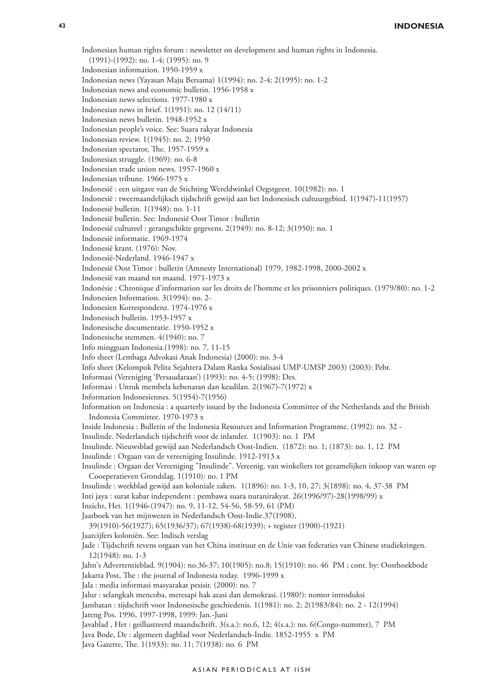Indonesian human rights forum : newsletter on development and human rights in Indonesia.

(1991)-(1992): no. 1-4; (1995): no. 9 Indonesian information. 1950-1959 x

- Indonesian news (Yayasan Maju Bersama) 1(1994): no. 2-4; 2(1995): no. 1-2
- Indonesian news and economic bulletin. 1956-1958 x
- Indonesian news selections. 1977-1980 x
- Indonesian news in brief. 1(1951): no. 12 (14/11)
- Indonesian news bulletin. 1948-1952 x
- Indonesian people's voice. See: Suara rakyat Indonesia
- Indonesian review. 1(1945): no. 2; 1950
- Indonesian spectator, The. 1957-1959 x
- Indonesian struggle. (1969): no. 6-8
- Indonesian trade union news. 1957-1960 x
- Indonesian tribune. 1966-1975 x
- Indonesië : een uitgave van de Stichting Wereldwinkel Oegstgeest. 10(1982): no. 1
- Indonesië : tweemaandelijksch tijdschrift gewijd aan het Indonesisch cultuurgebied. 1(1947)-11(1957)
- Indonesië bulletin. 1(1948): no. 1-11
- Indonesië bulletin. See: Indonesië Oost Timor : bulletin
- Indonesië cultureel : gerangschikte gegevens. 2(1949): no. 8-12; 3(1950): no. 1
- Indonesië informatie. 1969-1974
- Indonesië krant. (1976): Nov.
- Indonesië-Nederland. 1946-1947 x
- Indonesië Oost Timor : bulletin (Amnesty International) 1979, 1982-1998, 2000-2002 x
- Indonesië van maand tot maand. 1971-1973 x
- Indonésie : Chronique d'information sur les droits de l'homme et les prisonniers politiques. (1979/80): no. 1-2
- Indonesien Information. 3(1994): no. 2-
- Indonesien Korrespondenz. 1974-1976 x
- Indonesisch bulletin. 1953-1957 x
- Indonesische documentatie. 1950-1952 x
- Indonesische stemmen. 4(1940): no. 7
- Info mingguan Indonesia.(1998): no. 7, 11-15
- Info sheet (Lembaga Advokasi Anak Indonesia) (2000): no. 3-4
- Info sheet (Kelompok Pelita Sejahtera Dalam Ranka Sosialisasi UMP-UMSP 2003) (2003): Pebr.
- Informasi (Vereniging 'Persaudaraan') (1993): no. 4-5; (1998): Des.
- Informasi : Untuk membela kebenaran dan keadilan. 2(1967)-7(1972) x
- Information Indonesiennes. 5(1954)-7(1956)
- Information on Indonesia : a quarterly issued by the Indonesia Committee of the Netherlands and the British Indonesia Committee. 1970-1973 x
- Inside Indonesia : Bulletin of the Indonesia Resources and Information Programme. (1992): no. 32 -
- Insulinde. Nederlandsch tijdschrift voor de inlander. 1(1903): no. 1 PM
- Insulinde. Nieuwsblad gewijd aan Nederlandsch Oost-Indien. (1872): no. 1; (1873): no. 1, 12 PM
- Insulinde : Orgaan van de vereeniging Insulinde. 1912-1913 x

Insulinde : Orgaan der Vereeniging "Insulinde". Vereenig. van winkeliers tot gezamelijken inkoop van waren op Cooeperatieven Grondslag. 1(1910): no. 1 PM

- Insulinde : weekblad gewijd aan koloniale zaken. 1(1896): no. 1-3, 10, 27; 3(1898): no. 4, 37-38 PM Inti jaya : surat kabar independent : pembawa suara nuranirakyat. 26(1996/97)-28(1998/99) x Inzicht, Het. 1(1946-(1947): no. 9, 11-12, 54-56, 58-59, 61 (PM)
- 
- Jaarboek van het mijnwezen in Nederlandsch Oost-Indie.37(1908), 39(1910)-56(1927); 65(1936/37); 67(1938)-68(1939); + register (1900)-(1921)
- Jaarcijfers koloniën. See: Indisch verslag
- Jade : Tijdschrift tevens orgaan van het China instituut en de Unie van federaties van Chinese studiekringen. 12(1948): no. 1-3
- Jahn's Advertentieblad. 9(1904): no.36-37; 10(1905): no.8; 15(1910): no. 46 PM ; cont. by: Oosthoekbode Jakarta Post, The : the journal of Indonesia today. 1996-1999 x
- Jala : media informasi masyarakat pesisir. (2000): no. 7
- Jalur : selangkah mencoba, meresapi hak azasi dan demokrasi. (1980?): nomor introduksi
- Jambatan : tijdschrift voor Indonesische geschiedenis. 1(1981): no. 2; 2(1983/84): no. 2 12(1994) Jateng Pos. 1996, 1997-1998, 1999: Jan.-Juni
- Javablad , Het : geillustreerd maandschrift. 3(s.a.): no.6, 12; 4(s.a.): no. 6(Congo-nummer), 7 PM
- Java Bode, De : algemeen dagblad voor Nederlandsch-Indie. 1852-1955 x PM
- Java Gazette, The. 1(1933): no. 11; 7(1938): no. 6 PM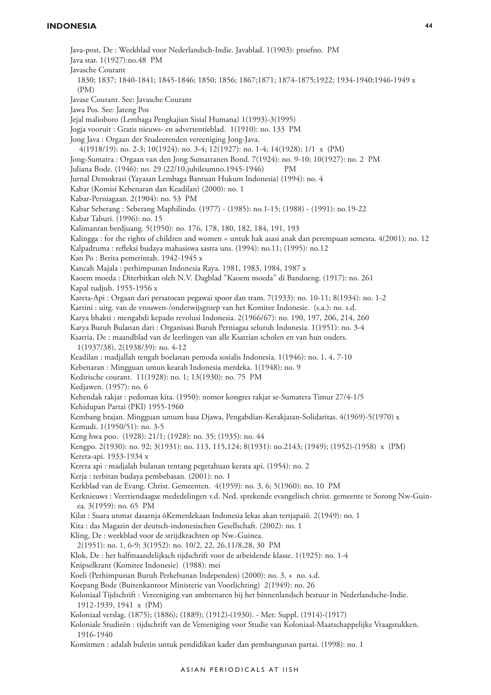Java-post, De : Weekblad voor Nederlandsch-Indie. Javablad. 1(1903): proefno. PM Java star. 1(1927):no.48 PM Javasche Courant 1830; 1837; 1840-1841; 1845-1846; 1850; 1856; 1867;1871; 1874-1875;1922; 1934-1940;1946-1949 x (PM) Javase Courant. See: Javasche Courant Jawa Pos. See: Jateng Pos Jejal malioboro (Lembaga Pengkajian Sisial Humana) 1(1993)-3(1995) Jogja vooruit : Gratis nieuws- en advertentieblad. 1(1910): no. 133 PM Jong Java : Orgaan der Studeerenden vereeniging Jong-Java.  $\frac{4(1918/19)}{12(1918/19)}$ : no. 2-3; 10(1924): no. 3-4; 12(1927): no. 1-4; 14(1928): 1/1 x (PM) Jong-Sumatra : Orgaan van den Jong Sumatranen Bond. 7(1924): no. 9-10; 10(1927): no. 2 PM Juliana Bode. (1946): no. 29 (22/10,jubileumno.1945-1946) PM Jurnal Demokrasi (Yayasan Lembaga Bantuan Hukum Indonesia) (1994): no. 4 Kabar (Komisi Kebenaran dan Keadilan) (2000): no. 1 Kabar-Perniagaan. 2(1904): no. 53 PM Kabar Seberang : Seberang Maphilindo. (1977) - (1985): no.1-15; (1988) - (1991): no.19-22 Kabar Taburi. (1996): no. 15 Kalimanran berdjuang. 5(1950): no. 176, 178, 180, 182, 184, 191, 193 Kalingga : for the rights of children and women = untuk hak asasi anak dan perempuan semesta. 4(2001): no. 12 Kalpadruma : refleksi budaya mahasiswa sastra uns. (1994): no.11; (1995): no.12 Kan Po : Berita pemerintah. 1942-1945 x Kancah Majala : perhimpunan Indonesia Raya. 1981, 1983, 1984, 1987 x Kaoem moeda : Diterbitkan oleh N.V. Dagblad "Kaoem moeda" di Bandoeng. (1917): no. 261 Kapal tudjuh. 1955-1956 x Kareta-Api : Orgaan dari persatoean pegawai spoor dan tram. 7(1933): no. 10-11; 8(1934): no. 1-2 Kartini : uitg. van de vrouwen-/onderwijsgroep van het Komitee Indonesie. (s.a.): no. s.d. Karya bhakti : mengabdi kepado revolusi Indonesia. 2(1966/67): no. 190, 197, 206, 214, 260 Karya Buruh Bulanan dari : Organisasi Buruh Perniagaa seluruh Indonesia. 1(1951): no. 3-4 Ksatria, De : maandblad van de leerlingen van alle Ksatrian scholen en van hun ouders. 1(1937/38), 2(1938/39): no. 4-12 Keadilan : madjallah tengah boelanan pemoda sosialis Indonesia. 1(1946): no. 1, 4, 7-10 Kebenaran : Mingguan umun kearah Indonesia merdeka. 1(1948): no. 9 Kedirische courant. 11(1928): no. 1; 13(1930): no. 75 PM Kedjawen. (1957): no. 6 Kehendak rakjat : pedoman kita. (1950): nomor kongres rakjat se-Sumatera Timur 27/4-1/5 Kehidupan Partai (PKI) 1955-1960 Kembang brajan. Mingguan umum basa Djawa, Pengabdian-Kerakjatan-Solidaritas. 4(1969)-5(1970) x Kemudi. 1(1950/51): no. 3-5 Keng hwa poo. (1928): 21/1; (1928): no. 35; (1935): no. 44 Kengpo. 2(1930): no. 92; 3(1931): no. 113, 115,124; 8(1931): no.2143; (1949); (1952)-(1958) x (PM) Kereta-api. 1933-1934 x Kereta api : madjalah bulanan tentang pegetahuan kerata api. (1954): no. 2 Kerja : terbitan budaya pembebasan. (2001): no. 1 Kerkblad van de Evang. Christ. Gemeenten. 4(1959): no. 3, 6; 5(1960): no. 10 PM Kerknieuws : Veertiendaagse mededelingen v.d. Ned. sprekende evangelisch christ. gemeente te Sorong Nw-Guinea. 3(1959): no. 65 PM Kilat : Suara unmat dasarnja ôKemerdekaan Indonesia lekas akan tertjapaiö. 2(1949): no. 1 Kita : das Magazin der deutsch-indonesischen Gesellschaft. (2002): no. 1 Kling, De : weekblad voor de strijdkrachten op Nw.-Guinea. 2(1951): no. 1, 6-9; 3(1952): no. 10/2, 22, 26,11/8,28, 30 PM Klok, De : het halfmaandelijksch tijdschrift voor de arbeidende klasse. 1(1925): no. 1-4 Knipselkrant (Komitee Indonesie) (1988): mei Koeli (Perhimpunan Buruh Perkebunan Independen) (2000): no. 3, + no. s.d. Koepang Bode (Buitenkantoor Ministerie van Voorlichting) 2(1949): no. 26 Koloniaal Tijdschrift : Vereeniging van ambtenaren bij het binnenlandsch bestuur in Nederlandsche-Indie. 1912-1939, 1941 x (PM) Koloniaal verslag. (1875); (1886); (1889); (1912)-(1930). - Met: Suppl. (1914)-(1917) Koloniale Studieën : tijdschrift van de Vereeniging voor Studie van Koloniaal-Maatschappelijke Vraagstukken. 1916-1940 Komitmen : adalah buletin untuk pendidikan kader dan pembangunan partai. (1998): no. 1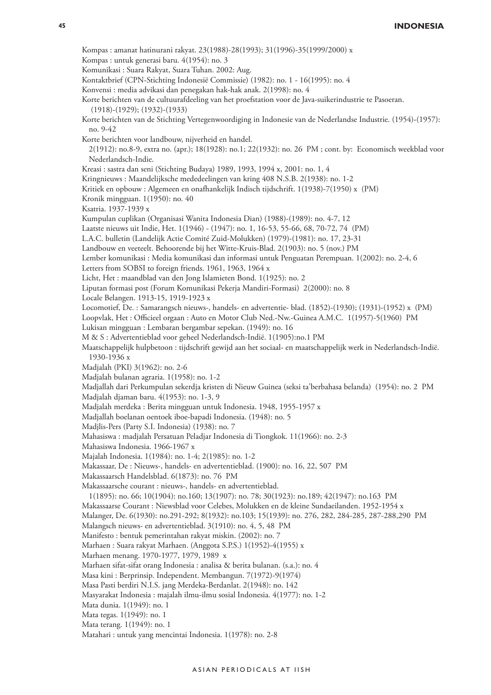Kompas : amanat hatinurani rakyat. 23(1988)-28(1993); 31(1996)-35(1999/2000) x

Kompas : untuk generasi baru. 4(1954): no. 3

Komunikasi : Suara Rakyat, Suara Tuhan. 2002: Aug.

Kontaktbrief (CPN-Stichting Indonesië Commissie) (1982): no. 1 - 16(1995): no. 4

Konvensi : media advikasi dan penegakan hak-hak anak. 2(1998): no. 4

Korte berichten van de cultuurafdeeling van het proefstation voor de Java-suikerindustrie te Pasoeran. (1918)-(1929); (1932)-(1933)

- Korte berichten van de Stichting Vertegenwoordiging in Indonesie van de Nederlandse Industrie. (1954)-(1957): no. 9-42
- Korte berichten voor landbouw, nijverheid en handel.

2(1912): no.8-9, extra no. (apr.); 18(1928): no.1; 22(1932): no. 26 PM ; cont. by: Economisch weekblad voor Nederlandsch-Indie.

- Kreasi : sastra dan seni (Stichting Budaya) 1989, 1993, 1994 x, 2001: no. 1, 4
- Kringnieuws : Maandelijksche mededeelingen van kring 408 N.S.B. 2(1938): no. 1-2
- Kritiek en opbouw : Algemeen en onafhankelijk Indisch tijdschrift. 1(1938)-7(1950) x (PM)

Kronik mingguan. 1(1950): no. 40

Ksatria. 1937-1939 x

Kumpulan cuplikan (Organisasi Wanita Indonesia Dian) (1988)-(1989): no. 4-7, 12

Laatste nieuws uit Indie, Het. 1(1946) - (1947): no. 1, 16-53, 55-66, 68, 70-72, 74 (PM)

L.A.C. bulletin (Landelijk Actie Comité Zuid-Molukken) (1979)-(1981): no. 17, 23-31

Landbouw en veeteelt. Behoorende bij het Witte-Kruis-Blad. 2(1903): no. 5 (nov.) PM

Lember komunikasi : Media komunikasi dan informasi untuk Penguatan Perempuan. 1(2002): no. 2-4, 6

Letters from SOBSI to foreign friends. 1961, 1963, 1964 x

Licht, Het : maandblad van den Jong Islamieten Bond. 1(1925): no. 2

Liputan formasi post (Forum Komunikasi Pekerja Mandiri-Formasi) 2(2000): no. 8

Locale Belangen. 1913-15, 1919-1923 x

Locomotief, De. : Samarangsch nieuws-, handels- en advertentie- blad. (1852)-(1930); (1931)-(1952) x (PM)

Loopvlak, Het : Officieel orgaan : Auto en Motor Club Ned.-Nw.-Guinea A.M.C. 1(1957)-5(1960) PM

Lukisan mingguan : Lembaran bergambar sepekan. (1949): no. 16

M & S : Advertentieblad voor geheel Nederlandsch-Indië. 1(1905):no.1 PM

Maatschappelijk hulpbetoon : tijdschrift gewijd aan het sociaal- en maatschappelijk werk in Nederlandsch-Indië. 1930-1936 x

Madjalah (PKI) 3(1962): no. 2-6

Madjalah bulanan agraria. 1(1958): no. 1-2

Madjallah dari Perkumpulan sekerdja kristen di Nieuw Guinea (seksi ta'berbahasa belanda) (1954): no. 2 PM Madjalah djaman baru. 4(1953): no. 1-3, 9

Madjalah merdeka : Berita mingguan untuk Indonesia. 1948, 1955-1957 x

Madjallah boelanan oentoek iboe-bapadi Indonesia. (1948): no. 5

Madjlis-Pers (Party S.I. Indonesia) (1938): no. 7

Mahasiswa : madjalah Persatuan Peladjar Indonesia di Tiongkok. 11(1966): no. 2-3

Mahasiswa Indonesia. 1966-1967 x

Majalah Indonesia. 1(1984): no. 1-4; 2(1985): no. 1-2

Makassaar, De : Nieuws-, handels- en advertentieblad. (1900): no. 16, 22, 507 PM

Makassaarsch Handelsblad. 6(1873): no. 76 PM

Makassaarsche courant : nieuws-, handels- en advertentieblad.

1(1895): no. 66; 10(1904): no.160; 13(1907): no. 78; 30(1923): no.189; 42(1947): no.163 PM

Makassaarse Courant : Niewsblad voor Celebes, Molukken en de kleine Sundaeilanden. 1952-1954 x

Malanger, De. 6(1930): no.291-292; 8(1932): no.103; 15(1939): no. 276, 282, 284-285, 287-288,290 PM

Malangsch nieuws- en advertentieblad. 3(1910): no. 4, 5, 48 PM

Manifesto : bentuk pemerintahan rakyat miskin. (2002): no. 7

Marhaen : Suara rakyat Marhaen. (Anggota S.P.S.) 1(1952)-4(1955) x

Marhaen menang. 1970-1977, 1979, 1989 x

Marhaen sifat-sifat orang Indonesia : analisa & berita bulanan. (s.a.): no. 4

Masa kini : Berprinsip. Independent. Membangun. 7(1972)-9(1974)

Masa Pasti berdiri N.I.S. jang Merdeka-Berdanlat. 2(1948): no. 142

Masyarakat Indonesia : majalah ilmu-ilmu sosial Indonesia. 4(1977): no. 1-2

Mata dunia. 1(1949): no. 1

Mata tegas. 1(1949): no. 1

Mata terang. 1(1949): no. 1

Matahari : untuk yang mencintai Indonesia. 1(1978): no. 2-8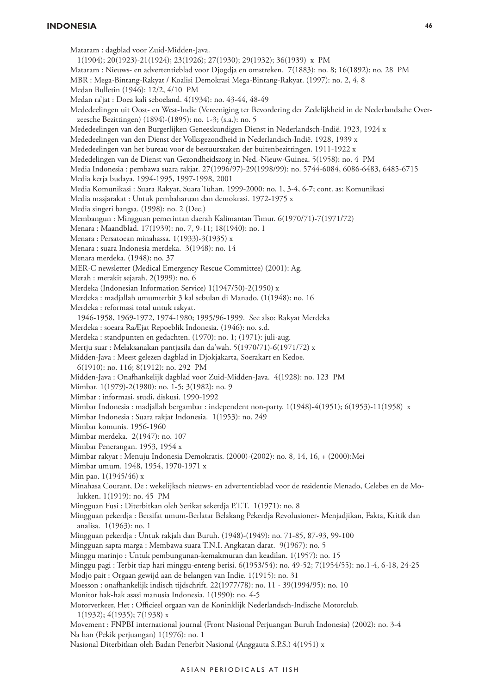#### **INDONESIA 46**

Mataram : dagblad voor Zuid-Midden-Java. 1(1904); 20(1923)-21(1924); 23(1926); 27(1930); 29(1932); 36(1939) x PM Mataram : Nieuws- en advertentieblad voor Djogdja en omstreken. 7(1883): no. 8; 16(1892): no. 28 PM MBR : Mega-Bintang-Rakyat / Koalisi Demokrasi Mega-Bintang-Rakyat. (1997): no. 2, 4, 8 Medan Bulletin (1946): 12/2, 4/10 PM Medan ra'jat : Doea kali seboeland. 4(1934): no. 43-44, 48-49 Mededeelingen uit Oost- en West-Indie (Vereeniging ter Bevordering der Zedelijkheid in de Nederlandsche Overzeesche Bezittingen) (1894)-(1895): no. 1-3; (s.a.): no. 5 Mededeelingen van den Burgerlijken Geneeskundigen Dienst in Nederlandsch-Indië. 1923, 1924 x Mededeelingen van den Dienst der Volksgezondheid in Nederlandsch-Indië. 1928, 1939 x Mededeelingen van het bureau voor de bestuurszaken der buitenbezittingen. 1911-1922 x Mededelingen van de Dienst van Gezondheidszorg in Ned.-Nieuw-Guinea. 5(1958): no. 4 PM Media Indonesia : pembawa suara rakjat. 27(1996/97)-29(1998/99): no. 5744-6084, 6086-6483, 6485-6715 Media kerja budaya. 1994-1995, 1997-1998, 2001 Media Komunikasi : Suara Rakyat, Suara Tuhan. 1999-2000: no. 1, 3-4, 6-7; cont. as: Komunikasi Media masjarakat : Untuk pembaharuan dan demokrasi. 1972-1975 x Media singeri bangsa. (1998): no. 2 (Dec.) Membangun : Mingguan pemerintan daerah Kalimantan Timur. 6(1970/71)-7(1971/72) Menara : Maandblad. 17(1939): no. 7, 9-11; 18(1940): no. 1 Menara : Persatoean minahassa. 1(1933)-3(1935) x Menara : suara Indonesia merdeka. 3(1948): no. 14 Menara merdeka. (1948): no. 37 MER-C newsletter (Medical Emergency Rescue Committee) (2001): Ag. Merah : merakit sejarah. 2(1999): no. 6 Merdeka (Indonesian Information Service) 1(1947/50)-2(1950) x Merdeka : madjallah umumterbit 3 kal sebulan di Manado. (1(1948): no. 16 Merdeka : reformasi total untuk rakyat. 1946-1958, 1969-1972, 1974-1980; 1995/96-1999. See also: Rakyat Merdeka Merdeka : soeara RaÆjat Repoeblik Indonesia. (1946): no. s.d. Merdeka : standpunten en gedachten. (1970): no. 1; (1971): juli-aug. Mertju suar : Melaksanakan pantjasila dan da'wah. 5(1970/71)-6(1971/72) x Midden-Java : Meest gelezen dagblad in Djokjakarta, Soerakart en Kedoe. 6(1910): no. 116; 8(1912): no. 292 PM Midden-Java : Onafhankelijk dagblad voor Zuid-Midden-Java. 4(1928): no. 123 PM Mimbar. 1(1979)-2(1980): no. 1-5; 3(1982): no. 9 Mimbar : informasi, studi, diskusi. 1990-1992 Mimbar Indonesia : madjallah bergambar : independent non-party. 1(1948)-4(1951); 6(1953)-11(1958) x Mimbar Indonesia : Suara rakjat Indonesia. 1(1953): no. 249 Mimbar komunis. 1956-1960 Mimbar merdeka. 2(1947): no. 107 Mimbar Penerangan. 1953, 1954 x Mimbar rakyat : Menuju Indonesia Demokratis. (2000)-(2002): no. 8, 14, 16, + (2000):Mei Mimbar umum. 1948, 1954, 1970-1971 x Min pao. 1(1945/46) x Minahasa Courant, De : wekelijksch nieuws- en advertentieblad voor de residentie Menado, Celebes en de Molukken. 1(1919): no. 45 PM Mingguan Fusi : Diterbitkan oleh Serikat sekerdja P.T.T. 1(1971): no. 8 Mingguan pekerdja : Bersifat umum-Berlatar Belakang Pekerdja Revolusioner- Menjadjikan, Fakta, Kritik dan analisa. 1(1963): no. 1 Mingguan pekerdja : Untuk rakjah dan Buruh. (1948)-(1949): no. 71-85, 87-93, 99-100 Mingguan sapta marga : Membawa suara T.N.I. Angkatan darat. 9(1967): no. 5 Minggu marinjo : Untuk pembungunan-kemakmuran dan keadilan. 1(1957): no. 15 Minggu pagi : Terbit tiap hari minggu-enteng berisi. 6(1953/54): no. 49-52; 7(1954/55): no.1-4, 6-18, 24-25 Modjo pait : Orgaan gewijd aan de belangen van Indie. 1(1915): no. 31 Moesson : onafhankelijk indisch tijdschrift. 22(1977/78): no. 11 - 39(1994/95): no. 10 Monitor hak-hak asasi manusia Indonesia. 1(1990): no. 4-5 Motorverkeer, Het : Officieel orgaan van de Koninklijk Nederlandsch-Indische Motorclub. 1(1932); 4(1935); 7(1938) x Movement : FNPBI international journal (Front Nasional Perjuangan Buruh Indonesia) (2002): no. 3-4 Na han (Pekik perjuangan) 1(1976): no. 1

Nasional Diterbitkan oleh Badan Penerbit Nasional (Anggauta S.P.S.) 4(1951) x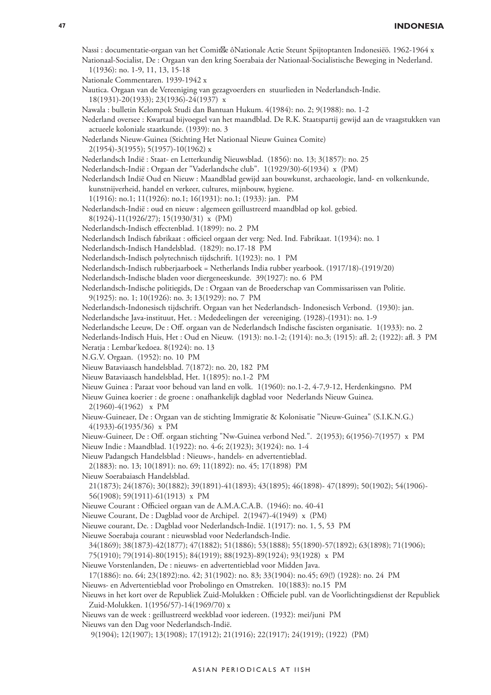Nassi : documentatie-orgaan van het Comit e ôNationale Actie Steunt Spijtoptanten Indonesiëö. 1962-1964 x Nationaal-Socialist, De : Orgaan van den kring Soerabaia der Nationaal-Socialistische Beweging in Nederland.

1(1936): no. 1-9, 11, 13, 15-18

Nationale Commentaren. 1939-1942 x

Nautica. Orgaan van de Vereeniging van gezagvoerders en stuurlieden in Nederlandsch-Indie. 18(1931)-20(1933); 23(1936)-24(1937) x

Nawala : bulletin Kelompok Studi dan Bantuan Hukum. 4(1984): no. 2; 9(1988): no. 1-2

Nederland oversee : Kwartaal bijvoegsel van het maandblad. De R.K. Staatspartij gewijd aan de vraagstukken van actueele koloniale staatkunde. (1939): no. 3

Nederlands Nieuw-Guinea (Stichting Het Nationaal Nieuw Guinea Comite)

2(1954)-3(1955); 5(1957)-10(1962) x

Nederlandsch Indië : Staat- en Letterkundig Nieuwsblad. (1856): no. 13; 3(1857): no. 25

Nederlandsch-Indië : Orgaan der "Vaderlandsche club". 1(1929/30)-6(1934) x (PM)

Nederlandsch Indië Oud en Nieuw : Maandblad gewijd aan bouwkunst, archaeologie, land- en volkenkunde,

kunstnijverheid, handel en verkeer, cultures, mijnbouw, hygiene.

1(1916): no.1; 11(1926): no.1; 16(1931): no.1; (1933): jan. PM

Nederlandsch-Indië : oud en nieuw : algemeen geillustreerd maandblad op kol. gebied.

8(1924)-11(1926/27); 15(1930/31) x (PM)

Nederlandsch-Indisch effectenblad. 1(1899): no. 2 PM

Nederlandsch Indisch fabrikaat : officieel orgaan der verg: Ned. Ind. Fabrikaat. 1(1934): no. 1

Nederlandsch-Indisch Handelsblad. (1829): no.17-18 PM

Nederlandsch-Indisch polytechnisch tijdschrift. 1(1923): no. 1 PM

Nederlandsch-Indisch rubberjaarboek = Netherlands India rubber yearbook. (1917/18)-(1919/20)

Nederlandsch-Indische bladen voor diergeneeskunde. 39(1927): no. 6 PM

Nederlandsch-Indische politiegids, De : Orgaan van de Broederschap van Commissarissen van Politie. 9(1925): no. 1; 10(1926): no. 3; 13(1929): no. 7 PM

Nederlandsch-Indonesisch tijdschrift. Orgaan van het Nederlandsch- Indonesisch Verbond. (1930): jan.

Nederlandsche Java-instituut, Het. : Mededeelingen der vereeniging. (1928)-(1931): no. 1-9

Nederlandsche Leeuw, De : Off. orgaan van de Nederlandsch Indische fascisten organisatie. 1(1933): no. 2

Nederlands-Indisch Huis, Het : Oud en Nieuw. (1913): no.1-2; (1914): no.3; (1915): afl. 2; (1922): afl. 3 PM Neratja : Lembar'kedoea. 8(1924): no. 13

N.G.V. Orgaan. (1952): no. 10 PM

Nieuw Bataviaasch handelsblad. 7(1872): no. 20, 182 PM

Nieuw Bataviaasch handelsblad, Het. 1(1895): no.1-2 PM

Nieuw Guinea : Paraat voor behoud van land en volk. 1(1960): no.1-2, 4-7,9-12, Herdenkingsno. PM

Nieuw Guinea koerier : de groene : onafhankelijk dagblad voor Nederlands Nieuw Guinea.

2(1960)-4(1962) x PM

Nieuw-Guineaer, De : Orgaan van de stichting Immigratie & Kolonisatie "Nieuw-Guinea" (S.I.K.N.G.) 4(1933)-6(1935/36) x PM

Nieuw-Guineer, De : Off. orgaan stichting "Nw-Guinea verbond Ned.". 2(1953); 6(1956)-7(1957) x PM Nieuw Indie : Maandblad. 1(1922): no. 4-6; 2(1923); 3(1924): no. 1-4

Nieuw Padangsch Handelsblad : Nieuws-, handels- en advertentieblad.

2(1883): no. 13; 10(1891): no. 69; 11(1892): no. 45; 17(1898) PM

Nieuw Soerabaiasch Handelsblad.

21(1873); 24(1876); 30(1882); 39(1891)-41(1893); 43(1895); 46(1898)- 47(1899); 50(1902); 54(1906)- 56(1908); 59(1911)-61(1913) x PM

Nieuwe Courant : Officieel orgaan van de A.M.A.C.A.B. (1946): no. 40-41

Nieuwe Courant, De : Dagblad voor de Archipel. 2(1947)-4(1949) x (PM)

Nieuwe courant, De. : Dagblad voor Nederlandsch-Indië. 1(1917): no. 1, 5, 53 PM

Nieuwe Soerabaja courant : nieuwsblad voor Nederlandsch-Indie.

34(1869); 38(1873)-42(1877); 47(1882); 51(1886); 53(1888); 55(1890)-57(1892); 63(1898); 71(1906);

75(1910); 79(1914)-80(1915); 84(1919); 88(1923)-89(1924); 93(1928) x PM

Nieuwe Vorstenlanden, De : nieuws- en advertentieblad voor Midden Java.

17(1886): no. 64; 23(1892):no. 42; 31(1902): no. 83; 33(1904): no.45; 69(!) (1928): no. 24 PM

Nieuws- en Advertentieblad voor Probolingo en Omstreken. 10(1883): no.15 PM

Nieuws in het kort over de Republiek Zuid-Molukken : Officiele publ. van de Voorlichtingsdienst der Republiek Zuid-Molukken. 1(1956/57)-14(1969/70) x

Nieuws van de week : geillustreerd weekblad voor iedereen. (1932): mei/juni PM

Nieuws van den Dag voor Nederlandsch-Indië.

9(1904); 12(1907); 13(1908); 17(1912); 21(1916); 22(1917); 24(1919); (1922) (PM)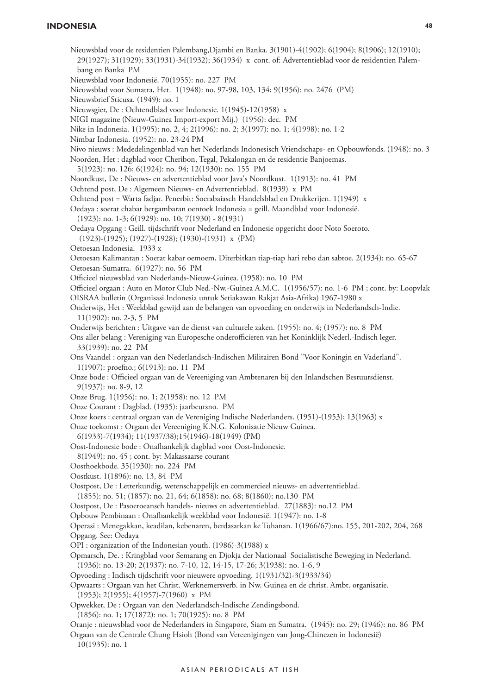# **INDONESIA 48**

- Nieuwsblad voor de residentien Palembang,Djambi en Banka. 3(1901)-4(1902); 6(1904); 8(1906); 12(1910); 29(1927); 31(1929); 33(1931)-34(1932); 36(1934) x cont. of: Advertentieblad voor de residentien Palembang en Banka PM
- Nieuwsblad voor Indonesië. 70(1955): no. 227 PM
- Nieuwsblad voor Sumatra, Het. 1(1948): no. 97-98, 103, 134; 9(1956): no. 2476 (PM)
- Nieuwsbrief Sticusa. (1949): no. 1
- Nieuwsgier, De : Ochtendblad voor Indonesie. 1(1945)-12(1958) x
- NIGI magazine (Nieuw-Guinea Import-export Mij.) (1956): dec. PM
- Nike in Indonesia. 1(1995): no. 2, 4; 2(1996): no. 2; 3(1997): no. 1; 4(1998): no. 1-2
- Nimbar Indonesia. (1952): no. 23-24 PM
- Nivo nieuws : Mededelingenblad van het Nederlands Indonesisch Vriendschaps- en Opbouwfonds. (1948): no. 3
- Noorden, Het : dagblad voor Cheribon, Tegal, Pekalongan en de residentie Banjoemas.
- 5(1923): no. 126; 6(1924): no. 94; 12(1930): no. 155 PM
- Noordkust, De : Nieuws- en advertentieblad voor Java's Noordkust. 1(1913): no. 41 PM
- Ochtend post, De : Algemeen Nieuws- en Advertentieblad. 8(1939) x PM
- Ochtend post = Warta fadjar. Penerbit: Soerabaiasch Handelsblad en Drukkerijen. 1(1949) x
- Oedaya : soerat chabar bergambaran oentoek Indonesia = geill. Maandblad voor Indonesië. (1923): no. 1-3; 6(1929): no. 10; 7(1930) - 8(1931)
- Oedaya Opgang : Geill. tijdschrift voor Nederland en Indonesie opgericht door Noto Soeroto.
- (1923)-(1925); (1927)-(1928); (1930)-(1931) x (PM)
- Oetoesan Indonesia. 1933 x
- Oetoesan Kalimantan : Soerat kabar oemoem, Diterbitkan tiap-tiap hari rebo dan sabtoe. 2(1934): no. 65-67 Oetoesan-Sumatra. 6(1927): no. 56 PM
- Officieel nieuwsblad van Nederlands-Nieuw-Guinea. (1958): no. 10 PM
- Officieel orgaan : Auto en Motor Club Ned.-Nw.-Guinea A.M.C. 1(1956/57): no. 1-6 PM ; cont. by: Loopvlak OISRAA bulletin (Organisasi Indonesia untuk Setiakawan Rakjat Asia-Afrika) 1967-1980 x
- Onderwijs, Het : Weekblad gewijd aan de belangen van opvoeding en onderwijs in Nederlandsch-Indie. 11(1902): no. 2-3, 5 PM
- Onderwijs berichten : Uitgave van de dienst van culturele zaken. (1955): no. 4; (1957): no. 8 PM
- Ons aller belang : Vereniging van Europesche onderofficieren van het Koninklijk Nederl.-Indisch leger. 33(1939): no. 22 PM
- Ons Vaandel : orgaan van den Nederlandsch-Indischen Militairen Bond "Voor Koningin en Vaderland". 1(1907): proefno.; 6(1913): no. 11 PM
- Onze bode : Officieel orgaan van de Vereeniging van Ambtenaren bij den Inlandschen Bestuursdienst. 9(1937): no. 8-9, 12
- Onze Brug. 1(1956): no. 1; 2(1958): no. 12 PM
- Onze Courant : Dagblad. (1935): jaarbeursno. PM
- Onze koers : centraal orgaan van de Vereniging Indische Nederlanders. (1951)-(1953); 13(1963) x
- Onze toekomst : Orgaan der Vereeniging K.N.G. Kolonisatie Nieuw Guinea.
- 6(1933)-7(1934); 11(1937/38);15(1946)-18(1949) (PM)
- Oost-Indonesie bode : Onafhankelijk dagblad voor Oost-Indonesie.
- 8(1949): no. 45 ; cont. by: Makassaarse courant
- Oosthoekbode. 35(1930): no. 224 PM
- Oostkust. 1(1896): no. 13, 84 PM
- Oostpost, De : Letterkundig, wetenschappelijk en commercieel nieuws- en advertentieblad.
- (1855): no. 51; (1857): no. 21, 64; 6(1858): no. 68; 8(1860): no.130 PM
- Oostpost, De : Pasoeroeansch handels- nieuws en advertentieblad. 27(1883): no.12 PM
- Opbouw Pembinaan : Onafhankelijk weekblad voor Indonesië. 1(1947): no. 1-8
- Operasi : Menegakkan, keadilan, kebenaren, berdasarkan ke Tuhanan. 1(1966/67):no. 155, 201-202, 204, 268 Opgang. See: Oedaya
- OPI : organization of the Indonesian youth. (1986)-3(1988) x
- Opmarsch, De. : Kringblad voor Semarang en Djokja der Nationaal Socialistische Beweging in Nederland. (1936): no. 13-20; 2(1937): no. 7-10, 12, 14-15, 17-26; 3(1938): no. 1-6, 9
- Opvoeding : Indisch tijdschrift voor nieuwere opvoeding. 1(1931/32)-3(1933/34)
- Opwaarts : Orgaan van het Christ. Werknemersverb. in Nw. Guinea en de christ. Ambt. organisatie.
- (1953); 2(1955); 4(1957)-7(1960) x PM
- Opwekker, De : Orgaan van den Nederlandsch-Indische Zendingsbond.
- (1856): no. 1; 17(1872): no. 1; 70(1925): no. 8 PM
- Oranje : nieuwsblad voor de Nederlanders in Singapore, Siam en Sumatra. (1945): no. 29; (1946): no. 86 PM

Orgaan van de Centrale Chung Hsioh (Bond van Vereenigingen van Jong-Chinezen in Indonesië)

10(1935): no. 1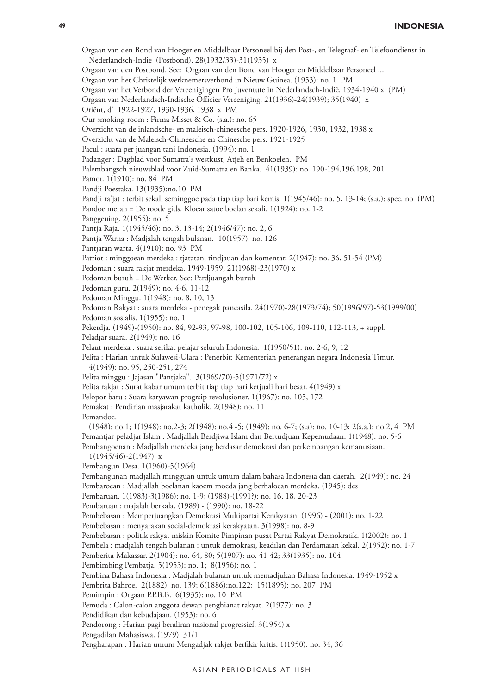Orgaan van den Bond van Hooger en Middelbaar Personeel bij den Post-, en Telegraaf- en Telefoondienst in Nederlandsch-Indie (Postbond). 28(1932/33)-31(1935) x Orgaan van den Postbond. See: Orgaan van den Bond van Hooger en Middelbaar Personeel ... Orgaan van het Christelijk werknemersverbond in Nieuw Guinea. (1953): no. 1 PM Orgaan van het Verbond der Vereenigingen Pro Juventute in Nederlandsch-Indië. 1934-1940 x (PM) Orgaan van Nederlandsch-Indische Officier Vereeniging. 21(1936)-24(1939); 35(1940) x Oriënt, d' 1922-1927, 1930-1936, 1938 x PM Our smoking-room : Firma Misset & Co. (s.a.): no. 65 Overzicht van de inlandsche- en maleisch-chineesche pers. 1920-1926, 1930, 1932, 1938 x Overzicht van de Maleisch-Chineesche en Chinesche pers. 1921-1925 Pacul : suara per juangan tani Indonesia. (1994): no. 1 Padanger : Dagblad voor Sumatra's westkust, Atjeh en Benkoelen. PM Palembangsch nieuwsblad voor Zuid-Sumatra en Banka. 41(1939): no. 190-194,196,198, 201 Pamor. 1(1910): no. 84 PM Pandji Poestaka. 13(1935):no.10 PM Pandji ra'jat : terbit sekali seminggoe pada tiap tiap bari kemis. 1(1945/46): no. 5, 13-14; (s.a.): spec. no (PM) Pandoe merah = De roode gids. Kloear satoe boelan sekali. 1(1924): no. 1-2 Panggeuing. 2(1955): no. 5 Pantja Raja. 1(1945/46): no. 3, 13-14; 2(1946/47): no. 2, 6 Pantja Warna : Madjalah tengah bulanan. 10(1957): no. 126 Pantjaran warta. 4(1910): no. 93 PM Patriot : minggoean merdeka : tjatatan, tindjauan dan komentar. 2(1947): no. 36, 51-54 (PM) Pedoman : suara rakjat merdeka. 1949-1959; 21(1968)-23(1970) x Pedoman buruh = De Werker. See: Perdjuangah buruh Pedoman guru. 2(1949): no. 4-6, 11-12 Pedoman Minggu. 1(1948): no. 8, 10, 13 Pedoman Rakyat : suara merdeka - penegak pancasila. 24(1970)-28(1973/74); 50(1996/97)-53(1999/00) Pedoman sosialis. 1(1955): no. 1 Pekerdja. (1949)-(1950): no. 84, 92-93, 97-98, 100-102, 105-106, 109-110, 112-113, + suppl. Peladjar suara. 2(1949): no. 16 Pelaut merdeka : suara serikat pelajar seluruh Indonesia. 1(1950/51): no. 2-6, 9, 12 Pelita : Harian untuk Sulawesi-Ulara : Penerbit: Kementerian penerangan negara Indonesia Timur. 4(1949): no. 95, 250-251, 274 Pelita minggu : Jajasan "Pantjaka". 3(1969/70)-5(1971/72) x Pelita rakjat : Surat kabar umum terbit tiap tiap hari ketjuali hari besar. 4(1949) x Pelopor baru : Suara karyawan progrsip revolusioner. 1(1967): no. 105, 172 Pemakat : Pendirian masjarakat katholik. 2(1948): no. 11 Pemandoe. (1948): no.1; 1(1948): no.2-3; 2(1948): no.4 -5; (1949): no. 6-7; (s.a): no. 10-13; 2(s.a.): no.2, 4 PM Pemantjar peladjar Islam : Madjallah Berdjiwa Islam dan Bertudjuan Kepemudaan. 1(1948): no. 5-6 Pembangoenan : Madjallah merdeka jang berdasar demokrasi dan perkembangan kemanusiaan. 1(1945/46)-2(1947) x Pembangun Desa. 1(1960)-5(1964) Pembangunan madjallah mingguan untuk umum dalam bahasa Indonesia dan daerah. 2(1949): no. 24 Pembaroean : Madjallah boelanan kaoem moeda jang berhaloean merdeka. (1945): des Pembaruan. 1(1983)-3(1986): no. 1-9; (1988)-(1991?): no. 16, 18, 20-23 Pembaruan : majalah berkala. (1989) - (1990): no. 18-22 Pembebasan : Memperjuangkan Demokrasi Multipartai Kerakyatan. (1996) - (2001): no. 1-22 Pembebasan : menyarakan social-demokrasi kerakyatan. 3(1998): no. 8-9 Pembebasan : politik rakyat miskin Komite Pimpinan pusat Partai Rakyat Demokratik. 1(2002): no. 1 Pembela : madjalah tengah bulanan : untuk demokrasi, keadilan dan Perdamaian kekal. 2(1952): no. 1-7 Pemberita-Makassar. 2(1904): no. 64, 80; 5(1907): no. 41-42; 33(1935): no. 104 Pembimbing Pembatja. 5(1953): no. 1; 8(1956): no. 1 Pembina Bahasa Indonesia : Madjalah bulanan untuk memadjukan Bahasa Indonesia. 1949-1952 x Pembrita Bahroe. 2(1882): no. 139; 6(1886):no.122; 15(1895): no. 207 PM Pemimpin : Orgaan P.P.B.B. 6(1935): no. 10 PM Pemuda : Calon-calon anggota dewan penghianat rakyat. 2(1977): no. 3 Pendidikan dan kebudajaan. (1953): no. 6 Pendorong : Harian pagi beraliran nasional progressief. 3(1954) x Pengadilan Mahasiswa. (1979): 31/1 Pengharapan : Harian umum Mengadjak rakjet berfikir kritis. 1(1950): no. 34, 36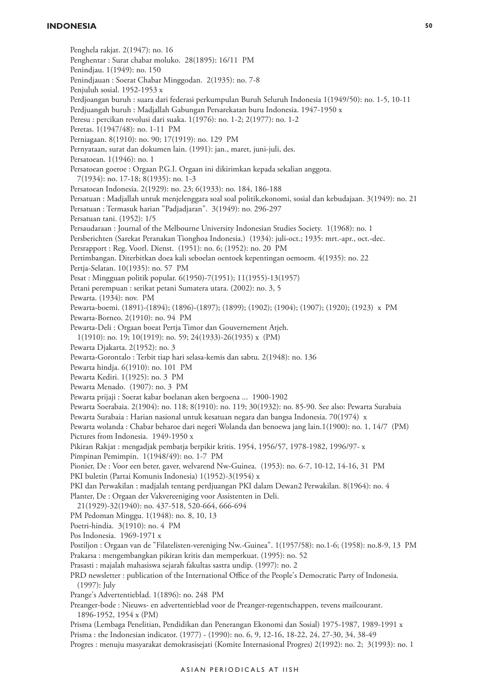#### **Indonesia 50**

Penghela rakjat. 2(1947): no. 16 Penghentar : Surat chabar moluko. 28(1895): 16/11 PM Penindjau. 1(1949): no. 150 Penindjauan : Soerat Chabar Minggodan. 2(1935): no. 7-8 Penjuluh sosial. 1952-1953 x Perdjoangan buruh : suara dari federasi perkumpulan Buruh Seluruh Indonesia 1(1949/50): no. 1-5, 10-11 Perdjuangah buruh : Madjallah Gabungan Persarekatan buru Indonesia. 1947-1950 x Peresu : percikan revolusi dari suaka. 1(1976): no. 1-2; 2(1977): no. 1-2 Peretas. 1(1947/48): no. 1-11 PM Perniagaan. 8(1910): no. 90; 17(1919): no. 129 PM Pernyataan, surat dan dokumen lain. (1991): jan., maret, juni-juli, des. Persatoean. 1(1946): no. 1 Persatoean goeroe : Orgaan P.G.I. Orgaan ini dikirimkan kepada sekalian anggota. 7(1934): no. 17-18; 8(1935): no. 1-3 Persatoean Indonesia. 2(1929): no. 23; 6(1933): no. 184, 186-188 Persatuan : Madjallah untuk menjelenggara soal soal politik,ekonomi, sosial dan kebudajaan. 3(1949): no. 21 Persatuan : Termasuk harian "Padjadjaran". 3(1949): no. 296-297 Persatuan tani. (1952): 1/5 Persaudaraan : Journal of the Melbourne University Indonesian Studies Society. 1(1968): no. 1 Persberichten (Sarekat Peranakan Tionghoa Indonesia.) (1934): juli-oct.; 1935: mrt.-apr., oct.-dec. Persrapport : Reg. Voorl. Dienst. (1951): no. 6; (1952): no. 20 PM Pertimbangan. Diterbitkan doea kali seboelan oentoek kepentingan oemoem. 4(1935): no. 22 Pertja-Selatan. 10(1935): no. 57 PM Pesat : Mingguan politik popular. 6(1950)-7(1951); 11(1955)-13(1957) Petani perempuan : serikat petani Sumatera utara. (2002): no. 3, 5 Pewarta. (1934): nov. PM Pewarta-boemi. (1891)-(1894); (1896)-(1897); (1899); (1902); (1904); (1907); (1920); (1923) x PM Pewarta-Borneo. 2(1910): no. 94 PM Pewarta-Deli : Orgaan boeat Pertja Timor dan Gouvernement Atjeh. 1(1910): no. 19; 10(1919): no. 59; 24(1933)-26(1935) x (PM) Pewarta Djakarta. 2(1952): no. 3 Pewarta-Gorontalo : Terbit tiap hari selasa-kemis dan sabtu. 2(1948): no. 136 Pewarta hindja. 6(1910): no. 101 PM Pewarta Kediri. 1(1925): no. 3 PM Pewarta Menado. (1907): no. 3 PM Pewarta prijaji : Soerat kabar boelanan aken bergoena ... 1900-1902 Pewarta Soerabaia. 2(1904): no. 118; 8(1910): no. 119; 30(1932): no. 85-90. See also: Pewarta Surabaia Pewarta Surabaia : Harian nasional untuk kesatuan negara dan bangsa Indonesia. 70(1974) x Pewarta wolanda : Chabar beharoe dari negeri Wolanda dan benoewa jang lain.1(1900): no. 1, 14/7 (PM) Pictures from Indonesia. 1949-1950 x Pikiran Rakjat : mengadjak pembatja berpikir kritis. 1954, 1956/57, 1978-1982, 1996/97- x Pimpinan Pemimpin. 1(1948/49): no. 1-7 PM Pionier, De : Voor een beter, gaver, welvarend Nw-Guinea. (1953): no. 6-7, 10-12, 14-16, 31 PM PKI buletin (Partai Komunis Indonesia) 1(1952)-3(1954) x PKI dan Perwakilan : madjalah tentang perdjuangan PKI dalam Dewan2 Perwakilan. 8(1964): no. 4 Planter, De : Orgaan der Vakvereeniging voor Assistenten in Deli. 21(1929)-32(1940): no. 437-518, 520-664, 666-694 PM Pedoman Minggu. 1(1948): no. 8, 10, 13 Poetri-hindia. 3(1910): no. 4 PM Pos Indonesia. 1969-1971 x Postiljon : Orgaan van de "Filatelisten-vereniging Nw.-Guinea". 1(1957/58): no.1-6; (1958): no.8-9, 13 PM Prakarsa : mengembangkan pikiran kritis dan memperkuat. (1995): no. 52 Prasasti : majalah mahasiswa sejarah fakultas sastra undip. (1997): no. 2 PRD newsletter : publication of the International Office of the People's Democratic Party of Indonesia. (1997): July Prange's Advertentieblad. 1(1896): no. 248 PM Preanger-bode : Nieuws- en advertentieblad voor de Preanger-regentschappen, tevens mailcourant. 1896-1952, 1954 x (PM) Prisma (Lembaga Penelitian, Pendidikan dan Penerangan Ekonomi dan Sosial) 1975-1987, 1989-1991 x

Prisma : the Indonesian indicator. (1977) - (1990): no. 6, 9, 12-16, 18-22, 24, 27-30, 34, 38-49

Progres : menuju masyarakat demokrasisejati (Komite Internasional Progres) 2(1992): no. 2; 3(1993): no. 1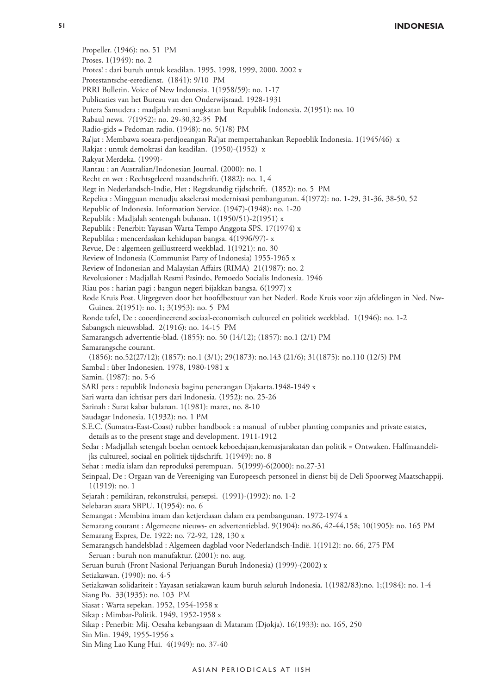Proses. 1(1949): no. 2

Protestantsche-eeredienst. (1841): 9/10 PM PRRI Bulletin. Voice of New Indonesia. 1(1958/59): no. 1-17 Publicaties van het Bureau van den Onderwijsraad. 1928-1931 Putera Samudera : madjalah resmi angkatan laut Republik Indonesia. 2(1951): no. 10 Rabaul news. 7(1952): no. 29-30,32-35 PM Radio-gids = Pedoman radio. (1948): no. 5(1/8) PM Ra'jat : Membawa soeara-perdjoeangan Ra'jat mempertahankan Repoeblik Indonesia. 1(1945/46) x Rakjat : untuk demokrasi dan keadilan. (1950)-(1952) x Rakyat Merdeka. (1999)- Rantau : an Australian/Indonesian Journal. (2000): no. 1 Recht en wet : Rechtsgeleerd maandschrift. (1882): no. 1, 4 Regt in Nederlandsch-Indie, Het : Regtskundig tijdschrift. (1852): no. 5 PM Repelita : Mingguan menudju akselerasi modernisasi pembangunan. 4(1972): no. 1-29, 31-36, 38-50, 52 Republic of Indonesia. Information Service. (1947)-(1948): no. 1-20 Republik : Madjalah sentengah bulanan. 1(1950/51)-2(1951) x Republik : Penerbit: Yayasan Warta Tempo Anggota SPS. 17(1974) x Republika : mencerdaskan kehidupan bangsa. 4(1996/97)- x Revue, De : algemeen geillustreerd weekblad. 1(1921): no. 30 Review of Indonesia (Communist Party of Indonesia) 1955-1965 x Riau pos : harian pagi : bangun negeri bijakkan bangsa. 6(1997) x Sambal : über Indonesien. 1978, 1980-1981 x Sarinah : Surat kabar bulanan. 1(1981): maret, no. 8-10 Seruan : buruh non manufaktur. (2001): no. aug. Seruan buruh (Front Nasional Perjuangan Buruh Indonesia) (1999)-(2002) x Setiakawan. (1990): no. 4-5 Setiakawan solidariteit : Yayasan setiakawan kaum buruh seluruh Indonesia. 1(1982/83):no. 1;(1984): no. 1-4

Siang Po. 33(1935): no. 103 PM

Siasat : Warta sepekan. 1952, 1954-1958 x

Sikap : Mimbar-Politik. 1949, 1952-1958 x

Sikap : Penerbit: Mij. Oesaha kebangsaan di Mataram (Djokja). 16(1933): no. 165, 250

Sin Min. 1949, 1955-1956 x

Sin Ming Lao Kung Hui. 4(1949): no. 37-40

Review of Indonesian and Malaysian Affairs (RIMA) 21(1987): no. 2

Protes! : dari buruh untuk keadilan. 1995, 1998, 1999, 2000, 2002 x

Revolusioner : Madjallah Resmi Pesindo, Pemoedo Socialis Indonesia. 1946

Rode Kruis Post. Uitgegeven door het hoofdbestuur van het Nederl. Rode Kruis voor zijn afdelingen in Ned. Nw-Guinea. 2(1951): no. 1; 3(1953): no. 5 PM

Ronde tafel, De : cooerdineerend sociaal-economisch cultureel en politiek weekblad. 1(1946): no. 1-2

Sabangsch nieuwsblad. 2(1916): no. 14-15 PM

Samarangsch advertentie-blad. (1855): no. 50 (14/12); (1857): no.1 (2/1) PM

Samarangsche courant.

(1856): no.52(27/12); (1857): no.1 (3/1); 29(1873): no.143 (21/6); 31(1875): no.110 (12/5) PM

Samin. (1987): no. 5-6

SARI pers : republik Indonesia baginu penerangan Djakarta.1948-1949 x

Sari warta dan ichtisar pers dari Indonesia. (1952): no. 25-26

Saudagar Indonesia. 1(1932): no. 1 PM

S.E.C. (Sumatra-East-Coast) rubber handbook : a manual of rubber planting companies and private estates, details as to the present stage and development. 1911-1912

Sedar : Madjallah setengah boelan oentoek keboedajaan,kemasjarakatan dan politik = Ontwaken. Halfmaandelijks cultureel, sociaal en politiek tijdschrift. 1(1949): no. 8

Sehat : media islam dan reproduksi perempuan. 5(1999)-6(2000): no.27-31

Seinpaal, De : Orgaan van de Vereeniging van Europeesch personeel in dienst bij de Deli Spoorweg Maatschappij. 1(1919): no. 1

Sejarah : pemikiran, rekonstruksi, persepsi. (1991)-(1992): no. 1-2

Selebaran suara SBPU. 1(1954): no. 6

Semangat : Membina imam dan ketjerdasan dalam era pembangunan. 1972-1974 x

Semarang courant : Algemeene nieuws- en advertentieblad. 9(1904): no.86, 42-44,158; 10(1905): no. 165 PM Semarang Expres, De. 1922: no. 72-92, 128, 130 x

Semarangsch handelsblad : Algemeen dagblad voor Nederlandsch-Indië. 1(1912): no. 66, 275 PM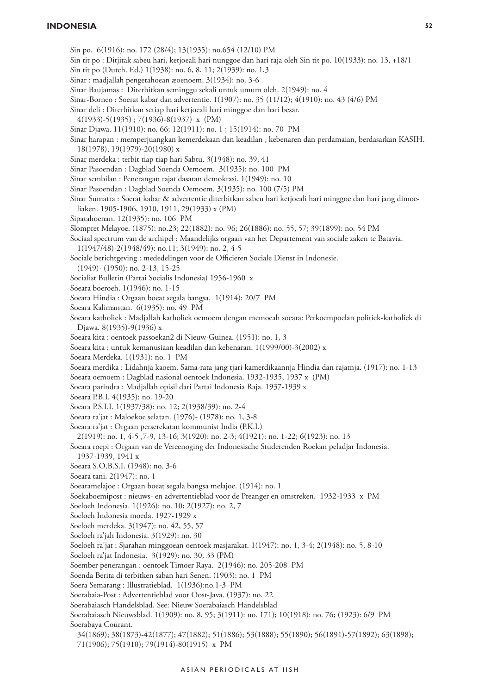| 52<br><b>INDONESIA</b>                                                                                                                     |
|--------------------------------------------------------------------------------------------------------------------------------------------|
| Sin po. 6(1916): no. 172 (28/4); 13(1935): no.654 (12/10) PM                                                                               |
| Sin tit po : Ditjitak sabeu hari, ketjoeali hari nunggoe dan hari raja oleh Sin tit po. 10(1933): no. 13, +18/1                            |
| Sin tit po (Dutch. Ed.) 1(1938): no. 6, 8, 11; 2(1939): no. 1,3                                                                            |
| Sinar : madjallah pengetahoean æoenoem. 3(1934): no. 3-6                                                                                   |
| Sinar Baujamas : Diterbitkan seminggu sekali untuk umum oleh. 2(1949): no. 4                                                               |
| Sinar-Borneo : Soerat kabar dan advertentie. 1(1907): no. 35 (11/12); 4(1910): no. 43 (4/6) PM                                             |
| Sinar deli : Diterbitkan setiap hari ketjoeali hari minggoe dan hari besar.                                                                |
| $4(1933) - 5(1935)$ ; 7(1936)-8(1937) x (PM)                                                                                               |
| Sinar Djawa. 11(1910): no. 66; 12(1911): no. 1; 15(1914): no. 70 PM                                                                        |
| Sinar harapan : memperjuangkan kemerdekaan dan keadilan, kebenaren dan perdamaian, berdasarkan KASIH.<br>18(1978), 19(1979)-20(1980) x     |
| Sinar merdeka : terbit tiap tiap hari Sabtu. 3(1948): no. 39, 41                                                                           |
| Sinar Pasoendan : Dagblad Soenda Oemoem. 3(1935): no. 100 PM                                                                               |
| Sinar sembilan : Penerangan rajat dasaran demokrasi. 1(1949): no. 10<br>Sinar Pasoendan : Dagblad Soenda Oemoem. 3(1935): no. 100 (7/5) PM |
| Sinar Sumatra : Soerat kabar & advertentie diterbitkan sabeu hari ketjoeali hari minggoe dan hari jang dimoe-                              |
| liaken. 1905-1906, 1910, 1911, 29(1933) x (PM)                                                                                             |
| Sipatahoenan. 12(1935): no. 106 PM                                                                                                         |
| Slompret Melayoe. (1875): no.23; 22(1882): no. 96; 26(1886): no. 55, 57; 39(1899): no. 54 PM                                               |
| Sociaal spectrum van de archipel : Maandelijks orgaan van het Departement van sociale zaken te Batavia.                                    |
| 1(1947/48)-2(1948/49): no.11; 3(1949): no. 2, 4-5                                                                                          |
| Sociale berichtgeving : mededelingen voor de Officieren Sociale Dienst in Indonesie.                                                       |
| $(1949)$ - $(1950)$ : no. 2-13, 15-25                                                                                                      |
| Socialist Bulletin (Partai Socialis Indonesia) 1956-1960 x                                                                                 |
| Soeara boeroeh. 1(1946): no. 1-15                                                                                                          |
| Soeara Hindia : Orgaan boeat segala bangsa. 1(1914): 20/7 PM                                                                               |
| Soeara Kalimantan. 6(1935): no. 49 PM                                                                                                      |
| Soeara katholiek : Madjallah katholiek oemoem dengan memoeah soeara: Perkoempoelan politiek-katholiek di                                   |
| Djawa. 8(1935)-9(1936) x<br>Soeara kita : oentoek passoekan2 di Nieuw-Guinea. (1951): no. 1, 3                                             |
| Soeara kita : untuk kemanusiaan keadilan dan kebenaran. 1(1999/00)-3(2002) x                                                               |
| Soeara Merdeka. 1(1931): no. 1 PM                                                                                                          |
| Soeara merdika : Lidahnja kaoem. Sama-rata jang tjari kamerdikaannja Hindia dan rajatnja. (1917): no. 1-13                                 |
| Soeara oemoem : Dagblad nasional oentoek Indonesia. 1932-1935, 1937 x (PM)                                                                 |
| Soeara parindra : Madjallah opisil dari Partai Indonesia Raja. 1937-1939 x                                                                 |
| Soeara P.B.I. 4(1935): no. 19-20                                                                                                           |
| Soeara P.S.I.I. 1(1937/38): no. 12; 2(1938/39): no. 2-4                                                                                    |
| Soeara ra'jat : Maloekoe selatan. (1976)- (1978): no. 1, 3-8                                                                               |
| Soeara ra'jat : Orgaan perserekatan kommunist India (P.K.I.)                                                                               |
| 2(1919): no. 1, 4-5 ,7-9, 13-16; 3(1920): no. 2-3; 4(1921): no. 1-22; 6(1923): no. 13                                                      |
| Soeara roepi : Orgaan van de Vereenoging der Indonesische Studerenden Roekan peladjar Indonesia.<br>1937-1939, 1941 x                      |
| Soeara S.O.B.S.I. (1948): no. 3-6                                                                                                          |
| Soeara tani. 2(1947): no. 1                                                                                                                |
| Soearamelajoe : Orgaan boeat segala bangsa melajoe. (1914): no. 1                                                                          |
| Soekaboemipost : nieuws- en advertentieblad voor de Preanger en omstreken. 1932-1933 x PM                                                  |
| Soeloeh Indonesia. 1(1926): no. 10; 2(1927): no. 2, 7                                                                                      |
| Soeloeh Indonesia moeda. 1927-1929 x                                                                                                       |
| Soeloeh merdeka. 3(1947): no. 42, 55, 57                                                                                                   |
| Soeloeh ra'jah Indonesia. 3(1929): no. 30                                                                                                  |
| Soeloeh ra'jat : Sjarahan minggoean oentoek masjarakat. 1(1947): no. 1, 3-4; 2(1948): no. 5, 8-10                                          |
| Soeloeh ra'jat Indonesia. 3(1929): no. 30, 33 (PM)                                                                                         |
| Soember penerangan : oentoek Timoer Raya. 2(1946): no. 205-208 PM                                                                          |
| Soenda Berita di terbitken saban hari Senen. (1903): no. 1 PM<br>Soera Semarang : Illustratieblad. 1(1936):no.1-3 PM                       |
| Soerabaia-Post : Advertentieblad voor Oost-Java. (1937): no. 22                                                                            |
| Soerabaiasch Handelsblad. See: Nieuw Soerabaiasch Handelsblad                                                                              |
| Soerabaiasch Nieuwsblad. 1(1909): no. 8, 95; 3(1911): no. 171); 10(1918): no. 76; (1923): 6/9 PM                                           |
| Soerabaya Courant.                                                                                                                         |
| 34(1869); 38(1873)-42(1877); 47(1882); 51(1886); 53(1888); 55(1890); 56(1891)-57(1892); 63(1898);                                          |

71(1906); 75(1910); 79(1914)-80(1915) x PM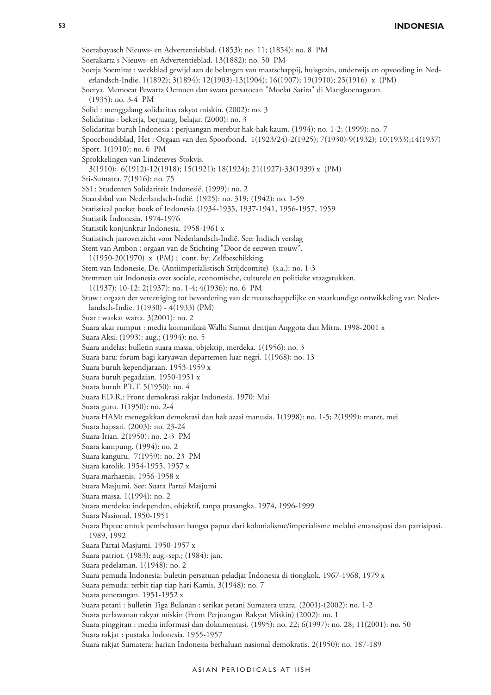Soerabayasch Nieuws- en Advertentieblad. (1853): no. 11; (1854): no. 8 PM Soerakarta's Nieuws- en Advertentieblad. 13(1882): no. 50 PM Soerja Soemirat : weekblad gewijd aan de belangen van maatschappij, huisgezin, onderwijs en opvoeding in Nederlandsch-Indie. 1(1892); 3(1894); 12(1903)-13(1904); 16(1907); 19(1910); 25(1916) x (PM) Soerya. Memoeat Pewarta Oemoen dan swara persatoean "Moelat Sarira" di Mangkoenagaran. (1935): no. 3-4 PM Solid : menggalang solidaritas rakyat miskin. (2002): no. 3 Solidaritas : bekerja, berjuang, belajar. (2000): no. 3 Solidaritas buruh Indonesia : perjuangan merebut hak-hak kaum. (1994): no. 1-2; (1999): no. 7 Spoorbondsblad, Het : Orgaan van den Spoorbond. 1(1923/24)-2(1925); 7(1930)-9(1932); 10(1933);14(1937) Sport. 1(1910): no. 6 PM Sprokkelingen van Lindeteves-Stokvis. 3(1910); 6(1912)-12(1918); 15(1921); 18(1924); 21(1927)-33(1939) x (PM) Sri-Sumatra. 7(1916): no. 75 SSI : Studenten Solidariteit Indonesië. (1999): no. 2 Staatsblad van Nederlandsch-Indië. (1925): no. 319; (1942): no. 1-59 Statistical pocket book of Indonesia.(1934-1935, 1937-1941, 1956-1957, 1959 Statistik Indonesia. 1974-1976 Statistik konjunktur Indonesia. 1958-1961 x Statistisch jaaroverzicht voor Nederlandsch-Indië. See: Indisch verslag Stem van Ambon : orgaan van de Stichting "Door de eeuwen trouw". 1(1950-20(1970) x (PM) ; cont. by: Zelfbeschikking. Stem van Indonesie, De. (Antiimperialistisch Strijdcomite) (s.a.): no. 1-3 Stemmen uit Indonesia over sociale, economische, culturele en politieke vraagstukken. 1(1937): 10-12; 2(1937): no. 1-4; 4(1936): no. 6 PM Stuw : orgaan der vereeniging tot bevordering van de maatschappelijke en staatkundige ontwikkeling van Nederlandsch-Indie. 1(1930) - 4(1933) (PM) Suar : warkat warta. 3(2001): no. 2 Suara akar rumput : media komunikasi Walhi Sumut dentjan Anggota dan Mitra. 1998-2001 x Suara Aksi. (1993): aug.; (1994): no. 5 Suara andelas: bulletin suara massa, objektip, merdeka. 1(1956): no. 3 Suara baru: forum bagi karyawan departemen luar negri. 1(1968): no. 13 Suara buruh kependjaraan. 1953-1959 x Suara buruh pegadaian. 1950-1951 x Suara buruh P.T.T. 5(1950): no. 4 Suara F.D.R.: Front demokrasi rakjat Indonesia. 1970: Mai Suara guru. 1(1950): no. 2-4 Suara HAM: menegakkan demokrasi dan hak azasi manusia. 1(1998): no. 1-5; 2(1999): maret, mei Suara hapsari. (2003): no. 23-24 Suara-Irian. 2(1950): no. 2-3 PM Suara kampung. (1994): no. 2 Suara kanguru. 7(1959): no. 23 PM Suara katolik. 1954-1955, 1957 x Suara marhaenis. 1956-1958 x Suara Masjumi. See: Suara Partai Masjumi Suara massa. 1(1994): no. 2 Suara merdeka: independen, objektif, tanpa prasangka. 1974, 1996-1999 Suara Nasional. 1950-1951 Suara Papua: untuk pembebasan bangsa papua dari kolonialisme/imperialisme melalui emansipasi dan partisipasi. 1989, 1992 Suara Partai Masjumi. 1950-1957 x Suara patriot. (1983): aug.-sep.; (1984): jan. Suara pedelaman. 1(1948): no. 2 Suara pemuda Indonesia: buletin persatuan peladjar Indonesia di tiongkok. 1967-1968, 1979 x Suara pemuda: terbit tiap tiap hari Kamis. 3(1948): no. 7 Suara penerangan. 1951-1952 x Suara petani : bulletin Tiga Bulanan : serikat petani Sumatera utara. (2001)-(2002): no. 1-2 Suara perlawanan rakyat miskin (Front Perjuangan Rakyat Miskin) (2002): no. 1 Suara pinggiran : media informasi dan dokumentasi. (1995): no. 22; 6(1997): no. 28; 11(2001): no. 50 Suara rakjat : pustaka Indonesia. 1955-1957 Suara rakjat Sumatera: harian Indonesia berhaluan nasional demokratis. 2(1950): no. 187-189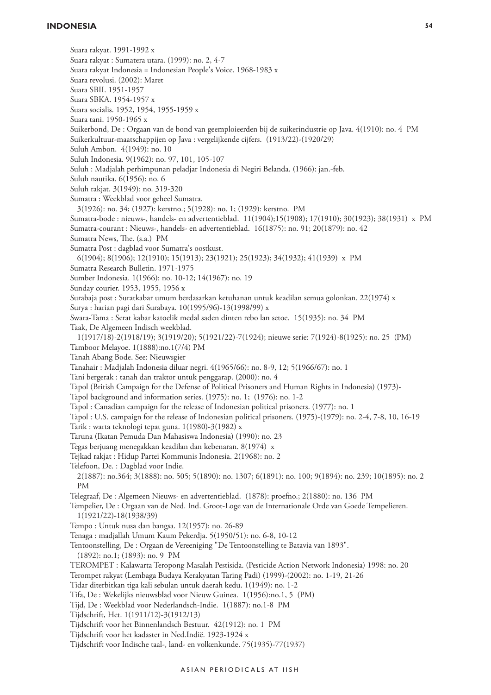Suara rakyat. 1991-1992 x Suara rakyat : Sumatera utara. (1999): no. 2, 4-7 Suara rakyat Indonesia = Indonesian People's Voice. 1968-1983 x Suara revolusi. (2002): Maret Suara SBII. 1951-1957 Suara SBKA. 1954-1957 x Suara socialis. 1952, 1954, 1955-1959 x Suara tani. 1950-1965 x Suikerbond, De : Orgaan van de bond van geemploieerden bij de suikerindustrie op Java. 4(1910): no. 4 PM Suikerkultuur-maatschappijen op Java : vergelijkende cijfers. (1913/22)-(1920/29) Suluh Ambon. 4(1949): no. 10 Suluh Indonesia. 9(1962): no. 97, 101, 105-107 Suluh : Madjalah perhimpunan peladjar Indonesia di Negiri Belanda. (1966): jan.-feb. Suluh nautika. 6(1956): no. 6 Suluh rakjat. 3(1949): no. 319-320 Sumatra : Weekblad voor geheel Sumatra. 3(1926): no. 34; (1927): kerstno.; 5(1928): no. 1; (1929): kerstno. PM Sumatra-bode : nieuws-, handels- en advertentieblad. 11(1904);15(1908); 17(1910); 30(1923); 38(1931) x PM Sumatra-courant : Nieuws-, handels- en advertentieblad. 16(1875): no. 91; 20(1879): no. 42 Sumatra News, The. (s.a.) PM Sumatra Post : dagblad voor Sumatra's oostkust. 6(1904); 8(1906); 12(1910); 15(1913); 23(1921); 25(1923); 34(1932); 41(1939) x PM Sumatra Research Bulletin. 1971-1975 Sumber Indonesia. 1(1966): no. 10-12; 14(1967): no. 19 Sunday courier. 1953, 1955, 1956 x Surabaja post : Suratkabar umum berdasarkan ketuhanan untuk keadilan semua golonkan. 22(1974) x Surya : harian pagi dari Surabaya. 10(1995/96)-13(1998/99) x Swara-Tama : Serat kabar katoelik medal saden dinten rebo lan setoe. 15(1935): no. 34 PM Taak, De Algemeen Indisch weekblad. 1(1917/18)-2(1918/19); 3(1919/20); 5(1921/22)-7(1924); nieuwe serie: 7(1924)-8(1925): no. 25 (PM) Tamboor Melayoe. 1(1888):no.1(7/4) PM Tanah Abang Bode. See: Nieuwsgier Tanahair : Madjalah Indonesia diluar negri. 4(1965/66): no. 8-9, 12; 5(1966/67): no. 1 Tani bergerak : tanah dan traktor untuk penggarap. (2000): no. 4 Tapol (British Campaign for the Defense of Political Prisoners and Human Rights in Indonesia) (1973)- Tapol background and information series. (1975): no. 1; (1976): no. 1-2 Tapol : Canadian campaign for the release of Indonesian political prisoners. (1977): no. 1 Tapol : U.S. campaign for the release of Indonesian political prisoners. (1975)-(1979): no. 2-4, 7-8, 10, 16-19 Tarik : warta teknologi tepat guna. 1(1980)-3(1982) x Taruna (Ikatan Pemuda Dan Mahasiswa Indonesia) (1990): no. 23 Tegas berjuang menegakkan keadilan dan kebenaran. 8(1974) x Tejkad rakjat : Hidup Partei Kommunis Indonesia. 2(1968): no. 2 Telefoon, De. : Dagblad voor Indie. 2(1887): no.364; 3(1888): no. 505; 5(1890): no. 1307; 6(1891): no. 100; 9(1894): no. 239; 10(1895): no. 2 PM Telegraaf, De : Algemeen Nieuws- en advertentieblad. (1878): proefno.; 2(1880): no. 136 PM Tempelier, De : Orgaan van de Ned. Ind. Groot-Loge van de Internationale Orde van Goede Tempelieren. 1(1921/22)-18(1938/39) Tempo : Untuk nusa dan bangsa. 12(1957): no. 26-89 Tenaga : madjallah Umum Kaum Pekerdja. 5(1950/51): no. 6-8, 10-12 Tentoonstelling, De : Orgaan de Vereeniging "De Tentoonstelling te Batavia van 1893". (1892): no.1; (1893): no. 9 PM TEROMPET : Kalawarta Teropong Masalah Pestisida. (Pesticide Action Network Indonesia) 1998: no. 20 Terompet rakyat (Lembaga Budaya Kerakyatan Taring Padi) (1999)-(2002): no. 1-19, 21-26 Tidar diterbitkan tiga kali sebulan untuk daerah kedu. 1(1949): no. 1-2 Tifa, De : Wekelijks nieuwsblad voor Nieuw Guinea. 1(1956):no.1, 5 (PM) Tijd, De : Weekblad voor Nederlandsch-Indie. 1(1887): no.1-8 PM Tijdschrift, Het. 1(1911/12)-3(1912/13) Tijdschrift voor het Binnenlandsch Bestuur. 42(1912): no. 1 PM Tijdschrift voor het kadaster in Ned.Indië. 1923-1924 x

Tijdschrift voor Indische taal-, land- en volkenkunde. 75(1935)-77(1937)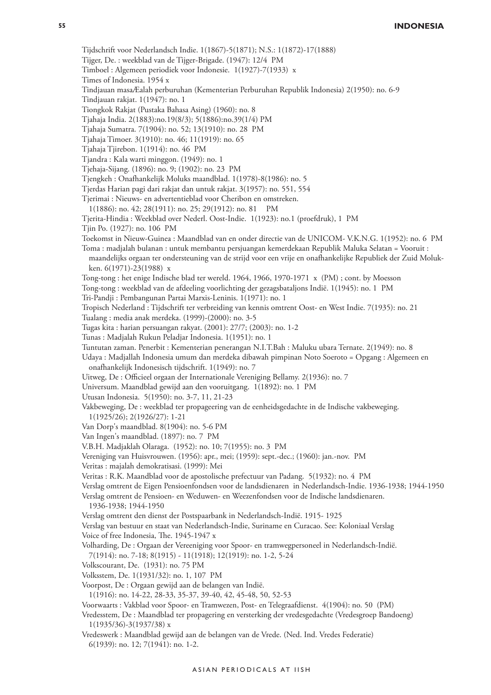Tijdschrift voor Nederlandsch Indie. 1(1867)-5(1871); N.S.: 1(1872)-17(1888)

Tijger, De. : weekblad van de Tijger-Brigade. (1947): 12/4 PM

Timboel : Algemeen periodiek voor Indonesie. 1(1927)-7(1933) x

Times of Indonesia. 1954 x

Tindjauan masaÆalah perburuhan (Kementerian Perburuhan Republik Indonesia) 2(1950): no. 6-9

- Tindjauan rakjat. 1(1947): no. 1
- Tiongkok Rakjat (Pustaka Bahasa Asing) (1960): no. 8
- Tjahaja India. 2(1883):no.19(8/3); 5(1886):no.39(1/4) PM
- Tjahaja Sumatra. 7(1904): no. 52; 13(1910): no. 28 PM
- Tjahaja Timoer. 3(1910): no. 46; 11(1919): no. 65
- Tjahaja Tjirebon. 1(1914): no. 46 PM
- Tjandra : Kala warti minggon. (1949): no. 1
- Tjehaja-Sijang. (1896): no. 9; (1902): no. 23 PM
- Tjengkeh : Onafhankelijk Moluks maandblad. 1(1978)-8(1986): no. 5
- Tjerdas Harian pagi dari rakjat dan untuk rakjat. 3(1957): no. 551, 554

Tjerimai : Nieuws- en advertentieblad voor Cheribon en omstreken.

- 1(1886): no. 42; 28(1911): no. 25; 29(1912): no. 81 PM
- Tjerita-Hindia : Weekblad over Nederl. Oost-Indie. 1(1923): no.1 (proefdruk), 1 PM
- Tjin Po. (1927): no. 106 PM
- Toekomst in Nieuw-Guinea : Maandblad van en onder directie van de UNICOM- V.K.N.G. 1(1952): no. 6 PM
- Toma : madjalah bulanan : untuk membantu persjuangan kemerdekaan Republik Maluka Selatan = Vooruit :
- maandelijks orgaan ter ondersteuning van de strijd voor een vrije en onafhankelijke Republiek der Zuid Molukken. 6(1971)-23(1988) x
- Tong-tong : het enige Indische blad ter wereld. 1964, 1966, 1970-1971 x (PM) ; cont. by Moesson
- Tong-tong : weekblad van de afdeeling voorlichting der gezagsbataljons Indië. 1(1945): no. 1 PM
- Tri-Pandji : Pembangunan Partai Marxis-Leninis. 1(1971): no. 1

Tropisch Nederland : Tijdschrift ter verbreiding van kennis omtrent Oost- en West Indie. 7(1935): no. 21

- Tualang : media anak merdeka. (1999)-(2000): no. 3-5
- Tugas kita : harian persuangan rakyat. (2001): 27/7; (2003): no. 1-2
- Tunas : Madjalah Rukun Peladjar Indonesia. 1(1951): no. 1

Tuntutan zaman. Penerbit : Kementerian penerangan N.I.T.Bah : Maluku ubara Ternate. 2(1949): no. 8

- Udaya : Madjallah Indonesia umum dan merdeka dibawah pimpinan Noto Soeroto = Opgang : Algemeen en onafhankelijk Indonesisch tijdschrift. 1(1949): no. 7
- Uitweg, De : Officieel orgaan der Internationale Vereniging Bellamy. 2(1936): no. 7

Universum. Maandblad gewijd aan den vooruitgang. 1(1892): no. 1 PM

- Utusan Indonesia. 5(1950): no. 3-7, 11, 21-23
- Vakbeweging, De : weekblad ter propageering van de eenheidsgedachte in de Indische vakbeweging. 1(1925/26); 2(1926/27): 1-21
- Van Dorp's maandblad. 8(1904): no. 5-6 PM
- Van Ingen's maandblad. (1897): no. 7 PM
- V.B.H. Madjaklah Olaraga. (1952): no. 10; 7(1955): no. 3 PM
- Vereniging van Huisvrouwen. (1956): apr., mei; (1959): sept.-dec.; (1960): jan.-nov. PM
- Veritas : majalah demokratisasi. (1999): Mei

Veritas : R.K. Maandblad voor de apostolische prefectuur van Padang. 5(1932): no. 4 PM

- Verslag omtrent de Eigen Pensioenfondsen voor de landsdienaren in Nederlandsch-Indie. 1936-1938; 1944-1950
- Verslag omtrent de Pensioen- en Weduwen- en Weezenfondsen voor de Indische landsdienaren.
- 1936-1938; 1944-1950

Verslag omtrent den dienst der Postspaarbank in Nederlandsch-Indië. 1915- 1925

- Verslag van bestuur en staat van Nederlandsch-Indie, Suriname en Curacao. See: Koloniaal Verslag Voice of free Indonesia, The. 1945-1947 x
- Volharding, De : Orgaan der Vereeniging voor Spoor- en tramwegpersoneel in Nederlandsch-Indië.

7(1914): no. 7-18; 8(1915) - 11(1918); 12(1919): no. 1-2, 5-24

- Volkscourant, De. (1931): no. 75 PM
- Volksstem, De. 1(1931/32): no. 1, 107 PM

Voorpost, De : Orgaan gewijd aan de belangen van Indië.

- 1(1916): no. 14-22, 28-33, 35-37, 39-40, 42, 45-48, 50, 52-53
- Voorwaarts : Vakblad voor Spoor- en Tramwezen, Post- en Telegraafdienst. 4(1904): no. 50 (PM)
- Vredesstem, De : Maandblad ter propagering en versterking der vredesgedachte (Vredesgroep Bandoeng) 1(1935/36)-3(1937/38) x

Vredeswerk : Maandblad gewijd aan de belangen van de Vrede. (Ned. Ind. Vredes Federatie) 6(1939): no. 12; 7(1941): no. 1-2.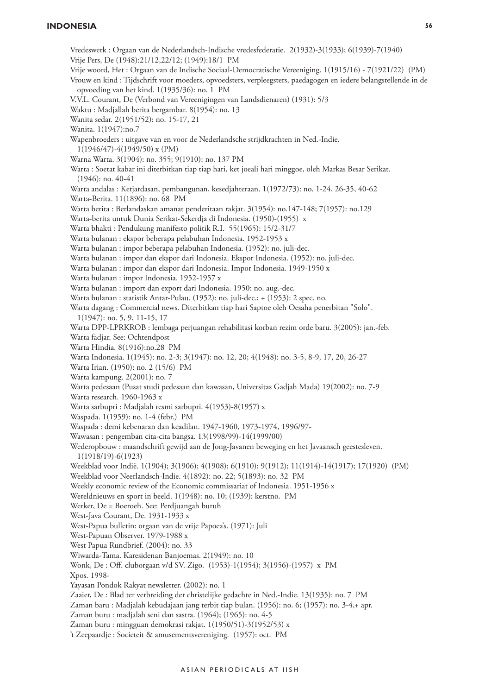Vredeswerk : Orgaan van de Nederlandsch-Indische vredesfederatie. 2(1932)-3(1933); 6(1939)-7(1940) Vrije Pers, De (1948):21/12,22/12; (1949):18/1 PM Vrije woord, Het : Orgaan van de Indische Sociaal-Democratische Vereeniging. 1(1915/16) - 7(1921/22) (PM) Vrouw en kind : Tijdschrift voor moeders, opvoedsters, verpleegsters, paedagogen en iedere belangstellende in de opvoeding van het kind. 1(1935/36): no. 1 PM V.V.L. Courant, De (Verbond van Vereenigingen van Landsdienaren) (1931): 5/3 Waktu : Madjallah berita bergambar. 8(1954): no. 13 Wanita sedar. 2(1951/52): no. 15-17, 21 Wanita. 1(1947):no.7 Wapenbroeders : uitgave van en voor de Nederlandsche strijdkrachten in Ned.-Indie. 1(1946/47)-4(1949/50) x (PM) Warna Warta. 3(1904): no. 355; 9(1910): no. 137 PM Warta : Soetat kabar ini diterbitkan tiap tiap hari, ket joeali hari minggoe, oleh Markas Besar Serikat. (1946): no. 40-41 Warta andalas : Ketjardasan, pembangunan, kesedjahteraan. 1(1972/73): no. 1-24, 26-35, 40-62 Warta-Berita. 11(1896): no. 68 PM Warta berita : Berlandaskan amanat penderitaan rakjat. 3(1954): no.147-148; 7(1957): no.129 Warta-berita untuk Dunia Serikat-Sekerdja di Indonesia. (1950)-(1955) x Warta bhakti : Pendukung manifesto politik R.I. 55(1965): 15/2-31/7 Warta bulanan : ekspor beberapa pelabuhan Indonesia. 1952-1953 x Warta bulanan : impor beberapa pelabuhan Indonesia. (1952): no. juli-dec. Warta bulanan : impor dan ekspor dari Indonesia. Ekspor Indonesia. (1952): no. juli-dec. Warta bulanan : impor dan ekspor dari Indonesia. Impor Indonesia. 1949-1950 x Warta bulanan : impor Indonesia. 1952-1957 x Warta bulanan : import dan export dari Indonesia. 1950: no. aug.-dec. Warta bulanan : statistik Antar-Pulau. (1952): no. juli-dec.; + (1953): 2 spec. no. Warta dagang : Commercial news. Diterbitkan tiap hari Saptoe oleh Oesaha penerbitan "Solo". 1(1947): no. 5, 9, 11-15, 17 Warta DPP-LPRKROB : lembaga perjuangan rehabilitasi korban rezim orde baru. 3(2005): jan.-feb. Warta fadjar. See: Ochtendpost Warta Hindia. 8(1916):no.28 PM Warta Indonesia. 1(1945): no. 2-3; 3(1947): no. 12, 20; 4(1948): no. 3-5, 8-9, 17, 20, 26-27 Warta Irian. (1950): no. 2 (15/6) PM Warta kampung. 2(2001): no. 7 Warta pedesaan (Pusat studi pedesaan dan kawasan, Universitas Gadjah Mada) 19(2002): no. 7-9 Warta research. 1960-1963 x Warta sarbupri : Madjalah resmi sarbupri. 4(1953)-8(1957) x Waspada. 1(1959): no. 1-4 (febr.) PM Waspada : demi kebenaran dan keadilan. 1947-1960, 1973-1974, 1996/97- Wawasan : pengemban cita-cita bangsa. 13(1998/99)-14(1999/00) Wederopbouw : maandschrift gewijd aan de Jong-Javanen beweging en het Javaansch geestesleven. 1(1918/19)-6(1923) Weekblad voor Indië. 1(1904); 3(1906); 4(1908); 6(1910); 9(1912); 11(1914)-14(1917); 17(1920) (PM) Weekblad voor Neerlandsch-Indie. 4(1892): no. 22; 5(1893): no. 32 PM Weekly economic review of the Economic commissariat of Indonesia. 1951-1956 x Wereldnieuws en sport in beeld. 1(1948): no. 10; (1939): kerstno. PM Werker, De = Boeroeh. See: Perdjuangah buruh West-Java Courant, De. 1931-1933 x West-Papua bulletin: orgaan van de vrije Papoea's. (1971): Juli West-Papuan Observer. 1979-1988 x West Papua Rundbrief. (2004): no. 33 Wiwarda-Tama. Karesidenan Banjoemas. 2(1949): no. 10 Wonk, De : Off. cluborgaan v/d SV. Zigo. (1953)-1(1954); 3(1956)-(1957) x PM Xpos. 1998- Yayasan Pondok Rakyat newsletter. (2002): no. 1 Zaaier, De : Blad ter verbreiding der christelijke gedachte in Ned.-Indie. 13(1935): no. 7 PM Zaman baru : Madjalah kebudajaan jang terbit tiap bulan. (1956): no. 6; (1957): no. 3-4,+ apr. Zaman buru : madjalah seni dan sastra. (1964); (1965): no. 4-5 Zaman buru : mingguan demokrasi rakjat. 1(1950/51)-3(1952/53) x 't Zeepaardje : Societeit & amusementsvereniging. (1957): oct. PM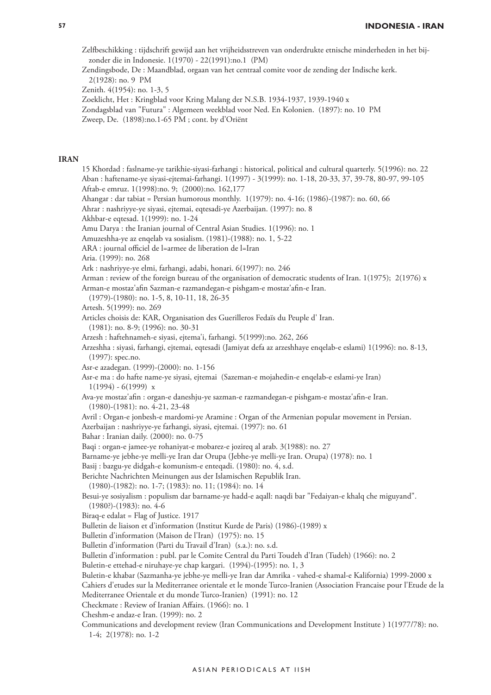Zelfbeschikking : tijdschrift gewijd aan het vrijheidsstreven van onderdrukte etnische minderheden in het bijzonder die in Indonesie. 1(1970) - 22(1991):no.1 (PM)

Zendingsbode, De : Maandblad, orgaan van het centraal comite voor de zending der Indische kerk. 2(1928): no. 9 PM

Zenith. 4(1954): no. 1-3, 5

Zoeklicht, Het : Kringblad voor Kring Malang der N.S.B. 1934-1937, 1939-1940 x

Zondagsblad van "Futura" : Algemeen weekblad voor Ned. En Kolonien. (1897): no. 10 PM

Zweep, De. (1898):no.1-65 PM ; cont. by d'Oriënt

#### **Iran**

15 Khordad : faslname-ye tarikhie-siyasi-farhangi : historical, political and cultural quarterly. 5(1996): no. 22 Aban : haftename-ye siyasi-ejtemai-farhangi. 1(1997) - 3(1999): no. 1-18, 20-33, 37, 39-78, 80-97, 99-105 Aftab-e emruz. 1(1998):no. 9; (2000):no. 162,177 Ahangar : dar tabiat = Persian humorous monthly.  $1(1979)$ : no.  $4-16$ ;  $(1986)-(1987)$ : no. 60, 66 Ahrar : nashriyye-ye siyasi, ejtemai, eqtesadi-ye Azerbaijan. (1997): no. 8 Akhbar-e eqtesad. 1(1999): no. 1-24 Amu Darya : the Iranian journal of Central Asian Studies. 1(1996): no. 1 Amuzeshha-ye az enqelab va sosialism. (1981)-(1988): no. 1, 5-22 ARA : journal officiel de l=armee de liberation de l=Iran Aria. (1999): no. 268 Ark : nashriyye-ye elmi, farhangi, adabi, honari. 6(1997): no. 246 Arman : review of the foreign bureau of the organisation of democratic students of Iran. 1(1975); 2(1976) x Arman-e mostaz'afin Sazman-e razmandegan-e pishgam-e mostaz'afin-e Iran. (1979)-(1980): no. 1-5, 8, 10-11, 18, 26-35 Artesh. 5(1999): no. 269 Articles choisis de: KAR, Organisation des Guerilleros Fedaïs du Peuple d' Iran. (1981): no. 8-9; (1996): no. 30-31 Arzesh : haftehnameh-e siyasi, ejtema'i, farhangi. 5(1999):no. 262, 266 Arzeshha : siyasi, farhangi, ejtemai, eqtesadi (Jamiyat defa az arzeshhaye enqelab-e eslami) 1(1996): no. 8-13, (1997): spec.no. Asr-e azadegan. (1999)-(2000): no. 1-156 Asr-e ma : do hafte name-ye siyasi, ejtemai (Sazeman-e mojahedin-e enqelab-e eslami-ye Iran)  $1(1994) - 6(1999)$  x Ava-ye mostaz'afin : organ-e daneshju-ye sazman-e razmandegan-e pishgam-e mostaz'afin-e Iran. (1980)-(1981): no. 4-21, 23-48 Avril : Organ-e jonbesh-e mardomi-ye Aramine : Organ of the Armenian popular movement in Persian. Azerbaijan : nashriyye-ye farhangi, siyasi, ejtemai. (1997): no. 61 Bahar : Iranian daily. (2000): no. 0-75 Baqi : organ-e jamee-ye rohaniyat-e mobarez-e jozireq al arab. 3(1988): no. 27 Barname-ye jebhe-ye melli-ye Iran dar Orupa (Jebhe-ye melli-ye Iran. Orupa) (1978): no. 1 Basij : bazgu-ye didgah-e komunism-e enteqadi. (1980): no. 4, s.d. Berichte Nachrichten Meinungen aus der Islamischen Republik Iran. (1980)-(1982): no. 1-7; (1983): no. 11; (1984): no. 14 Besui-ye sosiyalism : populism dar barname-ye hadd-e aqall: naqdi bar "Fedaiyan-e khalq che miguyand". (1980?)-(1983): no. 4-6 Biraq-e edalat = Flag of Justice. 1917 Bulletin de liaison et d'information (Institut Kurde de Paris) (1986)-(1989) x Bulletin d'information (Maison de l'Iran) (1975): no. 15 Bulletin d'information (Parti du Travail d'Iran) (s.a.): no. s.d. Bulletin d'information : publ. par le Comite Central du Parti Toudeh d'Iran (Tudeh) (1966): no. 2 Buletin-e ettehad-e niruhaye-ye chap kargari. (1994)-(1995): no. 1, 3 Buletin-e khabar (Sazmanha-ye jebhe-ye melli-ye Iran dar Amrika - vahed-e shamal-e Kalifornia) 1999-2000 x Cahiers d'etudes sur la Mediterranee orientale et le monde Turco-Iranien (Association Francaise pour l'Etude de la Mediterranee Orientale et du monde Turco-Iranien) (1991): no. 12 Checkmate : Review of Iranian Affairs. (1966): no. 1 Cheshm-e andaz-e Iran. (1999): no. 2 Communications and development review (Iran Communications and Development Institute ) 1(1977/78): no. 1-4; 2(1978): no. 1-2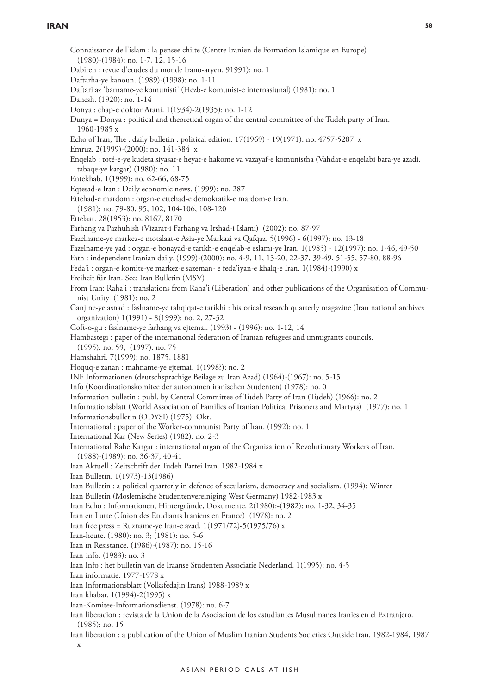Connaissance de l'islam : la pensee chiite (Centre Iranien de Formation Islamique en Europe) (1980)-(1984): no. 1-7, 12, 15-16 Dabireh : revue d'etudes du monde Irano-aryen. 91991): no. 1 Daftarha-ye kanoun. (1989)-(1998): no. 1-11 Daftari az 'barname-ye komunisti' (Hezb-e komunist-e internasiunal) (1981): no. 1 Danesh. (1920): no. 1-14 Donya : chap-e doktor Arani. 1(1934)-2(1935): no. 1-12 Dunya = Donya : political and theoretical organ of the central committee of the Tudeh party of Iran. 1960-1985 x Echo of Iran, The : daily bulletin : political edition. 17(1969) - 19(1971): no. 4757-5287 x Emruz. 2(1999)-(2000): no. 141-384 x Enqelab : toté-e-ye kudeta siyasat-e heyat-e hakome va vazayaf-e komunistha (Vahdat-e enqelabi bara-ye azadi. tabaqe-ye kargar) (1980): no. 11 Entekhab. 1(1999): no. 62-66, 68-75 Eqtesad-e Iran : Daily economic news. (1999): no. 287 Ettehad-e mardom : organ-e ettehad-e demokratik-e mardom-e Iran. (1981): no. 79-80, 95, 102, 104-106, 108-120 Ettelaat. 28(1953): no. 8167, 8170 Farhang va Pazhuhish (Vizarat-i Farhang va Irshad-i Islami) (2002): no. 87-97 Fazelname-ye markez-e motalaat-e Asia-ye Markazi va Qafqaz. 5(1996) - 6(1997): no. 13-18 Fazelname-ye yad : organ-e bonayad-e tarikh-e enqelab-e eslami-ye Iran. 1(1985) - 12(1997): no. 1-46, 49-50 Fath : independent Iranian daily. (1999)-(2000): no. 4-9, 11, 13-20, 22-37, 39-49, 51-55, 57-80, 88-96 Feda'i : organ-e komite-ye markez-e sazeman- e feda'iyan-e khalq-e Iran. 1(1984)-(1990) x Freiheit für Iran. See: Iran Bulletin (MSV) From Iran: Raha'i : translations from Raha'i (Liberation) and other publications of the Organisation of Communist Unity (1981): no. 2 Ganjine-ye asnad : faslname-ye tahqiqat-e tarikhi : historical research quarterly magazine (Iran national archives organization) 1(1991) - 8(1999): no. 2, 27-32 Goft-o-gu : faslname-ye farhang va ejtemai. (1993) - (1996): no. 1-12, 14 Hambastegi : paper of the international federation of Iranian refugees and immigrants councils. (1995): no. 59; (1997): no. 75 Hamshahri. 7(1999): no. 1875, 1881 Hoquq-e zanan : mahname-ye ejtemai. 1(1998?): no. 2 INF Informationen (deutschsprachige Beilage zu Iran Azad) (1964)-(1967): no. 5-15 Info (Koordinationskomitee der autonomen iranischen Studenten) (1978): no. 0 Information bulletin : publ. by Central Committee of Tudeh Party of Iran (Tudeh) (1966): no. 2 Informationsblatt (World Association of Families of Iranian Political Prisoners and Martyrs) (1977): no. 1 Informationsbulletin (ODYSI) (1975): Okt. International : paper of the Worker-communist Party of Iran. (1992): no. 1 International Kar (New Series) (1982): no. 2-3 International Rahe Kargar : international organ of the Organisation of Revolutionary Workers of Iran. (1988)-(1989): no. 36-37, 40-41 Iran Aktuell : Zeitschrift der Tudeh Partei Iran. 1982-1984 x Iran Bulletin. 1(1973)-13(1986) Iran Bulletin : a political quarterly in defence of secularism, democracy and socialism. (1994): Winter Iran Bulletin (Moslemische Studentenvereiniging West Germany) 1982-1983 x Iran Echo : Informationen, Hintergründe, Dokumente. 2(1980):-(1982): no. 1-32, 34-35 Iran en Lutte (Union des Etudiants Iraniens en France) (1978): no. 2 Iran free press = Ruzname-ye Iran-e azad. 1(1971/72)-5(1975/76) x Iran-heute. (1980): no. 3; (1981): no. 5-6 Iran in Resistance. (1986)-(1987): no. 15-16 Iran-info. (1983): no. 3 Iran Info : het bulletin van de Iraanse Studenten Associatie Nederland. 1(1995): no. 4-5 Iran informatie. 1977-1978 x Iran Informationsblatt (Volksfedajin Irans) 1988-1989 x Iran khabar. 1(1994)-2(1995) x Iran-Komitee-Informationsdienst. (1978): no. 6-7 Iran liberacion : revista de la Union de la Asociacion de los estudiantes Musulmanes Iranies en el Extranjero. (1985): no. 15 Iran liberation : a publication of the Union of Muslim Iranian Students Societies Outside Iran. 1982-1984, 1987 x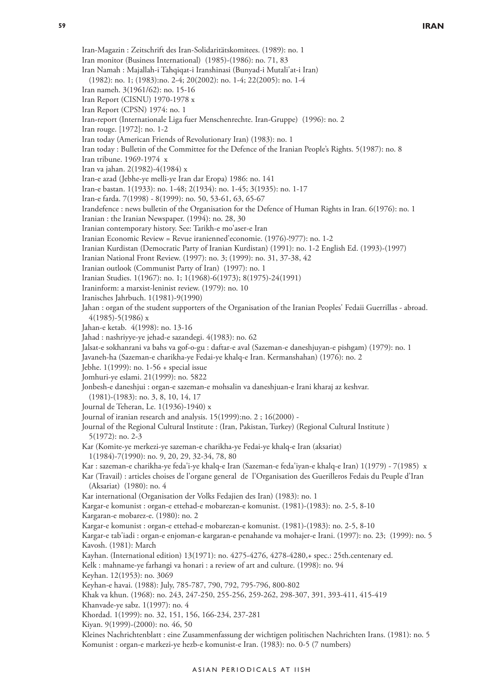Iran-Magazin : Zeitschrift des Iran-Solidaritätskomitees. (1989): no. 1 Iran monitor (Business International) (1985)-(1986): no. 71, 83 Iran Namah : Majallah-i Tahqiqat-i Iranshinasi (Bunyad-i Mutali'at-i Iran) (1982): no. 1; (1983):no. 2-4; 20(2002): no. 1-4; 22(2005): no. 1-4 Iran nameh. 3(1961/62): no. 15-16 Iran Report (CISNU) 1970-1978 x Iran Report (CPSN) 1974: no. 1 Iran-report (Internationale Liga fuer Menschenrechte. Iran-Gruppe) (1996): no. 2 Iran rouge. [1972]: no. 1-2 Iran today (American Friends of Revolutionary Iran) (1983): no. 1 Iran today : Bulletin of the Committee for the Defence of the Iranian People's Rights. 5(1987): no. 8 Iran tribune. 1969-1974 x Iran va jahan. 2(1982)-4(1984) x Iran-e azad (Jebhe-ye melli-ye Iran dar Eropa) 1986: no. 141 Iran-e bastan. 1(1933): no. 1-48; 2(1934): no. 1-45; 3(1935): no. 1-17 Iran-e farda. 7(1998) - 8(1999): no. 50, 53-61, 63, 65-67 Irandefence : news bulletin of the Organisation for the Defence of Human Rights in Iran. 6(1976): no. 1 Iranian : the Iranian Newspaper. (1994): no. 28, 30 Iranian contemporary history. See: Tarikh-e mo'aser-e Iran Iranian Economic Review = Revue iranienned'economie. (1976)-!977): no. 1-2 Iranian Kurdistan (Democratic Party of Iranian Kurdistan) (1991): no. 1-2 English Ed. (1993)-(1997) Iranian National Front Review. (1997): no. 3; (1999): no. 31, 37-38, 42 Iranian outlook (Communist Party of Iran) (1997): no. 1 Iranian Studies. 1(1967): no. 1; 1(1968)-6(1973); 8(1975)-24(1991) Iraninform: a marxist-leninist review. (1979): no. 10 Iranisches Jahrbuch. 1(1981)-9(1990) Jahan : organ of the student supporters of the Organisation of the Iranian Peoples' Fedaii Guerrillas - abroad. 4(1985)-5(1986) x Jahan-e ketab. 4(1998): no. 13-16 Jahad : nashriyye-ye jehad-e sazandegi. 4(1983): no. 62 Jalsat-e sokhanrani va bahs va gof-o-gu : daftar-e aval (Sazeman-e daneshjuyan-e pishgam) (1979): no. 1 Javaneh-ha (Sazeman-e charikha-ye Fedai-ye khalq-e Iran. Kermanshahan) (1976): no. 2 Jebhe. 1(1999): no. 1-56 + special issue Jomhuri-ye eslami. 21(1999): no. 5822 Jonbesh-e daneshjui : organ-e sazeman-e mohsalin va daneshjuan-e Irani kharaj az keshvar. (1981)-(1983): no. 3, 8, 10, 14, 17 Journal de Teheran, Le. 1(1936)-1940) x Journal of iranian research and analysis. 15(1999):no. 2 ; 16(2000) - Journal of the Regional Cultural Institute : (Iran, Pakistan, Turkey) (Regional Cultural Institute ) 5(1972): no. 2-3 Kar (Komite-ye merkezi-ye sazeman-e charikha-ye Fedai-ye khalq-e Iran (aksariat) 1(1984)-7(1990): no. 9, 20, 29, 32-34, 78, 80 Kar : sazeman-e charikha-ye feda'i-ye khalq-e Iran (Sazeman-e feda'iyan-e khalq-e Iran) 1(1979) - 7(1985) x Kar (Travail) : articles choises de l'organe general de l'Organisation des Guerilleros Fedais du Peuple d'Iran (Aksariat) (1980): no. 4 Kar international (Organisation der Volks Fedajien des Iran) (1983): no. 1 Kargar-e komunist : organ-e ettehad-e mobarezan-e komunist. (1981)-(1983): no. 2-5, 8-10 Kargaran-e mobarez-e. (1980): no. 2 Kargar-e komunist : organ-e ettehad-e mobarezan-e komunist. (1981)-(1983): no. 2-5, 8-10 Kargar-e tab'iadi : organ-e enjoman-e kargaran-e penahande va mohajer-e Irani. (1997): no. 23; (1999): no. 5 Kavosh. (1981): March Kayhan. (International edition) 13(1971): no. 4275-4276, 4278-4280,+ spec.: 25th.centenary ed. Kelk : mahname-ye farhangi va honari : a review of art and culture. (1998): no. 94 Keyhan. 12(1953): no. 3069 Keyhan-e havai. (1988): July, 785-787, 790, 792, 795-796, 800-802 Khak va khun. (1968): no. 243, 247-250, 255-256, 259-262, 298-307, 391, 393-411, 415-419 Khanvade-ye sabz. 1(1997): no. 4 Khordad. 1(1999): no. 32, 151, 156, 166-234, 237-281 Kiyan. 9(1999)-(2000): no. 46, 50 Kleines Nachrichtenblatt : eine Zusammenfassung der wichtigen politischen Nachrichten Irans. (1981): no. 5 Komunist : organ-e markezi-ye hezb-e komunist-e Iran. (1983): no. 0-5 (7 numbers)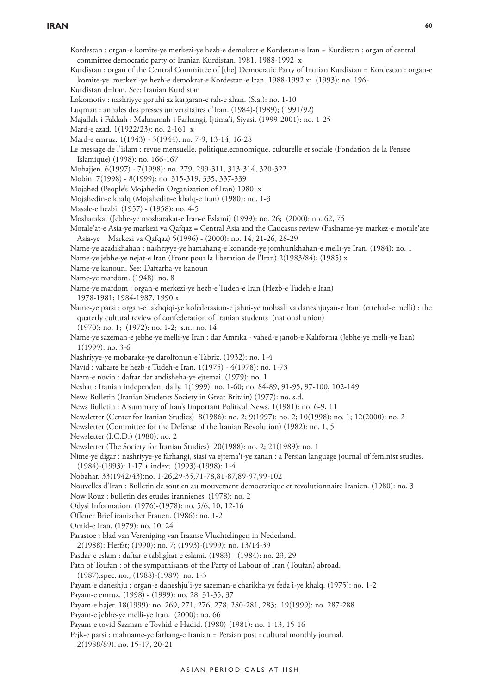# **IRan**

| Kordestan : organ-e komite-ye merkezi-ye hezb-e demokrat-e Kordestan-e Iran = Kurdistan : organ of central                                                                         |
|------------------------------------------------------------------------------------------------------------------------------------------------------------------------------------|
| committee democratic party of Iranian Kurdistan. 1981, 1988-1992 x                                                                                                                 |
| Kurdistan : organ of the Central Committee of [the] Democratic Party of Iranian Kurdistan = Kordestan : organ-e                                                                    |
| komite-ye merkezi-ye hezb-e demokrat-e Kordestan-e Iran. 1988-1992 x; (1993): no. 196-                                                                                             |
| Kurdistan d=Iran. See: Iranian Kurdistan                                                                                                                                           |
| Lokomotiv : nashriyye goruhi az kargaran-e rah-e ahan. (S.a.): no. 1-10                                                                                                            |
| Luqman : annales des presses universitaires d'Iran. (1984)-(1989); (1991/92)                                                                                                       |
| Majallah-i Fakkah: Mahnamah-i Farhangi, Ijtima'i, Siyasi. (1999-2001): no. 1-25                                                                                                    |
| Mard-e azad. 1(1922/23): no. 2-161 x                                                                                                                                               |
| Mard-e emruz. 1(1943) - 3(1944): no. 7-9, 13-14, 16-28                                                                                                                             |
| Le message de l'islam : revue mensuelle, politique, economique, culturelle et sociale (Fondation de la Pensee<br>Islamique) (1998): no. 166-167                                    |
| Mobajjen. 6(1997) - 7(1998): no. 279, 299-311, 313-314, 320-322                                                                                                                    |
| Mobin. 7(1998) - 8(1999): no. 315-319, 335, 337-339                                                                                                                                |
| Mojahed (People's Mojahedin Organization of Iran) 1980 x                                                                                                                           |
| Mojahedin-e khalq (Mojahedin-e khalq-e Iran) (1980): no. 1-3                                                                                                                       |
| Masale-e hezbi. (1957) - (1958): no. 4-5                                                                                                                                           |
| Mosharakat (Jebhe-ye mosharakat-e Iran-e Eslami) (1999): no. 26; (2000): no. 62, 75                                                                                                |
| Motale'at-e Asia-ye markezi va Qafqaz = Central Asia and the Caucasus review (Faslname-ye markez-e motale'ate<br>Asia-ye Markezi va Qafqaz) 5(1996) - (2000): no. 14, 21-26, 28-29 |
| Name-ye azadikhahan : nashriyye-ye hamahang-e konande-ye jomhurikhahan-e melli-ye Iran. (1984): no. 1                                                                              |
| Name-ye jebhe-ye nejat-e Iran (Front pour la liberation de l'Iran) 2(1983/84); (1985) x                                                                                            |
| Name-ye kanoun. See: Daftarha-ye kanoun                                                                                                                                            |
| Name-ye mardom. (1948): no. 8                                                                                                                                                      |
| Name-ye mardom : organ-e merkezi-ye hezb-e Tudeh-e Iran (Hezb-e Tudeh-e Iran)                                                                                                      |
| 1978-1981; 1984-1987, 1990 x                                                                                                                                                       |
| Name-ye parsi : organ-e takhqiqi-ye kofederasiun-e jahni-ye mohsali va daneshjuyan-e Irani (ettehad-e melli) : the                                                                 |
| quaterly cultural review of confederation of Iranian students (national union)<br>(1970): no. 1; (1972): no. 1-2; s.n.: no. 14                                                     |
| Name-ye sazeman-e jebhe-ye melli-ye Iran : dar Amrika - vahed-e janob-e Kalifornia (Jebhe-ye melli-ye Iran)                                                                        |
|                                                                                                                                                                                    |
|                                                                                                                                                                                    |
| 1(1999): no. 3-6                                                                                                                                                                   |
| Nashriyye-ye mobarake-ye darolfonun-e Tabriz. (1932): no. 1-4                                                                                                                      |
| Navid : vabaste be hezb-e Tudeh-e Iran. 1(1975) - 4(1978): no. 1-73                                                                                                                |
| Nazm-e novin : daftar dar andisheha-ye ejtemai. (1979): no. 1                                                                                                                      |
| Neshat: Iranian independent daily. 1(1999): no. 1-60; no. 84-89, 91-95, 97-100, 102-149                                                                                            |
| News Bulletin (Iranian Students Society in Great Britain) (1977): no. s.d.                                                                                                         |
| News Bulletin : A summary of Iran's Important Political News. 1(1981): no. 6-9, 11                                                                                                 |
| Newsletter (Center for Iranian Studies) 8(1986): no. 2; 9(1997): no. 2; 10(1998): no. 1; 12(2000): no. 2                                                                           |
| Newsletter (Committee for the Defense of the Iranian Revolution) (1982): no. 1, 5                                                                                                  |
| Newsletter (I.C.D.) (1980): no. 2                                                                                                                                                  |
| Newsletter (The Society for Iranian Studies) 20(1988): no. 2; 21(1989): no. 1                                                                                                      |
| Nime-ye digar : nashriyye-ye farhangi, siasi va ejtema'i-ye zanan : a Persian language journal of feminist studies.                                                                |
| $(1984)-(1993): 1-17 + \text{index}; (1993)-(1998): 1-4$                                                                                                                           |
| Nobahar. 33(1942/43):no. 1-26,29-35,71-78,81-87,89-97,99-102                                                                                                                       |
| Nouvelles d'Iran : Bulletin de soutien au mouvement democratique et revolutionnaire Iranien. (1980): no. 3                                                                         |
| Now Rouz: bulletin des etudes irannienes. (1978): no. 2                                                                                                                            |
| Odysi Information. (1976)-(1978): no. 5/6, 10, 12-16                                                                                                                               |
| Offener Brief iranischer Frauen. (1986): no. 1-2                                                                                                                                   |
| Omid-e Iran. (1979): no. 10, 24                                                                                                                                                    |
| Parastoe : blad van Vereniging van Iraanse Vluchtelingen in Nederland.                                                                                                             |
| 2(1988): Herfst; (1990): no. 7; (1993)-(1999): no. 13/14-39                                                                                                                        |
| Pasdar-e eslam : daftar-e tablighat-e eslami. (1983) - (1984): no. 23, 29<br>Path of Toufan : of the sympathisants of the Party of Labour of Iran (Toufan) abroad.                 |
| (1987): spec. no.; (1988)-(1989): no. 1-3                                                                                                                                          |
|                                                                                                                                                                                    |
| Payam-e daneshju : organ-e daneshju'i-ye sazeman-e charikha-ye feda'i-ye khalq. (1975): no. 1-2<br>Payam-e emruz. (1998) - (1999): no. 28, 31-35, 37                               |
|                                                                                                                                                                                    |
| Payam-e hajer. 18(1999): no. 269, 271, 276, 278, 280-281, 283; 19(1999): no. 287-288<br>Payam-e jebhe-ye melli-ye Iran. (2000): no. 66                                             |
| Payam-e tovid Sazman-e Tovhid-e Hadid. (1980)-(1981): no. 1-13, 15-16                                                                                                              |
| Pejk-e parsi : mahname-ye farhang-e Iranian = Persian post : cultural monthly journal.                                                                                             |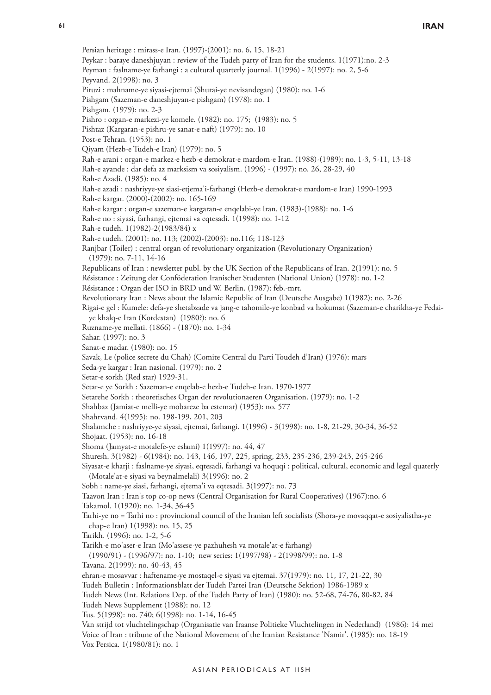**61**

Peykar : baraye daneshjuyan : review of the Tudeh party of Iran for the students. 1(1971):no. 2-3 Peyman : faslname-ye farhangi : a cultural quarterly journal. 1(1996) - 2(1997): no. 2, 5-6

Peyvand. 2(1998): no. 3

Piruzi : mahname-ye siyasi-ejtemai (Shurai-ye nevisandegan) (1980): no. 1-6

Pishgam (Sazeman-e daneshjuyan-e pishgam) (1978): no. 1

Pishgam. (1979): no. 2-3

Pishro : organ-e markezi-ye komele. (1982): no. 175; (1983): no. 5

Pishtaz (Kargaran-e pishru-ye sanat-e naft) (1979): no. 10

Post-e Tehran. (1953): no. 1

Qiyam (Hezb-e Tudeh-e Iran) (1979): no. 5

Rah-e arani : organ-e markez-e hezb-e demokrat-e mardom-e Iran. (1988)-(1989): no. 1-3, 5-11, 13-18

Rah-e ayande : dar defa az marksism va sosiyalism. (1996) - (1997): no. 26, 28-29, 40

Rah-e Azadi. (1985): no. 4

Rah-e azadi : nashriyye-ye siasi-etjema'i-farhangi (Hezb-e demokrat-e mardom-e Iran) 1990-1993

Rah-e kargar. (2000)-(2002): no. 165-169

Rah-e kargar : organ-e sazeman-e kargaran-e enqelabi-ye Iran. (1983)-(1988): no. 1-6

Rah-e no : siyasi, farhangi, ejtemai va eqtesadi. 1(1998): no. 1-12

Rah-e tudeh. 1(1982)-2(1983/84) x

Rah-e tudeh. (2001): no. 113; (2002)-(2003): no.116; 118-123

Ranjbar (Toiler) : central organ of revolutionary organization (Revolutionary Organization) (1979): no. 7-11, 14-16

Republicans of Iran : newsletter publ. by the UK Section of the Republicans of Iran. 2(1991): no. 5

Résistance : Zeitung der Conföderation Iranischer Studenten (National Union) (1978): no. 1-2

Résistance : Organ der ISO in BRD und W. Berlin. (1987): feb.-mrt.

Revolutionary Iran : News about the Islamic Republic of Iran (Deutsche Ausgabe) 1(1982): no. 2-26

Rigai-e gel : Kumele: defa-ye shetabzade va jang-e tahomile-ye konbad va hokumat (Sazeman-e charikha-ye Fedaiye khalq-e Iran (Kordestan) (1980?): no. 6

Ruzname-ye mellati. (1866) - (1870): no. 1-34

Sahar. (1997): no. 3

Sanat-e madar. (1980): no. 15

Savak, Le (police secrete du Chah) (Comite Central du Parti Toudeh d'Iran) (1976): mars

Seda-ye kargar : Iran nasional. (1979): no. 2

Setar-e sorkh (Red star) 1929-31.

Setar-e ye Sorkh : Sazeman-e enqelab-e hezb-e Tudeh-e Iran. 1970-1977

Setarehe Sorkh : theoretisches Organ der revolutionaeren Organisation. (1979): no. 1-2

Shahbaz (Jamiat-e melli-ye mobareze ba estemar) (1953): no. 577

Shahrvand. 4(1995): no. 198-199, 201, 203

Shalamche : nashriyye-ye siyasi, ejtemai, farhangi. 1(1996) - 3(1998): no. 1-8, 21-29, 30-34, 36-52

Shojaat. (1953): no. 16-18

Shoma (Jamyat-e motalefe-ye eslami) 1(1997): no. 44, 47

Shuresh. 3(1982) - 6(1984): no. 143, 146, 197, 225, spring, 233, 235-236, 239-243, 245-246

Siyasat-e kharji : faslname-ye siyasi, eqtesadi, farhangi va hoquqi : political, cultural, economic and legal quaterly (Motale'at-e siyasi va beynalmelali) 3(1996): no. 2

Sobh : name-ye siasi, farhangi, ejtema'i va eqtesadi. 3(1997): no. 73

Taavon Iran : Iran's top co-op news (Central Organisation for Rural Cooperatives) (1967):no. 6

Takamol. 1(1920): no. 1-34, 36-45

Tarhi-ye no = Tarhi no : provincional council of the Iranian left socialists (Shora-ye movaqqat-e sosiyalistha-ye chap-e Iran) 1(1998): no. 15, 25

Tarikh. (1996): no. 1-2, 5-6

Tarikh-e mo'aser-e Iran (Mo'assese-ye pazhuhesh va motale'at-e farhang)

(1990/91) - (1996/97): no. 1-10; new series: 1(1997/98) - 2(1998/99): no. 1-8 Tavana. 2(1999): no. 40-43, 45

ehran-e mosavvar : haftename-ye mostaqel-e siyasi va ejtemai. 37(1979): no. 11, 17, 21-22, 30

Tudeh Bulletin : Informationsblatt der Tudeh Partei Iran (Deutsche Sektion) 1986-1989 x

Tudeh News (Int. Relations Dep. of the Tudeh Party of Iran) (1980): no. 52-68, 74-76, 80-82, 84

Tudeh News Supplement (1988): no. 12

Tus. 5(1998): no. 740; 6(1998): no. 1-14, 16-45

Van strijd tot vluchtelingschap (Organisatie van Iraanse Politieke Vluchtelingen in Nederland) (1986): 14 mei Voice of Iran : tribune of the National Movement of the Iranian Resistance 'Namir'. (1985): no. 18-19 Vox Persica. 1(1980/81): no. 1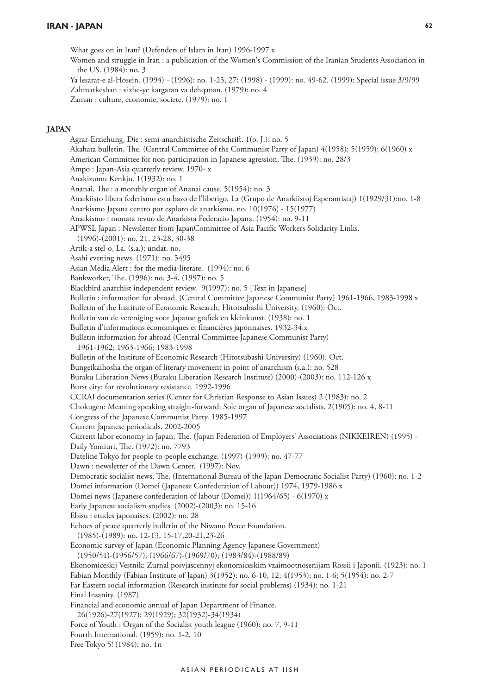What goes on in Iran? (Defenders of Islam in Iran) 1996-1997 x

Women and struggle in Iran : a publication of the Women's Commission of the Iranian Students Association in the US. (1984): no. 3

Ya lesarat-e al-Hosein. (1994) - (1996): no. 1-25, 27; (1998) - (1999): no. 49-62. (1999): Special issue 3/9/99 Zahmatkeshan : vizhe-ye kargaran va dehqanan. (1979): no. 4

Zaman : culture, economie, societe. (1979): no. 1

#### **Japan**

Agrar-Erziehung, Die : semi-anarchistische Zeitschrift. 1(o. J.): no. 5 Akahata bulletin, The. (Central Committee of the Communist Party of Japan) 4(1958); 5(1959); 6(1960) x American Committee for non-participation in Japanese agression, The. (1939): no. 28/3 Ampo : Japan-Asia quarterly review. 1970- x Anakizumu Kenkju. 1(1932): no. 1 Ananai, The : a monthly organ of Ananai cause. 5(1954): no. 3 Anarkiisto libera federismo estu bazo de l'liberigo, La (Grupo de Anarkiistoj Esperantistaj) 1(1929/31):no. 1-8 Anarkismo Japana centro por esploro de anarkismo. no. 10(1976) - 15(1977) Anarkismo : monata revuo de Anarkista Federacio Japana. (1954): no. 9-11 APWSL Japan : Newsletter from JapanCommittee of Asia Pacific Workers Solidarity Links. (1996)-(2001): no. 21, 23-28, 30-38 Artik-a stel-o, La. (s.a.): undat. no. Asahi evening news. (1971): no. 5495 Asian Media Alert : for the media-literate. (1994): no. 6 Bankworker, The. (1996): no. 3-4, (1997): no. 5 Blackbird anarchist independent review. 9(1997): no. 5 [Text in Japanese] Bulletin : information for abroad. (Central Committee Japanese Communist Party) 1961-1966, 1983-1998 x Bulletin of the Institute of Economic Research, Hitotsubashi University. (1960): Oct. Bulletin van de vereniging voor Japanse grafiek en kleinkunst. (1938): no. 1 Bulletin d'informations économiques et financières japonnaises. 1932-34.x Bulletin information for abroad (Central Committee Japanese Communist Party) 1961-1962; 1963-1966; 1983-1998 Bulletin of the Institute of Economic Research (Hitotsubashi University) (1960): Oct. Bungeikaihosha the organ of literary movement in point of anarchism (s.a.): no. 528 Buraku Liberation News (Buraku Liberation Research Institute) (2000)-(2003): no. 112-126 x Burst city: for revolutionary resistance. 1992-1996 CCRAI documentation series (Center for Christian Response to Asian Issues) 2 (1983): no. 2 Chokugen: Meaning speaking straight-forward: Sole organ of Japanese socialists. 2(1905): no. 4, 8-11 Congress of the Japanese Communist Party. 1985-1997 Current Japanese periodicals. 2002-2005 Current labor economy in Japan, The. (Japan Federation of Employers' Associations (NIKKEIREN) (1995) - Daily Yomiuri, The. (1972): no. 7793 Dateline Tokyo for people-to-people exchange. (1997)-(1999): no. 47-77 Dawn : newsletter of the Dawn Center. (1997): Nov. Democratic socialist news, The. (International Bureau of the Japan Democratic Socialist Party) (1960): no. 1-2 Domei information (Domei (Japanese Confederation of Labour)) 1974, 1979-1986 x Domei news (Japanese confederation of labour (Domei)) 1(1964/65) - 6(1970) x Early Japanese socialism studies. (2002)-(2003): no. 15-16 Ebisu : etudes japonaises. (2002): no. 28 Echoes of peace quarterly bulletin of the Niwano Peace Foundation. (1985)-(1989): no. 12-13, 15-17,20-21,23-26 Economic survey of Japan (Economic Planning Agency Japanese Government) (1950/51)-(1956/57); (1966/67)-(1969/70); (1983/84)-(1988/89) Ekonomiceskij Vestnik: Zurnal posvjascennyj ekonomiceskim vzaimootnosenijam Rossii i Japonii. (1923): no. 1 Fabian Monthly (Fabian Institute of Japan) 3(1952): no. 6-10, 12; 4(1953): no. 1-6; 5(1954): no. 2-7 Far Eastern social information (Research institute for social problems) (1934): no. 1-21 Final Insanity. (1987) Financial and economic annual of Japan Department of Finance. 26(1926)-27(1927); 29(1929); 32(1932)-34(1934) Force of Youth : Organ of the Socialist youth league (1960): no. 7, 9-11 Fourth International. (1959): no. 1-2, 10 Free Tokyo 5! (1984): no. 1n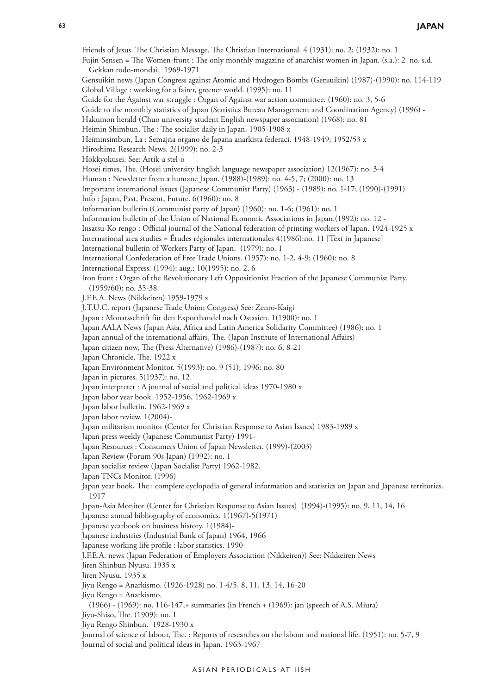Friends of Jesus. The Christian Message. The Christian International. 4 (1931): no. 2; (1932): no. 1 Fujin-Sensen = The Women-front : The only monthly magazine of anarchist women in Japan. (s.a.): 2 no. s.d. Gekkan rodo-mondai. 1969-1971 Gensuikin news (Japan Congress against Atomic and Hydrogen Bombs (Gensuikin) (1987)-(1990): no. 114-119 Global Village : working for a fairer, greener world. (1995): no. 11 Guide for the Against war struggle : Organ of Against war action committee. (1960): no. 3, 5-6 Guide to the monthly statistics of Japan (Statistics Bureau Management and Coordination Agency) (1996) - Hakumon herald (Chuo university student English newspaper association) (1968): no. 81 Heimin Shimbun, The : The socialist daily in Japan. 1905-1908 x Heiminsimbun, La : Semajna organo de Japana anarkista federaci. 1948-1949; 1952/53 x Hiroshima Research News. 2(1999): no. 2-3 Hokkyokusei. See: Artik-a stel-o Hosei times, The. (Hosei university English language newspaper association) 12(1967): no. 3-4 Human : Newsletter from a humane Japan. (1988)-(1989): no. 4-5, 7; (2000): no. 13 Important international issues (Japanese Communist Party) (1963) - (1989): no. 1-17; (1990)-(1991) Info : Japan, Past, Present, Future. 6(1960): no. 8 Information bulletin (Communist party of Japan) (1960): no. 1-6; (1961): no. 1 Information bulletin of the Union of National Economic Associations in Japan.(1992): no. 12 - Insatsu-Ko rengo : Official journal of the National federation of printing workers of Japan. 1924-1925 x International area studies = Études régionales internationales 4(1986):no. 11 [Text in Japanese] International bulletin of Workers Party of Japan. (1979): no. 1 International Confederation of Free Trade Unions. (1957): no. 1-2, 4-9; (1960): no. 8 International Express. (1994): aug.; 10(1995): no. 2, 6 Iron front : Organ of the Revolutionary Left Oppositionist Fraction of the Japanese Communist Party. (1959/60): no. 35-38 J.F.E.A. News (Nikkeiren) 1959-1979 x J.T.U.C. report (Japanese Trade Union Congress) See: Zenro-Kaigi Japan : Monatsschrift für den Exporthandel nach Ostasien. 1(1900): no. 1 Japan AALA News (Japan Asia, Africa and Latin America Solidarity Committee) (1986): no. 1 Japan annual of the international affairs, The. (Japan Institute of International Affairs) Japan citizen now, The (Press Alternative) (1986)-(1987): no. 6, 8-21 Japan Chronicle, The. 1922 x Japan Environment Monitor. 5(1993): no. 9 (51); 1996: no. 80 Japan in pictures. 5(1937): no. 12 Japan interpreter : A journal of social and political ideas 1970-1980 x Japan labor year book. 1952-1956, 1962-1969 x Japan labor bulletin. 1962-1969 x Japan labor review. 1(2004)- Japan militarism monitor (Center for Christian Response to Asian Issues) 1983-1989 x Japan press weekly (Japanese Communist Party) 1991- Japan Resources : Consumers Union of Japan Newsletter. (1999)-(2003) Japan Review (Forum 90s Japan) (1992): no. 1 Japan socialist review (Japan Socialist Party) 1962-1982. Japan TNCs Monitor. (1996) Japan year book, The : complete cyclopedia of general information and statistics on Japan and Japanese territories. 1917 Japan-Asia Monitor (Center for Christian Response to Asian Issues) (1994)-(1995): no. 9, 11, 14, 16 Japanese annual bibliography of economics. 1(1967)-5(1971) Japanese yearbook on business history. 1(1984)- Japanese industries (Industrial Bank of Japan) 1964, 1966 Japanese working life profile : labor statistics. 1990- J.F.E.A. news (Japan Federation of Employers Association (Nikkeiren)) See: Nikkeiren News Jiren Shinbun Nyusu. 1935 x Jiren Nyusu. 1935 x Jiyu Rengo = Anarkismo. (1926-1928) no. 1-4/5, 8, 11, 13, 14, 16-20 Jiyu Rengo = Anarkismo. (1966) - (1969): no. 116-147,+ summaries (in French + (1969): jan (speech of A.S. Miura) Jiyu-Shiso, The. (1909): no. 1 Jiyu Rengo Shinbun. 1928-1930 x Journal of science of labour, The. : Reports of researches on the labour and national life. (1951): no. 5-7, 9 Journal of social and political ideas in Japan. 1963-1967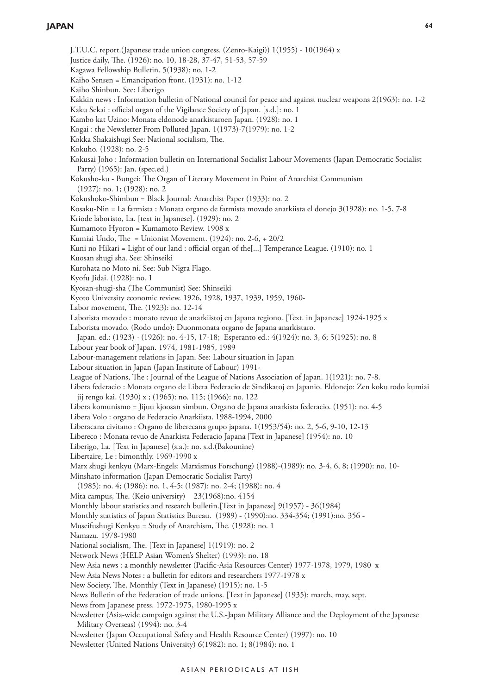# **JAPAN**

J.T.U.C. report.(Japanese trade union congress. (Zenro-Kaigi)) 1(1955) - 10(1964) x Justice daily, The. (1926): no. 10, 18-28, 37-47, 51-53, 57-59 Kagawa Fellowship Bulletin. 5(1938): no. 1-2 Kaiho Sensen = Emancipation front. (1931): no. 1-12 Kaiho Shinbun. See: Liberigo Kakkin news : Information bulletin of National council for peace and against nuclear weapons 2(1963): no. 1-2 Kaku Sekai : official organ of the Vigilance Society of Japan. [s.d.]: no. 1 Kambo kat Uzino: Monata eldonode anarkistaroen Japan. (1928): no. 1 Kogai : the Newsletter From Polluted Japan. 1(1973)-7(1979): no. 1-2 Kokka Shakaishugi See: National socialism, The. Kokuho. (1928): no. 2-5 Kokusai Joho : Information bulletin on International Socialist Labour Movements (Japan Democratic Socialist Party) (1965): Jan. (spec.ed.) Kokusho-ku - Bungei: The Organ of Literary Movement in Point of Anarchist Communism (1927): no. 1; (1928): no. 2 Kokushoko-Shimbun = Black Journal: Anarchist Paper (1933): no. 2 Kosaku-Nin = La farmista : Monata organo de farmista movado anarkiista el donejo 3(1928): no. 1-5, 7-8 Kriode laboristo, La. [text in Japanese]. (1929): no. 2 Kumamoto Hyoron = Kumamoto Review. 1908 x Kumiai Undo, The = Unionist Movement. (1924): no. 2-6, + 20/2 Kuni no Hikari = Light of our land : official organ of the[...] Temperance League. (1910): no. 1 Kuosan shugi sha. See: Shinseiki Kurohata no Moto ni. See: Sub Nigra Flago. Kyofu Jidai. (1928): no. 1 Kyosan-shugi-sha (The Communist) See: Shinseiki Kyoto University economic review. 1926, 1928, 1937, 1939, 1959, 1960- Labor movement, The. (1923): no. 12-14 Laborista movado : monato revuo de anarkiistoj en Japana regiono. [Text. in Japanese] 1924-1925 x Laborista movado. (Rodo undo): Duonmonata organo de Japana anarkistaro. Japan. ed.: (1923) - (1926): no. 4-15, 17-18; Esperanto ed.: 4(1924): no. 3, 6; 5(1925): no. 8 Labour year book of Japan. 1974, 1981-1985, 1989 Labour-management relations in Japan. See: Labour situation in Japan Labour situation in Japan (Japan Institute of Labour) 1991- League of Nations, The : Journal of the League of Nations Association of Japan. 1(1921): no. 7-8. Libera federacio : Monata organo de Libera Federacio de Sindikatoj en Japanio. Eldonejo: Zen koku rodo kumiai jij rengo kai. (1930) x ; (1965): no. 115; (1966): no. 122 Libera komunismo = Jijuu kjoosan simbun. Organo de Japana anarkista federacio. (1951): no. 4-5 Libera Volo : organo de Federacio Anarkiista. 1988-1994, 2000 Liberacana civitano : Organo de liberecana grupo japana. 1(1953/54): no. 2, 5-6, 9-10, 12-13 Libereco : Monata revuo de Anarkista Federacio Japana [Text in Japanese] (1954): no. 10 Liberigo, La. [Text in Japanese] (s.a.): no. s.d.(Bakounine) Libertaire, Le : bimonthly. 1969-1990 x Marx shugi kenkyu (Marx-Engels: Marxismus Forschung) (1988)-(1989): no. 3-4, 6, 8; (1990): no. 10- Minshato information (Japan Democratic Socialist Party) (1985): no. 4; (1986): no. 1, 4-5; (1987): no. 2-4; (1988): no. 4 Mita campus, The. (Keio university) 23(1968):no. 4154 Monthly labour statistics and research bulletin.[Text in Japanese] 9(1957) - 36(1984) Monthly statistics of Japan Statistics Bureau. (1989) - (1990):no. 334-354; (1991):no. 356 - Museifushugi Kenkyu = Study of Anarchism, The. (1928): no. 1 Namazu. 1978-1980 National socialism, The. [Text in Japanese] 1(1919): no. 2 Network News (HELP Asian Women's Shelter) (1993): no. 18 New Asia news : a monthly newsletter (Pacific-Asia Resources Center) 1977-1978, 1979, 1980 x New Asia News Notes : a bulletin for editors and researchers 1977-1978 x New Society, The. Monthly (Text in Japanese) (1915): no. 1-5 News Bulletin of the Federation of trade unions. [Text in Japanese] (1935): march, may, sept. News from Japanese press. 1972-1975, 1980-1995 x Newsletter (Asia-wide campaign against the U.S.-Japan Military Alliance and the Deployment of the Japanese Military Overseas) (1994): no. 3-4 Newsletter (Japan Occupational Safety and Health Resource Center) (1997): no. 10 Newsletter (United Nations University) 6(1982): no. 1; 8(1984): no. 1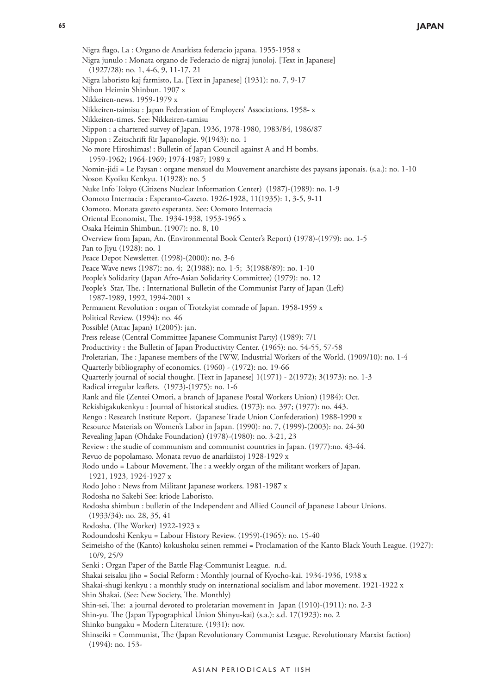Nigra flago, La : Organo de Anarkista federacio japana. 1955-1958 x Nigra junulo : Monata organo de Federacio de nigraj junoloj. [Text in Japanese] (1927/28): no. 1, 4-6, 9, 11-17, 21 Nigra laboristo kaj farmisto, La. [Text in Japanese] (1931): no. 7, 9-17 Nihon Heimin Shinbun. 1907 x Nikkeiren-news. 1959-1979 x Nikkeiren-taimisu : Japan Federation of Employers' Associations. 1958- x Nikkeiren-times. See: Nikkeiren-tamisu Nippon : a chartered survey of Japan. 1936, 1978-1980, 1983/84, 1986/87 Nippon : Zeitschrift für Japanologie. 9(1943): no. 1 No more Hiroshimas! : Bulletin of Japan Council against A and H bombs. 1959-1962; 1964-1969; 1974-1987; 1989 x Nomin-jidi = Le Paysan : organe mensuel du Mouvement anarchiste des paysans japonais. (s.a.): no. 1-10 Noson Kyoiku Kenkyu. 1(1928): no. 5 Nuke Info Tokyo (Citizens Nuclear Information Center) (1987)-(1989): no. 1-9 Oomoto Internacia : Esperanto-Gazeto. 1926-1928, 11(1935): 1, 3-5, 9-11 Oomoto. Monata gazeto esperanta. See: Oomoto Internacia Oriental Economist, The. 1934-1938, 1953-1965 x Osaka Heimin Shimbun. (1907): no. 8, 10 Overview from Japan, An. (Environmental Book Center's Report) (1978)-(1979): no. 1-5 Pan to Jiyu (1928): no. 1 Peace Depot Newsletter. (1998)-(2000): no. 3-6 Peace Wave news (1987): no. 4; 2(1988): no. 1-5; 3(1988/89): no. 1-10 People's Solidarity (Japan Afro-Asian Solidarity Committee) (1979): no. 12 People's Star, The. : International Bulletin of the Communist Party of Japan (Left) 1987-1989, 1992, 1994-2001 x Permanent Revolution : organ of Trotzkyist comrade of Japan. 1958-1959 x Political Review. (1994): no. 46 Possible! (Attac Japan) 1(2005): jan. Press release (Central Committee Japanese Communist Party) (1989): 7/1 Productivity : the Bulletin of Japan Productivity Center. (1965): no. 54-55, 57-58 Proletarian, The : Japanese members of the IWW, Industrial Workers of the World. (1909/10): no. 1-4 Quarterly bibliography of economics. (1960) - (1972): no. 19-66 Quarterly journal of social thought. [Text in Japanese] 1(1971) - 2(1972); 3(1973): no. 1-3 Radical irregular leaflets. (1973)-(1975): no. 1-6 Rank and file (Zentei Omori, a branch of Japanese Postal Workers Union) (1984): Oct. Rekishigakukenkyu : Journal of historical studies. (1973): no. 397; (1977): no. 443. Rengo : Research Institute Report. (Japanese Trade Union Confederation) 1988-1990 x Resource Materials on Women's Labor in Japan. (1990): no. 7, (1999)-(2003): no. 24-30 Revealing Japan (Ohdake Foundation) (1978)-(1980): no. 3-21, 23 Review : the studie of communism and communist countries in Japan. (1977):no. 43-44. Revuo de popolamaso. Monata revuo de anarkiistoj 1928-1929 x Rodo undo = Labour Movement, The : a weekly organ of the militant workers of Japan. 1921, 1923, 1924-1927 x Rodo Joho : News from Militant Japanese workers. 1981-1987 x Rodosha no Sakebi See: kriode Laboristo. Rodosha shimbun : bulletin of the Independent and Allied Council of Japanese Labour Unions. (1933/34): no. 28, 35, 41 Rodosha. (The Worker) 1922-1923 x Rodoundoshi Kenkyu = Labour History Review. (1959)-(1965): no. 15-40 Seimeisho of the (Kanto) kokushoku seinen remmei = Proclamation of the Kanto Black Youth League. (1927): 10/9, 25/9 Senki : Organ Paper of the Battle Flag-Communist League. n.d. Shakai seisaku jiho = Social Reform : Monthly journal of Kyocho-kai. 1934-1936, 1938 x Shakai-shugi kenkyu : a monthly study on international socialism and labor movement. 1921-1922 x Shin Shakai. (See: New Society, The. Monthly) Shin-sei, The: a journal devoted to proletarian movement in Japan (1910)-(1911): no. 2-3 Shin-yu. The (Japan Typographical Union Shinyu-kai) (s.a.): s.d. 17(1923): no. 2 Shinko bungaku = Modern Literature. (1931): nov. Shinseiki = Communist, The (Japan Revolutionary Communist League. Revolutionary Marxist faction) (1994): no. 153-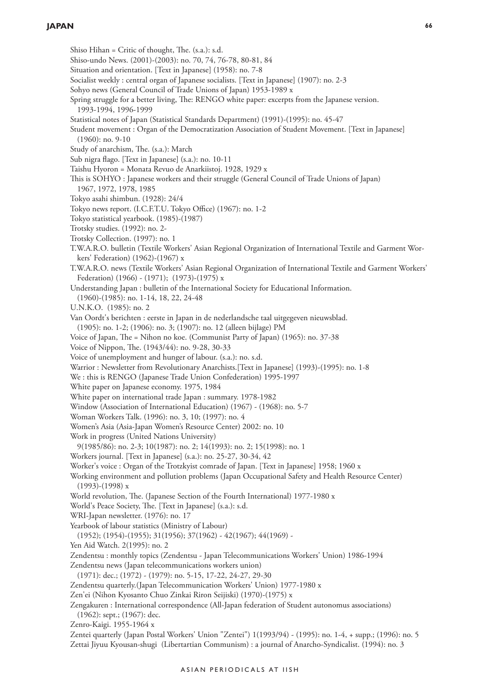# **JAPAN**

Shiso Hihan = Critic of thought, The. (s.a.): s.d. Shiso-undo News. (2001)-(2003): no. 70, 74, 76-78, 80-81, 84 Situation and orientation. [Text in Japanese] (1958): no. 7-8 Socialist weekly : central organ of Japanese socialists. [Text in Japanese] (1907): no. 2-3 Sohyo news (General Council of Trade Unions of Japan) 1953-1989 x Spring struggle for a better living, The: RENGO white paper: excerpts from the Japanese version. 1993-1994, 1996-1999 Statistical notes of Japan (Statistical Standards Department) (1991)-(1995): no. 45-47 Student movement : Organ of the Democratization Association of Student Movement. [Text in Japanese] (1960): no. 9-10 Study of anarchism, The. (s.a.): March Sub nigra flago. [Text in Japanese] (s.a.): no. 10-11 Taishu Hyoron = Monata Revuo de Anarkiistoj. 1928, 1929 x This is SOHYO : Japanese workers and their struggle (General Council of Trade Unions of Japan) 1967, 1972, 1978, 1985 Tokyo asahi shimbun. (1928): 24/4 Tokyo news report. (I.C.F.T.U. Tokyo Office) (1967): no. 1-2 Tokyo statistical yearbook. (1985)-(1987) Trotsky studies. (1992): no. 2- Trotsky Collection. (1997): no. 1 T.W.A.R.O. bulletin (Textile Workers' Asian Regional Organization of International Textile and Garment Workers' Federation) (1962)-(1967) x T.W.A.R.O. news (Textile Workers' Asian Regional Organization of International Textile and Garment Workers' Federation) (1966) - (1971); (1973)-(1975) x Understanding Japan : bulletin of the International Society for Educational Information. (1960)-(1985): no. 1-14, 18, 22, 24-48 U.N.K.O. (1985): no. 2 Van Oordt's berichten : eerste in Japan in de nederlandsche taal uitgegeven nieuwsblad. (1905): no. 1-2; (1906): no. 3; (1907): no. 12 (alleen bijlage) PM Voice of Japan, The = Nihon no koe. (Communist Party of Japan) (1965): no. 37-38 Voice of Nippon, The. (1943/44): no. 9-28, 30-33 Voice of unemployment and hunger of labour. (s.a.): no. s.d. Warrior : Newsletter from Revolutionary Anarchists.[Text in Japanese] (1993)-(1995): no. 1-8 We : this is RENGO (Japanese Trade Union Confederation) 1995-1997 White paper on Japanese economy. 1975, 1984 White paper on international trade Japan : summary. 1978-1982 Window (Association of International Education) (1967) - (1968): no. 5-7 Woman Workers Talk. (1996): no. 3, 10; (1997): no. 4 Women's Asia (Asia-Japan Women's Resource Center) 2002: no. 10 Work in progress (United Nations University) 9(1985/86): no. 2-3; 10(1987): no. 2; 14(1993): no. 2; 15(1998): no. 1 Workers journal. [Text in Japanese] (s.a.): no. 25-27, 30-34, 42 Worker's voice : Organ of the Trotzkyist comrade of Japan. [Text in Japanese] 1958; 1960 x Working environment and pollution problems (Japan Occupational Safety and Health Resource Center) (1993)-(1998) x World revolution, The. (Japanese Section of the Fourth International) 1977-1980 x World's Peace Society, The. [Text in Japanese] (s.a.): s.d. WRI-Japan newsletter. (1976): no. 17 Yearbook of labour statistics (Ministry of Labour) (1952); (1954)-(1955); 31(1956); 37(1962) - 42(1967); 44(1969) - Yen Aid Watch. 2(1995): no. 2 Zendentsu : monthly topics (Zendentsu - Japan Telecommunications Workers' Union) 1986-1994 Zendentsu news (Japan telecommunications workers union) (1971): dec.; (1972) - (1979): no. 5-15, 17-22, 24-27, 29-30 Zendentsu quarterly.(Japan Telecommunication Workers' Union) 1977-1980 x Zen'ei (Nihon Kyosanto Chuo Zinkai Riron Seijiski) (1970)-(1975) x Zengakuren : International correspondence (All-Japan federation of Student autonomus associations) (1962): sept.; (1967): dec. Zenro-Kaigi. 1955-1964 x Zentei quarterly (Japan Postal Workers' Union "Zentei") 1(1993/94) - (1995): no. 1-4, + supp.; (1996): no. 5 Zettai Jiyuu Kyousan-shugi (Libertartian Communism) : a journal of Anarcho-Syndicalist. (1994): no. 3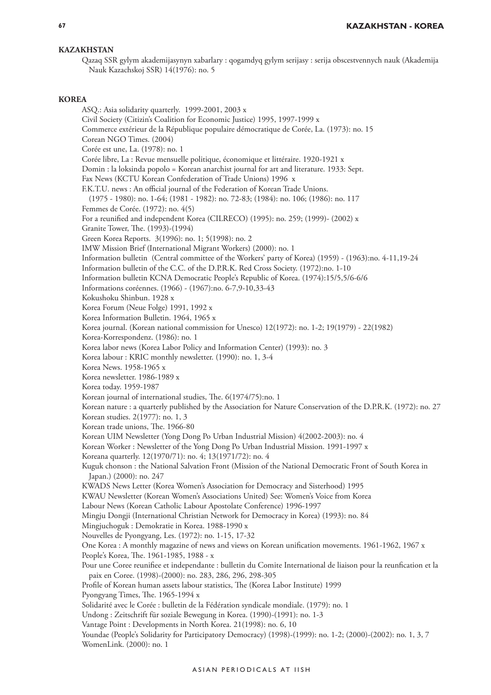# **Kazakhstan**

Qazaq SSR gylym akademijasynyn xabarlary : qogamdyq gylym serijasy : serija obscestvennych nauk (Akademija Nauk Kazachskoj SSR) 14(1976): no. 5

#### **Korea**

ASQ.: Asia solidarity quarterly. 1999-2001, 2003 x Civil Society (Citizin's Coalition for Economic Justice) 1995, 1997-1999 x Commerce extérieur de la République populaire démocratique de Corée, La. (1973): no. 15 Corean NGO Times. (2004) Corée est une, La. (1978): no. 1 Corée libre, La : Revue mensuelle politique, économique et littéraire. 1920-1921 x Domin : la loksinda popolo = Korean anarchist journal for art and literature. 1933: Sept. Fax News (KCTU Korean Confederation of Trade Unions) 1996 x F.K.T.U. news : An official journal of the Federation of Korean Trade Unions. (1975 - 1980): no. 1-64; (1981 - 1982): no. 72-83; (1984): no. 106; (1986): no. 117 Femmes de Corée. (1972): no. 4(5) For a reunified and independent Korea (CILRECO) (1995): no. 259; (1999)- (2002) x Granite Tower, The. (1993)-(1994) Green Korea Reports. 3(1996): no. 1; 5(1998): no. 2 IMW Mission Brief (International Migrant Workers) (2000): no. 1 Information bulletin (Central committee of the Workers' party of Korea) (1959) - (1963):no. 4-11,19-24 Information bulletin of the C.C. of the D.P.R.K. Red Cross Society. (1972):no. 1-10 Information bulletin KCNA Democratic People's Republic of Korea. (1974):15/5,5/6-6/6 Informations coréennes. (1966) - (1967):no. 6-7,9-10,33-43 Kokushoku Shinbun. 1928 x Korea Forum (Neue Folge) 1991, 1992 x Korea Information Bulletin. 1964, 1965 x Korea journal. (Korean national commission for Unesco) 12(1972): no. 1-2; 19(1979) - 22(1982) Korea-Korrespondenz. (1986): no. 1 Korea labor news (Korea Labor Policy and Information Center) (1993): no. 3 Korea labour : KRIC monthly newsletter. (1990): no. 1, 3-4 Korea News. 1958-1965 x Korea newsletter. 1986-1989 x Korea today. 1959-1987 Korean journal of international studies, The. 6(1974/75):no. 1 Korean nature : a quarterly published by the Association for Nature Conservation of the D.P.R.K. (1972): no. 27 Korean studies. 2(1977): no. 1, 3 Korean trade unions, The. 1966-80 Korean UIM Newsletter (Yong Dong Po Urban Industrial Mission) 4(2002-2003): no. 4 Korean Worker : Newsletter of the Yong Dong Po Urban Industrial Mission. 1991-1997 x Koreana quarterly. 12(1970/71): no. 4; 13(1971/72): no. 4 Kuguk chonson : the National Salvation Front (Mission of the National Democratic Front of South Korea in Japan.) (2000): no. 247 KWADS News Letter (Korea Women's Association for Democracy and Sisterhood) 1995 KWAU Newsletter (Korean Women's Associations United) See: Women's Voice from Korea Labour News (Korean Catholic Labour Apostolate Conference) 1996-1997 Mingju Dongji (International Christian Network for Democracy in Korea) (1993): no. 84 Mingjuchoguk : Demokratie in Korea. 1988-1990 x Nouvelles de Pyongyang, Les. (1972): no. 1-15, 17-32 One Korea : A monthly magazine of news and views on Korean unification movements. 1961-1962, 1967 x People's Korea, The. 1961-1985, 1988 - x Pour une Coree reunifiee et independante : bulletin du Comite International de liaison pour la reunfication et la paix en Coree. (1998)-(2000): no. 283, 286, 296, 298-305 Profile of Korean human assets labour statistics, The (Korea Labor Institute) 1999 Pyongyang Times, The. 1965-1994 x Solidarité avec le Corée : bulletin de la Fédération syndicale mondiale. (1979): no. 1 Undong : Zeitschrift für soziale Bewegung in Korea. (1990)-(1991): no. 1-3 Vantage Point : Developments in North Korea. 21(1998): no. 6, 10 Youndae (People's Solidarity for Participatory Democracy) (1998)-(1999): no. 1-2; (2000)-(2002): no. 1, 3, 7 WomenLink. (2000): no. 1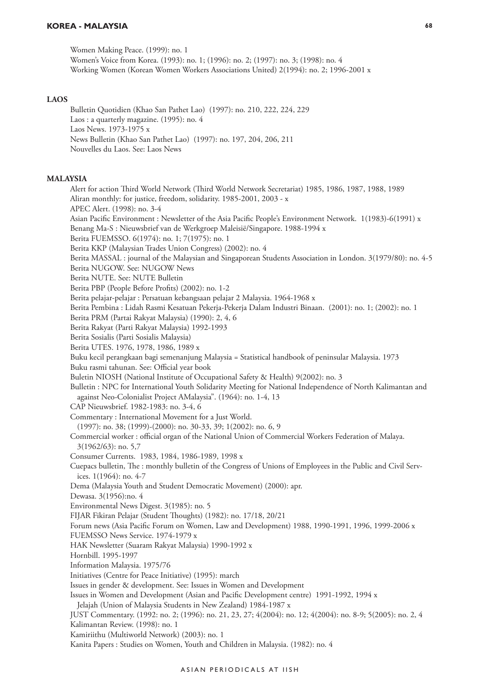Women Making Peace. (1999): no. 1 Women's Voice from Korea. (1993): no. 1; (1996): no. 2; (1997): no. 3; (1998): no. 4 Working Women (Korean Women Workers Associations United) 2(1994): no. 2; 1996-2001 x

#### **Laos**

Bulletin Quotidien (Khao San Pathet Lao) (1997): no. 210, 222, 224, 229 Laos : a quarterly magazine. (1995): no. 4 Laos News. 1973-1975 x News Bulletin (Khao San Pathet Lao) (1997): no. 197, 204, 206, 211 Nouvelles du Laos. See: Laos News

# **Malaysia**

Alert for action Third World Network (Third World Network Secretariat) 1985, 1986, 1987, 1988, 1989 Aliran monthly: for justice, freedom, solidarity. 1985-2001, 2003 - x APEC Alert. (1998): no. 3-4 Asian Pacific Environment : Newsletter of the Asia Pacific People's Environment Network. 1(1983)-6(1991) x Benang Ma-S : Nieuwsbrief van de Werkgroep Maleisië/Singapore. 1988-1994 x Berita FUEMSSO. 6(1974): no. 1; 7(1975): no. 1 Berita KKP (Malaysian Trades Union Congress) (2002): no. 4 Berita MASSAL : journal of the Malaysian and Singaporean Students Association in London. 3(1979/80): no. 4-5 Berita NUGOW. See: NUGOW News Berita NUTE. See: NUTE Bulletin Berita PBP (People Before Profits) (2002): no. 1-2 Berita pelajar-pelajar : Persatuan kebangsaan pelajar 2 Malaysia. 1964-1968 x Berita Pembina : Lidah Rasmi Kesatuan Pekerja-Pekerja Dalam Industri Binaan. (2001): no. 1; (2002): no. 1 Berita PRM (Partai Rakyat Malaysia) (1990): 2, 4, 6 Berita Rakyat (Parti Rakyat Malaysia) 1992-1993 Berita Sosialis (Parti Sosialis Malaysia) Berita UTES. 1976, 1978, 1986, 1989 x Buku kecil perangkaan bagi semenanjung Malaysia = Statistical handbook of peninsular Malaysia. 1973 Buku rasmi tahunan. See: Official year book Buletin NIOSH (National Institute of Occupational Safety & Health) 9(2002): no. 3 Bulletin : NPC for International Youth Solidarity Meeting for National Independence of North Kalimantan and against Neo-Colonialist Project AMalaysia". (1964): no. 1-4, 13 CAP Nieuwsbrief. 1982-1983: no. 3-4, 6 Commentary : International Movement for a Just World. (1997): no. 38; (1999)-(2000): no. 30-33, 39; 1(2002): no. 6, 9 Commercial worker : official organ of the National Union of Commercial Workers Federation of Malaya. 3(1962/63): no. 5,7 Consumer Currents. 1983, 1984, 1986-1989, 1998 x Cuepacs bulletin, The : monthly bulletin of the Congress of Unions of Employees in the Public and Civil Services. 1(1964): no. 4-7 Dema (Malaysia Youth and Student Democratic Movement) (2000): apr. Dewasa. 3(1956):no. 4 Environmental News Digest. 3(1985): no. 5 FIJAR Fikiran Pelajar (Student Thoughts) (1982): no. 17/18, 20/21 Forum news (Asia Pacific Forum on Women, Law and Development) 1988, 1990-1991, 1996, 1999-2006 x FUEMSSO News Service. 1974-1979 x HAK Newsletter (Suaram Rakyat Malaysia) 1990-1992 x Hornbill. 1995-1997 Information Malaysia. 1975/76 Initiatives (Centre for Peace Initiative) (1995): march Issues in gender & development. See: Issues in Women and Development Issues in Women and Development (Asian and Pacific Development centre) 1991-1992, 1994 x Jelajah (Union of Malaysia Students in New Zealand) 1984-1987 x JUST Commentary. (1992: no. 2; (1996): no. 21, 23, 27; 4(2004): no. 12; 4(2004): no. 8-9; 5(2005): no. 2, 4 Kalimantan Review. (1998): no. 1 Kamiriithu (Multiworld Network) (2003): no. 1 Kanita Papers : Studies on Women, Youth and Children in Malaysia. (1982): no. 4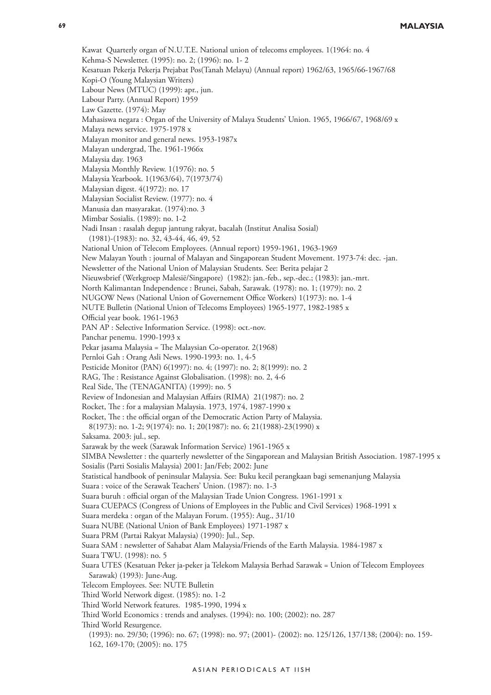Kawat Quarterly organ of N.U.T.E. National union of telecoms employees. 1(1964: no. 4 Kehma-S Newsletter. (1995): no. 2; (1996): no. 1- 2 Kesatuan Pekerja Pekerja Prejabat Pos(Tanah Melayu) (Annual report) 1962/63, 1965/66-1967/68 Kopi-O (Young Malaysian Writers) Labour News (MTUC) (1999): apr., jun. Labour Party. (Annual Report) 1959 Law Gazette. (1974): May Mahasiswa negara : Organ of the University of Malaya Students' Union. 1965, 1966/67, 1968/69 x Malaya news service. 1975-1978 x Malayan monitor and general news. 1953-1987x Malayan undergrad, The. 1961-1966x Malaysia day. 1963 Malaysia Monthly Review. 1(1976): no. 5 Malaysia Yearbook. 1(1963/64), 7(1973/74) Malaysian digest. 4(1972): no. 17 Malaysian Socialist Review. (1977): no. 4 Manusia dan masyarakat. (1974):no. 3 Mimbar Sosialis. (1989): no. 1-2 Nadi Insan : rasalah degup jantung rakyat, bacalah (Institut Analisa Sosial) (1981)-(1983): no. 32, 43-44, 46, 49, 52 National Union of Telecom Employees. (Annual report) 1959-1961, 1963-1969 New Malayan Youth : journal of Malayan and Singaporean Student Movement. 1973-74: dec. -jan. Newsletter of the National Union of Malaysian Students. See: Berita pelajar 2 Nieuwsbrief (Werkgroep Malesië/Singapore) (1982): jan.-feb., sep.-dec.; (1983): jan.-mrt. North Kalimantan Independence : Brunei, Sabah, Sarawak. (1978): no. 1; (1979): no. 2 NUGOW News (National Union of Governement Office Workers) 1(1973): no. 1-4 NUTE Bulletin (National Union of Telecoms Employees) 1965-1977, 1982-1985 x Official year book. 1961-1963 PAN AP : Selective Information Service. (1998): oct.-nov. Panchar penemu. 1990-1993 x Pekar jasama Malaysia = The Malaysian Co-operator. 2(1968) Pernloi Gah : Orang Asli News. 1990-1993: no. 1, 4-5 Pesticide Monitor (PAN) 6(1997): no. 4; (1997): no. 2; 8(1999): no. 2 RAG, The : Resistance Against Globalisation. (1998): no. 2, 4-6 Real Side, The (TENAGANITA) (1999): no. 5 Review of Indonesian and Malaysian Affairs (RIMA) 21(1987): no. 2 Rocket, The : for a malaysian Malaysia. 1973, 1974, 1987-1990 x Rocket, The : the official organ of the Democratic Action Party of Malaysia. 8(1973): no. 1-2; 9(1974): no. 1; 20(1987): no. 6; 21(1988)-23(1990) x Saksama. 2003: jul., sep. Sarawak by the week (Sarawak Information Service) 1961-1965 x SIMBA Newsletter : the quarterly newsletter of the Singaporean and Malaysian British Association. 1987-1995 x Sosialis (Parti Sosialis Malaysia) 2001: Jan/Feb; 2002: June Statistical handbook of peninsular Malaysia. See: Buku kecil perangkaan bagi semenanjung Malaysia Suara : voice of the Serawak Teachers' Union. (1987): no. 1-3 Suara buruh : official organ of the Malaysian Trade Union Congress. 1961-1991 x Suara CUEPACS (Congress of Unions of Employees in the Public and Civil Services) 1968-1991 x Suara merdeka : organ of the Malayan Forum. (1955): Aug., 31/10 Suara NUBE (National Union of Bank Employees) 1971-1987 x Suara PRM (Partai Rakyat Malaysia) (1990): Jul., Sep. Suara SAM : newsletter of Sahabat Alam Malaysia/Friends of the Earth Malaysia. 1984-1987 x Suara TWU. (1998): no. 5 Suara UTES (Kesatuan Peker ja-peker ja Telekom Malaysia Berhad Sarawak = Union of Telecom Employees Sarawak) (1993): June-Aug. Telecom Employees. See: NUTE Bulletin Third World Network digest. (1985): no. 1-2 Third World Network features. 1985-1990, 1994 x Third World Economics : trends and analyses. (1994): no. 100; (2002): no. 287 Third World Resurgence. (1993): no. 29/30; (1996): no. 67; (1998): no. 97; (2001)- (2002): no. 125/126, 137/138; (2004): no. 159- 162, 169-170; (2005): no. 175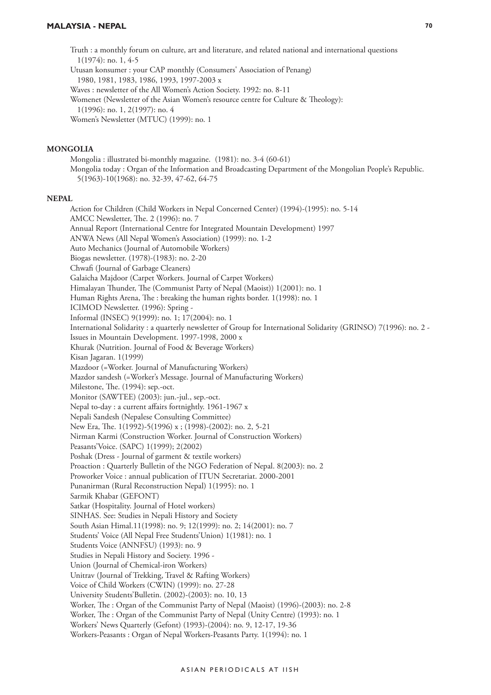Truth : a monthly forum on culture, art and literature, and related national and international questions 1(1974): no. 1, 4-5 Utusan konsumer : your CAP monthly (Consumers' Association of Penang) 1980, 1981, 1983, 1986, 1993, 1997-2003 x Waves : newsletter of the All Women's Action Society. 1992: no. 8-11 Womenet (Newsletter of the Asian Women's resource centre for Culture & Theology): 1(1996): no. 1, 2(1997): no. 4 Women's Newsletter (MTUC) (1999): no. 1

# **Mongolia**

Mongolia : illustrated bi-monthly magazine. (1981): no. 3-4 (60-61) Mongolia today : Organ of the Information and Broadcasting Department of the Mongolian People's Republic. 5(1963)-10(1968): no. 32-39, 47-62, 64-75

#### **Nepal**

Action for Children (Child Workers in Nepal Concerned Center) (1994)-(1995): no. 5-14 AMCC Newsletter, The. 2 (1996): no. 7 Annual Report (International Centre for Integrated Mountain Development) 1997 ANWA News (All Nepal Women's Association) (1999): no. 1-2 Auto Mechanics (Journal of Automobile Workers) Biogas newsletter. (1978)-(1983): no. 2-20 Chwafi (Journal of Garbage Cleaners) Galaicha Majdoor (Carpet Workers. Journal of Carpet Workers) Himalayan Thunder, The (Communist Party of Nepal (Maoist)) 1(2001): no. 1 Human Rights Arena, The : breaking the human rights border. 1(1998): no. 1 ICIMOD Newsletter. (1996): Spring - Informal (INSEC) 9(1999): no. 1; 17(2004): no. 1 International Solidarity : a quarterly newsletter of Group for International Solidarity (GRINSO) 7(1996): no. 2 - Issues in Mountain Development. 1997-1998, 2000 x Khurak (Nutrition. Journal of Food & Beverage Workers) Kisan Jagaran. 1(1999) Mazdoor (=Worker. Journal of Manufacturing Workers) Mazdor sandesh (=Worker's Message. Journal of Manufacturing Workers) Milestone, The. (1994): sep.-oct. Monitor (SAWTEE) (2003): jun.-jul., sep.-oct. Nepal to-day : a current affairs fortnightly. 1961-1967 x Nepali Sandesh (Nepalese Consulting Committee) New Era, The. 1(1992)-5(1996) x ; (1998)-(2002): no. 2, 5-21 Nirman Karmi (Construction Worker. Journal of Construction Workers) Peasants'Voice. (SAPC) 1(1999); 2(2002) Poshak (Dress - Journal of garment & textile workers) Proaction : Quarterly Bulletin of the NGO Federation of Nepal. 8(2003): no. 2 Proworker Voice : annual publication of ITUN Secretariat. 2000-2001 Punanirman (Rural Reconstruction Nepal) 1(1995): no. 1 Sarmik Khabar (GEFONT) Satkar (Hospitality. Journal of Hotel workers) SINHAS. See: Studies in Nepali History and Society South Asian Himal.11(1998): no. 9; 12(1999): no. 2; 14(2001): no. 7 Students' Voice (All Nepal Free Students'Union) 1(1981): no. 1 Students Voice (ANNFSU) (1993): no. 9 Studies in Nepali History and Society. 1996 - Union (Journal of Chemical-iron Workers) Unitrav (Journal of Trekking, Travel & Rafting Workers) Voice of Child Workers (CWIN) (1999): no. 27-28 University Students'Bulletin. (2002)-(2003): no. 10, 13 Worker, The : Organ of the Communist Party of Nepal (Maoist) (1996)-(2003): no. 2-8 Worker, The : Organ of the Communist Party of Nepal (Unity Centre) (1993): no. 1 Workers' News Quarterly (Gefont) (1993)-(2004): no. 9, 12-17, 19-36 Workers-Peasants : Organ of Nepal Workers-Peasants Party. 1(1994): no. 1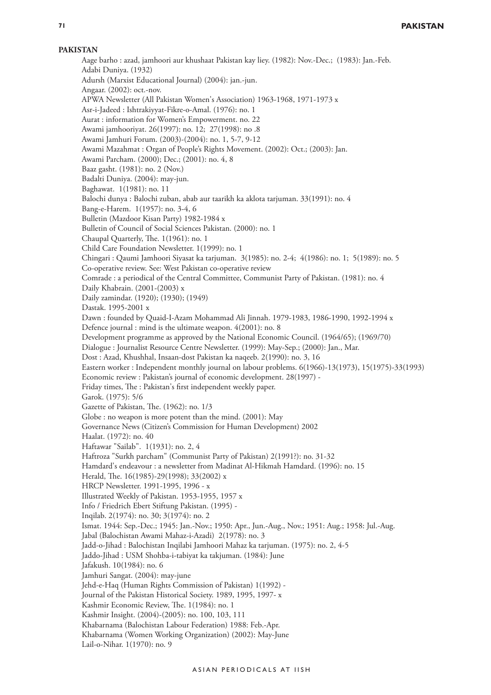# **Pakistan**

Aage barho : azad, jamhoori aur khushaat Pakistan kay liey. (1982): Nov.-Dec.; (1983): Jan.-Feb. Adabi Duniya. (1932) Adursh (Marxist Educational Journal) (2004): jan.-jun. Angaar. (2002): oct.-nov. APWA Newsletter (All Pakistan Women's Association) 1963-1968, 1971-1973 x Asr-i-Jadeed : Ishtrakiyyat-Fikre-o-Amal. (1976): no. 1 Aurat : information for Women's Empowerment. no. 22 Awami jamhooriyat. 26(1997): no. 12; 27(1998): no .8 Awami Jamhuri Forum. (2003)-(2004): no. 1, 5-7, 9-12 Awami Mazahmat : Organ of People's Rights Movement. (2002): Oct.; (2003): Jan. Awami Parcham. (2000); Dec.; (2001): no. 4, 8 Baaz gasht. (1981): no. 2 (Nov.) Badalti Duniya. (2004): may-jun. Baghawat. 1(1981): no. 11 Balochi dunya : Balochi zuban, abab aur taarikh ka aklota tarjuman. 33(1991): no. 4 Bang-e-Harem. 1(1957): no. 3-4, 6 Bulletin (Mazdoor Kisan Party) 1982-1984 x Bulletin of Council of Social Sciences Pakistan. (2000): no. 1 Chaupal Quarterly, The. 1(1961): no. 1 Child Care Foundation Newsletter. 1(1999): no. 1 Chingari : Qaumi Jamhoori Siyasat ka tarjuman. 3(1985): no. 2-4; 4(1986): no. 1; 5(1989): no. 5 Co-operative review. See: West Pakistan co-operative review Comrade : a periodical of the Central Committee, Communist Party of Pakistan. (1981): no. 4 Daily Khabrain. (2001-(2003) x Daily zamindar. (1920); (1930); (1949) Dastak. 1995-2001 x Dawn : founded by Quaid-I-Azam Mohammad Ali Jinnah. 1979-1983, 1986-1990, 1992-1994 x Defence journal : mind is the ultimate weapon. 4(2001): no. 8 Development programme as approved by the National Economic Council. (1964/65); (1969/70) Dialogue : Journalist Resource Centre Newsletter. (1999): May-Sep.; (2000): Jan., Mar. Dost : Azad, Khushhal, Insaan-dost Pakistan ka naqeeb. 2(1990): no. 3, 16 Eastern worker : Independent monthly journal on labour problems. 6(1966)-13(1973), 15(1975)-33(1993) Economic review : Pakistan's journal of economic development. 28(1997) - Friday times, The : Pakistan's first independent weekly paper. Garok. (1975): 5/6 Gazette of Pakistan, The. (1962): no. 1/3 Globe : no weapon is more potent than the mind. (2001): May Governance News (Citizen's Commission for Human Development) 2002 Haalat. (1972): no. 40 Haftawar "Sailab". 1(1931): no. 2, 4 Haftroza "Surkh parcham" (Communist Party of Pakistan) 2(1991?): no. 31-32 Hamdard's endeavour : a newsletter from Madinat Al-Hikmah Hamdard. (1996): no. 15 Herald, The. 16(1985)-29(1998); 33(2002) x HRCP Newsletter. 1991-1995, 1996 - x Illustrated Weekly of Pakistan. 1953-1955, 1957 x Info / Friedrich Ebert Stiftung Pakistan. (1995) - Inqilab. 2(1974): no. 30; 3(1974): no. 2 Ismat. 1944: Sep.-Dec.; 1945: Jan.-Nov.; 1950: Apr., Jun.-Aug., Nov.; 1951: Aug.; 1958: Jul.-Aug. Jabal (Balochistan Awami Mahaz-i-Azadi) 2(1978): no. 3 Jadd-o-Jihad : Balochistan Inqilabi Jamhoori Mahaz ka tarjuman. (1975): no. 2, 4-5 Jaddo-Jihad : USM Shohba-i-tabiyat ka takjuman. (1984): June Jafakush. 10(1984): no. 6 Jamhuri Sangat. (2004): may-june Jehd-e-Haq (Human Rights Commission of Pakistan) 1(1992) - Journal of the Pakistan Historical Society. 1989, 1995, 1997- x Kashmir Economic Review, The. 1(1984): no. 1 Kashmir Insight. (2004)-(2005): no. 100, 103, 111 Khabarnama (Balochistan Labour Federation) 1988: Feb.-Apr. Khabarnama (Women Working Organization) (2002): May-June Lail-o-Nihar. 1(1970): no. 9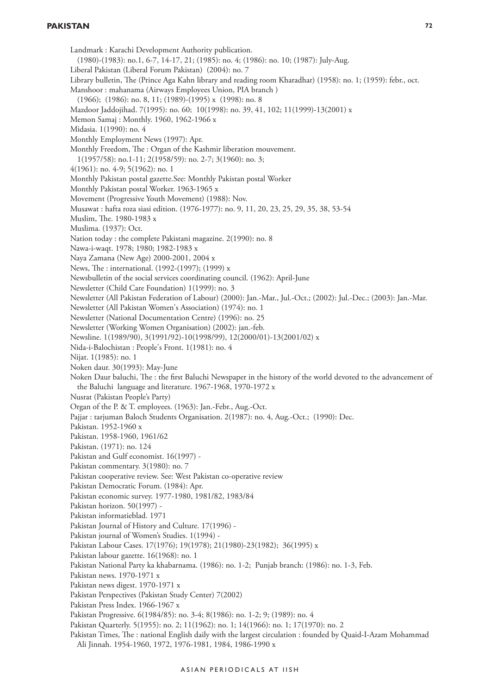#### **PAKISTAN**

Landmark : Karachi Development Authority publication. (1980)-(1983): no.1, 6-7, 14-17, 21; (1985): no. 4; (1986): no. 10; (1987): July-Aug. Liberal Pakistan (Liberal Forum Pakistan) (2004): no. 7 Library bulletin, The (Prince Aga Kahn library and reading room Kharadhar) (1958): no. 1; (1959): febr., oct. Manshoor : mahanama (Airways Employees Union, PIA branch ) (1966); (1986); no. 8, 11; (1989)-(1995) x (1998); no. 8 Mazdoor Jaddojihad. 7(1995): no. 60; 10(1998): no. 39, 41, 102; 11(1999)-13(2001) x Memon Samaj : Monthly. 1960, 1962-1966 x Midasia. 1(1990): no. 4 Monthly Employment News (1997): Apr. Monthly Freedom, The : Organ of the Kashmir liberation mouvement. 1(1957/58): no.1-11; 2(1958/59): no. 2-7; 3(1960): no. 3; 4(1961): no. 4-9; 5(1962): no. 1 Monthly Pakistan postal gazette.See: Monthly Pakistan postal Worker Monthly Pakistan postal Worker. 1963-1965 x Movement (Progressive Youth Movement) (1988): Nov. Musawat : hafta roza siasi edition. (1976-1977): no. 9, 11, 20, 23, 25, 29, 35, 38, 53-54 Muslim, The. 1980-1983 x Muslima. (1937): Oct. Nation today : the complete Pakistani magazine. 2(1990): no. 8 Nawa-i-waqt. 1978; 1980; 1982-1983 x Naya Zamana (New Age) 2000-2001, 2004 x News, The : international. (1992-(1997); (1999) x Newsbulletin of the social services coordinating council. (1962): April-June Newsletter (Child Care Foundation) 1(1999): no. 3 Newsletter (All Pakistan Federation of Labour) (2000): Jan.-Mar., Jul.-Oct.; (2002): Jul.-Dec.; (2003): Jan.-Mar. Newsletter (All Pakistan Women's Association) (1974): no. 1 Newsletter (National Documentation Centre) (1996): no. 25 Newsletter (Working Women Organisation) (2002): jan.-feb. Newsline. 1(1989/90), 3(1991/92)-10(1998/99), 12(2000/01)-13(2001/02) x Nida-i-Balochistan : People's Front. 1(1981): no. 4 Nijat. 1(1985): no. 1 Noken daur. 30(1993): May-June Noken Daur baluchi, The : the first Baluchi Newspaper in the history of the world devoted to the advancement of the Baluchi language and literature. 1967-1968, 1970-1972 x Nusrat (Pakistan People's Party) Organ of the P. & T. employees. (1963): Jan.-Febr., Aug.-Oct. Pajjar : tarjuman Baloch Students Organisation. 2(1987): no. 4, Aug.-Oct.; (1990): Dec. Pakistan. 1952-1960 x Pakistan. 1958-1960, 1961/62 Pakistan. (1971): no. 124 Pakistan and Gulf economist. 16(1997) - Pakistan commentary. 3(1980): no. 7 Pakistan cooperative review. See: West Pakistan co-operative review Pakistan Democratic Forum. (1984): Apr. Pakistan economic survey. 1977-1980, 1981/82, 1983/84 Pakistan horizon. 50(1997) - Pakistan informatieblad. 1971 Pakistan Journal of History and Culture. 17(1996) - Pakistan journal of Women's Studies. 1(1994) - Pakistan Labour Cases. 17(1976); 19(1978); 21(1980)-23(1982); 36(1995) x Pakistan labour gazette. 16(1968): no. 1 Pakistan National Party ka khabarnama. (1986): no. 1-2; Punjab branch: (1986): no. 1-3, Feb. Pakistan news. 1970-1971 x Pakistan news digest. 1970-1971 x Pakistan Perspectives (Pakistan Study Center) 7(2002) Pakistan Press Index. 1966-1967 x Pakistan Progressive. 6(1984/85): no. 3-4; 8(1986): no. 1-2; 9; (1989): no. 4 Pakistan Quarterly. 5(1955): no. 2; 11(1962): no. 1; 14(1966): no. 1; 17(1970): no. 2 Pakistan Times, The : national English daily with the largest circulation : founded by Quaid-I-Azam Mohammad

Ali Jinnah. 1954-1960, 1972, 1976-1981, 1984, 1986-1990 x

A SIAN PERIODICALS AT IISH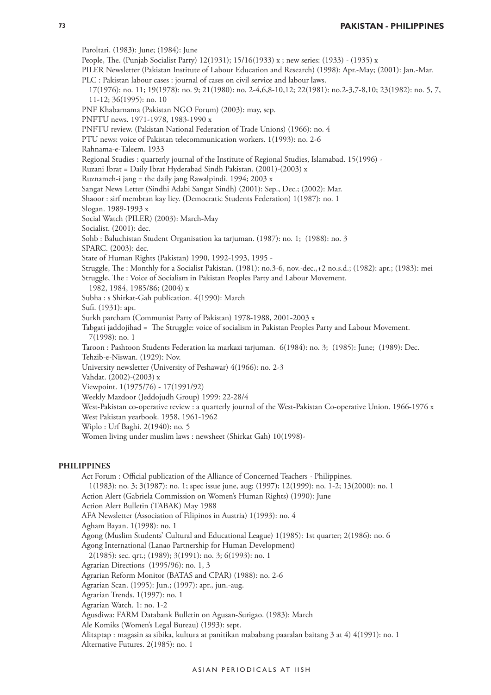Paroltari. (1983): June; (1984): June People, The. (Punjab Socialist Party) 12(1931); 15/16(1933) x ; new series: (1933) - (1935) x PILER Newsletter (Pakistan Institute of Labour Education and Research) (1998): Apr.-May; (2001): Jan.-Mar. PLC : Pakistan labour cases : journal of cases on civil service and labour laws. 17(1976): no. 11; 19(1978): no. 9; 21(1980): no. 2-4,6,8-10,12; 22(1981): no.2-3,7-8,10; 23(1982): no. 5, 7, 11-12; 36(1995): no. 10 PNF Khabarnama (Pakistan NGO Forum) (2003): may, sep. PNFTU news. 1971-1978, 1983-1990 x PNFTU review. (Pakistan National Federation of Trade Unions) (1966): no. 4 PTU news: voice of Pakistan telecommunication workers. 1(1993): no. 2-6 Rahnama-e-Taleem. 1933 Regional Studies : quarterly journal of the Institute of Regional Studies, Islamabad. 15(1996) - Ruzani Ibrat = Daily Ibrat Hyderabad Sindh Pakistan. (2001)-(2003) x Ruznameh-i jang = the daily jang Rawalpindi. 1994; 2003 x Sangat News Letter (Sindhi Adabi Sangat Sindh) (2001): Sep., Dec.; (2002): Mar. Shaoor : sirf membran kay liey. (Democratic Students Federation) 1(1987): no. 1 Slogan. 1989-1993 x Social Watch (PILER) (2003): March-May Socialist. (2001): dec. Sohb : Baluchistan Student Organisation ka tarjuman. (1987): no. 1; (1988): no. 3 SPARC. (2003): dec. State of Human Rights (Pakistan) 1990, 1992-1993, 1995 - Struggle, The : Monthly for a Socialist Pakistan. (1981): no.3-6, nov.-dec.,+2 no.s.d.; (1982): apr.; (1983): mei Struggle, The : Voice of Socialism in Pakistan Peoples Party and Labour Movement. 1982, 1984, 1985/86; (2004) x Subha : s Shirkat-Gah publication. 4(1990): March Sufi. (1931): apr. Surkh parcham (Communist Party of Pakistan) 1978-1988, 2001-2003 x Tabgati jaddojihad = The Struggle: voice of socialism in Pakistan Peoples Party and Labour Movement. 7(1998): no. 1 Taroon : Pashtoon Students Federation ka markazi tarjuman. 6(1984): no. 3; (1985): June; (1989): Dec. Tehzib-e-Niswan. (1929): Nov. University newsletter (University of Peshawar) 4(1966): no. 2-3 Vahdat. (2002)-(2003) x Viewpoint. 1(1975/76) - 17(1991/92) Weekly Mazdoor (Jeddojudh Group) 1999: 22-28/4 West-Pakistan co-operative review : a quarterly journal of the West-Pakistan Co-operative Union. 1966-1976 x West Pakistan yearbook. 1958, 1961-1962 Wiplo : Urf Baghi. 2(1940): no. 5 Women living under muslim laws : newsheet (Shirkat Gah) 10(1998)- **Philippines** Act Forum : Official publication of the Alliance of Concerned Teachers - Philippines. 1(1983): no. 3; 3(1987): no. 1; spec issue june, aug; (1997); 12(1999): no. 1-2; 13(2000): no. 1

Action Alert (Gabriela Commission on Women's Human Rights) (1990): June

Action Alert Bulletin (TABAK) May 1988

AFA Newsletter (Association of Filipinos in Austria) 1(1993): no. 4

Agham Bayan. 1(1998): no. 1

Agong (Muslim Students' Cultural and Educational League) 1(1985): 1st quarter; 2(1986): no. 6

Agong International (Lanao Partnership for Human Development)

2(1985): sec. qrt.; (1989); 3(1991): no. 3; 6(1993): no. 1

Agrarian Directions (1995/96): no. 1, 3

Agrarian Reform Monitor (BATAS and CPAR) (1988): no. 2-6

Agrarian Scan. (1995): Jun.; (1997): apr., jun.-aug.

Agrarian Trends. 1(1997): no. 1

Agrarian Watch. 1: no. 1-2

Agusdiwa: FARM Databank Bulletin on Agusan-Surigao. (1983): March

Ale Komiks (Women's Legal Bureau) (1993): sept.

Alitaptap : magasin sa sibika, kultura at panitikan mababang paaralan baitang 3 at 4) 4(1991): no. 1 Alternative Futures. 2(1985): no. 1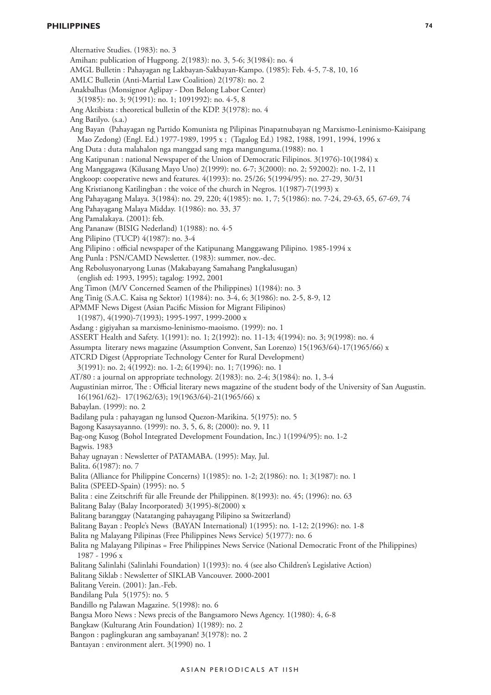Alternative Studies. (1983): no. 3 Amihan: publication of Hugpong. 2(1983): no. 3, 5-6; 3(1984): no. 4 AMGL Bulletin : Pahayagan ng Lakbayan-Sakbayan-Kampo. (1985): Feb. 4-5, 7-8, 10, 16 AMLC Bulletin (Anti-Martial Law Coalition) 2(1978): no. 2 Anakbalhas (Monsignor Aglipay - Don Belong Labor Center) 3(1985): no. 3; 9(1991): no. 1; 1091992): no. 4-5, 8 Ang Aktibista : theoretical bulletin of the KDP. 3(1978): no. 4 Ang Batilyo. (s.a.) Ang Bayan (Pahayagan ng Partido Komunista ng Pilipinas Pinapatnubayan ng Marxismo-Leninismo-Kaisipang Mao Zedong) (Engl. Ed.) 1977-1989, 1995 x ; (Tagalog Ed.) 1982, 1988, 1991, 1994, 1996 x Ang Duta : duta malahalon nga manggad sang mga mangunguma.(1988): no. 1 Ang Katipunan : national Newspaper of the Union of Democratic Filipinos. 3(1976)-10(1984) x Ang Manggagawa (Kilusang Mayo Uno) 2(1999): no. 6-7; 3(2000): no. 2; 592002): no. 1-2, 11 Angkoop: cooperative news and features. 4(1993): no. 25/26; 5(1994/95): no. 27-29, 30/31 Ang Kristianong Katilingban : the voice of the church in Negros. 1(1987)-7(1993) x Ang Pahayagang Malaya. 3(1984): no. 29, 220; 4(1985): no. 1, 7; 5(1986): no. 7-24, 29-63, 65, 67-69, 74 Ang Pahayagang Malaya Midday. 1(1986): no. 33, 37 Ang Pamalakaya. (2001): feb. Ang Pananaw (BISIG Nederland) 1(1988): no. 4-5 Ang Pilipino (TUCP) 4(1987): no. 3-4 Ang Pilipino : official newspaper of the Katipunang Manggawang Pilipino. 1985-1994 x Ang Punla : PSN/CAMD Newsletter. (1983): summer, nov.-dec. Ang Rebolusyonaryong Lunas (Makabayang Samahang Pangkalusugan) (english ed: 1993, 1995); tagalog: 1992, 2001 Ang Timon (M/V Concerned Seamen of the Philippines) 1(1984): no. 3 Ang Tinig (S.A.C. Kaisa ng Sektor) 1(1984): no. 3-4, 6; 3(1986): no. 2-5, 8-9, 12 APMMF News Digest (Asian Pacific Mission for Migrant Filipinos) 1(1987), 4(1990)-7(1993); 1995-1997, 1999-2000 x Asdang : gigiyahan sa marxismo-leninismo-maoismo. (1999): no. 1 ASSERT Health and Safety. 1(1991): no. 1; 2(1992): no. 11-13; 4(1994): no. 3; 9(1998): no. 4 Assumpta literary news magazine (Assumption Convent, San Lorenzo) 15(1963/64)-17(1965/66) x ATCRD Digest (Appropriate Technology Center for Rural Development) 3(1991): no. 2; 4(1992): no. 1-2; 6(1994): no. 1; 7(1996): no. 1 AT/80 : a journal on appropriate technology. 2(1983): no. 2-4; 3(1984): no. 1, 3-4 Augustinian mirror, The : Official literary news magazine of the student body of the University of San Augustin. 16(1961/62)- 17(1962/63); 19(1963/64)-21(1965/66) x Babaylan. (1999): no. 2 Badilang pula : pahayagan ng lunsod Quezon-Marikina. 5(1975): no. 5 Bagong Kasaysayanno. (1999): no. 3, 5, 6, 8; (2000): no. 9, 11 Bag-ong Kusog (Bohol Integrated Development Foundation, Inc.) 1(1994/95): no. 1-2 Bagwis. 1983 Bahay ugnayan : Newsletter of PATAMABA. (1995): May, Jul. Balita. 6(1987): no. 7 Balita (Alliance for Philippine Concerns) 1(1985): no. 1-2; 2(1986): no. 1; 3(1987): no. 1 Balita (SPEED-Spain) (1995): no. 5 Balita : eine Zeitschrift für alle Freunde der Philippinen. 8(1993): no. 45; (1996): no. 63 Balitang Balay (Balay Incorporated) 3(1995)-8(2000) x Balitang baranggay (Natatanging pahayagang Pilipino sa Switzerland) Balitang Bayan : People's News (BAYAN International) 1(1995): no. 1-12; 2(1996): no. 1-8 Balita ng Malayang Pilipinas (Free Philippines News Service) 5(1977): no. 6 Balita ng Malayang Pilipinas = Free Philippines News Service (National Democratic Front of the Philippines) 1987 - 1996 x Balitang Salinlahi (Salinlahi Foundation) 1(1993): no. 4 (see also Children's Legislative Action) Balitang Siklab : Newsletter of SIKLAB Vancouver. 2000-2001 Balitang Verein. (2001): Jan.-Feb. Bandilang Pula 5(1975): no. 5 Bandillo ng Palawan Magazine. 5(1998): no. 6 Bangsa Moro News : News precis of the Bangsamoro News Agency. 1(1980): 4, 6-8 Bangkaw (Kulturang Atin Foundation) 1(1989): no. 2 Bangon : paglingkuran ang sambayanan! 3(1978): no. 2 Bantayan : environment alert. 3(1990) no. 1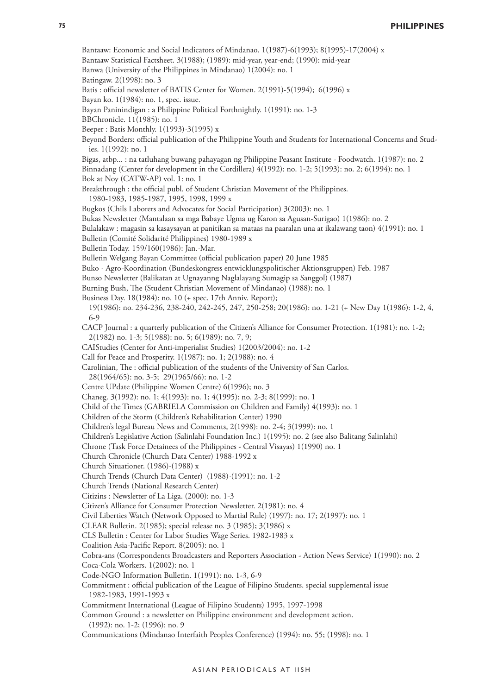| Bantaaw: Economic and Social Indicators of Mindanao. 1(1987)-6(1993); 8(1995)-17(2004) x                       |
|----------------------------------------------------------------------------------------------------------------|
| Bantaaw Statistical Factsheet. 3(1988); (1989): mid-year, year-end; (1990): mid-year                           |
| Banwa (University of the Philippines in Mindanao) 1(2004): no. 1                                               |
| Batingaw. 2(1998): no. 3                                                                                       |
| Batis : official newsletter of BATIS Center for Women. 2(1991)-5(1994); 6(1996) x                              |
| Bayan ko. 1(1984): no. 1, spec. issue.                                                                         |
| Bayan Paninindigan : a Philippine Political Forthnightly. 1(1991): no. 1-3                                     |
| BBChronicle. 11(1985): no. 1                                                                                   |
| Beeper: Batis Monthly. 1(1993)-3(1995) x                                                                       |
| Beyond Borders: official publication of the Philippine Youth and Students for International Concerns and Stud- |
| ies. 1(1992): no. 1                                                                                            |
| Bigas, atbp : na tatluhang buwang pahayagan ng Philippine Peasant Institute - Foodwatch. 1(1987): no. 2        |
| Binnadang (Center for development in the Cordillera) 4(1992): no. 1-2; 5(1993): no. 2; 6(1994): no. 1          |
| Bok at Noy (CATW-AP) vol. 1: no. 1                                                                             |
| Breakthrough : the official publ. of Student Christian Movement of the Philippines.                            |
| 1980-1983, 1985-1987, 1995, 1998, 1999 x                                                                       |
| Bugkos (Chils Laborers and Advocates for Social Participation) 3(2003): no. 1                                  |
| Bukas Newsletter (Mantalaan sa mga Babaye Ugma ug Karon sa Agusan-Surigao) 1(1986): no. 2                      |
| Bulalakaw : magasin sa kasaysayan at panitikan sa mataas na paaralan una at ikalawang taon) 4(1991): no. 1     |
| Bulletin (Comité Solidarité Philippines) 1980-1989 x                                                           |
| Bulletin Today. 159/160(1986): Jan.-Mar.                                                                       |
| Bulletin Welgang Bayan Committee (official publication paper) 20 June 1985                                     |
| Buko - Agro-Koordination (Bundeskongress entwicklungspolitischer Aktionsgruppen) Feb. 1987                     |
| Bunso Newsletter (Balikatan at Ugnayanng Naglalayang Sumagip sa Sanggol) (1987)                                |
| Burning Bush, The (Student Christian Movement of Mindanao) (1988): no. 1                                       |
| Business Day. 18(1984): no. 10 (+ spec. 17th Anniv. Report);                                                   |
| 19(1986): no. 234-236, 238-240, 242-245, 247, 250-258; 20(1986): no. 1-21 (+ New Day 1(1986): 1-2, 4,          |
| $6-9$                                                                                                          |
| CACP Journal : a quarterly publication of the Citizen's Alliance for Consumer Protection. 1(1981): no. 1-2;    |
| 2(1982) no. 1-3; 5(1988): no. 5; 6(1989): no. 7, 9;                                                            |
| CAIStudies (Center for Anti-imperialist Studies) 1(2003/2004): no. 1-2                                         |
| Call for Peace and Prosperity. 1(1987): no. 1; 2(1988): no. 4                                                  |
| Carolinian, The : official publication of the students of the University of San Carlos.                        |
| 28(1964/65): no. 3-5; 29(1965/66): no. 1-2                                                                     |
| Centre UPdate (Philippine Women Centre) 6(1996); no. 3                                                         |
| Chaneg. 3(1992): no. 1; 4(1993): no. 1; 4(1995): no. 2-3; 8(1999): no. 1                                       |
| Child of the Times (GABRIELA Commission on Children and Family) 4(1993): no. 1                                 |
| Children of the Storm (Children's Rehabilitation Center) 1990                                                  |
| Children's legal Bureau News and Comments, 2(1998): no. 2-4; 3(1999): no. 1                                    |
| Children's Legislative Action (Salinlahi Foundation Inc.) 1(1995): no. 2 (see also Balitang Salinlahi)         |
| Chrone (Task Force Detainees of the Philippines - Central Visayas) 1(1990) no. 1                               |
| Church Chronicle (Church Data Center) 1988-1992 x                                                              |
| Church Situationer. (1986)-(1988) x                                                                            |
| Church Trends (Church Data Center) (1988)-(1991): no. 1-2                                                      |
| Church Trends (National Research Center)                                                                       |
| Citizins: Newsletter of La Liga. (2000): no. 1-3                                                               |
| Citizen's Alliance for Consumer Protection Newsletter. 2(1981): no. 4                                          |
| Civil Liberties Watch (Network Opposed to Martial Rule) (1997): no. 17; 2(1997): no. 1                         |
| CLEAR Bulletin. 2(1985); special release no. 3 (1985); 3(1986) x                                               |
| CLS Bulletin : Center for Labor Studies Wage Series. 1982-1983 x                                               |
| Coalition Asia-Pacific Report. 8(2005): no. 1                                                                  |
| Cobra-ans (Correspondents Broadcasters and Reporters Association - Action News Service) 1(1990): no. 2         |
| Coca-Cola Workers. 1(2002): no. 1                                                                              |
|                                                                                                                |
| Code-NGO Information Bulletin. 1(1991): no. 1-3, 6-9                                                           |
| Commitment : official publication of the League of Filipino Students. special supplemental issue               |
| 1982-1983, 1991-1993 x                                                                                         |
| Commitment International (League of Filipino Students) 1995, 1997-1998                                         |
| Common Ground : a newsletter on Philippine environment and development action.                                 |
| $(1992)$ : no. 1-2; $(1996)$ : no. 9                                                                           |
| Communications (Mindanao Interfaith Peoples Conference) (1994): no. 55; (1998): no. 1                          |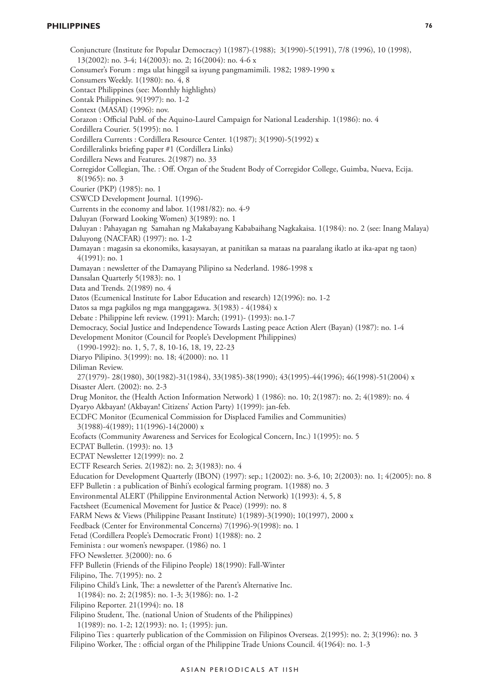#### **Philippines**

**76**

Conjuncture (Institute for Popular Democracy) 1(1987)-(1988); 3(1990)-5(1991), 7/8 (1996), 10 (1998),  $13(2002)$ : no. 3-4;  $14(2003)$ : no. 2;  $16(2004)$ : no. 4-6 x Consumer's Forum : mga ulat hinggil sa isyung pangmamimili. 1982; 1989-1990 x Consumers Weekly. 1(1980): no. 4, 8 Contact Philippines (see: Monthly highlights) Contak Philippines. 9(1997): no. 1-2 Context (MASAI) (1996): nov. Corazon : Official Publ. of the Aquino-Laurel Campaign for National Leadership. 1(1986): no. 4 Cordillera Courier. 5(1995): no. 1 Cordillera Currents : Cordillera Resource Center. 1(1987); 3(1990)-5(1992) x Cordilleralinks briefing paper #1 (Cordillera Links) Cordillera News and Features. 2(1987) no. 33 Corregidor Collegian, The. : Off. Organ of the Student Body of Corregidor College, Guimba, Nueva, Ecija. 8(1965): no. 3 Courier (PKP) (1985): no. 1 CSWCD Development Journal. 1(1996)- Currents in the economy and labor. 1(1981/82): no. 4-9 Daluyan (Forward Looking Women) 3(1989): no. 1 Daluyan : Pahayagan ng Samahan ng Makabayang Kababaihang Nagkakaisa. 1(1984): no. 2 (see: Inang Malaya) Daluyong (NACFAR) (1997): no. 1-2 Damayan : magasin sa ekonomiks, kasaysayan, at panitikan sa mataas na paaralang ikatlo at ika-apat ng taon) 4(1991): no. 1 Damayan : newsletter of the Damayang Pilipino sa Nederland. 1986-1998 x Dansalan Quarterly 5(1983): no. 1 Data and Trends. 2(1989) no. 4 Datos (Ecumenical Institute for Labor Education and research) 12(1996): no. 1-2 Datos sa mga pagkilos ng mga manggagawa. 3(1983) - 4(1984) x Debate : Philippine left review. (1991): March; (1991)- (1993): no.1-7 Democracy, Social Justice and Independence Towards Lasting peace Action Alert (Bayan) (1987): no. 1-4 Development Monitor (Council for People's Development Philippines) (1990-1992): no. 1, 5, 7, 8, 10-16, 18, 19, 22-23 Diaryo Pilipino. 3(1999): no. 18; 4(2000): no. 11 Diliman Review. 27(1979)- 28(1980), 30(1982)-31(1984), 33(1985)-38(1990); 43(1995)-44(1996); 46(1998)-51(2004) x Disaster Alert. (2002): no. 2-3 Drug Monitor, the (Health Action Information Network) 1 (1986): no. 10; 2(1987): no. 2; 4(1989): no. 4 Dyaryo Akbayan! (Akbayan! Citizens' Action Party) 1(1999): jan-feb. ECDFC Monitor (Ecumenical Commission for Displaced Families and Communities) 3(1988)-4(1989); 11(1996)-14(2000) x Ecofacts (Community Awareness and Services for Ecological Concern, Inc.) 1(1995): no. 5 ECPAT Bulletin. (1993): no. 13 ECPAT Newsletter 12(1999): no. 2 ECTF Research Series. 2(1982): no. 2; 3(1983): no. 4 Education for Development Quarterly (IBON) (1997): sep.; 1(2002): no. 3-6, 10; 2(2003): no. 1; 4(2005): no. 8 EFP Bulletin : a publication of Binhi's ecological farming program. 1(1988) no. 3 Environmental ALERT (Philippine Environmental Action Network) 1(1993): 4, 5, 8 Factsheet (Ecumenical Movement for Justice & Peace) (1999): no. 8 FARM News & Views (Philippine Peasant Institute) 1(1989)-3(1990); 10(1997), 2000 x Feedback (Center for Environmental Concerns) 7(1996)-9(1998): no. 1 Fetad (Cordillera People's Democratic Front) 1(1988): no. 2 Feminista : our women's newspaper. (1986) no. 1 FFO Newsletter. 3(2000): no. 6 FFP Bulletin (Friends of the Filipino People) 18(1990): Fall-Winter Filipino, The. 7(1995): no. 2 Filipino Child's Link, The: a newsletter of the Parent's Alternative Inc. 1(1984): no. 2; 2(1985): no. 1-3; 3(1986): no. 1-2 Filipino Reporter. 21(1994): no. 18 Filipino Student, The. (national Union of Students of the Philippines) 1(1989): no. 1-2; 12(1993): no. 1; (1995): jun.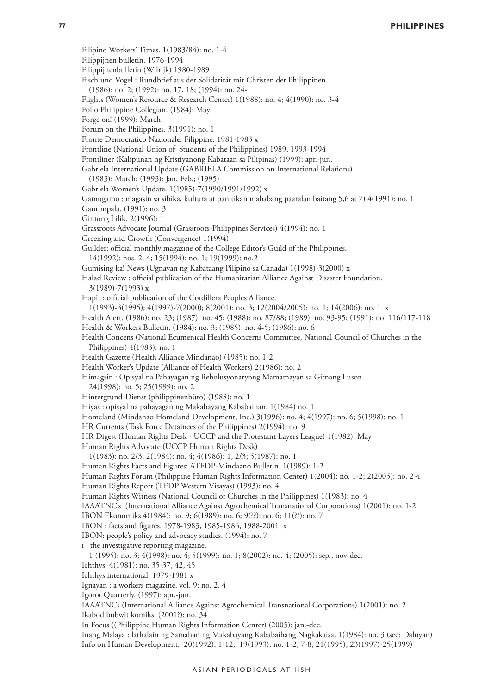Filipino Workers' Times. 1(1983/84): no. 1-4 Filippijnen bulletin. 1976-1994 Filippijnenbulletin (Wilrijk) 1980-1989 Fisch und Vogel : Rundbrief aus der Solidarität mit Christen der Philippinen. (1986): no. 2; (1992): no. 17, 18; (1994): no. 24- Flights (Women's Resource & Research Center) 1(1988): no. 4; 4(1990): no. 3-4 Folio Philippine Collegian. (1984): May Forge on! (1999): March Forum on the Philippines. 3(1991): no. 1 Fronte Democratico Nazionale: Filippine. 1981-1983 x Frontline (National Union of Students of the Philippines) 1989, 1993-1994 Frontliner (Kalipunan ng Kristiyanong Kabataan sa Pilipinas) (1999): apr.-jun. Gabriela International Update (GABRIELA Commission on International Relations) (1983): March; (1993): Jan, Feb.; (1995) Gabriela Women's Update. 1(1985)-7(1990/1991/1992) x Gamugamo : magasin sa sibika, kultura at panitikan mababang paaralan baitang 5,6 at 7) 4(1991): no. 1 Gantimpala. (1991): no. 3 Gintong Lilik. 2(1996): 1 Grassroots Advocate Journal (Grassroots-Philippines Services) 4(1994): no. 1 Greening and Growth (Convergence) 1(1994) Guilder: official monthly magazine of the College Editor's Guild of the Philippines. 14(1992): nos. 2, 4; 15(1994): no. 1; 19(1999): no.2 Gumising ka! News (Ugnayan ng Kabataang Pilipino sa Canada) 1(1998)-3(2000) x Halad Review : official publication of the Humanitarian Alliance Against Disaster Foundation. 3(1989)-7(1993) x Hapit : official publication of the Cordillera Peoples Alliance. 1(1993)-3(1995); 4(1997)-7(2000); 8(2001): no. 3; 12(2004/2005): no. 1; 14(2006): no. 1 x Health Alert. (1986): no. 23; (1987): no. 45; (1988): no. 87/88; (1989): no. 93-95; (1991): no. 116/117-118 Health & Workers Bulletin. (1984): no. 3; (1985): no. 4-5; (1986): no. 6 Health Concens (National Ecumenical Health Concerns Committee, National Council of Churches in the Philippines) 4(1983): no. 1 Health Gazette (Health Alliance Mindanao) (1985): no. 1-2 Health Worker's Update (Alliance of Health Workers) 2(1986): no. 2 Himagsin : Opisyal na Pahayagan ng Rebolusyonaryong Mamamayan sa Gitnang Luson. 24(1998): no. 5; 25(1999): no. 2 Hintergrund-Dienst (philippinenbüro) (1988): no. 1 Hiyas : opisyal na pahayagan ng Makabayang Kababaihan. 1(1984) no. 1 Homeland (Mindanao Homeland Development, Inc.) 3(1996): no. 4; 4(1997): no. 6; 5(1998): no. 1 HR Currents (Task Force Detainees of the Philippines) 2(1994): no. 9 HR Digest (Human Rights Desk - UCCP and the Protestant Layers League) 1(1982): May Human Rights Advocate (UCCP Human Rights Desk) 1(1983): no. 2/3; 2(1984): no. 4; 4(1986): 1, 2/3; 5(1987): no. 1 Human Rights Facts and Figures: ATFDP-Mindaano Bulletin. 1(1989): 1-2 Human Rights Forum (Philippine Human Rights Information Center) 1(2004): no. 1-2; 2(2005): no. 2-4 Human Rights Report (TFDP Western Visayas) (1993): no. 4 Human Rights Witness (National Council of Churches in the Philippines) 1(1983): no. 4 IAAATNC's (International Alliance Against Agrochemical Transnational Corporations) 1(2001): no. 1-2 IBON Ekonomiks 4(1984): no. 9; 6(1989): no. 6; 9(??): no. 6; 11(??): no. 7 IBON : facts and figures. 1978-1983, 1985-1986, 1988-2001 x IBON: people's policy and advocacy studies. (1994): no. 7 i : the investigative reporting magazine. 1 (1995): no. 3; 4(1998): no. 4; 5(1999): no. 1; 8(2002): no. 4; (2005): sep., nov-dec. Ichthys. 4(1981): no. 35-37, 42, 45 Ichthys international. 1979-1981 x Ignayan : a workers magazine. vol. 9: no. 2, 4 Igorot Quarterly. (1997): apr.-jun. IAAATNCs (International Alliance Against Agrochemical Transnational Corporations) 1(2001): no. 2 Ikabod bubwit komiks. (2001?): no. 34 In Focus ((Philippine Human Rights Information Center) (2005): jan.-dec. Inang Malaya : lathalain ng Samahan ng Makabayang Kababaihang Nagkakaisa. 1(1984): no. 3 (see: Daluyan) Info on Human Development. 20(1992): 1-12, 19(1993): no. 1-2, 7-8; 21(1995); 23(1997)-25(1999)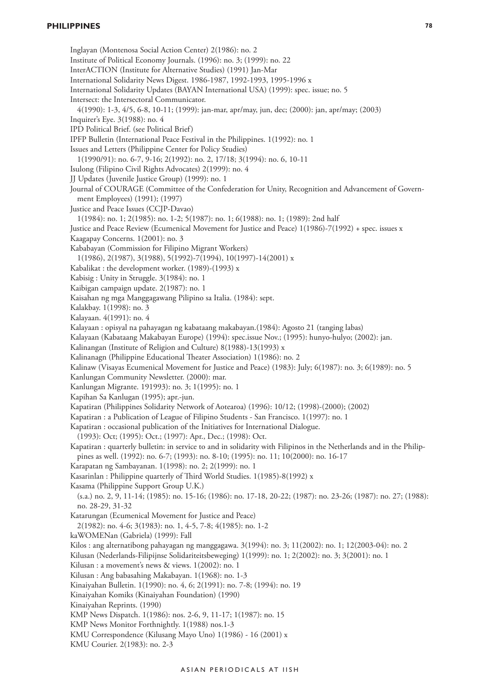Inglayan (Montenosa Social Action Center) 2(1986): no. 2 Institute of Political Economy Journals. (1996): no. 3; (1999): no. 22 InterACTION (Institute for Alternative Studies) (1991) Jan-Mar International Solidarity News Digest. 1986-1987, 1992-1993, 1995-1996 x International Solidarity Updates (BAYAN International USA) (1999): spec. issue; no. 5 Intersect: the Intersectoral Communicator. 4(1990): 1-3, 4/5, 6-8, 10-11; (1999): jan-mar, apr/may, jun, dec; (2000): jan, apr/may; (2003) Inquirer's Eye. 3(1988): no. 4 IPD Political Brief. (see Political Brief) IPFP Bulletin (International Peace Festival in the Philippines. 1(1992): no. 1 Issues and Letters (Philippine Center for Policy Studies) 1(1990/91): no. 6-7, 9-16; 2(1992): no. 2, 17/18; 3(1994): no. 6, 10-11 Isulong (Filipino Civil Rights Advocates) 2(1999): no. 4 JJ Updates (Juvenile Justice Group) (1999): no. 1 Journal of COURAGE (Committee of the Confederation for Unity, Recognition and Advancement of Government Employees) (1991); (1997) Justice and Peace Issues (CCJP-Davao) 1(1984): no. 1; 2(1985): no. 1-2; 5(1987): no. 1; 6(1988): no. 1; (1989): 2nd half Justice and Peace Review (Ecumenical Movement for Justice and Peace) 1(1986)-7(1992) + spec. issues x Kaagapay Concerns. 1(2001): no. 3 Kababayan (Commission for Filipino Migrant Workers) 1(1986), 2(1987), 3(1988), 5(1992)-7(1994), 10(1997)-14(2001) x Kabalikat : the development worker. (1989)-(1993) x Kabisig : Unity in Struggle. 3(1984): no. 1 Kaibigan campaign update. 2(1987): no. 1 Kaisahan ng mga Manggagawang Pilipino sa Italia. (1984): sept. Kalakbay. 1(1998): no. 3 Kalayaan. 4(1991): no. 4 Kalayaan : opisyal na pahayagan ng kabataang makabayan.(1984): Agosto 21 (tanging labas) Kalayaan (Kabataang Makabayan Europe) (1994): spec.issue Nov.; (1995): hunyo-hulyo; (2002): jan. Kalinangan (Institute of Religion and Culture) 8(1988)-13(1993) x Kalinanagn (Philippine Educational Theater Association) 1(1986): no. 2 Kalinaw (Visayas Ecumenical Movement for Justice and Peace) (1983): July; 6(1987): no. 3; 6(1989): no. 5 Kanlungan Community Newsletter. (2000): mar. Kanlungan Migrante. 191993): no. 3; 1(1995): no. 1 Kapihan Sa Kanlugan (1995); apr.-jun. Kapatiran (Philippines Solidarity Network of Aotearoa) (1996): 10/12; (1998)-(2000); (2002) Kapatiran : a Publication of League of Filipino Students - San Francisco. 1(1997): no. 1 Kapatiran : occasional publication of the Initiatives for International Dialogue. (1993): Oct; (1995): Oct.; (1997): Apr., Dec.; (1998): Oct. Kapatiran : quarterly bulletin: in service to and in solidarity with Filipinos in the Netherlands and in the Philippines as well. (1992): no. 6-7; (1993): no. 8-10; (1995): no. 11; 10(2000): no. 16-17 Karapatan ng Sambayanan. 1(1998): no. 2; 2(1999): no. 1 Kasarinlan : Philippine quarterly of Third World Studies. 1(1985)-8(1992) x Kasama (Philippine Support Group U.K.) (s.a.) no. 2, 9, 11-14; (1985): no. 15-16; (1986): no. 17-18, 20-22; (1987): no. 23-26; (1987): no. 27; (1988): no. 28-29, 31-32 Katarungan (Ecumenical Movement for Justice and Peace) 2(1982): no. 4-6; 3(1983): no. 1, 4-5, 7-8; 4(1985): no. 1-2 kaWOMENan (Gabriela) (1999): Fall Kilos : ang alternatibong pahayagan ng manggagawa. 3(1994): no. 3; 11(2002): no. 1; 12(2003-04): no. 2 Kilusan (Nederlands-Filipijnse Solidariteitsbeweging) 1(1999): no. 1; 2(2002): no. 3; 3(2001): no. 1 Kilusan : a movement's news & views. 1(2002): no. 1 Kilusan : Ang babasahing Makabayan. 1(1968): no. 1-3 Kinaiyahan Bulletin. 1(1990): no. 4, 6; 2(1991): no. 7-8; (1994): no. 19 Kinaiyahan Komiks (Kinaiyahan Foundation) (1990) Kinaiyahan Reprints. (1990) KMP News Dispatch. 1(1986): nos. 2-6, 9, 11-17; 1(1987): no. 15 KMP News Monitor Forthnightly. 1(1988) nos.1-3 KMU Correspondence (Kilusang Mayo Uno) 1(1986) - 16 (2001) x KMU Courier. 2(1983): no. 2-3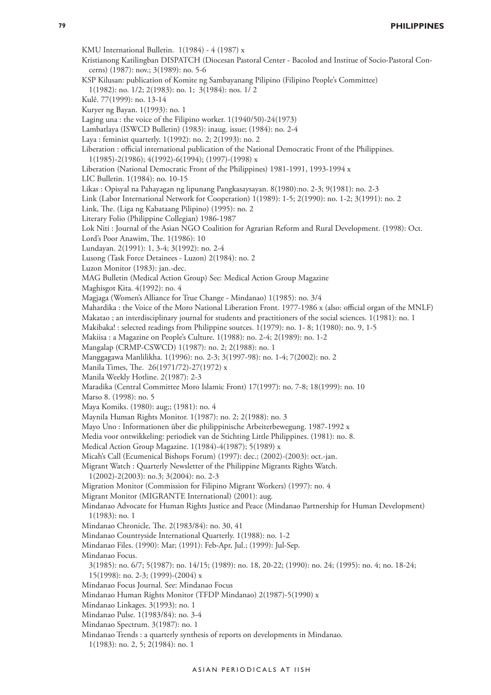```
KMU International Bulletin. 1(1984) - 4 (1987) x
Kristianong Katilingban DISPATCH (Diocesan Pastoral Center - Bacolod and Institue of Socio-Pastoral Con-
  cerns) (1987): nov.; 3(1989): no. 5-6
KSP Kilusan: publication of Komite ng Sambayanang Pilipino (Filipino People's Committee) 
  1(1982): no. 1/2; 2(1983): no. 1; 3(1984): nos. 1/ 2
Kulê. 77(1999): no. 13-14
Kuryer ng Bayan. 1(1993): no. 1
Laging una : the voice of the Filipino worker. 1(1940/50)-24(1973)
Lambatlaya (ISWCD Bulletin) (1983): inaug. issue; (1984): no. 2-4
Laya : feminist quarterly. 1(1992): no. 2; 2(1993): no. 2
Liberation : official international publication of the National Democratic Front of the Philippines. 
  1(1985)-2(1986); 4(1992)-6(1994); (1997)-(1998) x
Liberation (National Democratic Front of the Philippines) 1981-1991, 1993-1994 x
LIC Bulletin. 1(1984): no. 10-15
Likas : Opisyal na Pahayagan ng lipunang Pangkasaysayan. 8(1980):no. 2-3; 9(1981): no. 2-3
Link (Labor International Network for Cooperation) 1(1989): 1-5; 2(1990): no. 1-2; 3(1991): no. 2
Link, The. (Liga ng Kabataang Pilipino) (1995): no. 2
Literary Folio (Philippine Collegian) 1986-1987
Lok Niti : Journal of the Asian NGO Coalition for Agrarian Reform and Rural Development. (1998): Oct.
Lord's Poor Anawim, The. 1(1986): 10
Lundayan. 2(1991): 1, 3-4; 3(1992): no. 2-4
Lusong (Task Force Detainees - Luzon) 2(1984): no. 2
Luzon Monitor (1983): jan.-dec.
MAG Bulletin (Medical Action Group) See: Medical Action Group Magazine 
Maghisgot Kita. 4(1992): no. 4
Magjaga (Women's Alliance for True Change - Mindanao) 1(1985): no. 3/4
Mahardika : the Voice of the Moro National Liberation Front. 1977-1986 x (also: official organ of the MNLF)
Makatao ; an interdisciplinary journal for students and practitioners of the social sciences. 1(1981): no. 1
Makibaka! : selected readings from Philippine sources. 1(1979): no. 1- 8; 1(1980): no. 9, 1-5
Makiisa : a Magazine on People's Culture. 1(1988): no. 2-4; 2(1989): no. 1-2
Mangalap (CRMP-CSWCD) 1(1987): no. 2; 2(1988): no. 1
Manggagawa Manlilikha. 1(1996): no. 2-3; 3(1997-98): no. 1-4; 7(2002): no. 2
Manila Times, The. 26(1971/72)-27(1972) x
Manila Weekly Hotline. 2(1987): 2-3
Maradika (Central Committee Moro Islamic Front) 17(1997): no. 7-8; 18(1999): no. 10
Marso 8. (1998): no. 5
Maya Komiks. (1980): aug;; (1981): no. 4
Maynila Human Rights Monitor. 1(1987): no. 2; 2(1988): no. 3
Mayo Uno : Informationen über die philippinische Arbeiterbewegung. 1987-1992 x
Media voor ontwikkeling: periodiek van de Stichting Little Philippines. (1981): no. 8.
Medical Action Group Magazine. 1(1984)-4(1987); 5(1989) x
Micah's Call (Ecumenical Bishops Forum) (1997): dec.; (2002)-(2003): oct.-jan.
Migrant Watch : Quarterly Newsletter of the Philippine Migrants Rights Watch. 
  1(2002)-2(2003): no.3; 3(2004): no. 2-3
Migration Monitor (Commission for Filipino Migrant Workers) (1997): no. 4
Migrant Monitor (MIGRANTE International) (2001): aug.
Mindanao Advocate for Human Rights Justice and Peace (Mindanao Partnership for Human Development) 
  1(1983): no. 1
Mindanao Chronicle, The. 2(1983/84): no. 30, 41
Mindanao Countryside International Quarterly. 1(1988): no. 1-2
Mindanao Files. (1990): Mar; (1991): Feb-Apr, Jul.; (1999): Jul-Sep.
Mindanao Focus. 
  3(1985): no. 6/7; 5(1987): no. 14/15; (1989): no. 18, 20-22; (1990): no. 24; (1995): no. 4; no. 18-24; 
  15(1998): no. 2-3; (1999)-(2004) x
Mindanao Focus Journal. See: Mindanao Focus
Mindanao Human Rights Monitor (TFDP Mindanao) 2(1987)-5(1990) x
Mindanao Linkages. 3(1993): no. 1
Mindanao Pulse. 1(1983/84): no. 3-4
Mindanao Spectrum. 3(1987): no. 1
Mindanao Trends : a quarterly synthesis of reports on developments in Mindanao. 
  1(1983): no. 2, 5; 2(1984): no. 1
```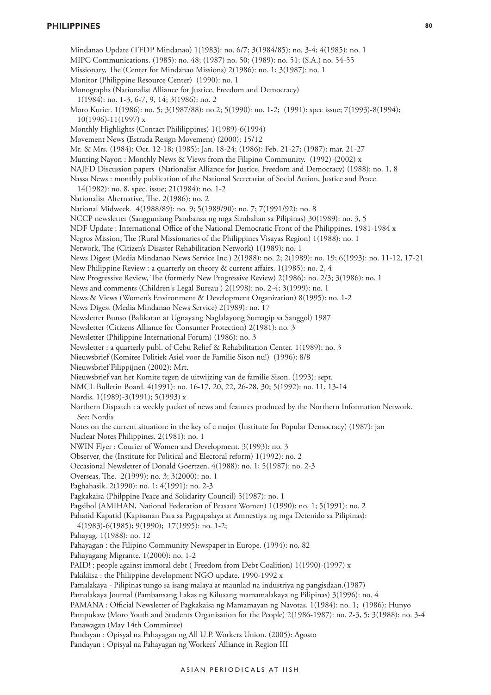### **PHILIPPINES**

Mindanao Update (TFDP Mindanao) 1(1983): no. 6/7; 3(1984/85): no. 3-4; 4(1985): no. 1 MIPC Communications. (1985): no. 48; (1987) no. 50; (1989): no. 51; (S.A.) no. 54-55 Missionary, The (Center for Mindanao Missions) 2(1986): no. 1; 3(1987): no. 1 Monitor (Philippine Resource Center) (1990): no. 1 Monographs (Nationalist Alliance for Justice, Freedom and Democracy) 1(1984): no. 1-3, 6-7, 9, 14; 3(1986): no. 2 Moro Kurier. 1(1986): no. 5; 3(1987/88): no.2; 5(1990): no. 1-2; (1991): spec issue; 7(1993)-8(1994); 10(1996)-11(1997) x Monthly Highlights (Contact Phililippines) 1(1989)-6(1994) Movement News (Estrada Resign Movement) (2000); 15/12 Mr. & Mrs. (1984): Oct. 12-18; (1985): Jan. 18-24; (1986): Feb. 21-27; (1987): mar. 21-27 Munting Nayon : Monthly News & Views from the Filipino Community. (1992)-(2002) x NAJFD Discussion papers (Nationalist Alliance for Justice, Freedom and Democracy) (1988): no. 1, 8 Nassa News : monthly publication of the National Secretariat of Social Action, Justice and Peace. 14(1982): no. 8, spec. issue; 21(1984): no. 1-2 Nationalist Alternative, The. 2(1986): no. 2 National Midweek. 4(1988/89): no. 9; 5(1989/90): no. 7; 7(1991/92): no. 8 NCCP newsletter (Sangguniang Pambansa ng mga Simbahan sa Pilipinas) 30(1989): no. 3, 5 NDF Update : International Office of the National Democratic Front of the Philippines. 1981-1984 x Negros Mission, The (Rural Missionaries of the Philippines Visayas Region) 1(1988): no. 1 Network, The (Citizen's Disaster Rehabilitation Network) 1(1989): no. 1 News Digest (Media Mindanao News Service Inc.) 2(1988): no. 2; 2(1989): no. 19; 6(1993): no. 11-12, 17-21 New Philippine Review : a quarterly on theory & current affairs. 1(1985): no. 2, 4 New Progressive Review, The (formerly New Progressive Review) 2(1986): no. 2/3; 3(1986): no. 1 News and comments (Children's Legal Bureau ) 2(1998): no. 2-4; 3(1999): no. 1 News & Views (Women's Environment & Development Organization) 8(1995): no. 1-2 News Digest (Media Mindanao News Service) 2(1989): no. 17 Newsletter Bunso (Balikatan at Ugnayang Naglalayong Sumagip sa Sanggol) 1987 Newsletter (Citizens Alliance for Consumer Protection) 2(1981): no. 3 Newsletter (Philippine International Forum) (1986): no. 3 Newsletter : a quarterly publ. of Cebu Relief & Rehabilitation Center. 1(1989): no. 3 Nieuwsbrief (Komitee Politiek Asiel voor de Familie Sison nu!) (1996): 8/8 Nieuwsbrief Filippijnen (2002): Mrt. Nieuwsbrief van het Komite tegen de uitwijzing van de familie Sison. (1993): sept. NMCL Bulletin Board. 4(1991): no. 16-17, 20, 22, 26-28, 30; 5(1992): no. 11, 13-14 Nordis. 1(1989)-3(1991); 5(1993) x Northern Dispatch : a weekly packet of news and features produced by the Northern Information Network. See: Nordis Notes on the current situation: in the key of c major (Institute for Popular Democracy) (1987): jan Nuclear Notes Philippines. 2(1981): no. 1 NWIN Flyer : Courier of Women and Development. 3(1993): no. 3 Observer, the (Institute for Political and Electoral reform) 1(1992): no. 2 Occasional Newsletter of Donald Goertzen. 4(1988): no. 1; 5(1987): no. 2-3 Overseas, The. 2(1999): no. 3; 3(2000): no. 1 Paghahasik. 2(1990): no. 1; 4(1991): no. 2-3 Pagkakaisa (Philppine Peace and Solidarity Council) 5(1987): no. 1 Pagsibol (AMIHAN, National Federation of Peasant Women) 1(1990): no. 1; 5(1991): no. 2 Pahatid Kapatid (Kapisanan Para sa Pagpapalaya at Amnestiya ng mga Detenido sa Pilipinas): 4(1983)-6(1985); 9(1990); 17(1995): no. 1-2; Pahayag. 1(1988): no. 12 Pahayagan : the Filipino Community Newspaper in Europe. (1994): no. 82 Pahayagang Migrante. 1(2000): no. 1-2 PAID! : people against immoral debt (Freedom from Debt Coalition) 1(1990)-(1997) x Pakikiisa : the Philippine development NGO update. 1990-1992 x Pamalakaya - Pilipinas tungo sa isang malaya at maunlad na industriya ng pangisdaan.(1987) Pamalakaya Journal (Pambansang Lakas ng Kilusang mamamalakaya ng Pilipinas) 3(1996): no. 4 PAMANA : Official Newsletter of Pagkakaisa ng Mamamayan ng Navotas. 1(1984): no. 1; (1986): Hunyo Pampukaw (Moro Youth and Students Organisation for the People) 2(1986-1987): no. 2-3, 5; 3(1988): no. 3-4 Panawagan (May 14th Committee) Pandayan : Opisyal na Pahayagan ng All U.P. Workers Union. (2005): Agosto Pandayan : Opisyal na Pahayagan ng Workers' Alliance in Region III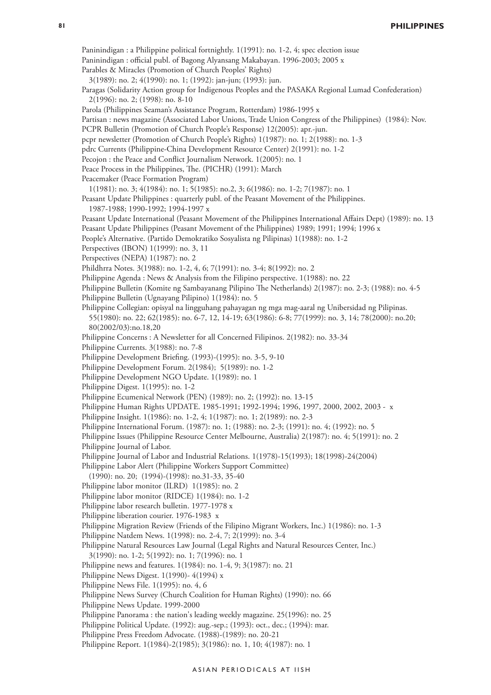```
Paninindigan : a Philippine political fortnightly. 1(1991): no. 1-2, 4; spec election issue
Paninindigan : official publ. of Bagong Alyansang Makabayan. 1996-2003; 2005 x
Parables & Miracles (Promotion of Church Peoples' Rights) 
  3(1989): no. 2; 4(1990): no. 1; (1992): jan-jun; (1993): jun.
Paragas (Solidarity Action group for Indigenous Peoples and the PASAKA Regional Lumad Confederation) 
  2(1996): no. 2; (1998): no. 8-10
Parola (Philippines Seaman's Assistance Program, Rotterdam) 1986-1995 x
Partisan : news magazine (Associated Labor Unions, Trade Union Congress of the Philippines) (1984): Nov.
PCPR Bulletin (Promotion of Church People's Response) 12(2005): apr.-jun.
pcpr newsletter (Promotion of Church People's Rights) 1(1987): no. 1; 2(1988): no. 1-3
pdrc Currents (Philippine-China Development Resource Center) 2(1991): no. 1-2
Pecojon : the Peace and Conflict Journalism Network. 1(2005): no. 1
Peace Process in the Philippines, The. (PICHR) (1991): March
Peacemaker (Peace Formation Program) 
  1(1981): no. 3; 4(1984): no. 1; 5(1985): no.2, 3; 6(1986): no. 1-2; 7(1987): no. 1
Peasant Update Philippines : quarterly publ. of the Peasant Movement of the Philippines. 
  1987-1988; 1990-1992; 1994-1997 x
Peasant Update International (Peasant Movement of the Philippines International Affairs Dept) (1989): no. 13 
Peasant Update Philippines (Peasant Movement of the Philippines) 1989; 1991; 1994; 1996 x
People's Alternative. (Partido Demokratiko Sosyalista ng Pilipinas) 1(1988): no. 1-2
Perspectives (IBON) 1(1999): no. 3, 11
Perspectives (NEPA) 1(1987): no. 2
Phildhrra Notes. 3(1988): no. 1-2, 4, 6; 7(1991): no. 3-4; 8(1992): no. 2
Philippine Agenda : News & Analysis from the Filipino perspective. 1(1988): no. 22
Philippine Bulletin (Komite ng Sambayanang Pilipino The Netherlands) 2(1987): no. 2-3; (1988): no. 4-5
Philippine Bulletin (Ugnayang Pilipino) 1(1984): no. 5
Philippine Collegian: opisyal na lingguhang pahayagan ng mga mag-aaral ng Unibersidad ng Pilipinas. 
  55(1980): no. 22; 62(1985): no. 6-7, 12, 14-19; 63(1986): 6-8; 77(1999): no. 3, 14; 78(2000): no.20; 
  80(2002/03):no.18,20
Philippine Concerns : A Newsletter for all Concerned Filipinos. 2(1982): no. 33-34
Philippine Currents. 3(1988): no. 7-8
Philippine Development Briefing. (1993)-(1995): no. 3-5, 9-10
Philippine Development Forum. 2(1984); 5(1989): no. 1-2
Philippine Development NGO Update. 1(1989): no. 1
Philippine Digest. 1(1995): no. 1-2
Philippine Ecumenical Network (PEN) (1989): no. 2; (1992): no. 13-15
Philippine Human Rights UPDATE. 1985-1991; 1992-1994; 1996, 1997, 2000, 2002, 2003 - x
Philippine Insight. 1(1986): no. 1-2, 4; 1(1987): no. 1; 2(1989): no. 2-3
Philippine International Forum. (1987): no. 1; (1988): no. 2-3; (1991): no. 4; (1992): no. 5
Philippine Issues (Philippine Resource Center Melbourne, Australia) 2(1987): no. 4; 5(1991): no. 2
Philippine Journal of Labor.
Philippine Journal of Labor and Industrial Relations. 1(1978)-15(1993); 18(1998)-24(2004)
Philippine Labor Alert (Philippine Workers Support Committee) 
  (1990): no. 20; (1994)-(1998): no.31-33, 35-40
Philippine labor monitor (ILRD) 1(1985): no. 2
Philippine labor monitor (RIDCE) 1(1984): no. 1-2
Philippine labor research bulletin. 1977-1978 x
Philippine liberation courier. 1976-1983 x
Philippine Migration Review (Friends of the Filipino Migrant Workers, Inc.) 1(1986): no. 1-3
Philippine Natdem News. 1(1998): no. 2-4, 7; 2(1999): no. 3-4
Philippine Natural Resources Law Journal (Legal Rights and Natural Resources Center, Inc.) 
  3(1990): no. 1-2; 5(1992): no. 1; 7(1996): no. 1
Philippine news and features. 1(1984): no. 1-4, 9; 3(1987): no. 21
Philippine News Digest. 1(1990)- 4(1994) x 
Philippine News File. 1(1995): no. 4, 6
Philippine News Survey (Church Coalition for Human Rights) (1990): no. 66
Philippine News Update. 1999-2000
Philippine Panorama : the nation's leading weekly magazine. 25(1996): no. 25
Philippine Political Update. (1992): aug.-sep.; (1993): oct., dec.; (1994): mar.
Philippine Press Freedom Advocate. (1988)-(1989): no. 20-21
Philippine Report. 1(1984)-2(1985); 3(1986): no. 1, 10; 4(1987): no. 1
```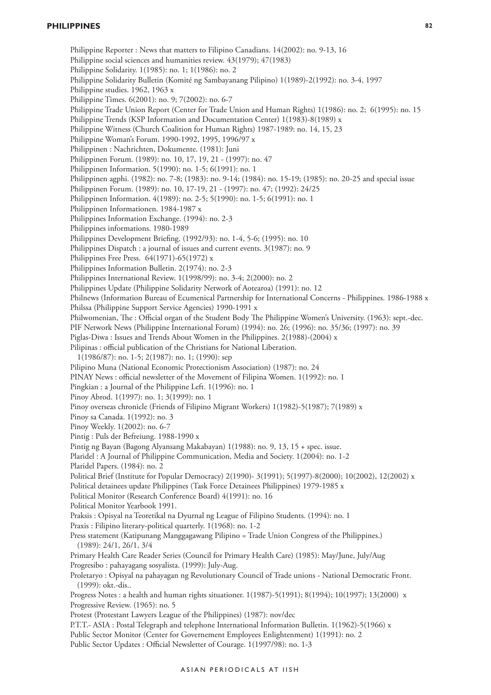Philippine Reporter : News that matters to Filipino Canadians. 14(2002): no. 9-13, 16 Philippine social sciences and humanities review. 43(1979); 47(1983) Philippine Solidarity. 1(1985): no. 1; 1(1986): no. 2 Philippine Solidarity Bulletin (Komité ng Sambayanang Pilipino) 1(1989)-2(1992): no. 3-4, 1997 Philippine studies. 1962, 1963 x Philippine Times. 6(2001): no. 9; 7(2002): no. 6-7 Philippine Trade Union Report (Center for Trade Union and Human Rights) 1(1986): no. 2; 6(1995): no. 15 Philippine Trends (KSP Information and Documentation Center) 1(1983)-8(1989) x Philippine Witness (Church Coalition for Human Rights) 1987-1989: no. 14, 15, 23 Philippine Woman's Forum. 1990-1992, 1995, 1996/97 x Philippinen : Nachrichten, Dokumente. (1981): Juni Philippinen Forum. (1989): no. 10, 17, 19, 21 - (1997): no. 47 Philippinen Information. 5(1990): no. 1-5; 6(1991): no. 1 Philippinen agphi. (1982): no. 7-8; (1983): no. 9-14; (1984): no. 15-19; (1985): no. 20-25 and special issue Philippinen Forum. (1989): no. 10, 17-19, 21 - (1997): no. 47; (1992): 24/25 Philippinen Information. 4(1989): no. 2-5; 5(1990): no. 1-5; 6(1991): no. 1 Philippinen Informationen. 1984-1987 x Philippines Information Exchange. (1994): no. 2-3 Philippines informations. 1980-1989 Philippines Development Briefing. (1992/93): no. 1-4, 5-6; (1995): no. 10 Philippines Dispatch : a journal of issues and current events. 3(1987): no. 9 Philippines Free Press.  $64(1971)$ -65 $(1972)$  x Philippines Information Bulletin. 2(1974): no. 2-3 Philippines International Review. 1(1998/99): no. 3-4; 2(2000): no. 2 Philippines Update (Philippine Solidarity Network of Aotearoa) (1991): no. 12 Philnews (Information Bureau of Ecumenical Partnership for International Concerns - Philippines. 1986-1988 x Philssa (Philippine Support Service Agencies) 1990-1991 x Philwomenian, The : Official organ of the Student Body The Philippine Women's University. (1963): sept.-dec. PIF Network News (Philippine International Forum) (1994): no. 26; (1996): no. 35/36; (1997): no. 39 Piglas-Diwa : Issues and Trends About Women in the Philippines. 2(1988)-(2004) x Pilipinas : official publication of the Christians for National Liberation. 1(1986/87): no. 1-5; 2(1987): no. 1; (1990): sep Pilipino Muna (National Economic Protectionism Association) (1987): no. 24 PINAY News : official newsletter of the Movement of Filipina Women. 1(1992): no. 1 Pingkian : a Journal of the Philippine Left. 1(1996): no. 1 Pinoy Abrod. 1(1997): no. 1; 3(1999): no. 1 Pinoy overseas chronicle (Friends of Filipino Migrant Workers) 1(1982)-5(1987); 7(1989) x Pinoy sa Canada. 1(1992): no. 3 Pinoy Weekly. 1(2002): no. 6-7 Pintig : Puls der Befreiung. 1988-1990 x Pintig ng Bayan (Bagong Alyansang Makabayan) 1(1988): no. 9, 13, 15 + spec. issue. Plaridel : A Journal of Philippine Communication, Media and Society. 1(2004): no. 1-2 Plaridel Papers. (1984): no. 2 Political Brief (Institute for Popular Democracy) 2(1990)- 3(1991); 5(1997)-8(2000); 10(2002), 12(2002) x Political detainees update Philippines (Task Force Detainees Philippines) 1979-1985 x Political Monitor (Research Conference Board) 4(1991): no. 16 Political Monitor Yearbook 1991. Praksis : Opisyal na Teoretikal na Dyurnal ng League of Filipino Students. (1994): no. 1 Praxis : Filipino literary-political quarterly. 1(1968): no. 1-2 Press statement (Katipunang Manggagawang Pilipino = Trade Union Congress of the Philippines.) (1989): 24/1, 26/1, 3/4 Primary Health Care Reader Series (Council for Primary Health Care) (1985): May/June, July/Aug Progresibo : pahayagang sosyalista. (1999): July-Aug. Proletaryo : Opisyal na pahayagan ng Revolutionary Council of Trade unions - National Democratic Front. (1999): okt.-dis.. Progress Notes : a health and human rights situationer. 1(1987)-5(1991); 8(1994); 10(1997); 13(2000) x Progressive Review. (1965): no. 5 Protest (Protestant Lawyers League of the Philippines) (1987): nov/dec P.T.T.- ASIA : Postal Telegraph and telephone International Information Bulletin. 1(1962)-5(1966) x Public Sector Monitor (Center for Governement Employees Enlightenment) 1(1991): no. 2 Public Sector Updates : Official Newsletter of Courage. 1(1997/98): no. 1-3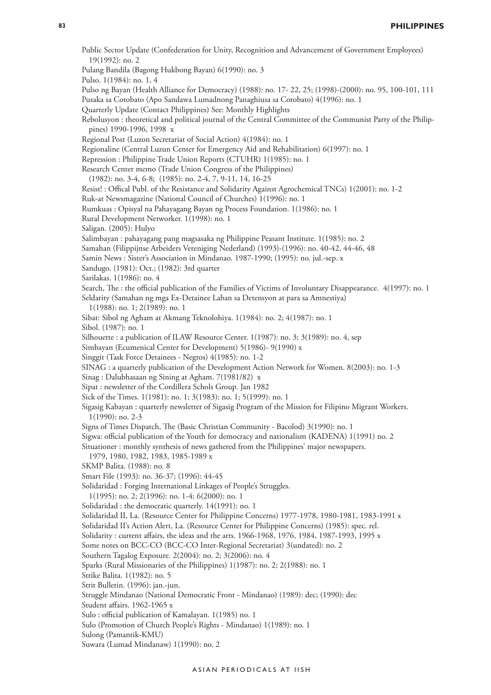| Public Sector Update (Confederation for Unity, Recognition and Advancement of Government Employees)<br>19(1992): no. 2                                                                        |
|-----------------------------------------------------------------------------------------------------------------------------------------------------------------------------------------------|
| Pulang Bandila (Bagong Hukbong Bayan) 6(1990): no. 3                                                                                                                                          |
| Pulso. 1(1984): no. 1, 4                                                                                                                                                                      |
| Pulso ng Bayan (Health Alliance for Democracy) (1988): no. 17-22, 25; (1998)-(2000): no. 95, 100-101, 111<br>Pusaka sa Cotobato (Apo Sandawa Lumadnong Panaghiusa sa Cotobato) 4(1996): no. 1 |
| Quarterly Update (Contact Philippines) See: Monthly Highlights                                                                                                                                |
| Rebolusyon : theoretical and political journal of the Central Committee of the Communist Party of the Philip-                                                                                 |
| pines) 1990-1996, 1998 x                                                                                                                                                                      |
| Regional Post (Luzon Secretariat of Social Action) 4(1984): no. 1                                                                                                                             |
| Regionaline (Central Luzun Center for Emergency Aid and Rehabilitation) 6(1997): no. 1                                                                                                        |
| Repression : Philippine Trade Union Reports (CTUHR) 1(1985): no. 1                                                                                                                            |
| Research Center memo (Trade Union Congress of the Philippines)                                                                                                                                |
| (1982): no. 3-4, 6-8; (1985): no. 2-4, 7, 9-11, 14, 16-25                                                                                                                                     |
| Resist!: Offical Publ. of the Resistance and Solidarity Against Agrochemical TNCs) 1(2001): no. 1-2                                                                                           |
| Ruk-at Newsmagazine (National Council of Churches) 1(1996): no. 1                                                                                                                             |
| Rumkuas : Opisyal na Pahayagang Bayan ng Process Foundation. 1(1986): no. 1                                                                                                                   |
| Rural Development Networker. 1(1998): no. 1                                                                                                                                                   |
| Saligan. (2005): Hulyo                                                                                                                                                                        |
| Salimbayan : pahayagang pang magsasaka ng Philippine Peasant Institute. 1(1985): no. 2                                                                                                        |
| Samahan (Filippijnse Arbeiders Vereniging Nederland) (1993)-(1996): no. 40-42, 44-46, 48                                                                                                      |
| Samin News : Sister's Association in Mindanao. 1987-1990; (1995): no. jul.-sep. x                                                                                                             |
| Sandugo. (1981): Oct.; (1982): 3rd quarter                                                                                                                                                    |
| Sarilakas. 1(1986): no. 4                                                                                                                                                                     |
| Search, The : the official publication of the Families of Victims of Involuntary Disappearance. 4(1997): no. 1                                                                                |
| Seldarity (Samahan ng mga Ex-Detainee Laban sa Detensyon at para sa Amnestiya)                                                                                                                |
| $1(1988)$ : no. 1; 2(1989): no. 1                                                                                                                                                             |
| Sibat: Sibol ng Agham at Akmang Teknolohiya. 1(1984): no. 2; 4(1987): no. 1                                                                                                                   |
| Sibol. (1987): no. 1                                                                                                                                                                          |
| Silhouette : a publication of ILAW Resource Center. 1(1987): no. 3; 3(1989): no. 4, sep                                                                                                       |
| Simbayan (Ecumenical Center for Development) 5(1986)- 9(1990) x                                                                                                                               |
| Singgit (Task Force Detainees - Negros) 4(1985): no. 1-2                                                                                                                                      |
| SINAG : a quarterly publication of the Development Action Network for Women. 8(2003): no. 1-3                                                                                                 |
| Sinag: Dalubhasaan ng Sining at Agham. 7(1981/82) x                                                                                                                                           |
| Sipat : newsletter of the Cordillera Schols Group. Jan 1982                                                                                                                                   |
| Sick of the Times. 1(1981): no. 1; 3(1983): no. 1; 5(1999): no. 1                                                                                                                             |
| Sigasig Kabayan : quarterly newsletter of Sigasig Program of the Mission for Filipino Migrant Workers.                                                                                        |
| $1(1990)$ : no. 2-3                                                                                                                                                                           |
| Signs of Times Dispatch, The (Basic Christian Community - Bacolod) 3(1990): no. 1                                                                                                             |
| Sigwa: official publication of the Youth for democracy and nationalism (KADENA) 1(1991) no. 2                                                                                                 |
| Situationer: monthly synthesis of news gathered from the Philippines' major newspapers.                                                                                                       |
| 1979, 1980, 1982, 1983, 1985-1989 x                                                                                                                                                           |
| SKMP Balita. (1988): no. 8                                                                                                                                                                    |
| Smart File (1993): no. 36-37; (1996): 44-45<br>Solidaridad : Forging International Linkages of People's Struggles.                                                                            |
| $1(1995)$ : no. 2; 2(1996): no. 1-4; 6(2000): no. 1                                                                                                                                           |
| Solidaridad : the democratic quarterly. 14(1991): no. 1                                                                                                                                       |
| Solidaridad II, La. (Resource Center for Philippine Concerns) 1977-1978, 1980-1981, 1983-1991 x                                                                                               |
| Solidaridad II's Action Alert, La. (Resource Center for Philippine Concerns) (1985): spec. rel.                                                                                               |
| Solidarity : current affairs, the ideas and the arts. 1966-1968, 1976, 1984, 1987-1993, 1995 x                                                                                                |
| Some notes on BCC-CO (BCC-CO Inter-Regional Secretariat) 3(undated): no. 2                                                                                                                    |
| Southern Tagalog Exposure. 2(2004): no. 2; 3(2006): no. 4                                                                                                                                     |
| Sparks (Rural Missionaries of the Philippines) 1(1987): no. 2; 2(1988): no. 1                                                                                                                 |
| Strike Balita. 1(1982): no. 5                                                                                                                                                                 |
| Strit Bulletin. (1996): jan.-jun.                                                                                                                                                             |
| Struggle Mindanao (National Democratic Front - Mindanao) (1989): dec; (1990): dec                                                                                                             |
| Student affairs. 1962-1965 x                                                                                                                                                                  |
| Sulo: official publication of Kamalayan. 1(1985) no. 1                                                                                                                                        |
| Sulo (Promotion of Church People's Rights - Mindanao) 1(1989): no. 1                                                                                                                          |
| Sulong (Pamantik-KMU)                                                                                                                                                                         |
| Suwara (Lumad Mindanaw) 1(1990): no. 2                                                                                                                                                        |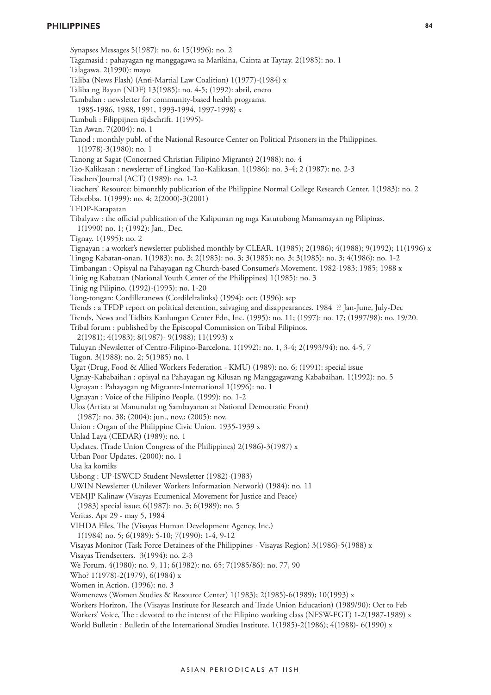## **PHILIPPINES**

Synapses Messages 5(1987): no. 6; 15(1996): no. 2 Tagamasid : pahayagan ng manggagawa sa Marikina, Cainta at Taytay. 2(1985): no. 1 Talagawa. 2(1990): mayo Taliba (News Flash) (Anti-Martial Law Coalition) 1(1977)-(1984) x Taliba ng Bayan (NDF) 13(1985): no. 4-5; (1992): abril, enero Tambalan : newsletter for community-based health programs. 1985-1986, 1988, 1991, 1993-1994, 1997-1998) x Tambuli : Filippijnen tijdschrift. 1(1995)- Tan Awan. 7(2004): no. 1 Tanod : monthly publ. of the National Resource Center on Political Prisoners in the Philippines. 1(1978)-3(1980): no. 1 Tanong at Sagat (Concerned Christian Filipino Migrants) 2(1988): no. 4 Tao-Kalikasan : newsletter of Lingkod Tao-Kalikasan. 1(1986): no. 3-4; 2 (1987): no. 2-3 Teachers'Journal (ACT) (1989): no. 1-2 Teachers' Resource: bimonthly publication of the Philippine Normal College Research Center. 1(1983): no. 2 Tebtebba. 1(1999): no. 4; 2(2000)-3(2001) TFDP-Karapatan Tibalyaw : the official publication of the Kalipunan ng mga Katutubong Mamamayan ng Pilipinas. 1(1990) no. 1; (1992): Jan., Dec. Tignay. 1(1995): no. 2 Tignayan : a worker's newsletter published monthly by CLEAR. 1(1985); 2(1986); 4(1988); 9(1992); 11(1996) x Tingog Kabatan-onan. 1(1983): no. 3; 2(1985): no. 3; 3(1985): no. 3; 3(1985): no. 3; 4(1986): no. 1-2 Timbangan : Opisyal na Pahayagan ng Church-based Consumer's Movement. 1982-1983; 1985; 1988 x Tinig ng Kabataan (National Youth Center of the Philippines) 1(1985): no. 3 Tinig ng Pilipino. (1992)-(1995): no. 1-20 Tong-tongan: Cordilleranews (Cordilelralinks) (1994): oct; (1996): sep Trends : a TFDP report on political detention, salvaging and disappearances. 1984 ?? Jan-June, July-Dec Trends, News and Tidbits Kanlungan Center Fdn, Inc. (1995): no. 11; (1997): no. 17; (1997/98): no. 19/20. Tribal forum : published by the Episcopal Commission on Tribal Filipinos. 2(1981); 4(1983); 8(1987)- 9(1988); 11(1993) x Tuluyan :Newsletter of Centro-Filipino-Barcelona. 1(1992): no. 1, 3-4; 2(1993/94): no. 4-5, 7 Tugon. 3(1988): no. 2; 5(1985) no. 1 Ugat (Drug, Food & Allied Workers Federation - KMU) (1989): no. 6; (1991): special issue Ugnay-Kababaihan : opisyal na Pahayagan ng Kilusan ng Manggagawang Kababaihan. 1(1992): no. 5 Ugnayan : Pahayagan ng Migrante-International 1(1996): no. 1 Ugnayan : Voice of the Filipino People. (1999): no. 1-2 Ulos (Artista at Manunulat ng Sambayanan at National Democratic Front) (1987): no. 38; (2004): jun., nov.; (2005): nov. Union : Organ of the Philippine Civic Union. 1935-1939 x Unlad Laya (CEDAR) (1989): no. 1 Updates. (Trade Union Congress of the Philippines) 2(1986)-3(1987) x Urban Poor Updates. (2000): no. 1 Usa ka komiks Usbong : UP-ISWCD Student Newsletter (1982)-(1983) UWIN Newsletter (Unilever Workers Information Network) (1984): no. 11 VEMJP Kalinaw (Visayas Ecumenical Movement for Justice and Peace) (1983) special issue; 6(1987): no. 3; 6(1989): no. 5 Veritas. Apr 29 - may 5, 1984 VIHDA Files, The (Visayas Human Development Agency, Inc.) 1(1984) no. 5; 6(1989): 5-10; 7(1990): 1-4, 9-12 Visayas Monitor (Task Force Detainees of the Philippines - Visayas Region) 3(1986)-5(1988) x Visayas Trendsetters. 3(1994): no. 2-3 We Forum. 4(1980): no. 9, 11; 6(1982): no. 65; 7(1985/86): no. 77, 90 Who? 1(1978)-2(1979), 6(1984) x Women in Action. (1996): no. 3 Womenews (Women Studies & Resource Center) 1(1983); 2(1985)-6(1989); 10(1993) x Workers Horizon, The (Visayas Institute for Research and Trade Union Education) (1989/90): Oct to Feb Workers' Voice, The : devoted to the interest of the Filipino working class (NFSW-FGT) 1-2(1987-1989) x World Bulletin : Bulletin of the International Studies Institute. 1(1985)-2(1986); 4(1988)- 6(1990) x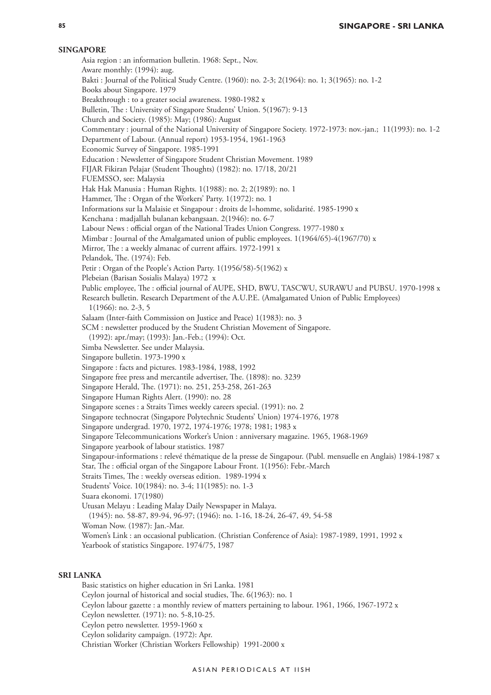# **Singapore**

Asia region : an information bulletin. 1968: Sept., Nov. Aware monthly: (1994): aug. Bakti : Journal of the Political Study Centre. (1960): no. 2-3; 2(1964): no. 1; 3(1965): no. 1-2 Books about Singapore. 1979 Breakthrough : to a greater social awareness. 1980-1982 x Bulletin, The : University of Singapore Students' Union. 5(1967): 9-13 Church and Society. (1985): May; (1986): August Commentary : journal of the National University of Singapore Society. 1972-1973: nov.-jan.; 11(1993): no. 1-2 Department of Labour. (Annual report) 1953-1954, 1961-1963 Economic Survey of Singapore. 1985-1991 Education : Newsletter of Singapore Student Christian Movement. 1989 FIJAR Fikiran Pelajar (Student Thoughts) (1982): no. 17/18, 20/21 FUEMSSO, see: Malaysia Hak Hak Manusia : Human Rights. 1(1988): no. 2; 2(1989): no. 1 Hammer, The : Organ of the Workers' Party. 1(1972): no. 1 Informations sur la Malaisie et Singapour : droits de l=homme, solidarité. 1985-1990 x Kenchana : madjallah bulanan kebangsaan. 2(1946): no. 6-7 Labour News : official organ of the National Trades Union Congress. 1977-1980 x Mimbar : Journal of the Amalgamated union of public employees. 1(1964/65)-4(1967/70) x Mirror, The : a weekly almanac of current affairs. 1972-1991 x Pelandok, The. (1974): Feb. Petir : Organ of the People's Action Party. 1(1956/58)-5(1962) x Plebeian (Barisan Sosialis Malaya) 1972 x Public employee, The : official journal of AUPE, SHD, BWU, TASCWU, SURAWU and PUBSU. 1970-1998 x Research bulletin. Research Department of the A.U.P.E. (Amalgamated Union of Public Employees) 1(1966): no. 2-3, 5 Salaam (Inter-faith Commission on Justice and Peace) 1(1983): no. 3 SCM : newsletter produced by the Student Christian Movement of Singapore. (1992): apr./may; (1993): Jan.-Feb.; (1994): Oct. Simba Newsletter. See under Malaysia. Singapore bulletin. 1973-1990 x Singapore : facts and pictures. 1983-1984, 1988, 1992 Singapore free press and mercantile advertiser, The. (1898): no. 3239 Singapore Herald, The. (1971): no. 251, 253-258, 261-263 Singapore Human Rights Alert. (1990): no. 28 Singapore scenes : a Straits Times weekly careers special. (1991): no. 2 Singapore technocrat (Singapore Polytechnic Students' Union) 1974-1976, 1978 Singapore undergrad. 1970, 1972, 1974-1976; 1978; 1981; 1983 x Singapore Telecommunications Worker's Union : anniversary magazine. 1965, 1968-1969 Singapore yearbook of labour statistics. 1987 Singapour-informations : relevé thématique de la presse de Singapour. (Publ. mensuelle en Anglais) 1984-1987 x Star, The : official organ of the Singapore Labour Front. 1(1956): Febr.-March Straits Times, The : weekly overseas edition. 1989-1994 x Students' Voice. 10(1984): no. 3-4; 11(1985): no. 1-3 Suara ekonomi. 17(1980) Utusan Melayu : Leading Malay Daily Newspaper in Malaya. (1945): no. 58-87, 89-94, 96-97; (1946): no. 1-16, 18-24, 26-47, 49, 54-58 Woman Now. (1987): Jan.-Mar. Women's Link : an occasional publication. (Christian Conference of Asia): 1987-1989, 1991, 1992 x Yearbook of statistics Singapore. 1974/75, 1987

# **Sri Lanka**

Basic statistics on higher education in Sri Lanka. 1981 Ceylon journal of historical and social studies, The. 6(1963): no. 1 Ceylon labour gazette : a monthly review of matters pertaining to labour. 1961, 1966, 1967-1972 x Ceylon newsletter. (1971): no. 5-8,10-25. Ceylon petro newsletter. 1959-1960 x Ceylon solidarity campaign. (1972): Apr. Christian Worker (Christian Workers Fellowship) 1991-2000 x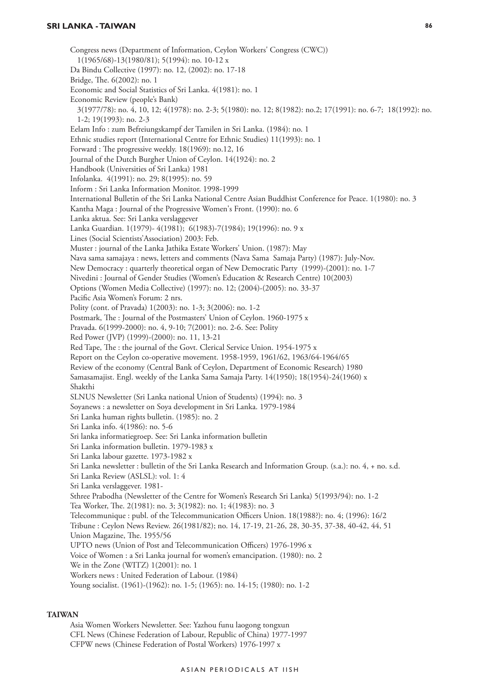Congress news (Department of Information, Ceylon Workers' Congress (CWC))  $1(1965/68) - 13(1980/81); 5(1994);$  no.  $10-12 \text{ x}$ Da Bindu Collective (1997): no. 12, (2002): no. 17-18 Bridge, The. 6(2002): no. 1 Economic and Social Statistics of Sri Lanka. 4(1981): no. 1 Economic Review (people's Bank) 3(1977/78): no. 4, 10, 12; 4(1978): no. 2-3; 5(1980): no. 12; 8(1982): no.2; 17(1991): no. 6-7; 18(1992): no. 1-2; 19(1993): no. 2-3 Eelam Info : zum Befreiungskampf der Tamilen in Sri Lanka. (1984): no. 1 Ethnic studies report (International Centre for Ethnic Studies) 11(1993): no. 1 Forward : The progressive weekly. 18(1969): no.12, 16 Journal of the Dutch Burgher Union of Ceylon. 14(1924): no. 2 Handbook (Universities of Sri Lanka) 1981 Infolanka. 4(1991): no. 29; 8(1995): no. 59 Inform : Sri Lanka Information Monitor. 1998-1999 International Bulletin of the Sri Lanka National Centre Asian Buddhist Conference for Peace. 1(1980): no. 3 Kantha Maga : Journal of the Progressive Women's Front. (1990): no. 6 Lanka aktua. See: Sri Lanka verslaggever Lanka Guardian. 1(1979)- 4(1981); 6(1983)-7(1984); 19(1996): no. 9 x Lines (Social Scientists'Association) 2003: Feb. Muster : journal of the Lanka Jathika Estate Workers' Union. (1987): May Nava sama samajaya : news, letters and comments (Nava Sama Samaja Party) (1987): July-Nov. New Democracy : quarterly theoretical organ of New Democratic Party (1999)-(2001): no. 1-7 Nivedini : Journal of Gender Studies (Women's Education & Research Centre) 10(2003) Options (Women Media Collective) (1997): no. 12; (2004)-(2005): no. 33-37 Pacific Asia Women's Forum: 2 nrs. Polity (cont. of Pravada) 1(2003): no. 1-3; 3(2006): no. 1-2 Postmark, The : Journal of the Postmasters' Union of Ceylon. 1960-1975 x Pravada. 6(1999-2000): no. 4, 9-10; 7(2001): no. 2-6. See: Polity Red Power (JVP) (1999)-(2000): no. 11, 13-21 Red Tape, The : the journal of the Govt. Clerical Service Union. 1954-1975 x Report on the Ceylon co-operative movement. 1958-1959, 1961/62, 1963/64-1964/65 Review of the economy (Central Bank of Ceylon, Department of Economic Research) 1980 Samasamajist. Engl. weekly of the Lanka Sama Samaja Party. 14(1950); 18(1954)-24(1960) x Shakthi SLNUS Newsletter (Sri Lanka national Union of Students) (1994): no. 3 Soyanews : a newsletter on Soya development in Sri Lanka. 1979-1984 Sri Lanka human rights bulletin. (1985): no. 2 Sri Lanka info. 4(1986): no. 5-6 Sri lanka informatiegroep. See: Sri Lanka information bulletin Sri Lanka information bulletin. 1979-1983 x Sri Lanka labour gazette. 1973-1982 x Sri Lanka newsletter : bulletin of the Sri Lanka Research and Information Group. (s.a.): no. 4, + no. s.d. Sri Lanka Review (ASLSL): vol. 1: 4 Sri Lanka verslaggever. 1981- Sthree Prabodha (Newsletter of the Centre for Women's Research Sri Lanka) 5(1993/94): no. 1-2 Tea Worker, The. 2(1981): no. 3; 3(1982): no. 1; 4(1983): no. 3 Telecommunique : publ. of the Telecommunication Officers Union. 18(1988?): no. 4; (1996): 16/2 Tribune : Ceylon News Review. 26(1981/82); no. 14, 17-19, 21-26, 28, 30-35, 37-38, 40-42, 44, 51 Union Magazine, The. 1955/56 UPTO news (Union of Post and Telecommunication Officers) 1976-1996 x Voice of Women : a Sri Lanka journal for women's emancipation. (1980): no. 2 We in the Zone (WITZ) 1(2001): no. 1 Workers news : United Federation of Labour. (1984) Young socialist. (1961)-(1962): no. 1-5; (1965): no. 14-15; (1980): no. 1-2

## **Taiwan**

Asia Women Workers Newsletter. See: Yazhou funu laogong tongxun CFL News (Chinese Federation of Labour, Republic of China) 1977-1997 CFPW news (Chinese Federation of Postal Workers) 1976-1997 x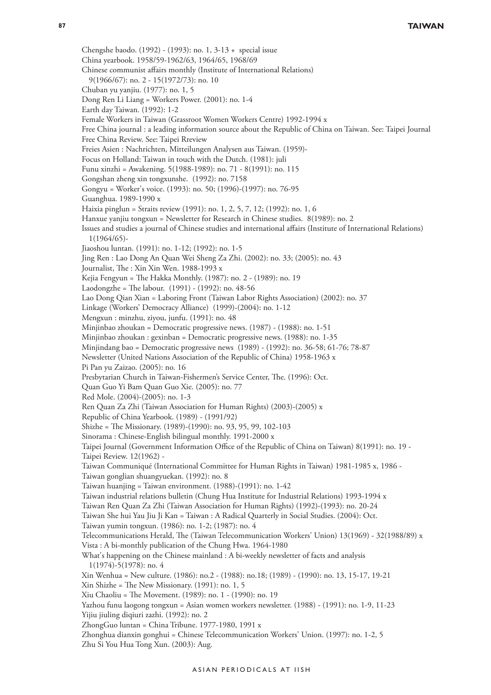Chengshe baodo. (1992) - (1993): no. 1, 3-13 + special issue China yearbook. 1958/59-1962/63, 1964/65, 1968/69 Chinese communist affairs monthly (Institute of International Relations) 9(1966/67): no. 2 - 15(1972/73): no. 10 Chuban yu yanjiu. (1977): no. 1, 5 Dong Ren Li Liang = Workers Power. (2001): no. 1-4 Earth day Taiwan. (1992): 1-2 Female Workers in Taiwan (Grassroot Women Workers Centre) 1992-1994 x Free China journal : a leading information source about the Republic of China on Taiwan. See: Taipei Journal Free China Review. See: Taipei Rreview Freies Asien : Nachrichten, Mitteilungen Analysen aus Taiwan. (1959)- Focus on Holland: Taiwan in touch with the Dutch. (1981): juli Funu xinzhi = Awakening. 5(1988-1989): no. 71 - 8(1991): no. 115 Gongshan zheng xin tongxunshe. (1992): no. 7158 Gongyu = Worker's voice. (1993): no. 50; (1996)-(1997): no. 76-95 Guanghua. 1989-1990 x Haixia pinglun = Straits review (1991): no. 1, 2, 5, 7, 12; (1992): no. 1, 6 Hanxue yanjiu tongxun = Newsletter for Research in Chinese studies. 8(1989): no. 2 Issues and studies a journal of Chinese studies and international affairs (Institute of International Relations) 1(1964/65)- Jiaoshou luntan. (1991): no. 1-12; (1992): no. 1-5 Jing Ren : Lao Dong An Quan Wei Sheng Za Zhi. (2002): no. 33; (2005): no. 43 Journalist, The : Xin Xin Wen. 1988-1993 x Kejia Fengyun = The Hakka Monthly. (1987): no. 2 - (1989): no. 19 Laodongzhe = The labour. (1991) - (1992): no. 48-56 Lao Dong Qian Xian = Laboring Front (Taiwan Labor Rights Association) (2002): no. 37 Linkage (Workers' Democracy Alliance) (1999)-(2004): no. 1-12 Mengxun : minzhu, ziyou, junfu. (1991): no. 48 Minjinbao zhoukan = Democratic progressive news. (1987) - (1988): no. 1-51 Minjinbao zhoukan : gexinban = Democratic progressive news. (1988): no. 1-35 Minjindang bao = Democratic progressive news (1989) - (1992): no. 36-58; 61-76; 78-87 Newsletter (United Nations Association of the Republic of China) 1958-1963 x Pi Pan yu Zaizao. (2005): no. 16 Presbytarian Church in Taiwan-Fishermen's Service Center, The. (1996): Oct. Quan Guo Yi Bam Quan Guo Xie. (2005): no. 77 Red Mole. (2004)-(2005): no. 1-3 Ren Quan Za Zhi (Taiwan Association for Human Rights) (2003)-(2005) x Republic of China Yearbook. (1989) - (1991/92) Shizhe = The Missionary. (1989)-(1990): no. 93, 95, 99, 102-103 Sinorama : Chinese-English bilingual monthly. 1991-2000 x Taipei Journal (Government Information Office of the Republic of China on Taiwan) 8(1991): no. 19 - Taipei Review. 12(1962) - Taiwan Communiqué (International Committee for Human Rights in Taiwan) 1981-1985 x, 1986 - Taiwan gonglian shuangyuekan. (1992): no. 8 Taiwan huanjing = Taiwan environment. (1988)-(1991): no. 1-42 Taiwan industrial relations bulletin (Chung Hua Institute for Industrial Relations) 1993-1994 x Taiwan Ren Quan Za Zhi (Taiwan Association for Human Rights) (1992)-(1993): no. 20-24 Taiwan She hui Yau Jiu Ji Kan = Taiwan : A Radical Quarterly in Social Studies. (2004): Oct. Taiwan yumin tongxun. (1986): no. 1-2; (1987): no. 4 Telecommunications Herald, The (Taiwan Telecommunication Workers' Union) 13(1969) - 32(1988/89) x Vista : A bi-monthly publication of the Chung Hwa. 1964-1980 What's happening on the Chinese mainland : A bi-weekly newsletter of facts and analysis 1(1974)-5(1978): no. 4 Xin Wenhua = New culture. (1986): no.2 - (1988): no.18; (1989) - (1990): no. 13, 15-17, 19-21 Xin Shizhe = The New Missionary. (1991): no. 1, 5 Xiu Chaoliu = The Movement. (1989): no. 1 - (1990): no. 19 Yazhou funu laogong tongxun = Asian women workers newsletter. (1988) - (1991): no. 1-9, 11-23 Yijiu jiuling diqiuri zazhi. (1992): no. 2 ZhongGuo luntan = China Tribune. 1977-1980, 1991 x Zhonghua dianxin gonghui = Chinese Telecommunication Workers' Union. (1997): no. 1-2, 5 Zhu Si You Hua Tong Xun. (2003): Aug.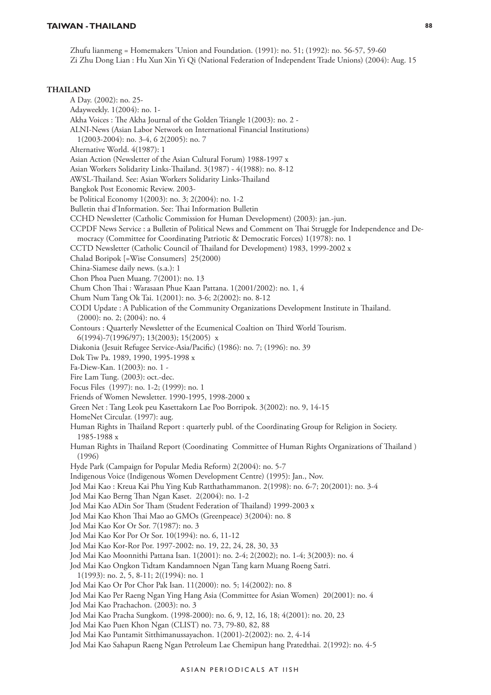#### **Thailand**

A Day. (2002): no. 25- Adayweekly. 1(2004): no. 1- Akha Voices : The Akha Journal of the Golden Triangle 1(2003): no. 2 - ALNI-News (Asian Labor Network on International Financial Institutions) 1(2003-2004): no. 3-4, 6 2(2005): no. 7 Alternative World. 4(1987): 1 Asian Action (Newsletter of the Asian Cultural Forum) 1988-1997 x Asian Workers Solidarity Links-Thailand. 3(1987) - 4(1988): no. 8-12 AWSL-Thailand. See: Asian Workers Solidarity Links-Thailand Bangkok Post Economic Review. 2003 be Political Economy 1(2003): no. 3; 2(2004): no. 1-2 Bulletin thai d'Information. See: Thai Information Bulletin CCHD Newsletter (Catholic Commission for Human Development) (2003): jan.-jun. CCPDF News Service : a Bulletin of Political News and Comment on Thai Struggle for Independence and Democracy (Committee for Coordinating Patriotic & Democratic Forces) 1(1978): no. 1 CCTD Newsletter (Catholic Council of Thailand for Development) 1983, 1999-2002 x Chalad Boripok [=Wise Consumers] 25(2000) China-Siamese daily news. (s.a.): 1 Chon Phoa Puen Muang. 7(2001): no. 13 Chum Chon Thai : Warasaan Phue Kaan Pattana. 1(2001/2002): no. 1, 4 Chum Num Tang Ok Tai. 1(2001): no. 3-6; 2(2002): no. 8-12 CODI Update : A Publication of the Community Organizations Development Institute in Thailand. (2000): no. 2; (2004): no. 4 Contours : Quarterly Newsletter of the Ecumenical Coaltion on Third World Tourism. 6(1994)-7(1996/97); 13(2003); 15(2005) x Diakonia (Jesuit Refugee Service-Asia/Pacific) (1986): no. 7; (1996): no. 39 Dok Tiw Pa. 1989, 1990, 1995-1998 x Fa-Diew-Kan. 1(2003): no. 1 - Fire Lam Tung. (2003): oct.-dec. Focus Files (1997): no. 1-2; (1999): no. 1 Friends of Women Newsletter. 1990-1995, 1998-2000 x Green Net : Tang Leok peu Kasettakorn Lae Poo Borripok. 3(2002): no. 9, 14-15 HomeNet Circular. (1997): aug. Human Rights in Thailand Report : quarterly publ. of the Coordinating Group for Religion in Society. 1985-1988 x Human Rights in Thailand Report (Coordinating Committee of Human Rights Organizations of Thailand ) (1996) Hyde Park (Campaign for Popular Media Reform) 2(2004): no. 5-7 Indigenous Voice (Indigenous Women Development Centre) (1995): Jan., Nov. Jod Mai Kao : Kreua Kai Phu Ying Kub Ratthathammanon. 2(1998): no. 6-7; 20(2001): no. 3-4 Jod Mai Kao Berng Than Ngan Kaset. 2(2004): no. 1-2 Jod Mai Kao ADin Sor Tham (Student Federation of Thailand) 1999-2003 x Jod Mai Kao Khon Thai Mao ao GMOs (Greenpeace) 3(2004): no. 8 Jod Mai Kao Kor Or Sor. 7(1987): no. 3 Jod Mai Kao Kor Por Or Sor. 10(1994): no. 6, 11-12 Jod Mai Kao Kor-Ror Por. 1997-2002: no. 19, 22, 24, 28, 30, 33 Jod Mai Kao Moonnithi Pattana Isan. 1(2001): no. 2-4; 2(2002); no. 1-4; 3(2003): no. 4 Jod Mai Kao Ongkon Tidtam Kandamnoen Ngan Tang karn Muang Roeng Satri. 1(1993): no. 2, 5, 8-11; 2((1994): no. 1 Jod Mai Kao Or Por Chor Pak Isan. 11(2000): no. 5; 14(2002): no. 8 Jod Mai Kao Per Raeng Ngan Ying Hang Asia (Committee for Asian Women) 20(2001): no. 4 Jod Mai Kao Prachachon. (2003): no. 3 Jod Mai Kao Pracha Sungkom. (1998-2000): no. 6, 9, 12, 16, 18; 4(2001): no. 20, 23 Jod Mai Kao Puen Khon Ngan (CLIST) no. 73, 79-80, 82, 88 Jod Mai Kao Puntamit Sitthimanussayachon. 1(2001)-2(2002): no. 2, 4-14 Jod Mai Kao Sahapun Raeng Ngan Petroleum Lae Chemipun hang Pratedthai. 2(1992): no. 4-5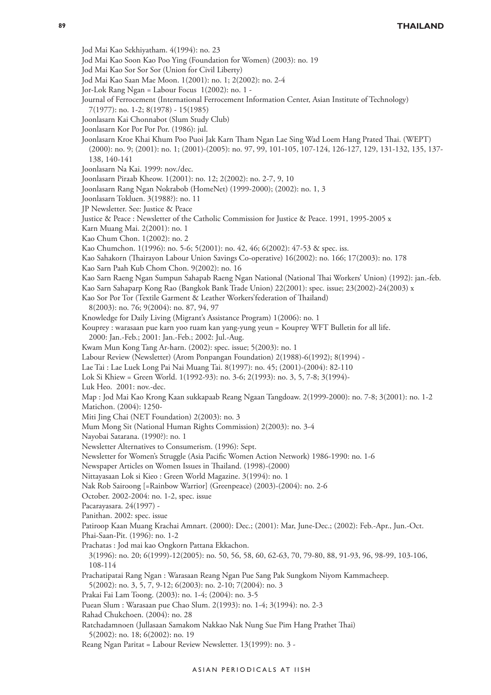- Jod Mai Kao Sekhiyatham. 4(1994): no. 23
- Jod Mai Kao Soon Kao Poo Ying (Foundation for Women) (2003): no. 19
- Jod Mai Kao Sor Sor Sor (Union for Civil Liberty)
- Jod Mai Kao Saan Mae Moon. 1(2001): no. 1; 2(2002): no. 2-4
- Jor-Lok Rang Ngan = Labour Focus 1(2002): no. 1 -

Journal of Ferrocement (International Ferrocement Information Center, Asian Institute of Technology)

- 7(1977): no. 1-2; 8(1978) 15(1985)
- Joonlasarn Kai Chonnabot (Slum Study Club)
- Joonlasarn Kor Por Por Por. (1986): jul.
- Joonlasarn Kroe Khai Khum Poo Puoi Jak Karn Tham Ngan Lae Sing Wad Loem Hang Prated Thai. (WEPT) (2000): no. 9; (2001): no. 1; (2001)-(2005): no. 97, 99, 101-105, 107-124, 126-127, 129, 131-132, 135, 137- 138, 140-141
- Joonlasarn Na Kai. 1999: nov./dec.
- Joonlasarn Piraab Kheow. 1(2001): no. 12; 2(2002): no. 2-7, 9, 10
- Joonlasarn Rang Ngan Nokrabob (HomeNet) (1999-2000); (2002): no. 1, 3
- Joonlasarn Tokluen. 3(1988?): no. 11
- JP Newsletter. See: Justice & Peace
- Justice & Peace : Newsletter of the Catholic Commission for Justice & Peace. 1991, 1995-2005 x
- Karn Muang Mai. 2(2001): no. 1
- Kao Chum Chon. 1(2002): no. 2
- Kao Chumchon. 1(1996): no. 5-6; 5(2001): no. 42, 46; 6(2002): 47-53 & spec. iss.
- Kao Sahakorn (Thairayon Labour Union Savings Co-operative) 16(2002): no. 166; 17(2003): no. 178
- Kao Sarn Paah Kub Chom Chon. 9(2002): no. 16
- Kao Sarn Raeng Ngan Sumpun Sahapab Raeng Ngan National (National Thai Workers' Union) (1992): jan.-feb.
- Kao Sarn Sahaparp Kong Rao (Bangkok Bank Trade Union) 22(2001): spec. issue; 23(2002)-24(2003) x
- Kao Sor Por Tor (Textile Garment & Leather Workers'federation of Thailand)
- 8(2003): no. 76; 9(2004): no. 87, 94, 97
- Knowledge for Daily Living (Migrant's Assistance Program) 1(2006): no. 1

Kouprey : warasaan pue karn yoo ruam kan yang-yung yeun = Kouprey WFT Bulletin for all life.

- 2000: Jan.-Feb.; 2001: Jan.-Feb.; 2002: Jul.-Aug.
- Kwam Mun Kong Tang Ar-harn. (2002): spec. issue; 5(2003): no. 1
- Labour Review (Newsletter) (Arom Ponpangan Foundation) 2(1988)-6(1992); 8(1994) -
- Lae Tai : Lae Luek Long Pai Nai Muang Tai. 8(1997): no. 45; (2001)-(2004): 82-110
- Lok Si Khiew = Green World. 1(1992-93): no. 3-6; 2(1993): no. 3, 5, 7-8; 3(1994)-
- Luk Heo. 2001: nov.-dec.
- Map : Jod Mai Kao Krong Kaan sukkapaab Reang Ngaan Tangdoaw. 2(1999-2000): no. 7-8; 3(2001): no. 1-2 Matichon. (2004): 1250-
- Miti Jing Chai (NET Foundation) 2(2003): no. 3
- Mum Mong Sit (National Human Rights Commission) 2(2003): no. 3-4
- Nayobai Satarana. (1990?): no. 1
- Newsletter Alternatives to Consumerism. (1996): Sept.
- Newsletter for Women's Struggle (Asia Pacific Women Action Network) 1986-1990: no. 1-6
- Newspaper Articles on Women Issues in Thailand. (1998)-(2000)
- Nittayasaan Lok si Kieo : Green World Magazine. 3(1994): no. 1
- Nak Rob Sairoong [=Rainbow Warrior] (Greenpeace) (2003)-(2004): no. 2-6
- October. 2002-2004: no. 1-2, spec. issue
- Pacarayasara. 24(1997) -
- Panithan. 2002: spec. issue
- Patiroop Kaan Muang Krachai Amnart. (2000): Dec.; (2001): Mar, June-Dec.; (2002): Feb.-Apr., Jun.-Oct.
- Phai-Saan-Pit. (1996): no. 1-2
- Prachatas : Jod mai kao Ongkorn Pattana Ekkachon.
- 3(1996): no. 20; 6(1999)-12(2005): no. 50, 56, 58, 60, 62-63, 70, 79-80, 88, 91-93, 96, 98-99, 103-106, 108-114
- Prachatipatai Rang Ngan : Warasaan Reang Ngan Pue Sang Pak Sungkom Niyom Kammacheep. 5(2002): no. 3, 5, 7, 9-12; 6(2003): no. 2-10; 7(2004): no. 3
- Prakai Fai Lam Toong. (2003): no. 1-4; (2004): no. 3-5
- Puean Slum : Warasaan pue Chao Slum. 2(1993): no. 1-4; 3(1994): no. 2-3
- Rahad Chukchoen. (2004): no. 28
- Ratchadamnoen (Jullasaan Samakom Nakkao Nak Nung Sue Pim Hang Prathet Thai) 5(2002): no. 18; 6(2002): no. 19
- Reang Ngan Paritat = Labour Review Newsletter. 13(1999): no. 3 -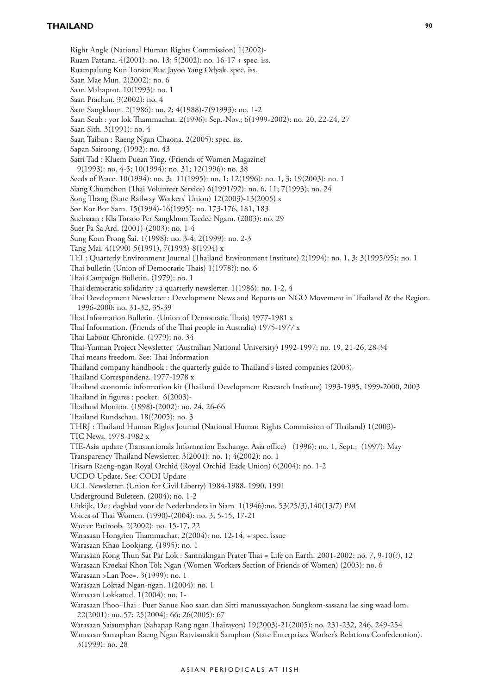## **THAilAND**

Right Angle (National Human Rights Commission) 1(2002)- Ruam Pattana. 4(2001): no. 13; 5(2002): no. 16-17 + spec. iss. Ruampalung Kun Torsoo Rue Jayoo Yang Odyak. spec. iss. Saan Mae Mun. 2(2002): no. 6 Saan Mahaprot. 10(1993): no. 1 Saan Prachan. 3(2002): no. 4 Saan Sangkhom. 2(1986): no. 2; 4(1988)-7(91993): no. 1-2 Saan Seub : yor lok Thammachat. 2(1996): Sep.-Nov.; 6(1999-2002): no. 20, 22-24, 27 Saan Sith. 3(1991): no. 4 Saan Taiban : Raeng Ngan Chaona. 2(2005): spec. iss. Sapan Sairoong. (1992): no. 43 Satri Tad : Kluem Puean Ying. (Friends of Women Magazine) 9(1993): no. 4-5; 10(1994): no. 31; 12(1996): no. 38 Seeds of Peace. 10(1994): no. 3; 11(1995): no. 1; 12(1996): no. 1, 3; 19(2003): no. 1 Siang Chumchon (Thai Volunteer Service) 6(1991/92): no. 6, 11; 7(1993); no. 24 Song Thang (State Railway Workers' Union) 12(2003)-13(2005) x Sor Kor Bor Sarn. 15(1994)-16(1995): no. 173-176, 181, 183 Suebsaan : Kla Torsoo Per Sangkhom Teedee Ngam. (2003): no. 29 Suer Pa Sa Ard. (2001)-(2003): no. 1-4 Sung Kom Prong Sai. 1(1998): no. 3-4; 2(1999): no. 2-3 Tang Mai. 4(1990)-5(1991), 7(1993)-8(1994) x TEI : Quarterly Environment Journal (Thailand Environment Institute) 2(1994): no. 1, 3; 3(1995/95): no. 1 Thai bulletin (Union of Democratic Thais) 1(1978?): no. 6 Thai Campaign Bulletin. (1979): no. 1 Thai democratic solidarity : a quarterly newsletter. 1(1986): no. 1-2, 4 Thai Development Newsletter : Development News and Reports on NGO Movement in Thailand & the Region. 1996-2000: no. 31-32, 35-39 Thai Information Bulletin. (Union of Democratic Thais) 1977-1981 x Thai Information. (Friends of the Thai people in Australia) 1975-1977 x Thai Labour Chronicle. (1979): no. 34 Thai-Yunnan Project Newsletter (Australian National University) 1992-1997: no. 19, 21-26, 28-34 Thai means freedom. See: Thai Information Thailand company handbook : the quarterly guide to Thailand's listed companies (2003)- Thailand Correspondenz. 1977-1978 x Thailand economic information kit (Thailand Development Research Institute) 1993-1995, 1999-2000, 2003 Thailand in figures : pocket. 6(2003)- Thailand Monitor. (1998)-(2002): no. 24, 26-66 Thailand Rundschau. 18((2005): no. 3 THRJ : Thailand Human Rights Journal (National Human Rights Commission of Thailand) 1(2003)- TIC News. 1978-1982 x TIE-Asia update (Transnationals Information Exchange. Asia office) (1996): no. 1, Sept.; (1997): May Transparency Thailand Newsletter. 3(2001): no. 1; 4(2002): no. 1 Trisarn Raeng-ngan Royal Orchid (Royal Orchid Trade Union) 6(2004): no. 1-2 UCDO Update. See: CODI Update UCL Newsletter. (Union for Civil Liberty) 1984-1988, 1990, 1991 Underground Buleteen. (2004); no. 1-2 Uitkijk, De : dagblad voor de Nederlanders in Siam 1(1946):no. 53(25/3),140(13/7) PM Voices of Thai Women. (1990)-(2004): no. 3, 5-15, 17-21 Waetee Patiroob. 2(2002): no. 15-17, 22 Warasaan Hongrien Thammachat. 2(2004): no. 12-14, + spec. issue Warasaan Khao Lookjang. (1995): no. 1 Warasaan Kong Thun Sat Par Lok : Samnakngan Pratet Thai = Life on Earth. 2001-2002: no. 7, 9-10(?), 12 Warasaan Kroekai Khon Tok Ngan (Women Workers Section of Friends of Women) (2003): no. 6 Warasaan >Lan Poe=. 3(1999): no. 1 Warasaan Loktad Ngan-ngan. 1(2004): no. 1 Warasaan Lokkatud. 1(2004): no. 1- Warasaan Phoo-Thai : Puer Sanue Koo saan dan Sitti manussayachon Sungkom-sassana lae sing waad lom. 22(2001): no. 57; 25(2004): 66; 26(2005): 67 Warasaan Saisumphan (Sahapap Rang ngan Thairayon) 19(2003)-21(2005): no. 231-232, 246, 249-254 Warasaan Samaphan Raeng Ngan Ratvisanakit Samphan (State Enterprises Worker's Relations Confederation). 3(1999): no. 28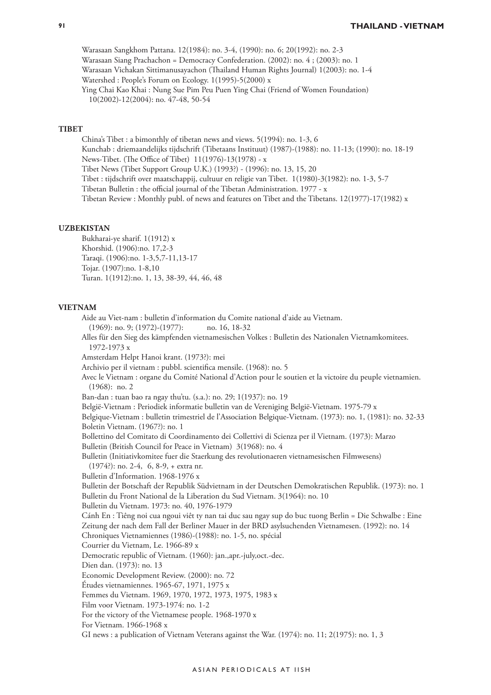Warasaan Sangkhom Pattana. 12(1984): no. 3-4, (1990): no. 6; 20(1992): no. 2-3 Warasaan Siang Prachachon = Democracy Confederation. (2002): no. 4 ; (2003): no. 1 Warasaan Vichakan Sittimanusayachon (Thailand Human Rights Journal) 1(2003): no. 1-4 Watershed : People's Forum on Ecology. 1(1995)-5(2000) x Ying Chai Kao Khai : Nung Sue Pim Peu Puen Ying Chai (Friend of Women Foundation) 10(2002)-12(2004): no. 47-48, 50-54

#### **TIBET**

China's Tibet : a bimonthly of tibetan news and views. 5(1994): no. 1-3, 6 Kunchab : driemaandelijks tijdschrift (Tibetaans Instituut) (1987)-(1988): no. 11-13; (1990): no. 18-19 News-Tibet. (The Office of Tibet) 11(1976)-13(1978) - x Tibet News (Tibet Support Group U.K.) (1993?) - (1996): no. 13, 15, 20 Tibet : tijdschrift over maatschappij, cultuur en religie van Tibet. 1(1980)-3(1982): no. 1-3, 5-7 Tibetan Bulletin : the official journal of the Tibetan Administration. 1977 - x Tibetan Review : Monthly publ. of news and features on Tibet and the Tibetans. 12(1977)-17(1982) x

#### **Uzbekistan**

Bukharai-ye sharif. 1(1912) x Khorshid. (1906):no. 17,2-3 Taraqi. (1906):no. 1-3,5,7-11,13-17 Tojar. (1907):no. 1-8,10 Turan. 1(1912):no. 1, 13, 38-39, 44, 46, 48

#### **Vietnam**

Aide au Viet-nam : bulletin d'information du Comite national d'aide au Vietnam. (1969): no. 9; (1972)-(1977): no. 16, 18-32 Alles für den Sieg des kämpfenden vietnamesischen Volkes : Bulletin des Nationalen Vietnamkomitees. 1972-1973 x Amsterdam Helpt Hanoi krant. (1973?): mei Archivio per il vietnam : pubbl. scientifica mensile. (1968): no. 5 Avec le Vietnam : organe du Comité National d'Action pour le soutien et la victoire du peuple vietnamien. (1968): no. 2 Ban-dan : tuan bao ra ngay thu'tu. (s.a.): no. 29; 1(1937): no. 19 België-Vietnam : Periodiek informatie bulletin van de Vereniging België-Vietnam. 1975-79 x Belgique-Vietnam : bulletin trimestriel de l'Association Belgique-Vietnam. (1973): no. 1, (1981): no. 32-33 Boletin Vietnam. (1967?): no. 1 Bollettino del Comitato di Coordinamento dei Collettivi di Scienza per il Vietnam. (1973): Marzo Bulletin (British Council for Peace in Vietnam) 3(1968): no. 4 Bulletin (Initiativkomitee fuer die Staerkung des revolutionaeren vietnamesischen Filmwesens) (1974?): no. 2-4, 6, 8-9, + extra nr. Bulletin d'Information. 1968-1976 x Bulletin der Botschaft der Republik Südvietnam in der Deutschen Demokratischen Republik. (1973): no. 1 Bulletin du Front National de la Liberation du Sud Vietnam. 3(1964): no. 10 Bulletin du Vietnam. 1973: no. 40, 1976-1979 Cánh En : Tiêng noi cua ngoui viêt ty nan tai duc sau ngay sup do buc tuong Berlin = Die Schwalbe : Eine Zeitung der nach dem Fall der Berliner Mauer in der BRD asylsuchenden Vietnamesen. (1992): no. 14 Chroniques Vietnamiennes (1986)-(1988): no. 1-5, no. spécial Courrier du Vietnam, Le. 1966-89 x Democratic republic of Vietnam. (1960): jan.,apr.-july,oct.-dec. Dien dan. (1973): no. 13 Economic Development Review. (2000): no. 72 Études vietnamiennes. 1965-67, 1971, 1975 x Femmes du Vietnam. 1969, 1970, 1972, 1973, 1975, 1983 x Film voor Vietnam. 1973-1974: no. 1-2 For the victory of the Vietnamese people. 1968-1970 x For Vietnam. 1966-1968 x GI news : a publication of Vietnam Veterans against the War. (1974): no. 11; 2(1975): no. 1, 3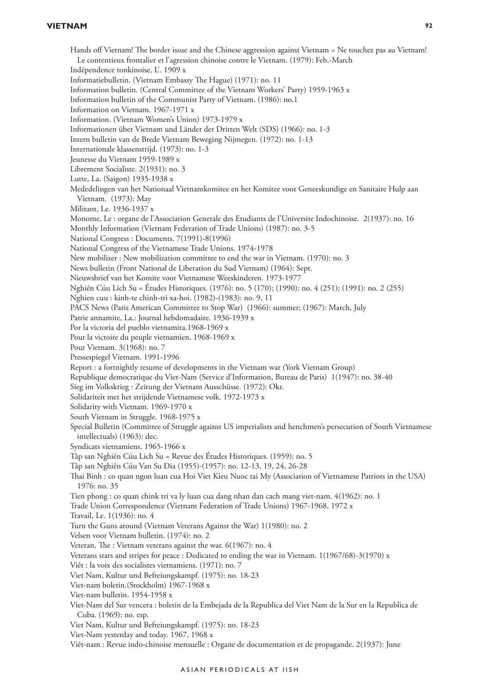| Hands off Vietnam! The border issue and the Chinese aggression against Vietnam = Ne touchez pas au Vietnam!<br>Le contentieux frontalier et l'agression chinoise contre le Vietnam. (1979): Feb.-March |
|--------------------------------------------------------------------------------------------------------------------------------------------------------------------------------------------------------|
| Indépendence tonkinoise, L'. 1909 x                                                                                                                                                                    |
| Informatiebulletin. (Vietnam Embassy The Hague) (1971): no. 11                                                                                                                                         |
| Information bulletin. (Central Committee of the Vietnam Workers' Party) 1959-1963 x                                                                                                                    |
| Information bulletin of the Communist Party of Vietnam. (1986): no.1                                                                                                                                   |
| Information on Vietnam. 1967-1971 x                                                                                                                                                                    |
| Information. (Vietnam Women's Union) 1973-1979 x                                                                                                                                                       |
| Informationen über Vietnam und Länder der Dritten Welt (SDS) (1966): no. 1-3                                                                                                                           |
| Intern bulletin van de Brede Vietnam Beweging Nijmegen. (1972): no. 1-13                                                                                                                               |
| Internationale klassenstrijd. (1973): no. 1-3                                                                                                                                                          |
| Jeunesse du Vietnam 1959-1989 x                                                                                                                                                                        |
| Librement Socialiste. 2(1931): no. 3                                                                                                                                                                   |
| Lutte, La. (Saigon) 1935-1938 x                                                                                                                                                                        |
| Mededelingen van het Nationaal Vietnamkomitee en het Komitee voor Geneeskundige en Sanitaire Hulp aan                                                                                                  |
| Vietnam. (1973): May                                                                                                                                                                                   |
| Militant, Le. 1936-1937 x                                                                                                                                                                              |
| Monome, Le : organe de l'Association Generale des Etudiants de l'Universite Indochinoise. 2(1937): no. 16                                                                                              |
| Monthly Information (Vietnam Federation of Trade Unions) (1987): no. 3-5                                                                                                                               |
| National Congress: Documents. 7(1991)-8(1996)                                                                                                                                                          |
| National Congress of the Vietnamese Trade Unions. 1974-1978                                                                                                                                            |
| New mobilizer: New mobilization committee to end the war in Vietnam. (1970): no. 3                                                                                                                     |
| News bulletin (Front National de Liberation du Sud Vietnam) (1964): Sept.                                                                                                                              |
| Nieuwsbrief van het Komite voor Vietnamese Weeskinderen. 1973-1977                                                                                                                                     |
| Nghiên Cúu Lich Su = Études Historiques. (1976): no. 5 (170); (1990): no. 4 (251); (1991): no. 2 (255)                                                                                                 |
| Nghien cuu : kinh-te chinh-tri xa-hoi. (1982)-(1983): no. 9, 11                                                                                                                                        |
| PACS News (Paris American Committee to Stop War) (1966): summer; (1967): March, July                                                                                                                   |
| Patrie annamite, La.: Journal hebdomadaire. 1936-1939 x                                                                                                                                                |
| Por la victoria del pueblo vietnamita.1968-1969 x                                                                                                                                                      |
| Pour la victoire du peuple vietnamien. 1968-1969 x                                                                                                                                                     |
| Pour Vietnam. 3(1968): no. 7                                                                                                                                                                           |
| Pressespiegel Vietnam. 1991-1996                                                                                                                                                                       |
| Report : a fortnightly resume of developments in the Vietnam war (York Vietnam Group)                                                                                                                  |
| Republique democratique du Viet-Nam (Service d'Information, Bureau de Paris) 1(1947): no. 38-40                                                                                                        |
| Sieg im Volkskrieg : Zeitung der Vietnam Ausschüsse. (1972): Okt.                                                                                                                                      |
| Solidariteit met het strijdende Vietnamese volk. 1972-1973 x                                                                                                                                           |
| Solidarity with Vietnam. 1969-1970 x                                                                                                                                                                   |
| South Vietnam in Struggle. 1968-1975 x<br>Special Bulletin (Committee of Struggle against US imperialists and henchmen's persecution of South Vietnamese                                               |
| intellectuals) (1963): dec.                                                                                                                                                                            |
| Syndicats vietnamiens. 1965-1966 x                                                                                                                                                                     |
| Tâp san Nghiên Cúu Lich Su = Revue des Études Historiques. (1959): no. 5                                                                                                                               |
| Tâp san Nghiên Cúu Van Su Đia (1955)-(1957): no. 12-13, 19, 24, 26-28                                                                                                                                  |
| Thai Binh : co quan ngon luan cua Hoi Viet Kieu Nuoc tai My (Association of Vietnamese Patriots in the USA)                                                                                            |
| 1976: no. 35                                                                                                                                                                                           |
| Tien phong : co quan chink tri va ly luan cua dang nhan dan cach mang viet-nam. 4(1962): no. 1                                                                                                         |
| Trade Union Correspondence (Vietnam Federation of Trade Unions) 1967-1968, 1972 x                                                                                                                      |
| Travail, Le. 1(1936): no. 4                                                                                                                                                                            |
| Turn the Guns around (Vietnam Veterans Against the War) 1(1980): no. 2                                                                                                                                 |
| Velsen voor Vietnam bulletin. (1974): no. 2                                                                                                                                                            |
| Veteran, The : Vietnam veterans against the war. 6(1967): no. 4                                                                                                                                        |
| Veterans stars and stripes for peace : Dedicated to ending the war in Vietnam. 1(1967/68)-3(1970) x                                                                                                    |
| Viêt : la voix des socialistes vietnamiens. (1971): no. 7                                                                                                                                              |
| Viet Nam, Kultur und Befreiungskampf. (1975): no. 18-23                                                                                                                                                |
| Viet-nam boletin.(Stockholm) 1967-1968 x                                                                                                                                                               |
| Viet-nam bulletin. 1954-1958 x                                                                                                                                                                         |
| Viet-Nam del Sur vencera : boletin de la Embejada de la Republica del Viet Nam de la Sur en la Republica de                                                                                            |
| Cuba. (1969): no. esp.                                                                                                                                                                                 |
| Viet Nam, Kultur und Befreiungskampf. (1975): no. 18-23                                                                                                                                                |
| Viet-Nam yesterday and today. 1967, 1968 x                                                                                                                                                             |
| Viêt-nam : Revue indo-chinoise mensuelle : Organe de documentation et de propagande. 2(1937): June                                                                                                     |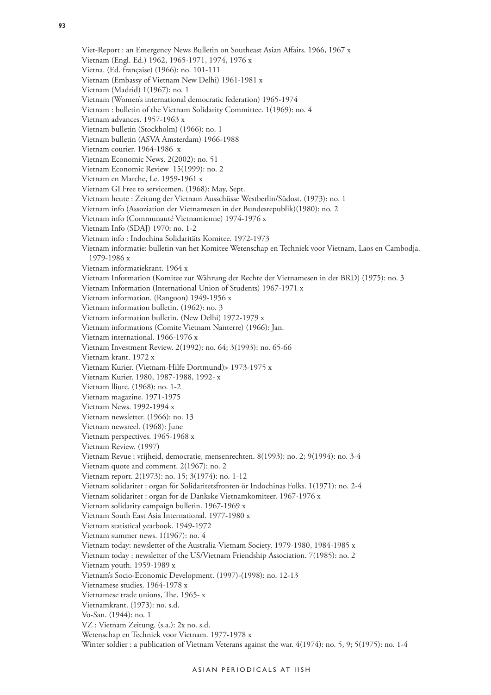Viet-Report : an Emergency News Bulletin on Southeast Asian Affairs. 1966, 1967 x Vietnam (Engl. Ed.) 1962, 1965-1971, 1974, 1976 x Vietna. (Ed. française) (1966): no. 101-111 Vietnam (Embassy of Vietnam New Delhi) 1961-1981 x Vietnam (Madrid) 1(1967): no. 1 Vietnam (Women's international democratic federation) 1965-1974 Vietnam : bulletin of the Vietnam Solidarity Committee. 1(1969): no. 4 Vietnam advances. 1957-1963 x Vietnam bulletin (Stockholm) (1966): no. 1 Vietnam bulletin (ASVA Amsterdam) 1966-1988 Vietnam courier. 1964-1986 x Vietnam Economic News. 2(2002): no. 51 Vietnam Economic Review 15(1999): no. 2 Vietnam en Marche, Le. 1959-1961 x Vietnam GI Free to servicemen. (1968): May, Sept. Vietnam heute : Zeitung der Vietnam Ausschüsse Westberlin/Südost. (1973): no. 1 Vietnam info (Assoziation der Vietnamesen in der Bundesrepublik)(1980): no. 2 Vietnam info (Communauté Vietnamienne) 1974-1976 x Vietnam Info (SDAJ) 1970: no. 1-2 Vietnam info : Indochina Solidaritäts Komitee. 1972-1973 Vietnam informatie: bulletin van het Komitee Wetenschap en Techniek voor Vietnam, Laos en Cambodja. 1979-1986 x Vietnam informatiekrant. 1964 x Vietnam Information (Komitee zur Währung der Rechte der Vietnamesen in der BRD) (1975): no. 3 Vietnam Information (International Union of Students) 1967-1971 x Vietnam information. (Rangoon) 1949-1956 x Vietnam information bulletin. (1962): no. 3 Vietnam information bulletin. (New Delhi) 1972-1979 x Vietnam informations (Comite Vietnam Nanterre) (1966): Jan. Vietnam international. 1966-1976 x Vietnam Investment Review. 2(1992): no. 64; 3(1993): no. 65-66 Vietnam krant. 1972 x Vietnam Kurier. (Vietnam-Hilfe Dortmund)> 1973-1975 x Vietnam Kurier. 1980, 1987-1988, 1992- x Vietnam lliure. (1968): no. 1-2 Vietnam magazine. 1971-1975 Vietnam News. 1992-1994 x Vietnam newsletter. (1966): no. 13 Vietnam newsreel. (1968): June Vietnam perspectives. 1965-1968 x Vietnam Review. (1997) Vietnam Revue : vrijheid, democratie, mensenrechten. 8(1993): no. 2; 9(1994): no. 3-4 Vietnam quote and comment. 2(1967): no. 2 Vietnam report. 2(1973): no. 15; 3(1974): no. 1-12 Vietnam solidaritet : organ för Solidaritetsfronten ör Indochinas Folks. 1(1971): no. 2-4 Vietnam solidaritet : organ for de Dankske Vietnamkomiteer. 1967-1976 x Vietnam solidarity campaign bulletin. 1967-1969 x Vietnam South East Asia International. 1977-1980 x Vietnam statistical yearbook. 1949-1972 Vietnam summer news. 1(1967): no. 4 Vietnam today: newsletter of the Australia-Vietnam Society. 1979-1980, 1984-1985 x Vietnam today : newsletter of the US/Vietnam Friendship Association. 7(1985): no. 2 Vietnam youth. 1959-1989 x Vietnam's Socio-Economic Development. (1997)-(1998): no. 12-13 Vietnamese studies. 1964-1978 x Vietnamese trade unions, The. 1965- x Vietnamkrant. (1973): no. s.d. Vo-San. (1944): no. 1 VZ : Vietnam Zeitung. (s.a.): 2x no. s.d. Wetenschap en Techniek voor Vietnam. 1977-1978 x Winter soldier : a publication of Vietnam Veterans against the war. 4(1974): no. 5, 9; 5(1975): no. 1-4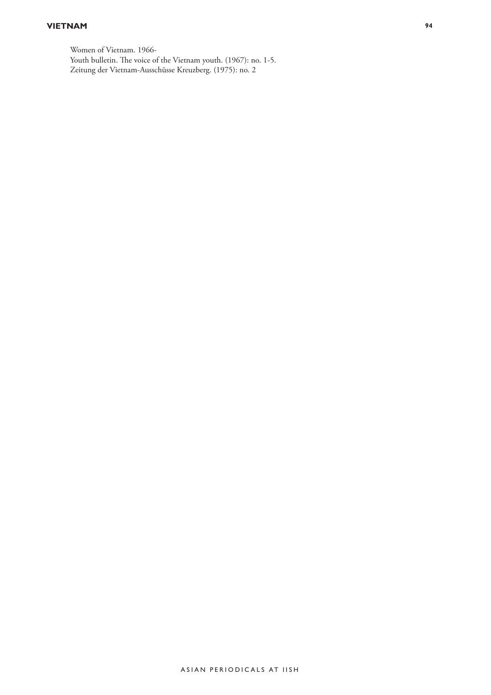# **vietnam**

Women of Vietnam. 1966- Youth bulletin. The voice of the Vietnam youth. (1967): no. 1-5. Zeitung der Vietnam-Ausschüsse Kreuzberg. (1975): no. 2